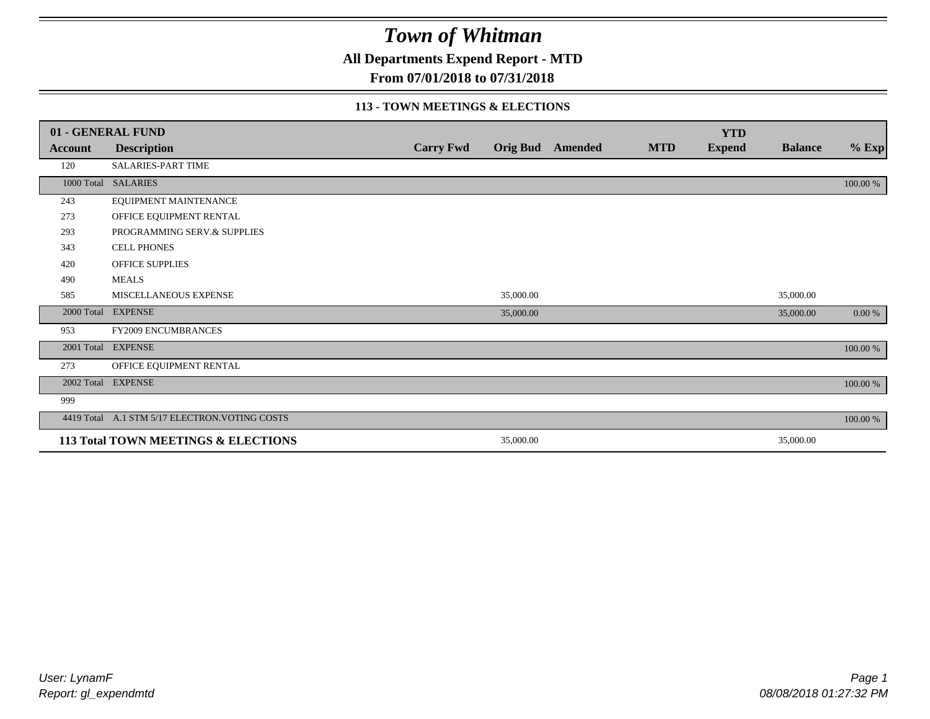**All Departments Expend Report - MTD**

### **From 07/01/2018 to 07/31/2018**

#### **113 - TOWN MEETINGS & ELECTIONS**

|            | 01 - GENERAL FUND                              |                  |           |                         |            | <b>YTD</b>    |                |          |
|------------|------------------------------------------------|------------------|-----------|-------------------------|------------|---------------|----------------|----------|
| Account    | <b>Description</b>                             | <b>Carry Fwd</b> |           | <b>Orig Bud</b> Amended | <b>MTD</b> | <b>Expend</b> | <b>Balance</b> | $%$ Exp  |
| 120        | <b>SALARIES-PART TIME</b>                      |                  |           |                         |            |               |                |          |
| 1000 Total | <b>SALARIES</b>                                |                  |           |                         |            |               |                | 100.00 % |
| 243        | EQUIPMENT MAINTENANCE                          |                  |           |                         |            |               |                |          |
| 273        | OFFICE EQUIPMENT RENTAL                        |                  |           |                         |            |               |                |          |
| 293        | PROGRAMMING SERV.& SUPPLIES                    |                  |           |                         |            |               |                |          |
| 343        | <b>CELL PHONES</b>                             |                  |           |                         |            |               |                |          |
| 420        | <b>OFFICE SUPPLIES</b>                         |                  |           |                         |            |               |                |          |
| 490        | <b>MEALS</b>                                   |                  |           |                         |            |               |                |          |
| 585        | MISCELLANEOUS EXPENSE                          |                  | 35,000.00 |                         |            |               | 35,000.00      |          |
|            | 2000 Total EXPENSE                             |                  | 35,000.00 |                         |            |               | 35,000.00      | 0.00 %   |
| 953        | FY2009 ENCUMBRANCES                            |                  |           |                         |            |               |                |          |
|            | 2001 Total EXPENSE                             |                  |           |                         |            |               |                | 100.00 % |
| 273        | OFFICE EQUIPMENT RENTAL                        |                  |           |                         |            |               |                |          |
|            | 2002 Total EXPENSE                             |                  |           |                         |            |               |                | 100.00 % |
| 999        |                                                |                  |           |                         |            |               |                |          |
|            | 4419 Total A.1 STM 5/17 ELECTRON. VOTING COSTS |                  |           |                         |            |               |                | 100.00 % |
|            | 113 Total TOWN MEETINGS & ELECTIONS            |                  | 35,000.00 |                         |            |               | 35,000.00      |          |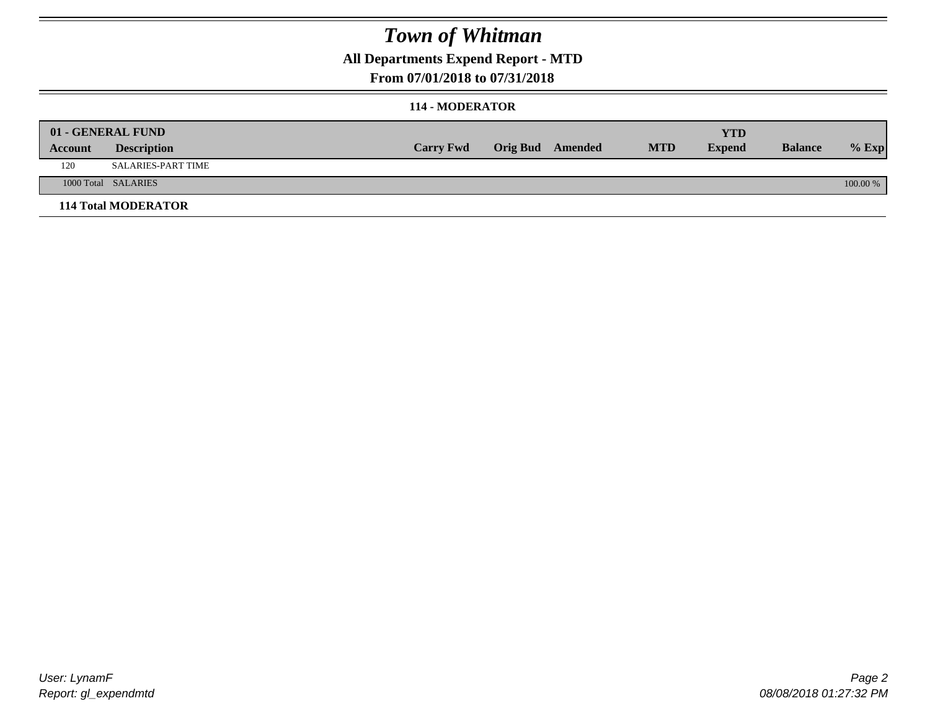### **All Departments Expend Report - MTD**

### **From 07/01/2018 to 07/31/2018**

#### **114 - MODERATOR**

|         | 01 - GENERAL FUND          |                  |                         |            | YTD           |                |            |
|---------|----------------------------|------------------|-------------------------|------------|---------------|----------------|------------|
| Account | <b>Description</b>         | <b>Carry Fwd</b> | <b>Orig Bud</b> Amended | <b>MTD</b> | <b>Expend</b> | <b>Balance</b> | $%$ Exp    |
| 120     | SALARIES-PART TIME         |                  |                         |            |               |                |            |
|         | 1000 Total SALARIES        |                  |                         |            |               |                | $100.00\%$ |
|         | <b>114 Total MODERATOR</b> |                  |                         |            |               |                |            |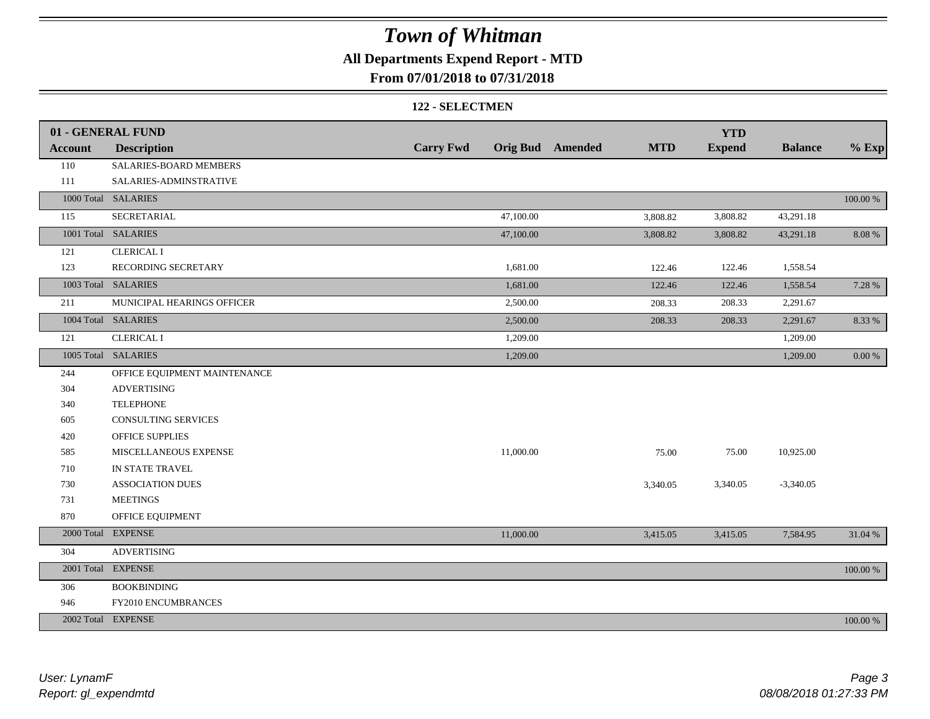### **All Departments Expend Report - MTD**

### **From 07/01/2018 to 07/31/2018**

#### **122 - SELECTMEN**

|                | 01 - GENERAL FUND            |                  |           |                         |            | <b>YTD</b>    |                |             |
|----------------|------------------------------|------------------|-----------|-------------------------|------------|---------------|----------------|-------------|
| <b>Account</b> | <b>Description</b>           | <b>Carry Fwd</b> |           | <b>Orig Bud</b> Amended | <b>MTD</b> | <b>Expend</b> | <b>Balance</b> | $%$ Exp     |
| 110            | SALARIES-BOARD MEMBERS       |                  |           |                         |            |               |                |             |
| 111            | SALARIES-ADMINSTRATIVE       |                  |           |                         |            |               |                |             |
|                | 1000 Total SALARIES          |                  |           |                         |            |               |                | $100.00~\%$ |
| 115            | <b>SECRETARIAL</b>           |                  | 47,100.00 |                         | 3,808.82   | 3,808.82      | 43,291.18      |             |
|                | 1001 Total SALARIES          |                  | 47,100.00 |                         | 3,808.82   | 3,808.82      | 43,291.18      | 8.08%       |
| 121            | <b>CLERICAL I</b>            |                  |           |                         |            |               |                |             |
| 123            | RECORDING SECRETARY          |                  | 1,681.00  |                         | 122.46     | 122.46        | 1,558.54       |             |
|                | 1003 Total SALARIES          |                  | 1,681.00  |                         | 122.46     | 122.46        | 1,558.54       | 7.28 %      |
| 211            | MUNICIPAL HEARINGS OFFICER   |                  | 2,500.00  |                         | 208.33     | 208.33        | 2,291.67       |             |
|                | 1004 Total SALARIES          |                  | 2,500.00  |                         | 208.33     | 208.33        | 2,291.67       | 8.33 %      |
| 121            | <b>CLERICAL I</b>            |                  | 1,209.00  |                         |            |               | 1,209.00       |             |
|                | 1005 Total SALARIES          |                  | 1,209.00  |                         |            |               | 1,209.00       | 0.00 %      |
| 244            | OFFICE EQUIPMENT MAINTENANCE |                  |           |                         |            |               |                |             |
| 304            | <b>ADVERTISING</b>           |                  |           |                         |            |               |                |             |
| 340            | <b>TELEPHONE</b>             |                  |           |                         |            |               |                |             |
| 605            | <b>CONSULTING SERVICES</b>   |                  |           |                         |            |               |                |             |
| 420            | OFFICE SUPPLIES              |                  |           |                         |            |               |                |             |
| 585            | MISCELLANEOUS EXPENSE        |                  | 11,000.00 |                         | 75.00      | 75.00         | 10,925.00      |             |
| 710            | IN STATE TRAVEL              |                  |           |                         |            |               |                |             |
| 730            | <b>ASSOCIATION DUES</b>      |                  |           |                         | 3,340.05   | 3,340.05      | $-3,340.05$    |             |
| 731            | <b>MEETINGS</b>              |                  |           |                         |            |               |                |             |
| 870            | OFFICE EQUIPMENT             |                  |           |                         |            |               |                |             |
|                | 2000 Total EXPENSE           |                  | 11,000.00 |                         | 3,415.05   | 3,415.05      | 7,584.95       | 31.04 %     |
| 304            | <b>ADVERTISING</b>           |                  |           |                         |            |               |                |             |
|                | 2001 Total EXPENSE           |                  |           |                         |            |               |                | 100.00 %    |
| 306            | <b>BOOKBINDING</b>           |                  |           |                         |            |               |                |             |
| 946            | FY2010 ENCUMBRANCES          |                  |           |                         |            |               |                |             |
|                | 2002 Total EXPENSE           |                  |           |                         |            |               |                | 100.00 %    |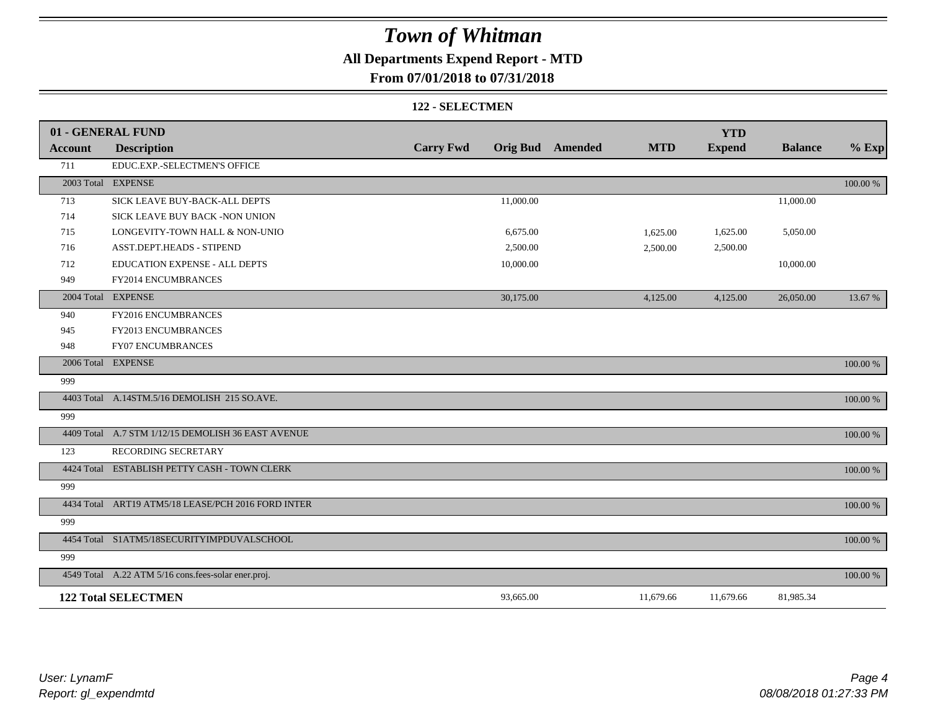### **All Departments Expend Report - MTD**

### **From 07/01/2018 to 07/31/2018**

#### **122 - SELECTMEN**

|                | 01 - GENERAL FUND                                   |                  |           |                         |            | <b>YTD</b>    |                |          |
|----------------|-----------------------------------------------------|------------------|-----------|-------------------------|------------|---------------|----------------|----------|
| <b>Account</b> | <b>Description</b>                                  | <b>Carry Fwd</b> |           | <b>Orig Bud</b> Amended | <b>MTD</b> | <b>Expend</b> | <b>Balance</b> | $%$ Exp  |
| 711            | EDUC.EXP.-SELECTMEN'S OFFICE                        |                  |           |                         |            |               |                |          |
|                | 2003 Total EXPENSE                                  |                  |           |                         |            |               |                | 100.00 % |
| 713            | SICK LEAVE BUY-BACK-ALL DEPTS                       |                  | 11,000.00 |                         |            |               | 11,000.00      |          |
| 714            | SICK LEAVE BUY BACK -NON UNION                      |                  |           |                         |            |               |                |          |
| 715            | LONGEVITY-TOWN HALL & NON-UNIO                      |                  | 6,675.00  |                         | 1,625.00   | 1,625.00      | 5,050.00       |          |
| 716            | ASST.DEPT.HEADS - STIPEND                           |                  | 2,500.00  |                         | 2,500.00   | 2,500.00      |                |          |
| 712            | EDUCATION EXPENSE - ALL DEPTS                       |                  | 10,000.00 |                         |            |               | 10,000.00      |          |
| 949            | FY2014 ENCUMBRANCES                                 |                  |           |                         |            |               |                |          |
|                | 2004 Total EXPENSE                                  |                  | 30,175.00 |                         | 4,125.00   | 4,125.00      | 26,050.00      | 13.67 %  |
| 940            | FY2016 ENCUMBRANCES                                 |                  |           |                         |            |               |                |          |
| 945            | FY2013 ENCUMBRANCES                                 |                  |           |                         |            |               |                |          |
| 948            | <b>FY07 ENCUMBRANCES</b>                            |                  |           |                         |            |               |                |          |
|                | 2006 Total EXPENSE                                  |                  |           |                         |            |               |                | 100.00 % |
| 999            |                                                     |                  |           |                         |            |               |                |          |
|                | 4403 Total A.14STM.5/16 DEMOLISH 215 SO.AVE.        |                  |           |                         |            |               |                | 100.00 % |
| 999            |                                                     |                  |           |                         |            |               |                |          |
|                | 4409 Total A.7 STM 1/12/15 DEMOLISH 36 EAST AVENUE  |                  |           |                         |            |               |                | 100.00 % |
| 123            | RECORDING SECRETARY                                 |                  |           |                         |            |               |                |          |
|                | 4424 Total ESTABLISH PETTY CASH - TOWN CLERK        |                  |           |                         |            |               |                | 100.00 % |
| 999            |                                                     |                  |           |                         |            |               |                |          |
|                | 4434 Total ART19 ATM5/18 LEASE/PCH 2016 FORD INTER  |                  |           |                         |            |               |                | 100.00 % |
| 999            |                                                     |                  |           |                         |            |               |                |          |
|                | 4454 Total S1ATM5/18SECURITYIMPDUVALSCHOOL          |                  |           |                         |            |               |                | 100.00 % |
| 999            |                                                     |                  |           |                         |            |               |                |          |
|                | 4549 Total A.22 ATM 5/16 cons.fees-solar ener.proj. |                  |           |                         |            |               |                | 100.00 % |
|                | <b>122 Total SELECTMEN</b>                          |                  | 93,665.00 |                         | 11,679.66  | 11,679.66     | 81,985.34      |          |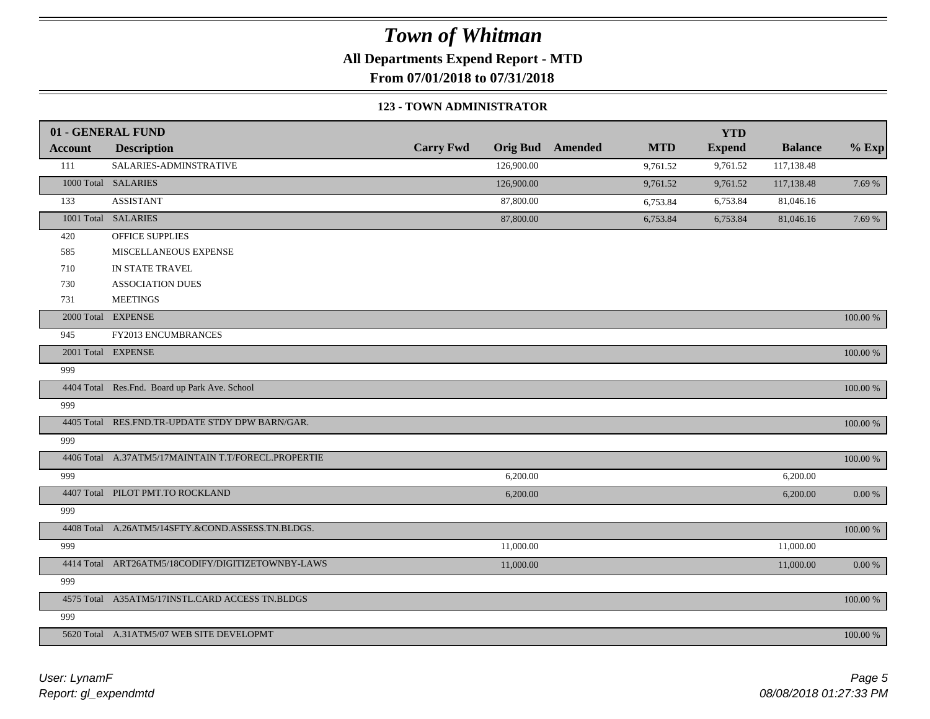**All Departments Expend Report - MTD**

**From 07/01/2018 to 07/31/2018**

#### **123 - TOWN ADMINISTRATOR**

|                | 01 - GENERAL FUND                                   |                  |                 |         |            | <b>YTD</b>    |                |             |
|----------------|-----------------------------------------------------|------------------|-----------------|---------|------------|---------------|----------------|-------------|
| <b>Account</b> | <b>Description</b>                                  | <b>Carry Fwd</b> | <b>Orig Bud</b> | Amended | <b>MTD</b> | <b>Expend</b> | <b>Balance</b> | $%$ Exp     |
| 111            | SALARIES-ADMINSTRATIVE                              |                  | 126,900.00      |         | 9,761.52   | 9,761.52      | 117,138.48     |             |
|                | 1000 Total SALARIES                                 |                  | 126,900.00      |         | 9,761.52   | 9,761.52      | 117,138.48     | 7.69 %      |
| 133            | <b>ASSISTANT</b>                                    |                  | 87,800.00       |         | 6,753.84   | 6,753.84      | 81,046.16      |             |
|                | 1001 Total SALARIES                                 |                  | 87,800.00       |         | 6,753.84   | 6,753.84      | 81,046.16      | 7.69 %      |
| 420            | OFFICE SUPPLIES                                     |                  |                 |         |            |               |                |             |
| 585            | MISCELLANEOUS EXPENSE                               |                  |                 |         |            |               |                |             |
| 710            | IN STATE TRAVEL                                     |                  |                 |         |            |               |                |             |
| 730            | <b>ASSOCIATION DUES</b>                             |                  |                 |         |            |               |                |             |
| 731            | <b>MEETINGS</b>                                     |                  |                 |         |            |               |                |             |
|                | 2000 Total EXPENSE                                  |                  |                 |         |            |               |                | 100.00 %    |
| 945            | FY2013 ENCUMBRANCES                                 |                  |                 |         |            |               |                |             |
|                | 2001 Total EXPENSE                                  |                  |                 |         |            |               |                | 100.00 %    |
| 999            |                                                     |                  |                 |         |            |               |                |             |
|                | 4404 Total Res.Fnd. Board up Park Ave. School       |                  |                 |         |            |               |                | 100.00 %    |
| 999            |                                                     |                  |                 |         |            |               |                |             |
|                | 4405 Total RES.FND.TR-UPDATE STDY DPW BARN/GAR.     |                  |                 |         |            |               |                | 100.00 %    |
| 999            |                                                     |                  |                 |         |            |               |                |             |
|                | 4406 Total A.37ATM5/17MAINTAIN T.T/FORECL.PROPERTIE |                  |                 |         |            |               |                | 100.00 %    |
| 999            |                                                     |                  | 6,200.00        |         |            |               | 6,200.00       |             |
|                | 4407 Total PILOT PMT.TO ROCKLAND                    |                  | 6,200.00        |         |            |               | 6,200.00       | $0.00\ \%$  |
| 999            |                                                     |                  |                 |         |            |               |                |             |
|                | 4408 Total A.26ATM5/14SFTY.&COND.ASSESS.TN.BLDGS.   |                  |                 |         |            |               |                | 100.00 %    |
| 999            |                                                     |                  | 11,000.00       |         |            |               | 11,000.00      |             |
|                | 4414 Total ART26ATM5/18CODIFY/DIGITIZETOWNBY-LAWS   |                  | 11,000.00       |         |            |               | 11,000.00      | 0.00 %      |
| 999            |                                                     |                  |                 |         |            |               |                |             |
|                | 4575 Total A35ATM5/17INSTL.CARD ACCESS TN.BLDGS     |                  |                 |         |            |               |                | 100.00 %    |
| 999            |                                                     |                  |                 |         |            |               |                |             |
|                | 5620 Total A.31ATM5/07 WEB SITE DEVELOPMT           |                  |                 |         |            |               |                | $100.00~\%$ |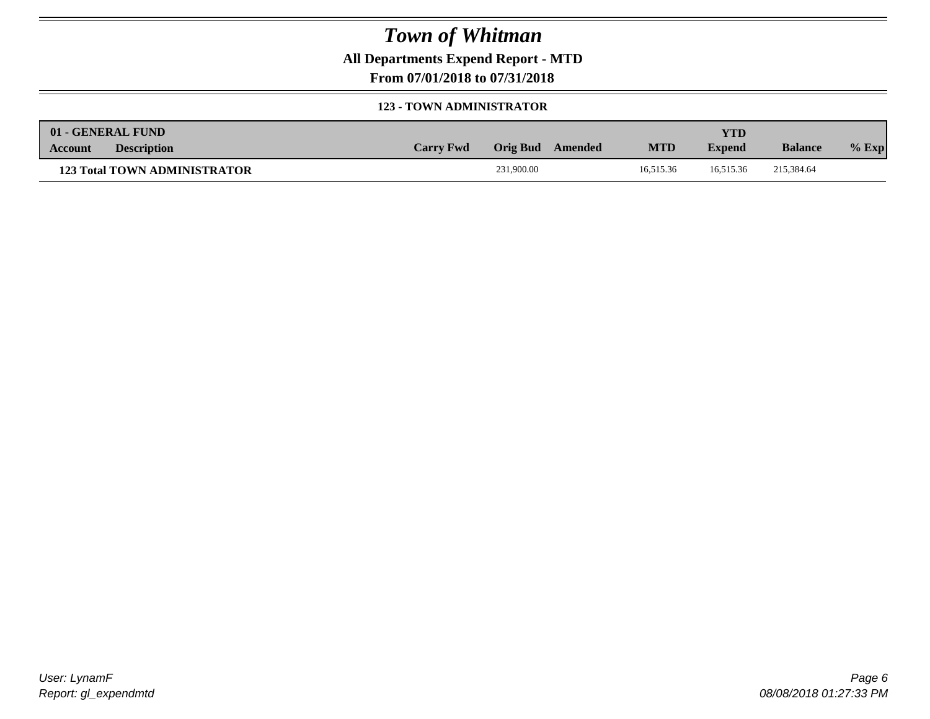**All Departments Expend Report - MTD**

**From 07/01/2018 to 07/31/2018**

#### **123 - TOWN ADMINISTRATOR**

| 01 - GENERAL FUND |                                     |                  |            |         |            | <b>YTD</b>    |                |         |
|-------------------|-------------------------------------|------------------|------------|---------|------------|---------------|----------------|---------|
| Account           | <b>Description</b>                  | <b>Carry Fwd</b> | Orig Bud   | Amended | <b>MTD</b> | <b>Expend</b> | <b>Balance</b> | $%$ Exp |
|                   | <b>123 Total TOWN ADMINISTRATOR</b> |                  | 231,900.00 |         | 16,515.36  | 16.515.36     | 215,384.64     |         |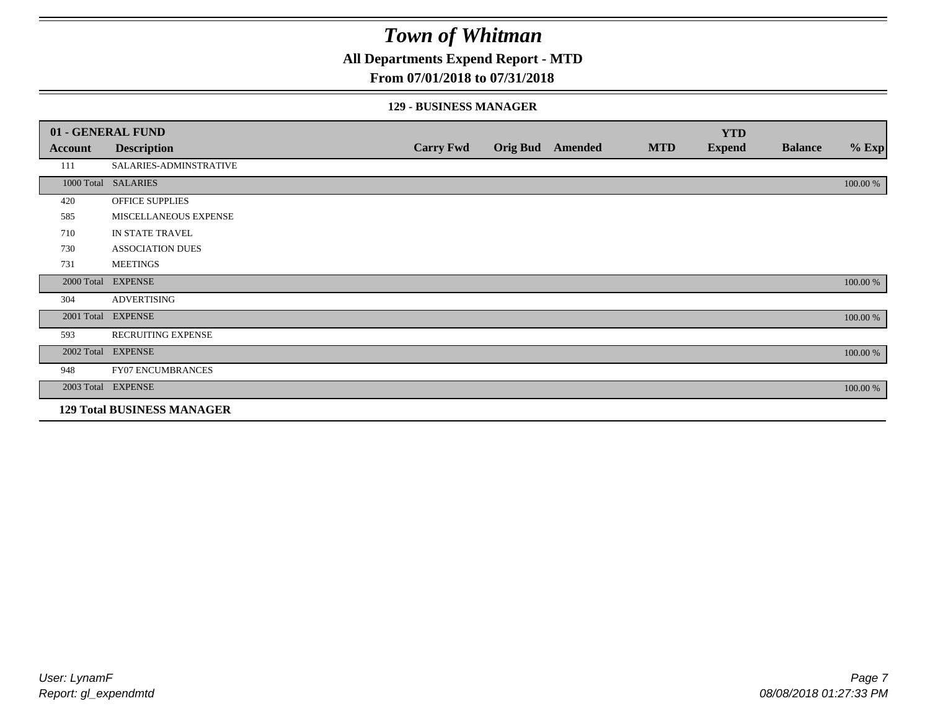**All Departments Expend Report - MTD**

### **From 07/01/2018 to 07/31/2018**

#### **129 - BUSINESS MANAGER**

|            | 01 - GENERAL FUND                 |                  |                 |         |            | <b>YTD</b>    |                |          |
|------------|-----------------------------------|------------------|-----------------|---------|------------|---------------|----------------|----------|
| Account    | <b>Description</b>                | <b>Carry Fwd</b> | <b>Orig Bud</b> | Amended | <b>MTD</b> | <b>Expend</b> | <b>Balance</b> | $%$ Exp  |
| 111        | SALARIES-ADMINSTRATIVE            |                  |                 |         |            |               |                |          |
|            | 1000 Total SALARIES               |                  |                 |         |            |               |                | 100.00 % |
| 420        | OFFICE SUPPLIES                   |                  |                 |         |            |               |                |          |
| 585        | MISCELLANEOUS EXPENSE             |                  |                 |         |            |               |                |          |
| 710        | IN STATE TRAVEL                   |                  |                 |         |            |               |                |          |
| 730        | <b>ASSOCIATION DUES</b>           |                  |                 |         |            |               |                |          |
| 731        | <b>MEETINGS</b>                   |                  |                 |         |            |               |                |          |
| 2000 Total | <b>EXPENSE</b>                    |                  |                 |         |            |               |                | 100.00 % |
| 304        | <b>ADVERTISING</b>                |                  |                 |         |            |               |                |          |
| 2001 Total | <b>EXPENSE</b>                    |                  |                 |         |            |               |                | 100.00 % |
| 593        | <b>RECRUITING EXPENSE</b>         |                  |                 |         |            |               |                |          |
|            | 2002 Total EXPENSE                |                  |                 |         |            |               |                | 100.00 % |
| 948        | <b>FY07 ENCUMBRANCES</b>          |                  |                 |         |            |               |                |          |
|            | 2003 Total EXPENSE                |                  |                 |         |            |               |                | 100.00 % |
|            | <b>129 Total BUSINESS MANAGER</b> |                  |                 |         |            |               |                |          |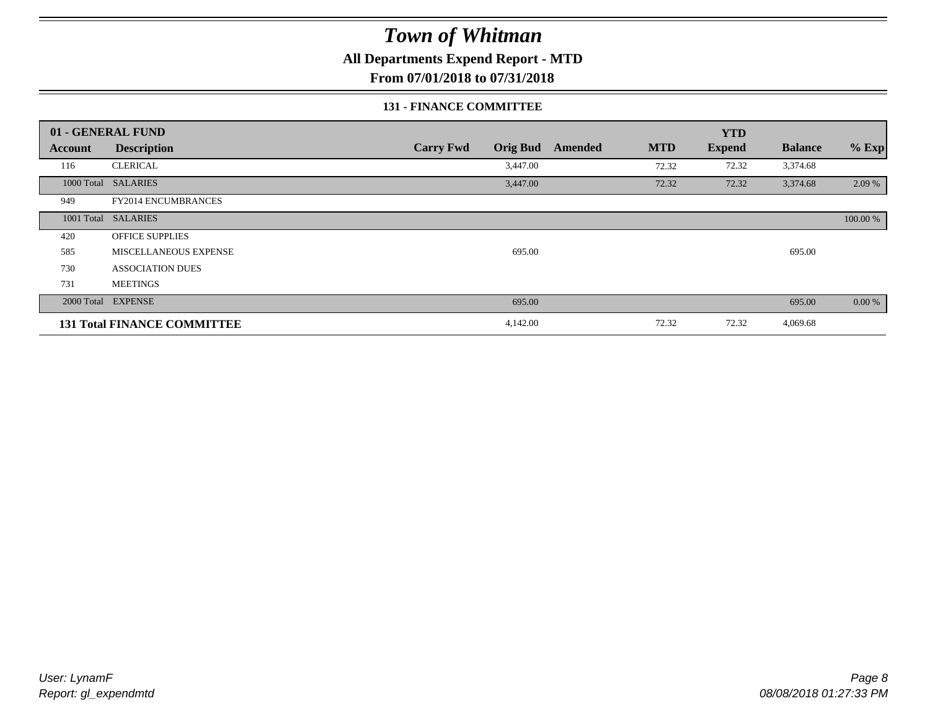**All Departments Expend Report - MTD**

**From 07/01/2018 to 07/31/2018**

#### **131 - FINANCE COMMITTEE**

|         | 01 - GENERAL FUND                  |                                     |                       | <b>YTD</b>    |                |          |
|---------|------------------------------------|-------------------------------------|-----------------------|---------------|----------------|----------|
| Account | <b>Description</b>                 | <b>Carry Fwd</b><br><b>Orig Bud</b> | <b>MTD</b><br>Amended | <b>Expend</b> | <b>Balance</b> | $%$ Exp  |
| 116     | <b>CLERICAL</b>                    | 3,447.00                            | 72.32                 | 72.32         | 3,374.68       |          |
|         | 1000 Total SALARIES                | 3,447.00                            | 72.32                 | 72.32         | 3,374.68       | 2.09 %   |
| 949     | <b>FY2014 ENCUMBRANCES</b>         |                                     |                       |               |                |          |
|         | 1001 Total SALARIES                |                                     |                       |               |                | 100.00 % |
| 420     | <b>OFFICE SUPPLIES</b>             |                                     |                       |               |                |          |
| 585     | MISCELLANEOUS EXPENSE              | 695.00                              |                       |               | 695.00         |          |
| 730     | <b>ASSOCIATION DUES</b>            |                                     |                       |               |                |          |
| 731     | <b>MEETINGS</b>                    |                                     |                       |               |                |          |
|         | 2000 Total EXPENSE                 | 695.00                              |                       |               | 695.00         | 0.00 %   |
|         | <b>131 Total FINANCE COMMITTEE</b> | 4,142.00                            | 72.32                 | 72.32         | 4,069.68       |          |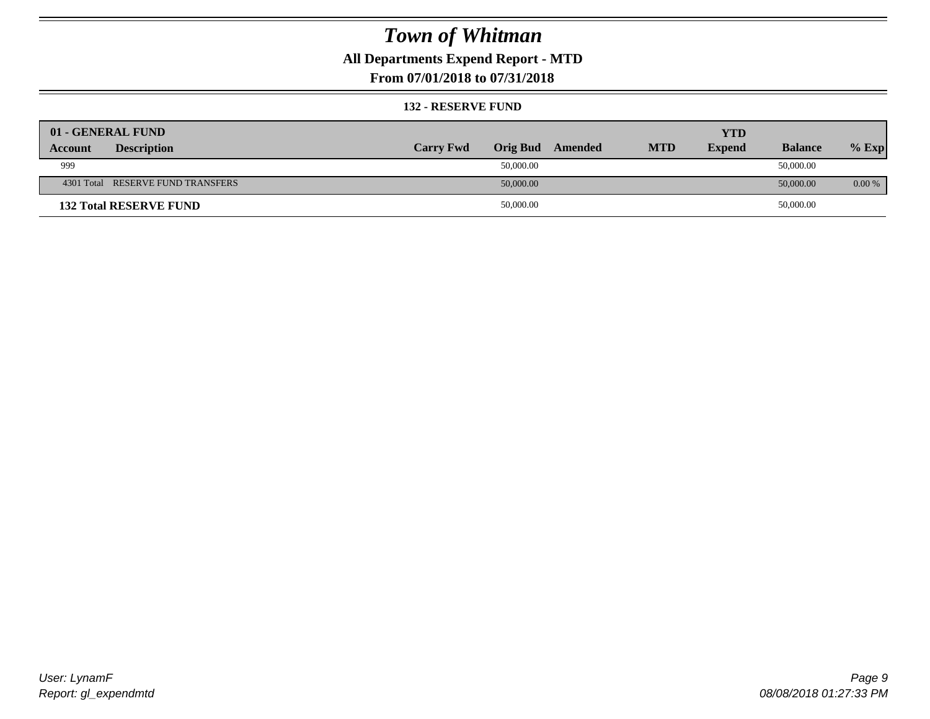### **All Departments Expend Report - MTD**

### **From 07/01/2018 to 07/31/2018**

#### **132 - RESERVE FUND**

| 01 - GENERAL FUND                 |                  |                 |         |            | <b>YTD</b>    |                |          |
|-----------------------------------|------------------|-----------------|---------|------------|---------------|----------------|----------|
| <b>Description</b><br>Account     | <b>Carry Fwd</b> | <b>Orig Bud</b> | Amended | <b>MTD</b> | <b>Expend</b> | <b>Balance</b> | $%$ Exp  |
| 999                               |                  | 50,000.00       |         |            |               | 50,000.00      |          |
| 4301 Total RESERVE FUND TRANSFERS |                  | 50,000.00       |         |            |               | 50,000.00      | $0.00\%$ |
| <b>132 Total RESERVE FUND</b>     |                  | 50,000.00       |         |            |               | 50,000.00      |          |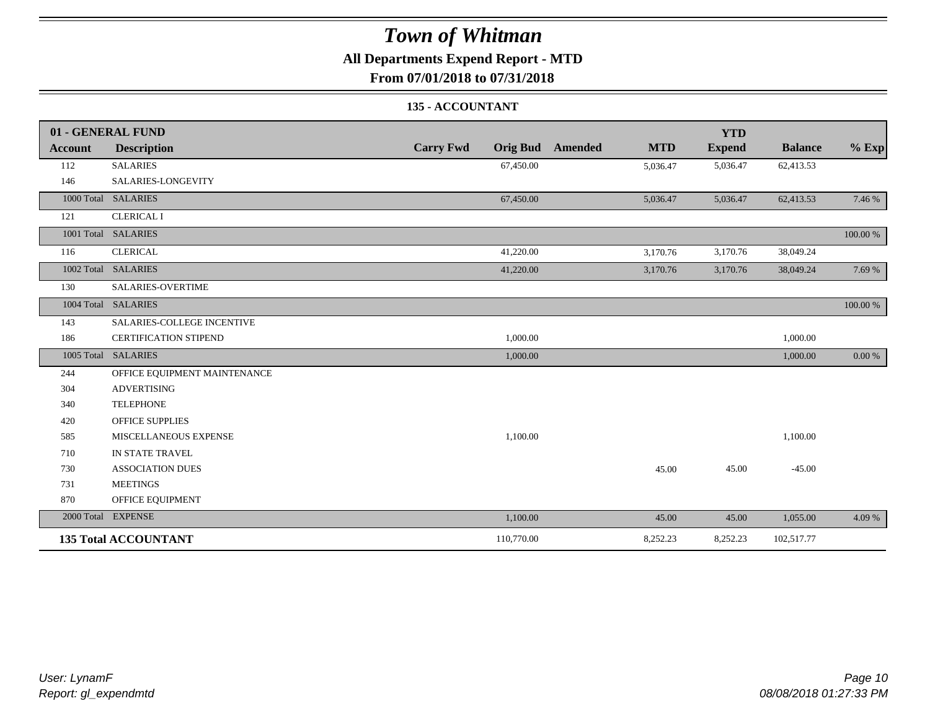### **All Departments Expend Report - MTD**

**From 07/01/2018 to 07/31/2018**

#### **135 - ACCOUNTANT**

|                | 01 - GENERAL FUND            |                                     |                              | <b>YTD</b>    |                |          |
|----------------|------------------------------|-------------------------------------|------------------------------|---------------|----------------|----------|
| <b>Account</b> | <b>Description</b>           | <b>Carry Fwd</b><br><b>Orig Bud</b> | <b>MTD</b><br><b>Amended</b> | <b>Expend</b> | <b>Balance</b> | $%$ Exp  |
| 112            | <b>SALARIES</b>              | 67,450.00                           | 5,036.47                     | 5,036.47      | 62,413.53      |          |
| 146            | SALARIES-LONGEVITY           |                                     |                              |               |                |          |
|                | 1000 Total SALARIES          | 67,450.00                           | 5,036.47                     | 5,036.47      | 62,413.53      | 7.46 %   |
| 121            | <b>CLERICAL I</b>            |                                     |                              |               |                |          |
|                | 1001 Total SALARIES          |                                     |                              |               |                | 100.00 % |
| 116            | <b>CLERICAL</b>              | 41,220.00                           | 3,170.76                     | 3,170.76      | 38,049.24      |          |
|                | 1002 Total SALARIES          | 41,220.00                           | 3,170.76                     | 3,170.76      | 38,049.24      | 7.69 %   |
| 130            | <b>SALARIES-OVERTIME</b>     |                                     |                              |               |                |          |
|                | 1004 Total SALARIES          |                                     |                              |               |                | 100.00 % |
| 143            | SALARIES-COLLEGE INCENTIVE   |                                     |                              |               |                |          |
| 186            | <b>CERTIFICATION STIPEND</b> | 1,000.00                            |                              |               | 1,000.00       |          |
|                | 1005 Total SALARIES          | 1,000.00                            |                              |               | 1,000.00       | 0.00 %   |
| 244            | OFFICE EQUIPMENT MAINTENANCE |                                     |                              |               |                |          |
| 304            | <b>ADVERTISING</b>           |                                     |                              |               |                |          |
| 340            | <b>TELEPHONE</b>             |                                     |                              |               |                |          |
| 420            | <b>OFFICE SUPPLIES</b>       |                                     |                              |               |                |          |
| 585            | MISCELLANEOUS EXPENSE        | 1,100.00                            |                              |               | 1,100.00       |          |
| 710            | IN STATE TRAVEL              |                                     |                              |               |                |          |
| 730            | <b>ASSOCIATION DUES</b>      |                                     | 45.00                        | 45.00         | $-45.00$       |          |
| 731            | <b>MEETINGS</b>              |                                     |                              |               |                |          |
| 870            | OFFICE EQUIPMENT             |                                     |                              |               |                |          |
|                | 2000 Total EXPENSE           | 1,100.00                            | 45.00                        | 45.00         | 1,055.00       | 4.09 %   |
|                | <b>135 Total ACCOUNTANT</b>  | 110,770.00                          | 8,252.23                     | 8,252.23      | 102,517.77     |          |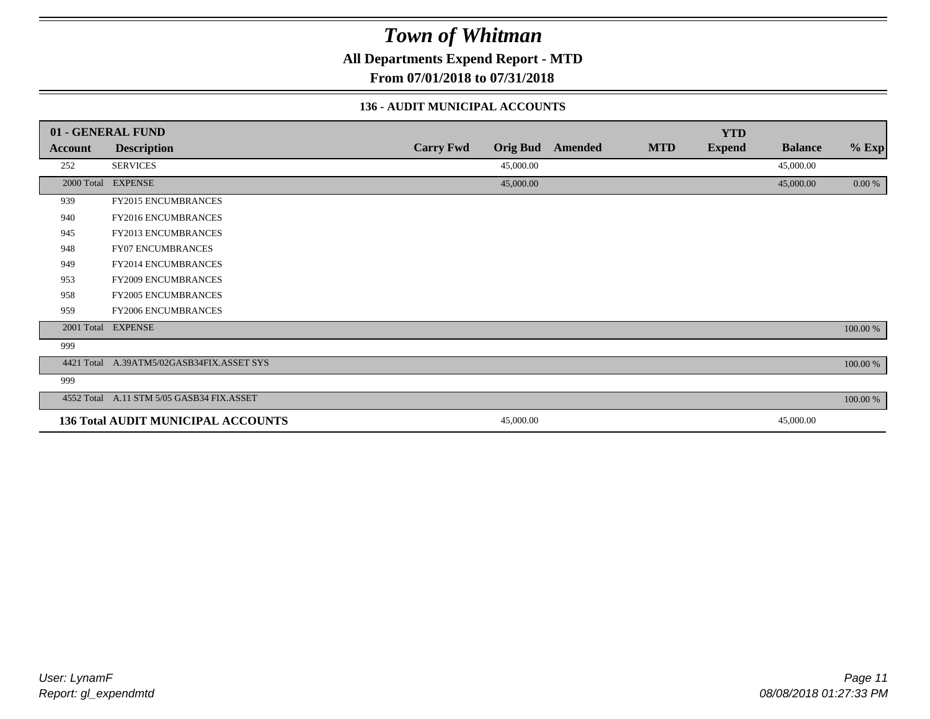**All Departments Expend Report - MTD**

**From 07/01/2018 to 07/31/2018**

#### **136 - AUDIT MUNICIPAL ACCOUNTS**

|            | 01 - GENERAL FUND                         |                  |                 |                |            | <b>YTD</b>    |                |          |
|------------|-------------------------------------------|------------------|-----------------|----------------|------------|---------------|----------------|----------|
| Account    | <b>Description</b>                        | <b>Carry Fwd</b> | <b>Orig Bud</b> | <b>Amended</b> | <b>MTD</b> | <b>Expend</b> | <b>Balance</b> | $%$ Exp  |
| 252        | <b>SERVICES</b>                           |                  | 45,000.00       |                |            |               | 45,000.00      |          |
|            | 2000 Total EXPENSE                        |                  | 45,000.00       |                |            |               | 45,000.00      | 0.00 %   |
| 939        | FY2015 ENCUMBRANCES                       |                  |                 |                |            |               |                |          |
| 940        | FY2016 ENCUMBRANCES                       |                  |                 |                |            |               |                |          |
| 945        | FY2013 ENCUMBRANCES                       |                  |                 |                |            |               |                |          |
| 948        | <b>FY07 ENCUMBRANCES</b>                  |                  |                 |                |            |               |                |          |
| 949        | FY2014 ENCUMBRANCES                       |                  |                 |                |            |               |                |          |
| 953        | <b>FY2009 ENCUMBRANCES</b>                |                  |                 |                |            |               |                |          |
| 958        | FY2005 ENCUMBRANCES                       |                  |                 |                |            |               |                |          |
| 959        | FY2006 ENCUMBRANCES                       |                  |                 |                |            |               |                |          |
|            | 2001 Total EXPENSE                        |                  |                 |                |            |               |                | 100.00 % |
| 999        |                                           |                  |                 |                |            |               |                |          |
| 4421 Total | A.39ATM5/02GASB34FIX.ASSET SYS            |                  |                 |                |            |               |                | 100.00 % |
| 999        |                                           |                  |                 |                |            |               |                |          |
|            | 4552 Total A.11 STM 5/05 GASB34 FIX.ASSET |                  |                 |                |            |               |                | 100.00 % |
|            | <b>136 Total AUDIT MUNICIPAL ACCOUNTS</b> |                  | 45,000.00       |                |            |               | 45,000.00      |          |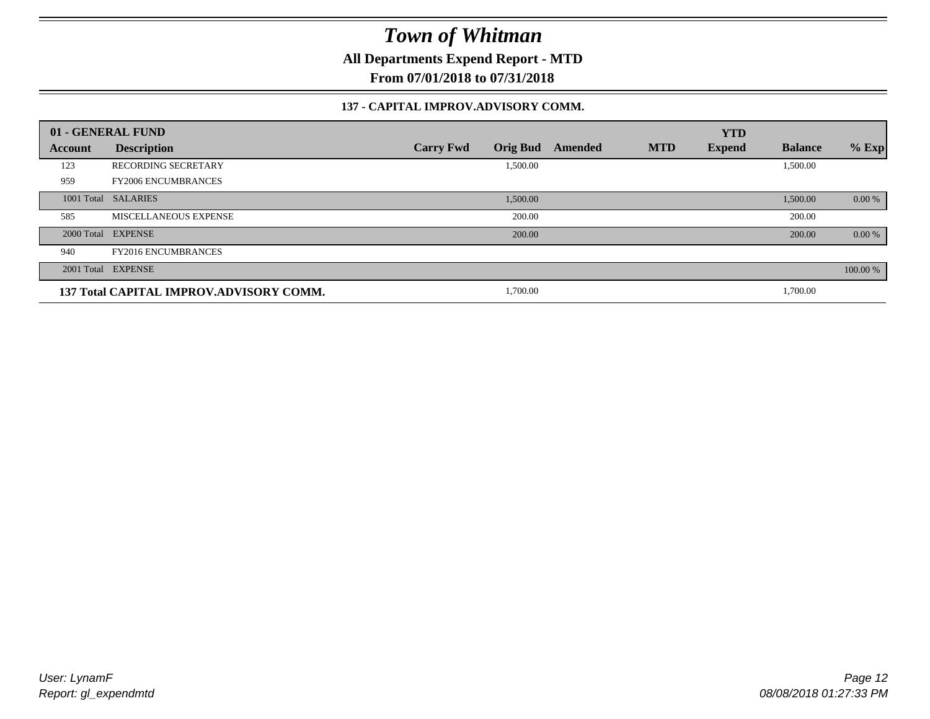**All Departments Expend Report - MTD**

**From 07/01/2018 to 07/31/2018**

#### **137 - CAPITAL IMPROV.ADVISORY COMM.**

|         | 01 - GENERAL FUND                       |                                     |         |            | <b>YTD</b>    |                |          |
|---------|-----------------------------------------|-------------------------------------|---------|------------|---------------|----------------|----------|
| Account | <b>Description</b>                      | <b>Orig Bud</b><br><b>Carry Fwd</b> | Amended | <b>MTD</b> | <b>Expend</b> | <b>Balance</b> | $%$ Exp  |
| 123     | <b>RECORDING SECRETARY</b>              | 1,500.00                            |         |            |               | 1,500.00       |          |
| 959     | <b>FY2006 ENCUMBRANCES</b>              |                                     |         |            |               |                |          |
|         | 1001 Total SALARIES                     | 1,500.00                            |         |            |               | 1,500.00       | $0.00\%$ |
| 585     | MISCELLANEOUS EXPENSE                   | 200.00                              |         |            |               | 200.00         |          |
|         | 2000 Total EXPENSE                      | 200.00                              |         |            |               | 200.00         | 0.00 %   |
| 940     | <b>FY2016 ENCUMBRANCES</b>              |                                     |         |            |               |                |          |
|         | 2001 Total EXPENSE                      |                                     |         |            |               |                | 100.00 % |
|         | 137 Total CAPITAL IMPROV.ADVISORY COMM. | 1,700.00                            |         |            |               | 1,700.00       |          |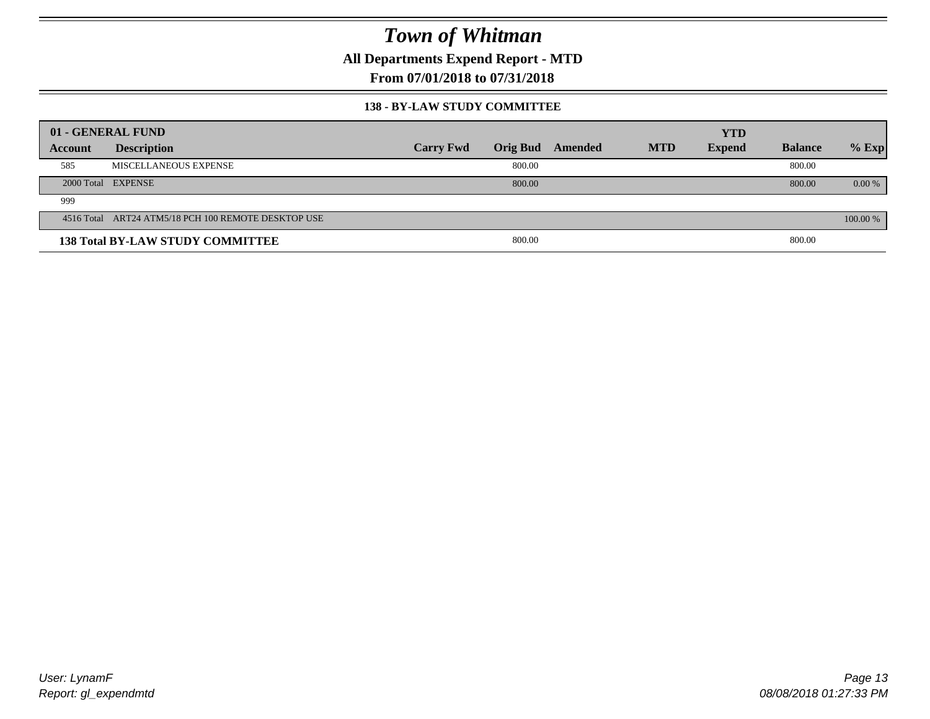**All Departments Expend Report - MTD**

**From 07/01/2018 to 07/31/2018**

#### **138 - BY-LAW STUDY COMMITTEE**

|         | 01 - GENERAL FUND                                   |                  |        |                  |            | <b>YTD</b>    |                |          |
|---------|-----------------------------------------------------|------------------|--------|------------------|------------|---------------|----------------|----------|
| Account | <b>Description</b>                                  | <b>Carry Fwd</b> |        | Orig Bud Amended | <b>MTD</b> | <b>Expend</b> | <b>Balance</b> | $%$ Exp  |
| 585     | MISCELLANEOUS EXPENSE                               |                  | 800.00 |                  |            |               | 800.00         |          |
|         | 2000 Total EXPENSE                                  |                  | 800.00 |                  |            |               | 800.00         | $0.00\%$ |
| 999     |                                                     |                  |        |                  |            |               |                |          |
|         | 4516 Total ART24 ATM5/18 PCH 100 REMOTE DESKTOP USE |                  |        |                  |            |               |                | 100.00 % |
|         | <b>138 Total BY-LAW STUDY COMMITTEE</b>             |                  | 800.00 |                  |            |               | 800.00         |          |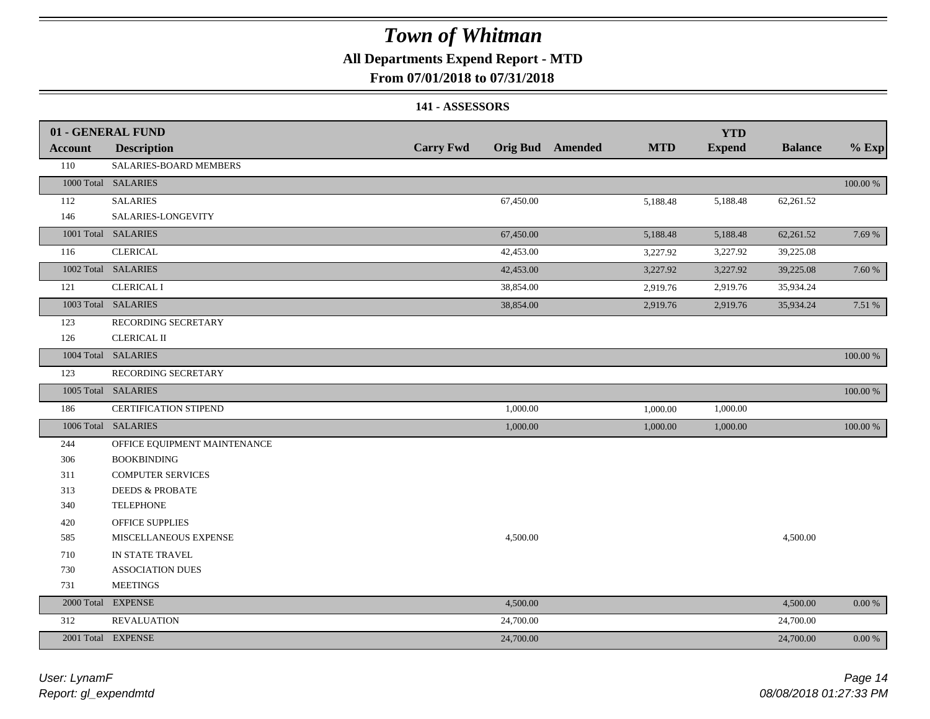### **All Departments Expend Report - MTD**

### **From 07/01/2018 to 07/31/2018**

#### **141 - ASSESSORS**

|                | 01 - GENERAL FUND            |                  |           |                         |            | <b>YTD</b>    |                |          |
|----------------|------------------------------|------------------|-----------|-------------------------|------------|---------------|----------------|----------|
| <b>Account</b> | <b>Description</b>           | <b>Carry Fwd</b> |           | <b>Orig Bud</b> Amended | <b>MTD</b> | <b>Expend</b> | <b>Balance</b> | $%$ Exp  |
| 110            | SALARIES-BOARD MEMBERS       |                  |           |                         |            |               |                |          |
|                | 1000 Total SALARIES          |                  |           |                         |            |               |                | 100.00 % |
| 112            | <b>SALARIES</b>              |                  | 67,450.00 |                         | 5,188.48   | 5,188.48      | 62,261.52      |          |
| 146            | SALARIES-LONGEVITY           |                  |           |                         |            |               |                |          |
|                | 1001 Total SALARIES          |                  | 67,450.00 |                         | 5,188.48   | 5,188.48      | 62,261.52      | 7.69 %   |
| 116            | <b>CLERICAL</b>              |                  | 42,453.00 |                         | 3,227.92   | 3,227.92      | 39,225.08      |          |
|                | 1002 Total SALARIES          |                  | 42,453.00 |                         | 3,227.92   | 3,227.92      | 39,225.08      | 7.60 %   |
| 121            | <b>CLERICAL I</b>            |                  | 38,854.00 |                         | 2,919.76   | 2,919.76      | 35,934.24      |          |
|                | 1003 Total SALARIES          |                  | 38,854.00 |                         | 2,919.76   | 2,919.76      | 35,934.24      | 7.51 %   |
| 123            | RECORDING SECRETARY          |                  |           |                         |            |               |                |          |
| 126            | <b>CLERICAL II</b>           |                  |           |                         |            |               |                |          |
|                | 1004 Total SALARIES          |                  |           |                         |            |               |                | 100.00 % |
| 123            | RECORDING SECRETARY          |                  |           |                         |            |               |                |          |
|                | 1005 Total SALARIES          |                  |           |                         |            |               |                | 100.00 % |
| 186            | CERTIFICATION STIPEND        |                  | 1,000.00  |                         | 1,000.00   | 1,000.00      |                |          |
|                | 1006 Total SALARIES          |                  | 1,000.00  |                         | 1,000.00   | 1,000.00      |                | 100.00 % |
| 244            | OFFICE EQUIPMENT MAINTENANCE |                  |           |                         |            |               |                |          |
| 306            | <b>BOOKBINDING</b>           |                  |           |                         |            |               |                |          |
| 311            | <b>COMPUTER SERVICES</b>     |                  |           |                         |            |               |                |          |
| 313            | <b>DEEDS &amp; PROBATE</b>   |                  |           |                         |            |               |                |          |
| 340            | <b>TELEPHONE</b>             |                  |           |                         |            |               |                |          |
| 420            | <b>OFFICE SUPPLIES</b>       |                  |           |                         |            |               |                |          |
| 585            | MISCELLANEOUS EXPENSE        |                  | 4,500.00  |                         |            |               | 4,500.00       |          |
| 710            | IN STATE TRAVEL              |                  |           |                         |            |               |                |          |
| 730            | <b>ASSOCIATION DUES</b>      |                  |           |                         |            |               |                |          |
| 731            | <b>MEETINGS</b>              |                  |           |                         |            |               |                |          |
|                | 2000 Total EXPENSE           |                  | 4,500.00  |                         |            |               | 4,500.00       | $0.00\%$ |
| 312            | <b>REVALUATION</b>           |                  | 24,700.00 |                         |            |               | 24,700.00      |          |
|                | 2001 Total EXPENSE           |                  | 24,700.00 |                         |            |               | 24,700.00      | 0.00 %   |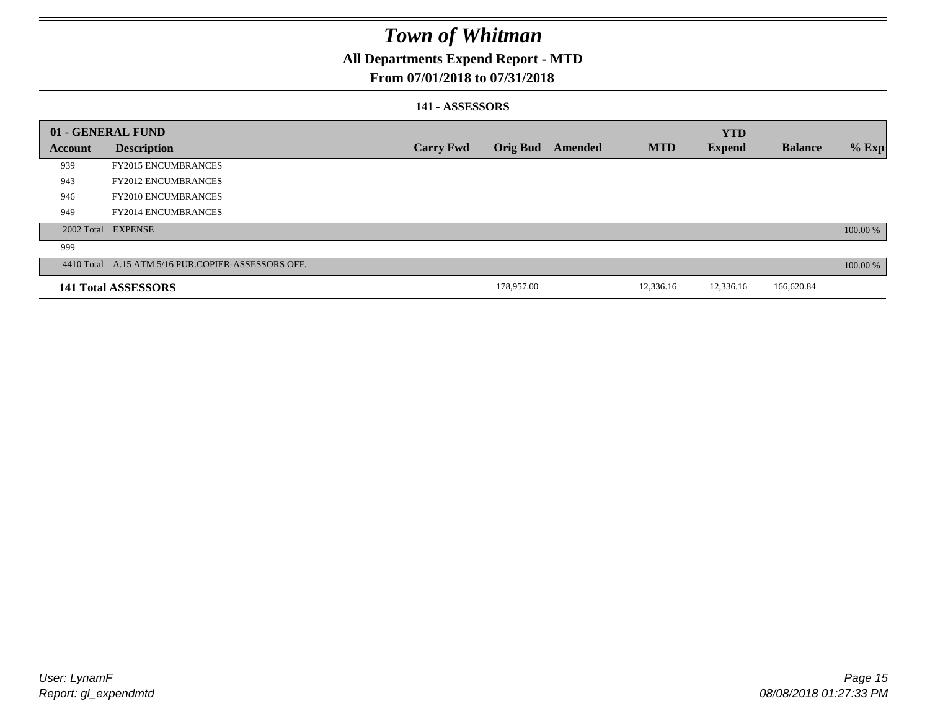### **All Departments Expend Report - MTD**

### **From 07/01/2018 to 07/31/2018**

#### **141 - ASSESSORS**

|                | 01 - GENERAL FUND                                  |                  |                 |         |            | <b>YTD</b>    |                |          |
|----------------|----------------------------------------------------|------------------|-----------------|---------|------------|---------------|----------------|----------|
| <b>Account</b> | <b>Description</b>                                 | <b>Carry Fwd</b> | <b>Orig Bud</b> | Amended | <b>MTD</b> | <b>Expend</b> | <b>Balance</b> | $%$ Exp  |
| 939            | <b>FY2015 ENCUMBRANCES</b>                         |                  |                 |         |            |               |                |          |
| 943            | <b>FY2012 ENCUMBRANCES</b>                         |                  |                 |         |            |               |                |          |
| 946            | <b>FY2010 ENCUMBRANCES</b>                         |                  |                 |         |            |               |                |          |
| 949            | <b>FY2014 ENCUMBRANCES</b>                         |                  |                 |         |            |               |                |          |
|                | 2002 Total EXPENSE                                 |                  |                 |         |            |               |                | 100.00 % |
| 999            |                                                    |                  |                 |         |            |               |                |          |
|                | 4410 Total A.15 ATM 5/16 PUR.COPIER-ASSESSORS OFF. |                  |                 |         |            |               |                | 100.00 % |
|                | 141 Total ASSESSORS                                |                  | 178,957.00      |         | 12,336.16  | 12,336.16     | 166,620.84     |          |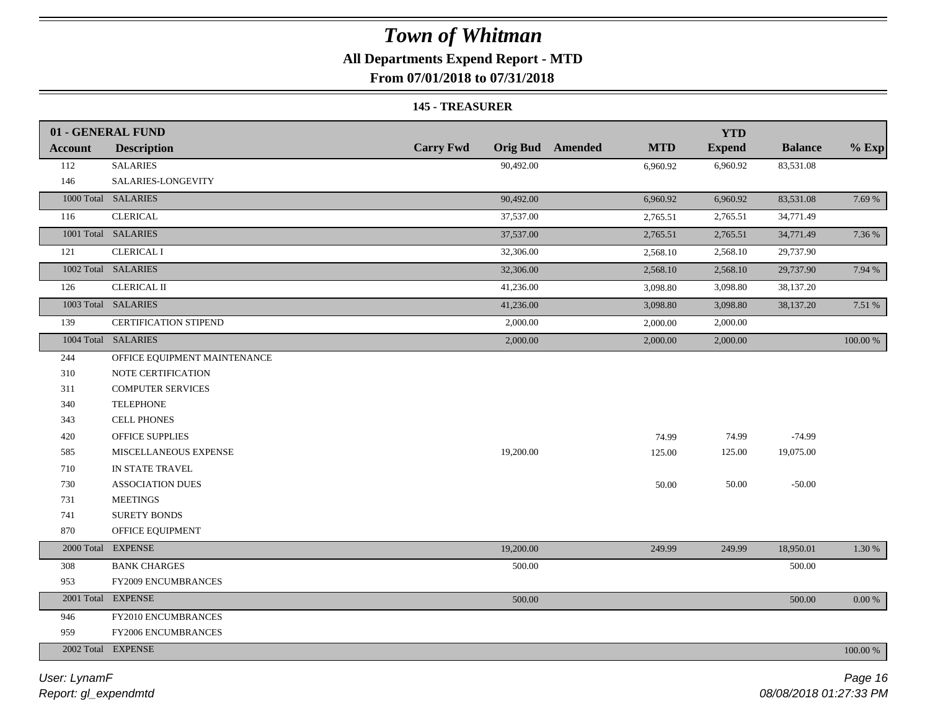### **All Departments Expend Report - MTD**

**From 07/01/2018 to 07/31/2018**

#### **145 - TREASURER**

|                | 01 - GENERAL FUND            |                  |                                       | <b>YTD</b>    |                |           |
|----------------|------------------------------|------------------|---------------------------------------|---------------|----------------|-----------|
| <b>Account</b> | <b>Description</b>           | <b>Carry Fwd</b> | <b>Orig Bud</b> Amended<br><b>MTD</b> | <b>Expend</b> | <b>Balance</b> | $%$ Exp   |
| 112            | <b>SALARIES</b>              | 90,492.00        | 6,960.92                              | 6,960.92      | 83,531.08      |           |
| 146            | SALARIES-LONGEVITY           |                  |                                       |               |                |           |
|                | 1000 Total SALARIES          | 90,492.00        | 6,960.92                              | 6,960.92      | 83,531.08      | 7.69 %    |
| 116            | <b>CLERICAL</b>              | 37,537.00        | 2,765.51                              | 2,765.51      | 34,771.49      |           |
|                | 1001 Total SALARIES          | 37,537.00        | 2,765.51                              | 2,765.51      | 34,771.49      | 7.36 %    |
| 121            | <b>CLERICAL I</b>            | 32,306.00        | 2,568.10                              | 2,568.10      | 29,737.90      |           |
|                | 1002 Total SALARIES          | 32,306.00        | 2,568.10                              | 2,568.10      | 29,737.90      | 7.94 %    |
| 126            | <b>CLERICAL II</b>           | 41,236.00        | 3,098.80                              | 3,098.80      | 38,137.20      |           |
|                | 1003 Total SALARIES          | 41,236.00        | 3,098.80                              | 3,098.80      | 38,137.20      | 7.51 %    |
| 139            | <b>CERTIFICATION STIPEND</b> | 2,000.00         | 2,000.00                              | 2,000.00      |                |           |
|                | 1004 Total SALARIES          | 2,000.00         | 2,000.00                              | 2,000.00      |                | 100.00 %  |
| 244            | OFFICE EQUIPMENT MAINTENANCE |                  |                                       |               |                |           |
| 310            | NOTE CERTIFICATION           |                  |                                       |               |                |           |
| 311            | <b>COMPUTER SERVICES</b>     |                  |                                       |               |                |           |
| 340            | <b>TELEPHONE</b>             |                  |                                       |               |                |           |
| 343            | <b>CELL PHONES</b>           |                  |                                       |               |                |           |
| 420            | <b>OFFICE SUPPLIES</b>       |                  | 74.99                                 | 74.99         | $-74.99$       |           |
| 585            | MISCELLANEOUS EXPENSE        | 19,200.00        | 125.00                                | 125.00        | 19,075.00      |           |
| 710            | IN STATE TRAVEL              |                  |                                       |               |                |           |
| 730            | <b>ASSOCIATION DUES</b>      |                  | 50.00                                 | 50.00         | $-50.00$       |           |
| 731            | <b>MEETINGS</b>              |                  |                                       |               |                |           |
| 741            | <b>SURETY BONDS</b>          |                  |                                       |               |                |           |
| 870            | OFFICE EQUIPMENT             |                  |                                       |               |                |           |
|                | 2000 Total EXPENSE           | 19,200.00        | 249.99                                | 249.99        | 18,950.01      | 1.30 %    |
| 308            | <b>BANK CHARGES</b>          | 500.00           |                                       |               | 500.00         |           |
| 953            | FY2009 ENCUMBRANCES          |                  |                                       |               |                |           |
|                | 2001 Total EXPENSE           | 500.00           |                                       |               | 500.00         | $0.00~\%$ |
| 946            | FY2010 ENCUMBRANCES          |                  |                                       |               |                |           |
| 959            | FY2006 ENCUMBRANCES          |                  |                                       |               |                |           |
|                | 2002 Total EXPENSE           |                  |                                       |               |                | 100.00 %  |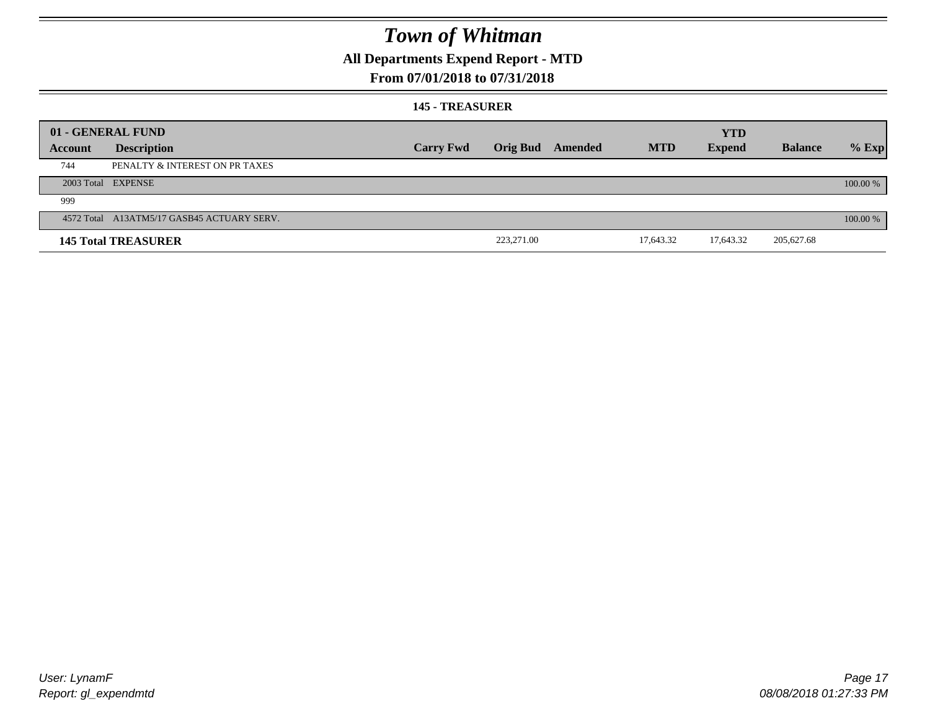### **All Departments Expend Report - MTD**

### **From 07/01/2018 to 07/31/2018**

#### **145 - TREASURER**

|         | 01 - GENERAL FUND                          |                  |                 |         |            | <b>YTD</b>    |                |            |
|---------|--------------------------------------------|------------------|-----------------|---------|------------|---------------|----------------|------------|
| Account | <b>Description</b>                         | <b>Carry Fwd</b> | <b>Orig Bud</b> | Amended | <b>MTD</b> | <b>Expend</b> | <b>Balance</b> | $%$ Exp    |
| 744     | PENALTY & INTEREST ON PR TAXES             |                  |                 |         |            |               |                |            |
|         | 2003 Total EXPENSE                         |                  |                 |         |            |               |                | 100.00 %   |
| 999     |                                            |                  |                 |         |            |               |                |            |
|         | 4572 Total A13ATM5/17 GASB45 ACTUARY SERV. |                  |                 |         |            |               |                | $100.00\%$ |
|         | <b>145 Total TREASURER</b>                 |                  | 223,271.00      |         | 17,643.32  | 17,643.32     | 205,627.68     |            |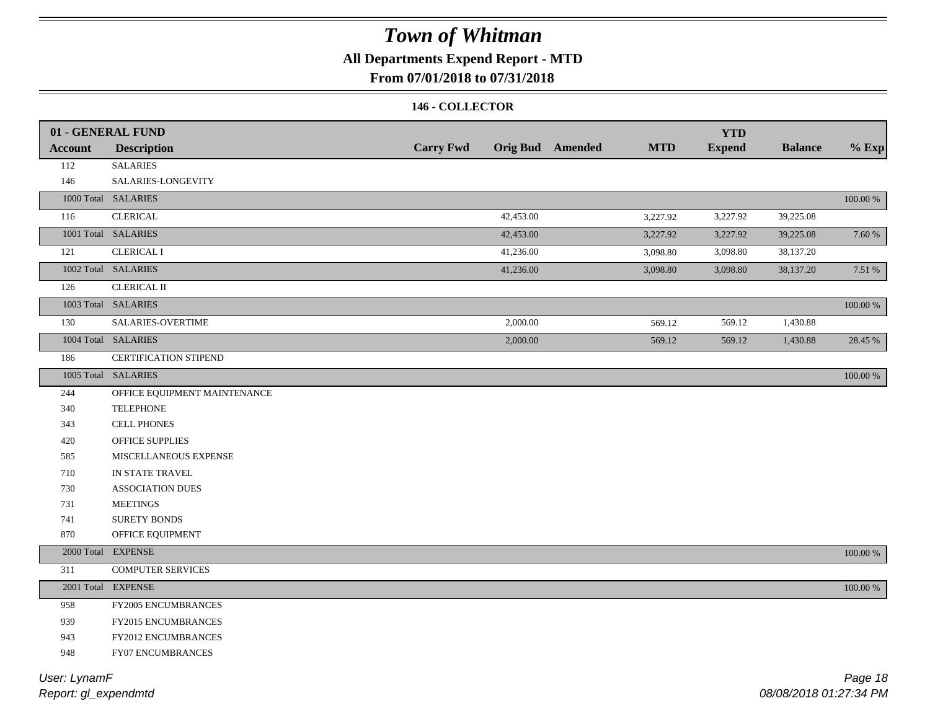### **All Departments Expend Report - MTD**

### **From 07/01/2018 to 07/31/2018**

#### **146 - COLLECTOR**

| <b>Account</b> | 01 - GENERAL FUND<br><b>Description</b> | <b>Carry Fwd</b> |           | <b>Orig Bud</b> Amended | <b>MTD</b> | <b>YTD</b><br><b>Expend</b> | <b>Balance</b> | $%$ Exp     |
|----------------|-----------------------------------------|------------------|-----------|-------------------------|------------|-----------------------------|----------------|-------------|
| 112            | <b>SALARIES</b>                         |                  |           |                         |            |                             |                |             |
| 146            | SALARIES-LONGEVITY                      |                  |           |                         |            |                             |                |             |
|                | 1000 Total SALARIES                     |                  |           |                         |            |                             |                | $100.00~\%$ |
| 116            | <b>CLERICAL</b>                         |                  | 42,453.00 |                         | 3,227.92   | 3,227.92                    | 39,225.08      |             |
|                | 1001 Total SALARIES                     |                  | 42,453.00 |                         | 3,227.92   | 3,227.92                    | 39,225.08      | 7.60 %      |
|                | <b>CLERICAL I</b>                       |                  |           |                         |            |                             |                |             |
| 121            |                                         |                  | 41,236.00 |                         | 3,098.80   | 3,098.80                    | 38,137.20      |             |
|                | 1002 Total SALARIES                     |                  | 41,236.00 |                         | 3,098.80   | 3,098.80                    | 38,137.20      | 7.51 %      |
| 126            | <b>CLERICAL II</b>                      |                  |           |                         |            |                             |                |             |
|                | 1003 Total SALARIES                     |                  |           |                         |            |                             |                | 100.00 %    |
| 130            | SALARIES-OVERTIME                       |                  | 2,000.00  |                         | 569.12     | 569.12                      | 1,430.88       |             |
|                | 1004 Total SALARIES                     |                  | 2,000.00  |                         | 569.12     | 569.12                      | 1,430.88       | 28.45 %     |
| 186            | <b>CERTIFICATION STIPEND</b>            |                  |           |                         |            |                             |                |             |
|                | 1005 Total SALARIES                     |                  |           |                         |            |                             |                | 100.00 %    |
| 244            | OFFICE EQUIPMENT MAINTENANCE            |                  |           |                         |            |                             |                |             |
| 340            | <b>TELEPHONE</b>                        |                  |           |                         |            |                             |                |             |
| 343            | <b>CELL PHONES</b>                      |                  |           |                         |            |                             |                |             |
| 420            | OFFICE SUPPLIES                         |                  |           |                         |            |                             |                |             |
| 585            | MISCELLANEOUS EXPENSE                   |                  |           |                         |            |                             |                |             |
| 710            | IN STATE TRAVEL                         |                  |           |                         |            |                             |                |             |
| 730            | <b>ASSOCIATION DUES</b>                 |                  |           |                         |            |                             |                |             |
| 731            | <b>MEETINGS</b>                         |                  |           |                         |            |                             |                |             |
| 741            | <b>SURETY BONDS</b>                     |                  |           |                         |            |                             |                |             |
| 870            | OFFICE EQUIPMENT                        |                  |           |                         |            |                             |                |             |
|                | 2000 Total EXPENSE                      |                  |           |                         |            |                             |                | 100.00 %    |
| 311            | <b>COMPUTER SERVICES</b>                |                  |           |                         |            |                             |                |             |
|                | 2001 Total EXPENSE                      |                  |           |                         |            |                             |                | $100.00~\%$ |
| 958            | FY2005 ENCUMBRANCES                     |                  |           |                         |            |                             |                |             |
| 939            | FY2015 ENCUMBRANCES                     |                  |           |                         |            |                             |                |             |
| 943            | <b>FY2012 ENCUMBRANCES</b>              |                  |           |                         |            |                             |                |             |
| 948            | FY07 ENCUMBRANCES                       |                  |           |                         |            |                             |                |             |
|                |                                         |                  |           |                         |            |                             |                |             |

*Report: gl\_expendmtd User: LynamF*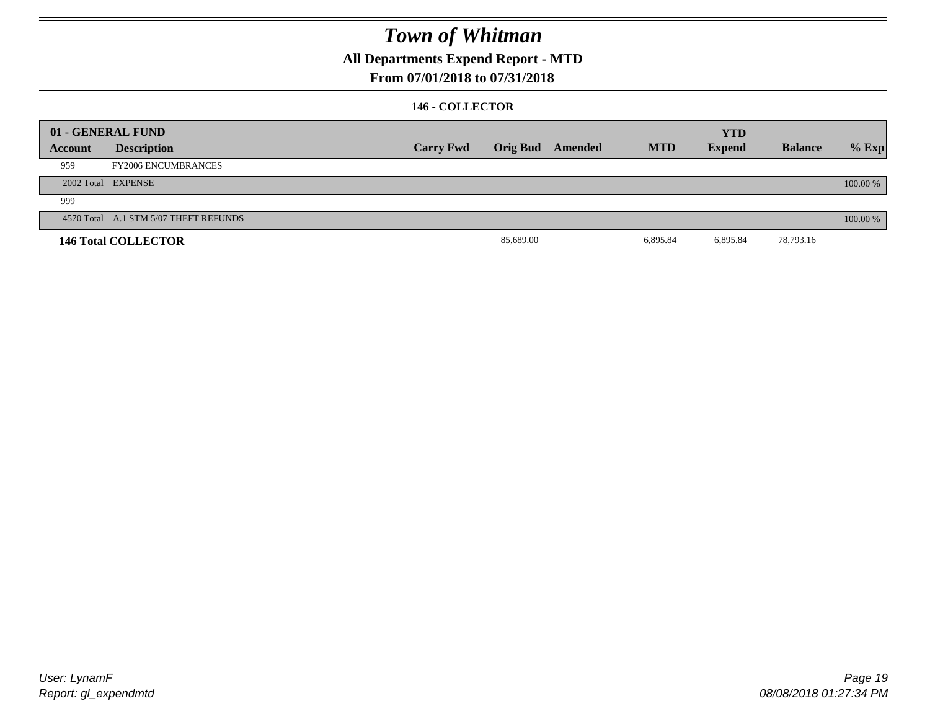**All Departments Expend Report - MTD**

### **From 07/01/2018 to 07/31/2018**

#### **146 - COLLECTOR**

|         | 01 - GENERAL FUND                     |                  |           |                         |            | <b>YTD</b>    |                |          |
|---------|---------------------------------------|------------------|-----------|-------------------------|------------|---------------|----------------|----------|
| Account | <b>Description</b>                    | <b>Carry Fwd</b> |           | <b>Orig Bud</b> Amended | <b>MTD</b> | <b>Expend</b> | <b>Balance</b> | $%$ Exp  |
| 959     | <b>FY2006 ENCUMBRANCES</b>            |                  |           |                         |            |               |                |          |
|         | 2002 Total EXPENSE                    |                  |           |                         |            |               |                | 100.00 % |
| 999     |                                       |                  |           |                         |            |               |                |          |
|         | 4570 Total A.1 STM 5/07 THEFT REFUNDS |                  |           |                         |            |               |                | 100.00 % |
|         | <b>146 Total COLLECTOR</b>            |                  | 85,689.00 |                         | 6,895.84   | 6,895.84      | 78,793.16      |          |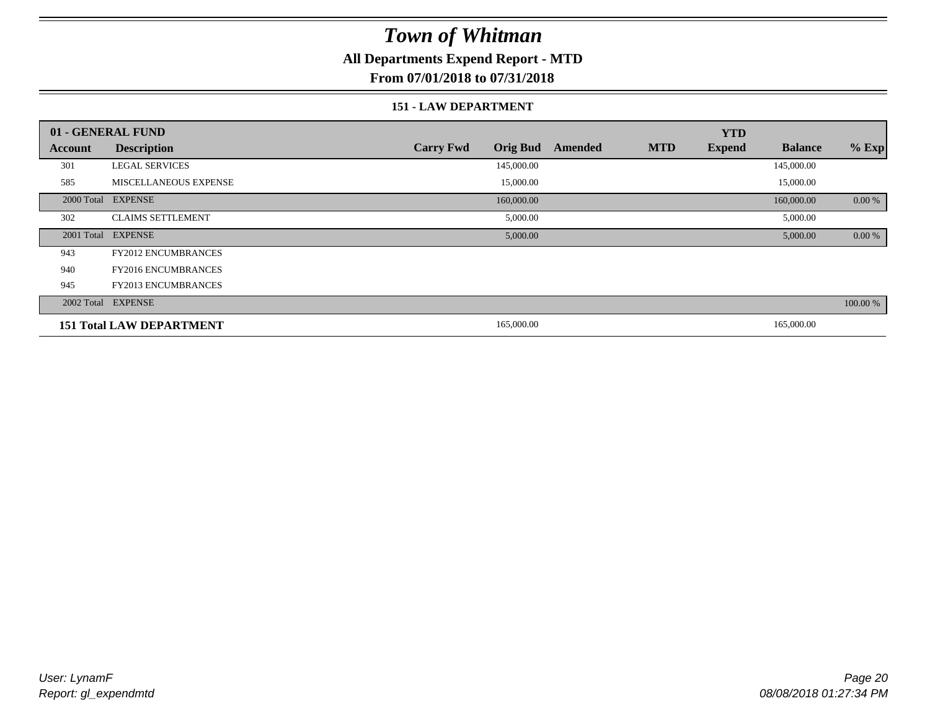### **All Departments Expend Report - MTD**

### **From 07/01/2018 to 07/31/2018**

#### **151 - LAW DEPARTMENT**

|         | 01 - GENERAL FUND               |                                     |         | <b>YTD</b>                  |                |          |
|---------|---------------------------------|-------------------------------------|---------|-----------------------------|----------------|----------|
| Account | <b>Description</b>              | <b>Orig Bud</b><br><b>Carry Fwd</b> | Amended | <b>MTD</b><br><b>Expend</b> | <b>Balance</b> | $%$ Exp  |
| 301     | <b>LEGAL SERVICES</b>           | 145,000.00                          |         |                             | 145,000.00     |          |
| 585     | <b>MISCELLANEOUS EXPENSE</b>    | 15,000.00                           |         |                             | 15,000.00      |          |
|         | 2000 Total EXPENSE              | 160,000.00                          |         |                             | 160,000.00     | 0.00 %   |
| 302     | <b>CLAIMS SETTLEMENT</b>        | 5,000.00                            |         |                             | 5,000.00       |          |
|         | 2001 Total EXPENSE              | 5,000.00                            |         |                             | 5,000.00       | 0.00 %   |
| 943     | <b>FY2012 ENCUMBRANCES</b>      |                                     |         |                             |                |          |
| 940     | <b>FY2016 ENCUMBRANCES</b>      |                                     |         |                             |                |          |
| 945     | FY2013 ENCUMBRANCES             |                                     |         |                             |                |          |
|         | 2002 Total EXPENSE              |                                     |         |                             |                | 100.00 % |
|         | <b>151 Total LAW DEPARTMENT</b> | 165,000.00                          |         |                             | 165,000.00     |          |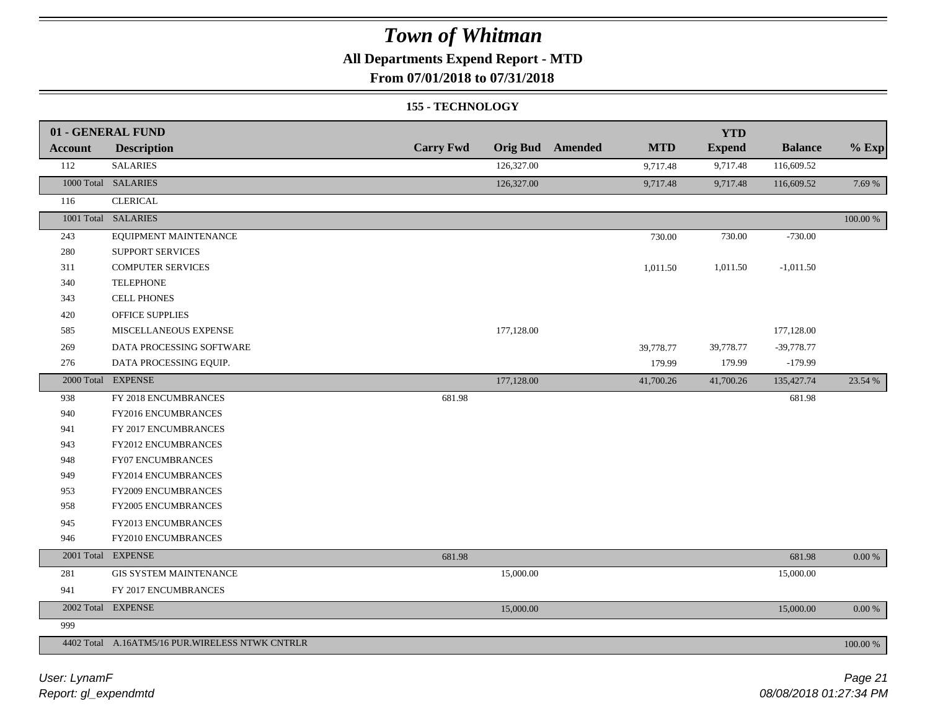### **All Departments Expend Report - MTD**

**From 07/01/2018 to 07/31/2018**

#### **155 - TECHNOLOGY**

|                | 01 - GENERAL FUND                               |                  |            |                         |            | <b>YTD</b>    |                |             |
|----------------|-------------------------------------------------|------------------|------------|-------------------------|------------|---------------|----------------|-------------|
| <b>Account</b> | <b>Description</b>                              | <b>Carry Fwd</b> |            | <b>Orig Bud</b> Amended | <b>MTD</b> | <b>Expend</b> | <b>Balance</b> | $%$ Exp     |
| 112            | <b>SALARIES</b>                                 |                  | 126,327.00 |                         | 9,717.48   | 9,717.48      | 116,609.52     |             |
|                | 1000 Total SALARIES                             |                  | 126,327.00 |                         | 9,717.48   | 9,717.48      | 116,609.52     | 7.69 %      |
| 116            | <b>CLERICAL</b>                                 |                  |            |                         |            |               |                |             |
|                | 1001 Total SALARIES                             |                  |            |                         |            |               |                | $100.00~\%$ |
| 243            | EQUIPMENT MAINTENANCE                           |                  |            |                         | 730.00     | 730.00        | $-730.00$      |             |
| 280            | <b>SUPPORT SERVICES</b>                         |                  |            |                         |            |               |                |             |
| 311            | <b>COMPUTER SERVICES</b>                        |                  |            |                         | 1,011.50   | 1,011.50      | $-1,011.50$    |             |
| 340            | <b>TELEPHONE</b>                                |                  |            |                         |            |               |                |             |
| 343            | <b>CELL PHONES</b>                              |                  |            |                         |            |               |                |             |
| 420            | <b>OFFICE SUPPLIES</b>                          |                  |            |                         |            |               |                |             |
| 585            | MISCELLANEOUS EXPENSE                           |                  | 177,128.00 |                         |            |               | 177,128.00     |             |
| 269            | DATA PROCESSING SOFTWARE                        |                  |            |                         | 39,778.77  | 39,778.77     | $-39,778.77$   |             |
| 276            | DATA PROCESSING EQUIP.                          |                  |            |                         | 179.99     | 179.99        | $-179.99$      |             |
|                | 2000 Total EXPENSE                              |                  | 177,128.00 |                         | 41,700.26  | 41,700.26     | 135,427.74     | 23.54 %     |
| 938            | FY 2018 ENCUMBRANCES                            | 681.98           |            |                         |            |               | 681.98         |             |
| 940            | FY2016 ENCUMBRANCES                             |                  |            |                         |            |               |                |             |
| 941            | FY 2017 ENCUMBRANCES                            |                  |            |                         |            |               |                |             |
| 943            | FY2012 ENCUMBRANCES                             |                  |            |                         |            |               |                |             |
| 948            | <b>FY07 ENCUMBRANCES</b>                        |                  |            |                         |            |               |                |             |
| 949            | FY2014 ENCUMBRANCES                             |                  |            |                         |            |               |                |             |
| 953            | FY2009 ENCUMBRANCES                             |                  |            |                         |            |               |                |             |
| 958            | FY2005 ENCUMBRANCES                             |                  |            |                         |            |               |                |             |
| 945            | FY2013 ENCUMBRANCES                             |                  |            |                         |            |               |                |             |
| 946            | FY2010 ENCUMBRANCES                             |                  |            |                         |            |               |                |             |
|                | 2001 Total EXPENSE                              | 681.98           |            |                         |            |               | 681.98         | $0.00 \%$   |
| 281            | <b>GIS SYSTEM MAINTENANCE</b>                   |                  | 15,000.00  |                         |            |               | 15,000.00      |             |
| 941            | FY 2017 ENCUMBRANCES                            |                  |            |                         |            |               |                |             |
|                | 2002 Total EXPENSE                              |                  | 15,000.00  |                         |            |               | 15,000.00      | $0.00~\%$   |
| 999            |                                                 |                  |            |                         |            |               |                |             |
|                | 4402 Total A.16ATM5/16 PUR.WIRELESS NTWK CNTRLR |                  |            |                         |            |               |                | 100.00 %    |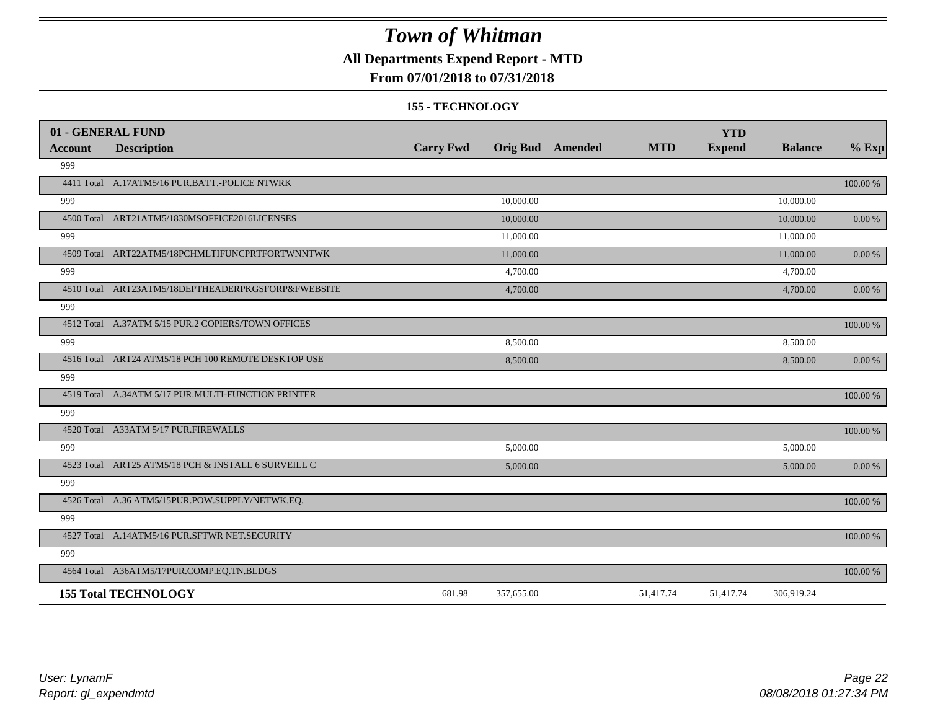### **All Departments Expend Report - MTD**

### **From 07/01/2018 to 07/31/2018**

#### **155 - TECHNOLOGY**

|                | 01 - GENERAL FUND                                   |                  |                         |            | <b>YTD</b>    |                |            |
|----------------|-----------------------------------------------------|------------------|-------------------------|------------|---------------|----------------|------------|
| <b>Account</b> | <b>Description</b>                                  | <b>Carry Fwd</b> | <b>Orig Bud</b> Amended | <b>MTD</b> | <b>Expend</b> | <b>Balance</b> | $%$ Exp    |
| 999            |                                                     |                  |                         |            |               |                |            |
|                | 4411 Total A.17ATM5/16 PUR.BATT.-POLICE NTWRK       |                  |                         |            |               |                | 100.00 %   |
| 999            |                                                     |                  | 10,000.00               |            |               | 10,000.00      |            |
|                | 4500 Total ART21ATM5/1830MSOFFICE2016LICENSES       |                  | 10,000.00               |            |               | 10,000.00      | 0.00 %     |
| 999            |                                                     |                  | 11,000.00               |            |               | 11,000.00      |            |
|                | 4509 Total ART22ATM5/18PCHMLTIFUNCPRTFORTWNNTWK     |                  | 11,000.00               |            |               | 11,000.00      | 0.00 %     |
| 999            |                                                     |                  | 4,700.00                |            |               | 4,700.00       |            |
|                | 4510 Total ART23ATM5/18DEPTHEADERPKGSFORP&FWEBSITE  |                  | 4,700.00                |            |               | 4,700.00       | 0.00 %     |
| 999            |                                                     |                  |                         |            |               |                |            |
|                | 4512 Total A.37ATM 5/15 PUR.2 COPIERS/TOWN OFFICES  |                  |                         |            |               |                | 100.00 %   |
| 999            |                                                     |                  | 8,500.00                |            |               | 8,500.00       |            |
|                | 4516 Total ART24 ATM5/18 PCH 100 REMOTE DESKTOP USE |                  | 8,500.00                |            |               | 8,500.00       | 0.00 %     |
| 999            |                                                     |                  |                         |            |               |                |            |
|                | 4519 Total A.34ATM 5/17 PUR.MULTI-FUNCTION PRINTER  |                  |                         |            |               |                | 100.00 %   |
| 999            |                                                     |                  |                         |            |               |                |            |
|                | 4520 Total A33ATM 5/17 PUR.FIREWALLS                |                  |                         |            |               |                | 100.00 %   |
| 999            |                                                     |                  | 5,000.00                |            |               | 5,000.00       |            |
|                | 4523 Total ART25 ATM5/18 PCH & INSTALL 6 SURVEILL C |                  | 5,000.00                |            |               | 5,000.00       | $0.00\ \%$ |
| 999            |                                                     |                  |                         |            |               |                |            |
|                | 4526 Total A.36 ATM5/15PUR.POW.SUPPLY/NETWK.EQ.     |                  |                         |            |               |                | 100.00 %   |
| 999            |                                                     |                  |                         |            |               |                |            |
|                | 4527 Total A.14ATM5/16 PUR.SFTWR NET.SECURITY       |                  |                         |            |               |                | 100.00 %   |
| 999            |                                                     |                  |                         |            |               |                |            |
|                | 4564 Total A36ATM5/17PUR.COMP.EQ.TN.BLDGS           |                  |                         |            |               |                | 100.00 %   |
|                | <b>155 Total TECHNOLOGY</b>                         | 681.98           | 357,655.00              | 51,417.74  | 51,417.74     | 306,919.24     |            |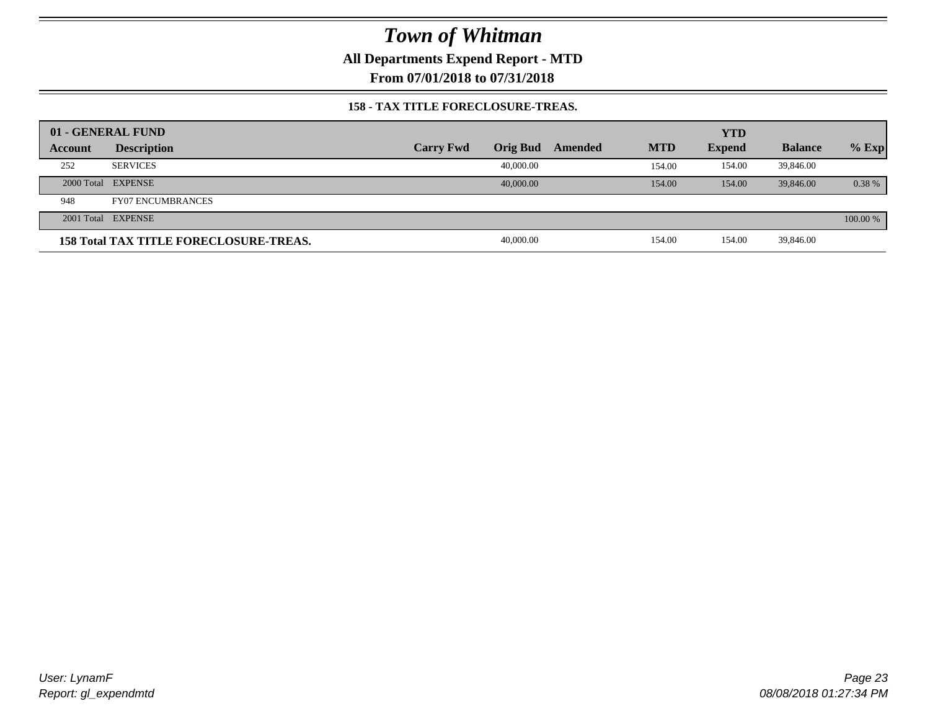**All Departments Expend Report - MTD**

**From 07/01/2018 to 07/31/2018**

#### **158 - TAX TITLE FORECLOSURE-TREAS.**

|         | 01 - GENERAL FUND                             |                  |                 |         |            | <b>YTD</b>    |                |          |
|---------|-----------------------------------------------|------------------|-----------------|---------|------------|---------------|----------------|----------|
| Account | <b>Description</b>                            | <b>Carry Fwd</b> | <b>Orig Bud</b> | Amended | <b>MTD</b> | <b>Expend</b> | <b>Balance</b> | $%$ Exp  |
| 252     | <b>SERVICES</b>                               |                  | 40,000.00       |         | 154.00     | 154.00        | 39,846.00      |          |
|         | 2000 Total EXPENSE                            |                  | 40,000,00       |         | 154.00     | 154.00        | 39,846.00      | 0.38%    |
| 948     | <b>FY07 ENCUMBRANCES</b>                      |                  |                 |         |            |               |                |          |
|         | 2001 Total EXPENSE                            |                  |                 |         |            |               |                | 100.00 % |
|         | <b>158 Total TAX TITLE FORECLOSURE-TREAS.</b> |                  | 40,000.00       |         | 154.00     | 154.00        | 39,846.00      |          |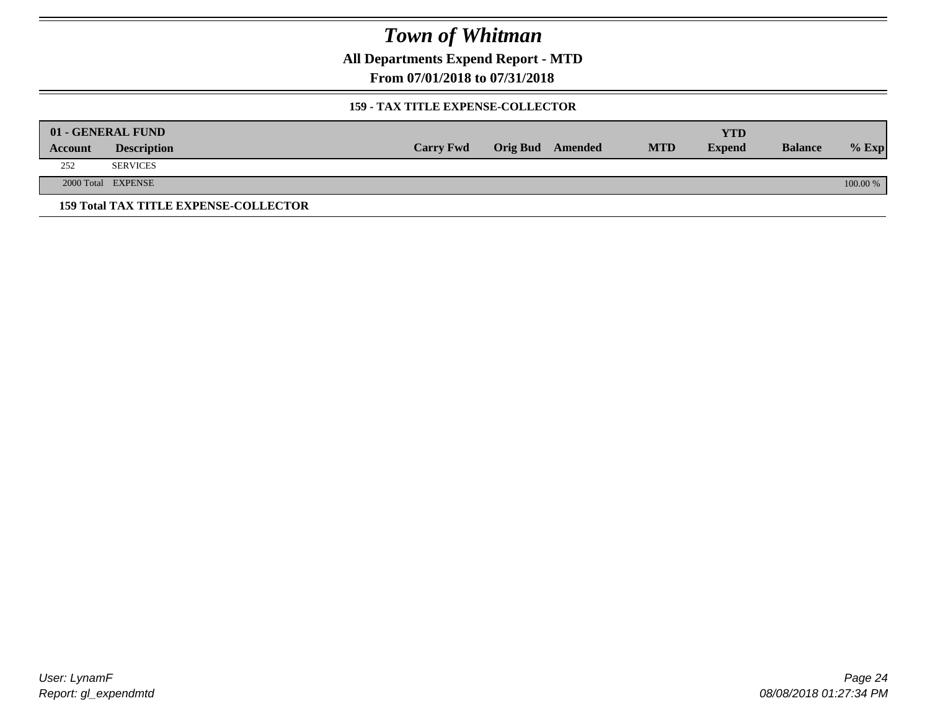**All Departments Expend Report - MTD**

**From 07/01/2018 to 07/31/2018**

#### **159 - TAX TITLE EXPENSE-COLLECTOR**

|         | 01 - GENERAL FUND                            |                  |                         |            | YTD           |                |          |
|---------|----------------------------------------------|------------------|-------------------------|------------|---------------|----------------|----------|
| Account | <b>Description</b>                           | <b>Carry Fwd</b> | <b>Orig Bud</b> Amended | <b>MTD</b> | <b>Expend</b> | <b>Balance</b> | $%$ Exp  |
| 252     | <b>SERVICES</b>                              |                  |                         |            |               |                |          |
|         | 2000 Total EXPENSE                           |                  |                         |            |               |                | 100.00 % |
|         | <b>159 Total TAX TITLE EXPENSE-COLLECTOR</b> |                  |                         |            |               |                |          |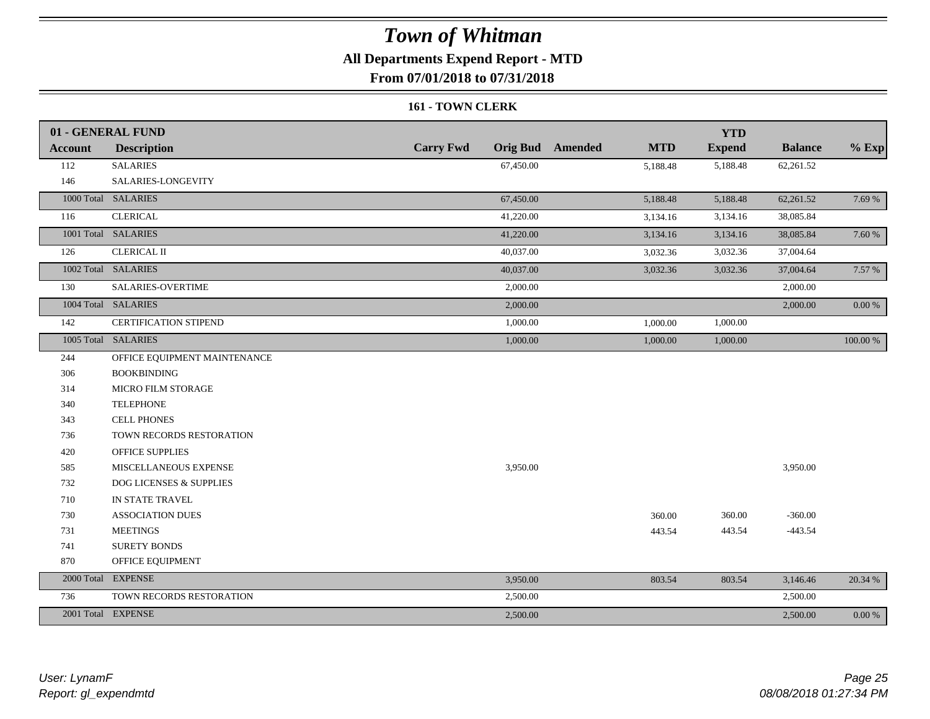### **All Departments Expend Report - MTD**

**From 07/01/2018 to 07/31/2018**

#### **161 - TOWN CLERK**

|                | 01 - GENERAL FUND            |                  |                                       | <b>YTD</b>    |                |           |
|----------------|------------------------------|------------------|---------------------------------------|---------------|----------------|-----------|
| <b>Account</b> | <b>Description</b>           | <b>Carry Fwd</b> | <b>Orig Bud</b> Amended<br><b>MTD</b> | <b>Expend</b> | <b>Balance</b> | $%$ Exp   |
| 112            | <b>SALARIES</b>              | 67,450.00        | 5,188.48                              | 5,188.48      | 62,261.52      |           |
| 146            | SALARIES-LONGEVITY           |                  |                                       |               |                |           |
|                | 1000 Total SALARIES          | 67,450.00        | 5,188.48                              | 5,188.48      | 62,261.52      | 7.69 %    |
| 116            | <b>CLERICAL</b>              | 41,220.00        | 3,134.16                              | 3,134.16      | 38,085.84      |           |
|                | 1001 Total SALARIES          | 41,220.00        | 3,134.16                              | 3,134.16      | 38,085.84      | 7.60 %    |
| 126            | <b>CLERICAL II</b>           | 40,037.00        | 3,032.36                              | 3,032.36      | 37,004.64      |           |
|                | 1002 Total SALARIES          | 40,037.00        | 3,032.36                              | 3,032.36      | 37,004.64      | 7.57 %    |
| 130            | SALARIES-OVERTIME            | 2,000.00         |                                       |               | 2,000.00       |           |
|                | 1004 Total SALARIES          | 2,000.00         |                                       |               | 2,000.00       | $0.00~\%$ |
| 142            | <b>CERTIFICATION STIPEND</b> | 1,000.00         | 1,000.00                              | 1,000.00      |                |           |
|                | 1005 Total SALARIES          | 1,000.00         | 1,000.00                              | 1,000.00      |                | 100.00 %  |
| 244            | OFFICE EQUIPMENT MAINTENANCE |                  |                                       |               |                |           |
| 306            | <b>BOOKBINDING</b>           |                  |                                       |               |                |           |
| 314            | MICRO FILM STORAGE           |                  |                                       |               |                |           |
| 340            | <b>TELEPHONE</b>             |                  |                                       |               |                |           |
| 343            | <b>CELL PHONES</b>           |                  |                                       |               |                |           |
| 736            | TOWN RECORDS RESTORATION     |                  |                                       |               |                |           |
| 420            | <b>OFFICE SUPPLIES</b>       |                  |                                       |               |                |           |
| 585            | MISCELLANEOUS EXPENSE        | 3,950.00         |                                       |               | 3,950.00       |           |
| 732            | DOG LICENSES & SUPPLIES      |                  |                                       |               |                |           |
| 710            | IN STATE TRAVEL              |                  |                                       |               |                |           |
| 730            | <b>ASSOCIATION DUES</b>      |                  | 360.00                                | 360.00        | $-360.00$      |           |
| 731            | <b>MEETINGS</b>              |                  | 443.54                                | 443.54        | $-443.54$      |           |
| 741            | <b>SURETY BONDS</b>          |                  |                                       |               |                |           |
| 870            | OFFICE EQUIPMENT             |                  |                                       |               |                |           |
|                | 2000 Total EXPENSE           | 3,950.00         | 803.54                                | 803.54        | 3,146.46       | 20.34 %   |
| 736            | TOWN RECORDS RESTORATION     | 2,500.00         |                                       |               | 2,500.00       |           |
|                | 2001 Total EXPENSE           | 2,500.00         |                                       |               | 2,500.00       | 0.00 %    |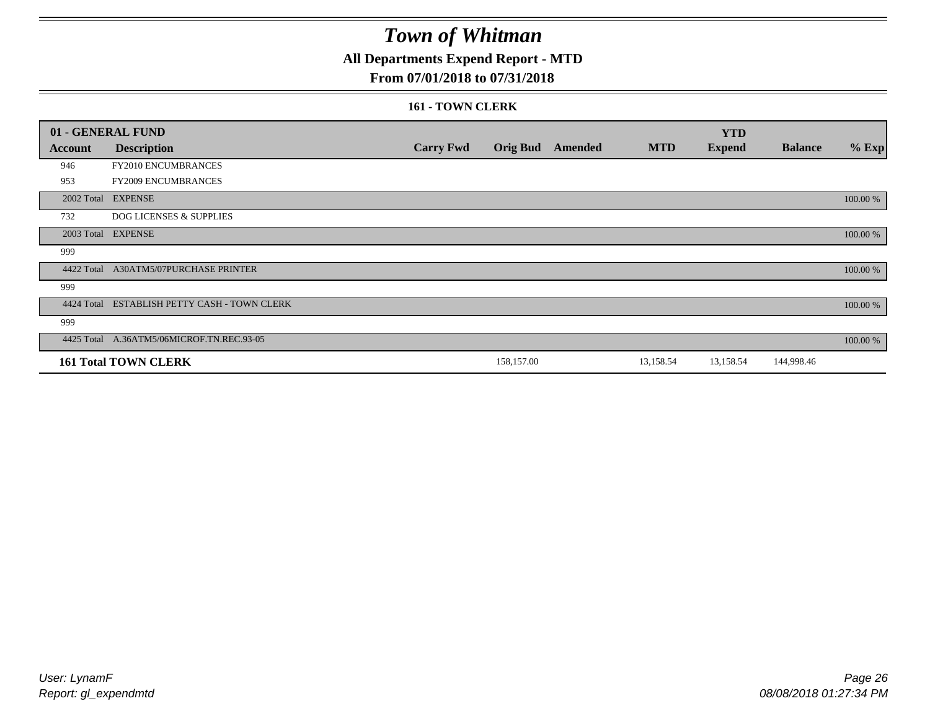### **All Departments Expend Report - MTD**

### **From 07/01/2018 to 07/31/2018**

#### **161 - TOWN CLERK**

|            | 01 - GENERAL FUND                         |                  |                 |                |            | <b>YTD</b>    |                |          |
|------------|-------------------------------------------|------------------|-----------------|----------------|------------|---------------|----------------|----------|
| Account    | <b>Description</b>                        | <b>Carry Fwd</b> | <b>Orig Bud</b> | <b>Amended</b> | <b>MTD</b> | <b>Expend</b> | <b>Balance</b> | $%$ Exp  |
| 946        | FY2010 ENCUMBRANCES                       |                  |                 |                |            |               |                |          |
| 953        | FY2009 ENCUMBRANCES                       |                  |                 |                |            |               |                |          |
|            | 2002 Total EXPENSE                        |                  |                 |                |            |               |                | 100.00 % |
| 732        | <b>DOG LICENSES &amp; SUPPLIES</b>        |                  |                 |                |            |               |                |          |
|            | 2003 Total EXPENSE                        |                  |                 |                |            |               |                | 100.00 % |
| 999        |                                           |                  |                 |                |            |               |                |          |
| 4422 Total | A30ATM5/07PURCHASE PRINTER                |                  |                 |                |            |               |                | 100.00 % |
| 999        |                                           |                  |                 |                |            |               |                |          |
| 4424 Total | ESTABLISH PETTY CASH - TOWN CLERK         |                  |                 |                |            |               |                | 100.00 % |
| 999        |                                           |                  |                 |                |            |               |                |          |
|            | 4425 Total A.36ATM5/06MICROF.TN.REC.93-05 |                  |                 |                |            |               |                | 100.00 % |
|            | <b>161 Total TOWN CLERK</b>               |                  | 158,157.00      |                | 13,158.54  | 13,158.54     | 144,998.46     |          |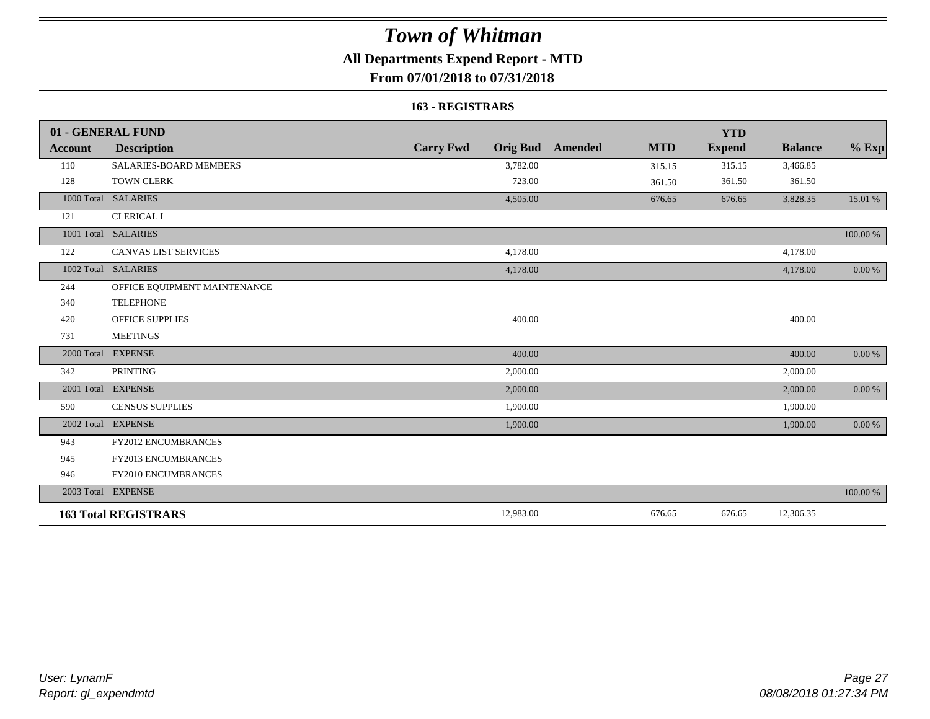### **All Departments Expend Report - MTD**

### **From 07/01/2018 to 07/31/2018**

#### **163 - REGISTRARS**

|         | 01 - GENERAL FUND             |                  |                                       | <b>YTD</b>    |                |            |
|---------|-------------------------------|------------------|---------------------------------------|---------------|----------------|------------|
| Account | <b>Description</b>            | <b>Carry Fwd</b> | <b>Orig Bud</b> Amended<br><b>MTD</b> | <b>Expend</b> | <b>Balance</b> | $%$ Exp    |
| 110     | <b>SALARIES-BOARD MEMBERS</b> | 3,782.00         | 315.15                                | 315.15        | 3,466.85       |            |
| 128     | <b>TOWN CLERK</b>             | 723.00           | 361.50                                | 361.50        | 361.50         |            |
|         | 1000 Total SALARIES           | 4,505.00         | 676.65                                | 676.65        | 3,828.35       | 15.01 %    |
| 121     | <b>CLERICAL I</b>             |                  |                                       |               |                |            |
|         | 1001 Total SALARIES           |                  |                                       |               |                | 100.00 %   |
| 122     | <b>CANVAS LIST SERVICES</b>   | 4,178.00         |                                       |               | 4,178.00       |            |
|         | 1002 Total SALARIES           | 4,178.00         |                                       |               | 4,178.00       | $0.00\ \%$ |
| 244     | OFFICE EQUIPMENT MAINTENANCE  |                  |                                       |               |                |            |
| 340     | <b>TELEPHONE</b>              |                  |                                       |               |                |            |
| 420     | <b>OFFICE SUPPLIES</b>        | 400.00           |                                       |               | 400.00         |            |
| 731     | <b>MEETINGS</b>               |                  |                                       |               |                |            |
|         | 2000 Total EXPENSE            | 400.00           |                                       |               | 400.00         | $0.00 \%$  |
| 342     | <b>PRINTING</b>               | 2,000.00         |                                       |               | 2,000.00       |            |
|         | 2001 Total EXPENSE            | 2,000.00         |                                       |               | 2,000.00       | $0.00 \%$  |
| 590     | <b>CENSUS SUPPLIES</b>        | 1,900.00         |                                       |               | 1,900.00       |            |
|         | 2002 Total EXPENSE            | 1,900.00         |                                       |               | 1,900.00       | 0.00 %     |
| 943     | FY2012 ENCUMBRANCES           |                  |                                       |               |                |            |
| 945     | FY2013 ENCUMBRANCES           |                  |                                       |               |                |            |
| 946     | FY2010 ENCUMBRANCES           |                  |                                       |               |                |            |
|         | 2003 Total EXPENSE            |                  |                                       |               |                | 100.00 %   |
|         | <b>163 Total REGISTRARS</b>   | 12,983.00        | 676.65                                | 676.65        | 12,306.35      |            |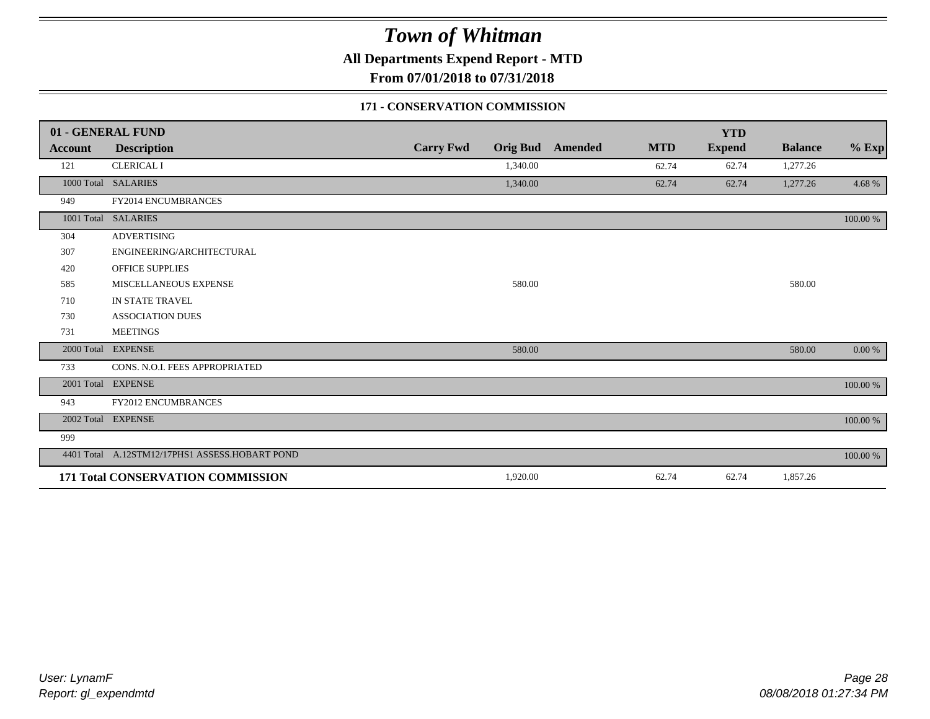**All Departments Expend Report - MTD**

**From 07/01/2018 to 07/31/2018**

#### **171 - CONSERVATION COMMISSION**

|                | 01 - GENERAL FUND                              |                  |                 |                |            | <b>YTD</b>    |                |           |
|----------------|------------------------------------------------|------------------|-----------------|----------------|------------|---------------|----------------|-----------|
| <b>Account</b> | <b>Description</b>                             | <b>Carry Fwd</b> | <b>Orig Bud</b> | <b>Amended</b> | <b>MTD</b> | <b>Expend</b> | <b>Balance</b> | $%$ Exp   |
| 121            | <b>CLERICAL I</b>                              |                  | 1,340.00        |                | 62.74      | 62.74         | 1,277.26       |           |
|                | 1000 Total SALARIES                            |                  | 1,340.00        |                | 62.74      | 62.74         | 1,277.26       | 4.68%     |
| 949            | FY2014 ENCUMBRANCES                            |                  |                 |                |            |               |                |           |
| 1001 Total     | <b>SALARIES</b>                                |                  |                 |                |            |               |                | 100.00 %  |
| 304            | <b>ADVERTISING</b>                             |                  |                 |                |            |               |                |           |
| 307            | ENGINEERING/ARCHITECTURAL                      |                  |                 |                |            |               |                |           |
| 420            | <b>OFFICE SUPPLIES</b>                         |                  |                 |                |            |               |                |           |
| 585            | MISCELLANEOUS EXPENSE                          |                  | 580.00          |                |            |               | 580.00         |           |
| 710            | IN STATE TRAVEL                                |                  |                 |                |            |               |                |           |
| 730            | <b>ASSOCIATION DUES</b>                        |                  |                 |                |            |               |                |           |
| 731            | <b>MEETINGS</b>                                |                  |                 |                |            |               |                |           |
| 2000 Total     | <b>EXPENSE</b>                                 |                  | 580.00          |                |            |               | 580.00         | $0.00 \%$ |
| 733            | CONS. N.O.I. FEES APPROPRIATED                 |                  |                 |                |            |               |                |           |
| 2001 Total     | <b>EXPENSE</b>                                 |                  |                 |                |            |               |                | 100.00 %  |
| 943            | <b>FY2012 ENCUMBRANCES</b>                     |                  |                 |                |            |               |                |           |
|                | 2002 Total EXPENSE                             |                  |                 |                |            |               |                | 100.00 %  |
| 999            |                                                |                  |                 |                |            |               |                |           |
|                | 4401 Total A.12STM12/17PHS1 ASSESS.HOBART POND |                  |                 |                |            |               |                | 100.00 %  |
|                | 171 Total CONSERVATION COMMISSION              |                  | 1,920.00        |                | 62.74      | 62.74         | 1,857.26       |           |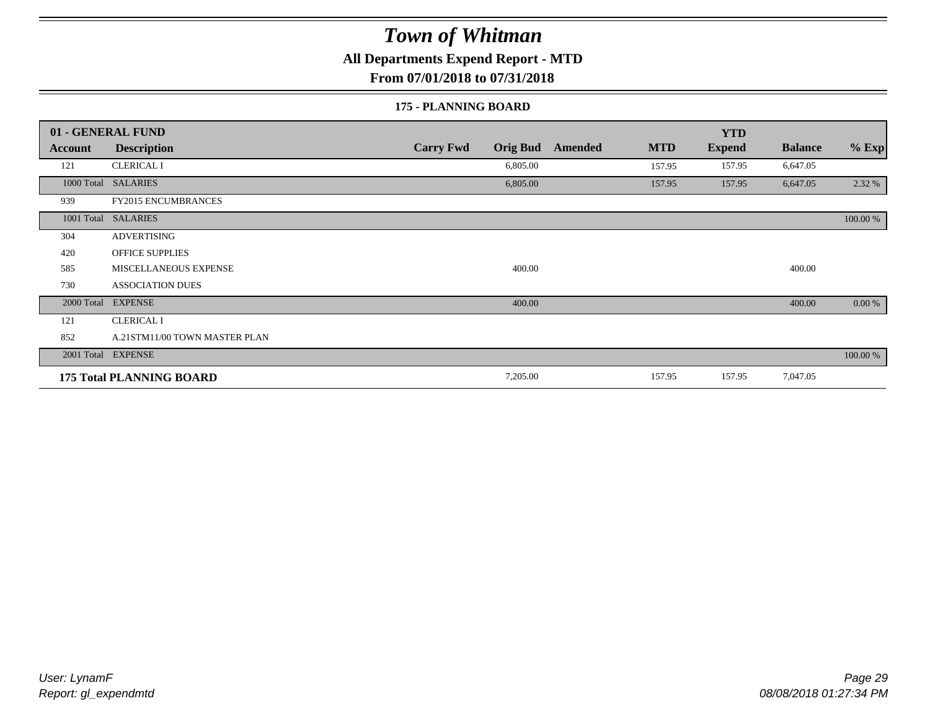**All Departments Expend Report - MTD**

**From 07/01/2018 to 07/31/2018**

#### **175 - PLANNING BOARD**

|                | 01 - GENERAL FUND               |                                     |                              | <b>YTD</b>    |                |          |
|----------------|---------------------------------|-------------------------------------|------------------------------|---------------|----------------|----------|
| <b>Account</b> | <b>Description</b>              | <b>Carry Fwd</b><br><b>Orig Bud</b> | <b>MTD</b><br><b>Amended</b> | <b>Expend</b> | <b>Balance</b> | $%$ Exp  |
| 121            | <b>CLERICAL I</b>               | 6,805.00                            | 157.95                       | 157.95        | 6,647.05       |          |
|                | 1000 Total SALARIES             | 6,805.00                            | 157.95                       | 157.95        | 6,647.05       | 2.32 %   |
| 939            | <b>FY2015 ENCUMBRANCES</b>      |                                     |                              |               |                |          |
| 1001 Total     | <b>SALARIES</b>                 |                                     |                              |               |                | 100.00 % |
| 304            | <b>ADVERTISING</b>              |                                     |                              |               |                |          |
| 420            | <b>OFFICE SUPPLIES</b>          |                                     |                              |               |                |          |
| 585            | MISCELLANEOUS EXPENSE           | 400.00                              |                              |               | 400.00         |          |
| 730            | <b>ASSOCIATION DUES</b>         |                                     |                              |               |                |          |
| 2000 Total     | <b>EXPENSE</b>                  | 400.00                              |                              |               | 400.00         | 0.00 %   |
| 121            | <b>CLERICAL I</b>               |                                     |                              |               |                |          |
| 852            | A.21STM11/00 TOWN MASTER PLAN   |                                     |                              |               |                |          |
|                | 2001 Total EXPENSE              |                                     |                              |               |                | 100.00 % |
|                | <b>175 Total PLANNING BOARD</b> | 7,205.00                            | 157.95                       | 157.95        | 7,047.05       |          |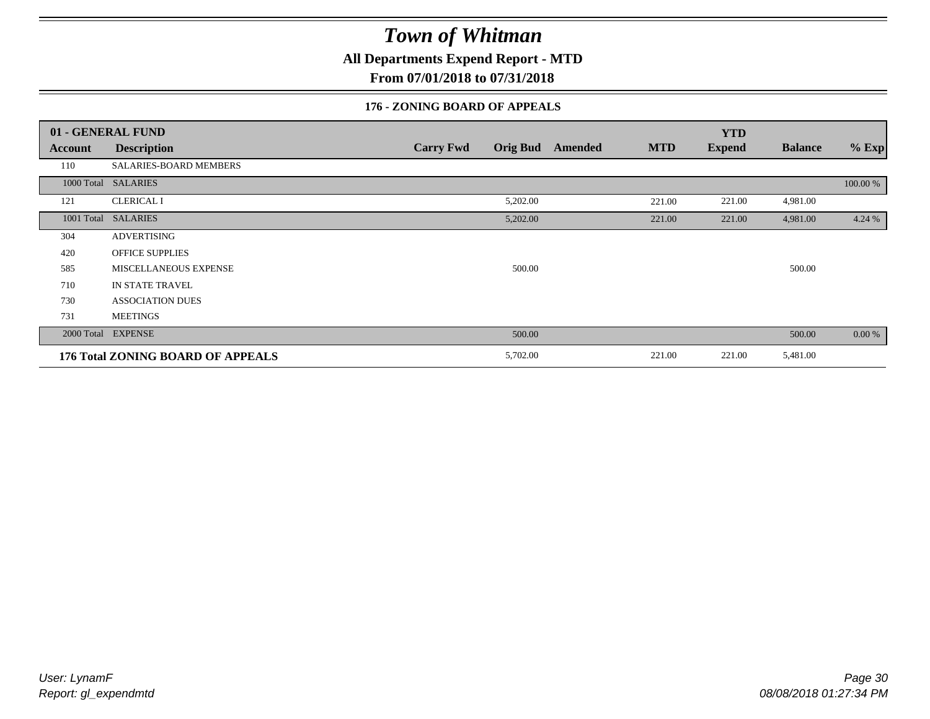**All Departments Expend Report - MTD**

**From 07/01/2018 to 07/31/2018**

#### **176 - ZONING BOARD OF APPEALS**

|            | 01 - GENERAL FUND                 |                                     |                              | <b>YTD</b>    |                |          |
|------------|-----------------------------------|-------------------------------------|------------------------------|---------------|----------------|----------|
| Account    | <b>Description</b>                | <b>Orig Bud</b><br><b>Carry Fwd</b> | <b>MTD</b><br><b>Amended</b> | <b>Expend</b> | <b>Balance</b> | $%$ Exp  |
| 110        | SALARIES-BOARD MEMBERS            |                                     |                              |               |                |          |
|            | 1000 Total SALARIES               |                                     |                              |               |                | 100.00 % |
| 121        | <b>CLERICAL I</b>                 | 5,202.00                            | 221.00                       | 221.00        | 4,981.00       |          |
| 1001 Total | <b>SALARIES</b>                   | 5,202.00                            | 221.00                       | 221.00        | 4,981.00       | 4.24 %   |
| 304        | <b>ADVERTISING</b>                |                                     |                              |               |                |          |
| 420        | <b>OFFICE SUPPLIES</b>            |                                     |                              |               |                |          |
| 585        | MISCELLANEOUS EXPENSE             | 500.00                              |                              |               | 500.00         |          |
| 710        | IN STATE TRAVEL                   |                                     |                              |               |                |          |
| 730        | <b>ASSOCIATION DUES</b>           |                                     |                              |               |                |          |
| 731        | <b>MEETINGS</b>                   |                                     |                              |               |                |          |
| 2000 Total | <b>EXPENSE</b>                    | 500.00                              |                              |               | 500.00         | $0.00\%$ |
|            | 176 Total ZONING BOARD OF APPEALS | 5,702.00                            | 221.00                       | 221.00        | 5,481.00       |          |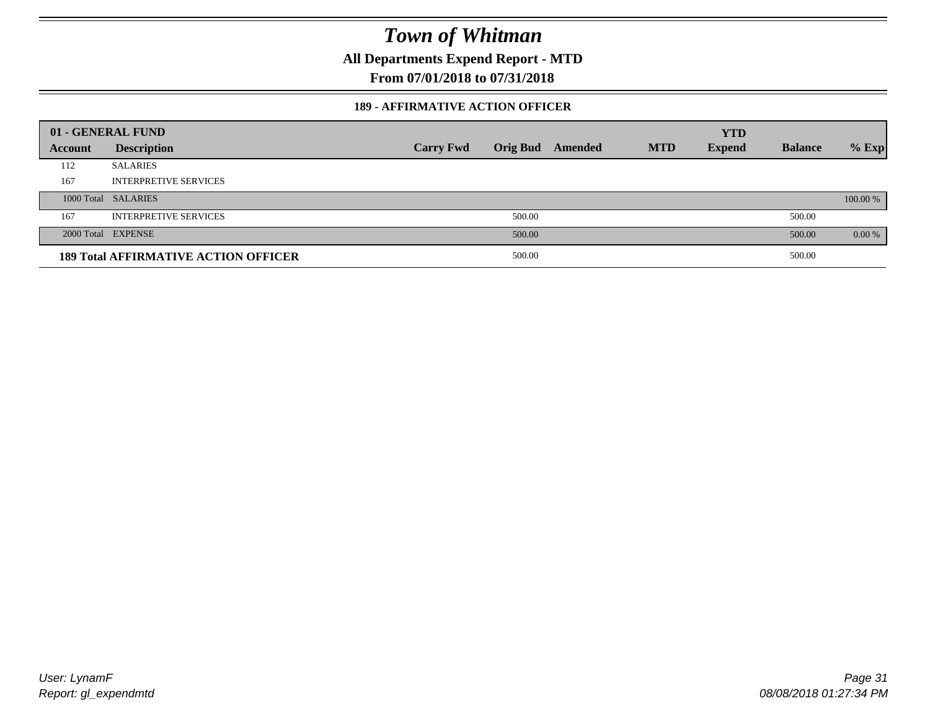**All Departments Expend Report - MTD**

**From 07/01/2018 to 07/31/2018**

#### **189 - AFFIRMATIVE ACTION OFFICER**

|         | 01 - GENERAL FUND                           |                  |        |                         |            | <b>YTD</b>    |                |          |
|---------|---------------------------------------------|------------------|--------|-------------------------|------------|---------------|----------------|----------|
| Account | <b>Description</b>                          | <b>Carry Fwd</b> |        | <b>Orig Bud</b> Amended | <b>MTD</b> | <b>Expend</b> | <b>Balance</b> | $%$ Exp  |
| 112     | <b>SALARIES</b>                             |                  |        |                         |            |               |                |          |
| 167     | <b>INTERPRETIVE SERVICES</b>                |                  |        |                         |            |               |                |          |
|         | 1000 Total SALARIES                         |                  |        |                         |            |               |                | 100.00 % |
| 167     | <b>INTERPRETIVE SERVICES</b>                |                  | 500.00 |                         |            |               | 500.00         |          |
|         | 2000 Total EXPENSE                          |                  | 500.00 |                         |            |               | 500.00         | $0.00\%$ |
|         | <b>189 Total AFFIRMATIVE ACTION OFFICER</b> |                  | 500.00 |                         |            |               | 500.00         |          |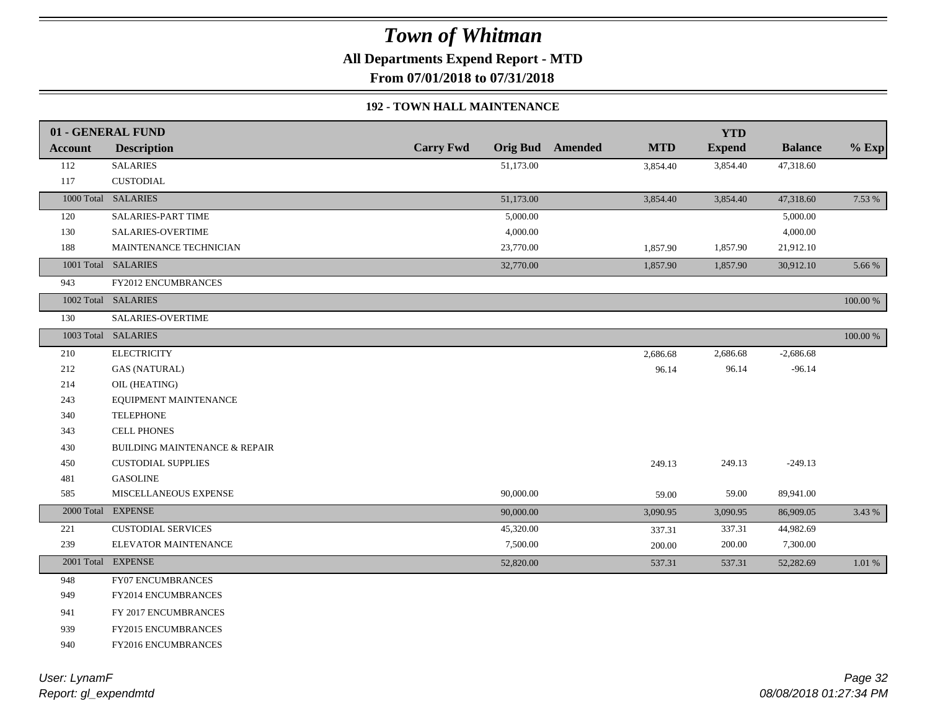**All Departments Expend Report - MTD**

**From 07/01/2018 to 07/31/2018**

#### **192 - TOWN HALL MAINTENANCE**

|                | 01 - GENERAL FUND                        |                  |           |                         |            | <b>YTD</b>    |                |             |
|----------------|------------------------------------------|------------------|-----------|-------------------------|------------|---------------|----------------|-------------|
| <b>Account</b> | <b>Description</b>                       | <b>Carry Fwd</b> |           | <b>Orig Bud</b> Amended | <b>MTD</b> | <b>Expend</b> | <b>Balance</b> | $%$ Exp     |
| 112            | <b>SALARIES</b>                          |                  | 51,173.00 |                         | 3,854.40   | 3,854.40      | 47,318.60      |             |
| 117            | <b>CUSTODIAL</b>                         |                  |           |                         |            |               |                |             |
|                | 1000 Total SALARIES                      |                  | 51,173.00 |                         | 3,854.40   | 3,854.40      | 47,318.60      | 7.53 %      |
| 120            | SALARIES-PART TIME                       |                  | 5,000.00  |                         |            |               | 5,000.00       |             |
| 130            | <b>SALARIES-OVERTIME</b>                 |                  | 4,000.00  |                         |            |               | 4,000.00       |             |
| 188            | MAINTENANCE TECHNICIAN                   |                  | 23,770.00 |                         | 1,857.90   | 1,857.90      | 21,912.10      |             |
|                | 1001 Total SALARIES                      |                  | 32,770.00 |                         | 1,857.90   | 1,857.90      | 30,912.10      | 5.66 %      |
| 943            | <b>FY2012 ENCUMBRANCES</b>               |                  |           |                         |            |               |                |             |
|                | 1002 Total SALARIES                      |                  |           |                         |            |               |                | 100.00 %    |
| 130            | SALARIES-OVERTIME                        |                  |           |                         |            |               |                |             |
|                | 1003 Total SALARIES                      |                  |           |                         |            |               |                | $100.00~\%$ |
| 210            | <b>ELECTRICITY</b>                       |                  |           |                         | 2,686.68   | 2,686.68      | $-2,686.68$    |             |
| 212            | <b>GAS (NATURAL)</b>                     |                  |           |                         | 96.14      | 96.14         | $-96.14$       |             |
| 214            | OIL (HEATING)                            |                  |           |                         |            |               |                |             |
| 243            | EQUIPMENT MAINTENANCE                    |                  |           |                         |            |               |                |             |
| 340            | <b>TELEPHONE</b>                         |                  |           |                         |            |               |                |             |
| 343            | <b>CELL PHONES</b>                       |                  |           |                         |            |               |                |             |
| 430            | <b>BUILDING MAINTENANCE &amp; REPAIR</b> |                  |           |                         |            |               |                |             |
| 450            | <b>CUSTODIAL SUPPLIES</b>                |                  |           |                         | 249.13     | 249.13        | $-249.13$      |             |
| 481            | <b>GASOLINE</b>                          |                  |           |                         |            |               |                |             |
| 585            | MISCELLANEOUS EXPENSE                    |                  | 90,000.00 |                         | 59.00      | 59.00         | 89,941.00      |             |
|                | 2000 Total EXPENSE                       |                  | 90,000.00 |                         | 3,090.95   | 3,090.95      | 86,909.05      | 3.43 %      |
| 221            | <b>CUSTODIAL SERVICES</b>                |                  | 45,320.00 |                         | 337.31     | 337.31        | 44,982.69      |             |
| 239            | ELEVATOR MAINTENANCE                     |                  | 7,500.00  |                         | 200.00     | $200.00\,$    | 7,300.00       |             |
|                | 2001 Total EXPENSE                       |                  | 52,820.00 |                         | 537.31     | 537.31        | 52,282.69      | 1.01%       |
| 948            | FY07 ENCUMBRANCES                        |                  |           |                         |            |               |                |             |
| 949            | <b>FY2014 ENCUMBRANCES</b>               |                  |           |                         |            |               |                |             |
| 941            | FY 2017 ENCUMBRANCES                     |                  |           |                         |            |               |                |             |
| 939            | FY2015 ENCUMBRANCES                      |                  |           |                         |            |               |                |             |
| 940            | FY2016 ENCUMBRANCES                      |                  |           |                         |            |               |                |             |
|                |                                          |                  |           |                         |            |               |                |             |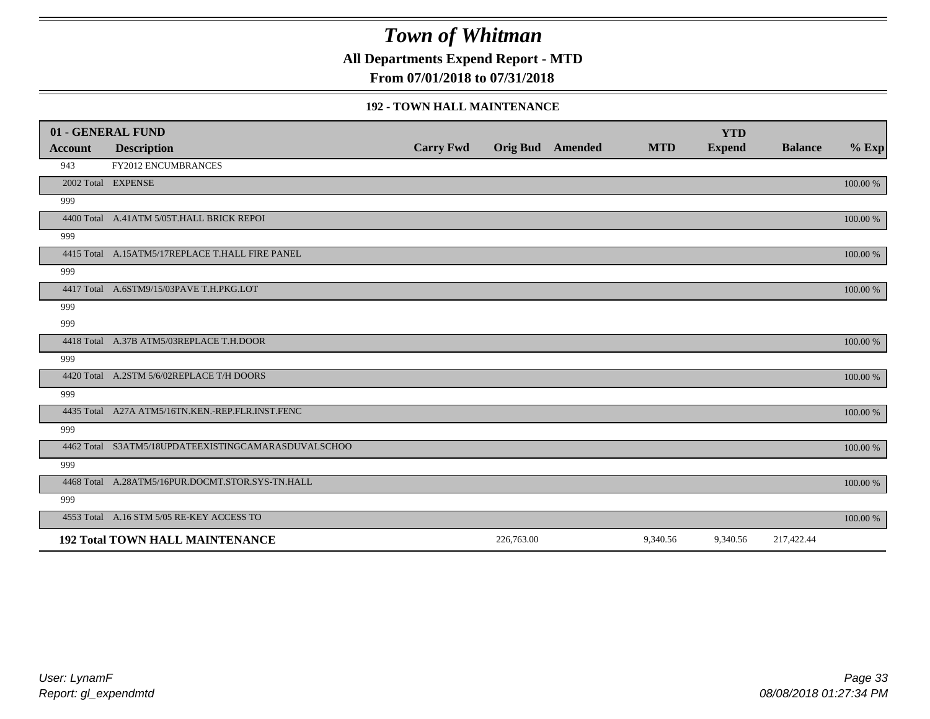**All Departments Expend Report - MTD**

**From 07/01/2018 to 07/31/2018**

#### **192 - TOWN HALL MAINTENANCE**

|         | 01 - GENERAL FUND                                   |                  |            |                         |            | <b>YTD</b>    |                |          |
|---------|-----------------------------------------------------|------------------|------------|-------------------------|------------|---------------|----------------|----------|
| Account | <b>Description</b>                                  | <b>Carry Fwd</b> |            | <b>Orig Bud</b> Amended | <b>MTD</b> | <b>Expend</b> | <b>Balance</b> | $%$ Exp  |
| 943     | <b>FY2012 ENCUMBRANCES</b>                          |                  |            |                         |            |               |                |          |
|         | 2002 Total EXPENSE                                  |                  |            |                         |            |               |                | 100.00 % |
| 999     |                                                     |                  |            |                         |            |               |                |          |
|         | 4400 Total A.41ATM 5/05T.HALL BRICK REPOI           |                  |            |                         |            |               |                | 100.00 % |
| 999     |                                                     |                  |            |                         |            |               |                |          |
|         | 4415 Total A.15ATM5/17REPLACE T.HALL FIRE PANEL     |                  |            |                         |            |               |                | 100.00 % |
| 999     |                                                     |                  |            |                         |            |               |                |          |
|         | 4417 Total A.6STM9/15/03PAVE T.H.PKG.LOT            |                  |            |                         |            |               |                | 100.00 % |
| 999     |                                                     |                  |            |                         |            |               |                |          |
| 999     |                                                     |                  |            |                         |            |               |                |          |
|         | 4418 Total A.37B ATM5/03REPLACE T.H.DOOR            |                  |            |                         |            |               |                | 100.00 % |
| 999     |                                                     |                  |            |                         |            |               |                |          |
|         | 4420 Total A.2STM 5/6/02REPLACE T/H DOORS           |                  |            |                         |            |               |                | 100.00 % |
| 999     |                                                     |                  |            |                         |            |               |                |          |
|         | 4435 Total A27A ATM5/16TN.KEN.-REP.FLR.INST.FENC    |                  |            |                         |            |               |                | 100.00 % |
| 999     |                                                     |                  |            |                         |            |               |                |          |
|         | 4462 Total S3ATM5/18UPDATEEXISTINGCAMARASDUVALSCHOO |                  |            |                         |            |               |                | 100.00 % |
| 999     |                                                     |                  |            |                         |            |               |                |          |
|         | 4468 Total A.28ATM5/16PUR.DOCMT.STOR.SYS-TN.HALL    |                  |            |                         |            |               |                | 100.00 % |
| 999     |                                                     |                  |            |                         |            |               |                |          |
|         | 4553 Total A.16 STM 5/05 RE-KEY ACCESS TO           |                  |            |                         |            |               |                | 100.00 % |
|         | <b>192 Total TOWN HALL MAINTENANCE</b>              |                  | 226,763.00 |                         | 9,340.56   | 9,340.56      | 217,422.44     |          |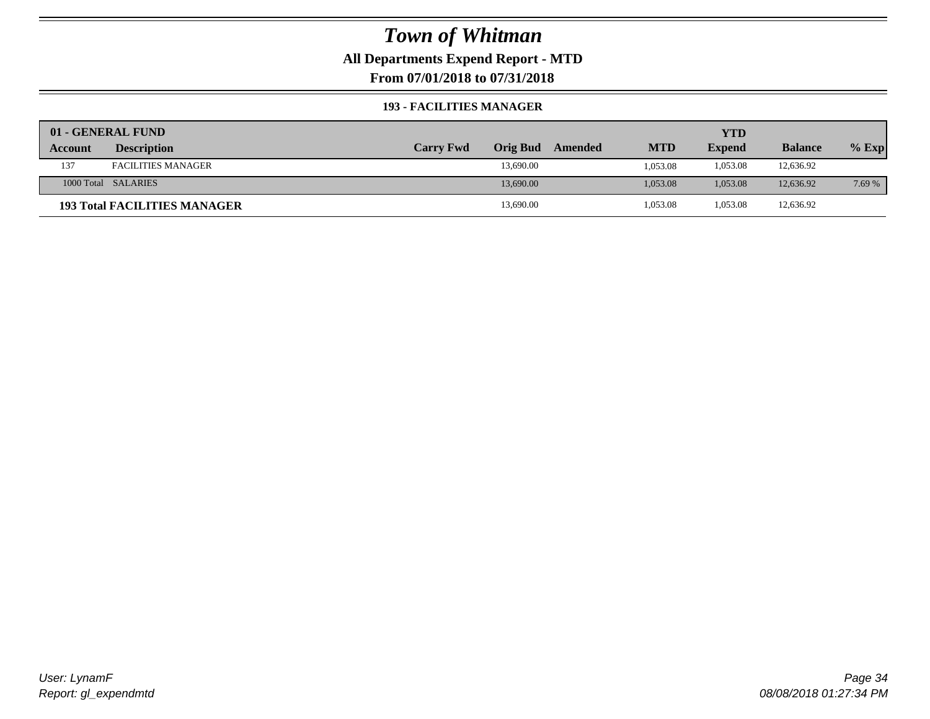### **All Departments Expend Report - MTD**

**From 07/01/2018 to 07/31/2018**

#### **193 - FACILITIES MANAGER**

|         | 01 - GENERAL FUND                   |                  |                 |         |            | YTD           |                |         |
|---------|-------------------------------------|------------------|-----------------|---------|------------|---------------|----------------|---------|
| Account | <b>Description</b>                  | <b>Carry Fwd</b> | <b>Orig Bud</b> | Amended | <b>MTD</b> | <b>Expend</b> | <b>Balance</b> | $%$ Exp |
| 137     | <b>FACILITIES MANAGER</b>           |                  | 13,690.00       |         | 1,053.08   | 1,053.08      | 12,636.92      |         |
|         | 1000 Total SALARIES                 |                  | 13,690.00       |         | 1,053.08   | 1.053.08      | 12,636.92      | 7.69 %  |
|         | <b>193 Total FACILITIES MANAGER</b> |                  | 13,690.00       |         | 1,053.08   | 1,053.08      | 12,636.92      |         |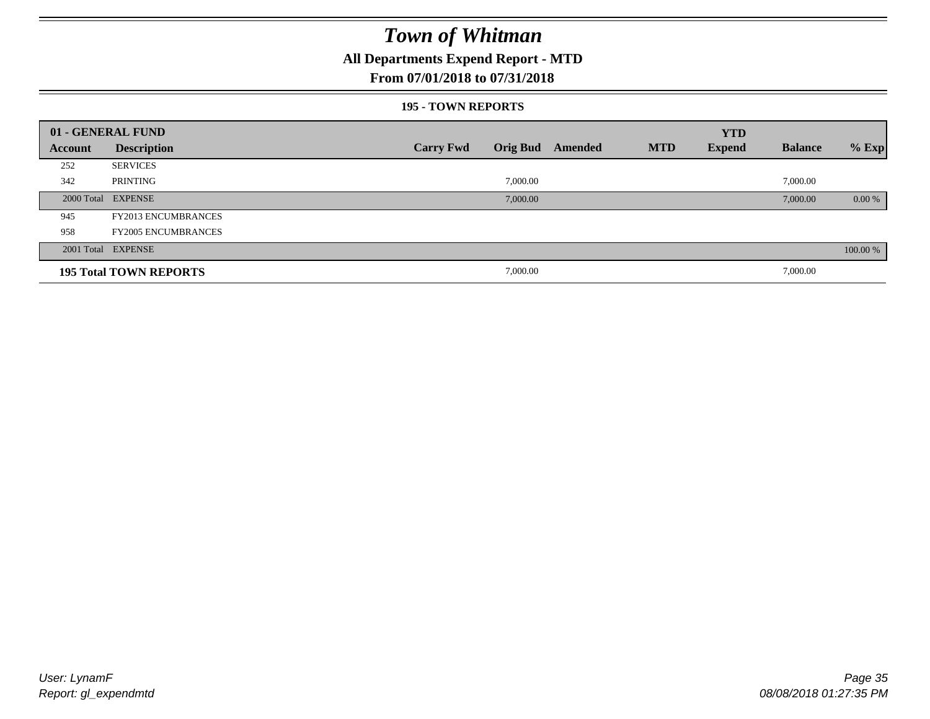### **All Departments Expend Report - MTD**

### **From 07/01/2018 to 07/31/2018**

#### **195 - TOWN REPORTS**

|         | 01 - GENERAL FUND             |                  |          |                  |            | <b>YTD</b>    |                |          |
|---------|-------------------------------|------------------|----------|------------------|------------|---------------|----------------|----------|
| Account | <b>Description</b>            | <b>Carry Fwd</b> |          | Orig Bud Amended | <b>MTD</b> | <b>Expend</b> | <b>Balance</b> | $%$ Exp  |
| 252     | <b>SERVICES</b>               |                  |          |                  |            |               |                |          |
| 342     | PRINTING                      |                  | 7,000.00 |                  |            |               | 7,000.00       |          |
|         | 2000 Total EXPENSE            |                  | 7,000.00 |                  |            |               | 7,000.00       | 0.00 %   |
| 945     | <b>FY2013 ENCUMBRANCES</b>    |                  |          |                  |            |               |                |          |
| 958     | <b>FY2005 ENCUMBRANCES</b>    |                  |          |                  |            |               |                |          |
|         | 2001 Total EXPENSE            |                  |          |                  |            |               |                | 100.00 % |
|         | <b>195 Total TOWN REPORTS</b> |                  | 7,000.00 |                  |            |               | 7,000.00       |          |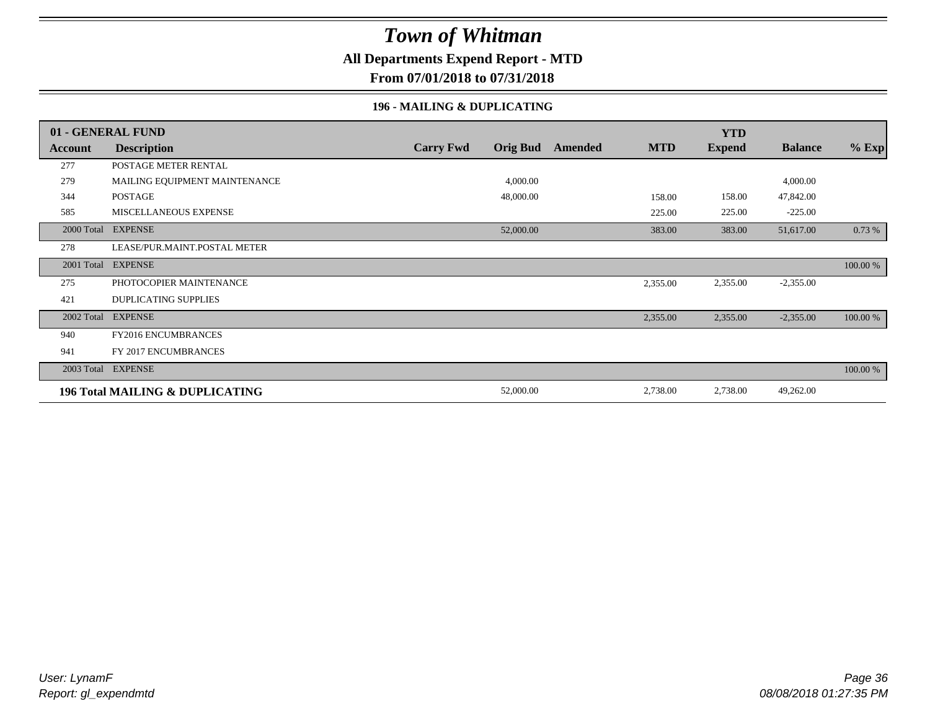### **All Departments Expend Report - MTD**

**From 07/01/2018 to 07/31/2018**

#### **196 - MAILING & DUPLICATING**

|            | 01 - GENERAL FUND                          |                  |                 |         |            | <b>YTD</b>    |                |          |
|------------|--------------------------------------------|------------------|-----------------|---------|------------|---------------|----------------|----------|
| Account    | <b>Description</b>                         | <b>Carry Fwd</b> | <b>Orig Bud</b> | Amended | <b>MTD</b> | <b>Expend</b> | <b>Balance</b> | $%$ Exp  |
| 277        | POSTAGE METER RENTAL                       |                  |                 |         |            |               |                |          |
| 279        | MAILING EQUIPMENT MAINTENANCE              |                  | 4,000.00        |         |            |               | 4,000.00       |          |
| 344        | <b>POSTAGE</b>                             |                  | 48,000.00       |         | 158.00     | 158.00        | 47,842.00      |          |
| 585        | MISCELLANEOUS EXPENSE                      |                  |                 |         | 225.00     | 225.00        | $-225.00$      |          |
|            | 2000 Total EXPENSE                         |                  | 52,000.00       |         | 383.00     | 383.00        | 51,617.00      | 0.73 %   |
| 278        | LEASE/PUR.MAINT.POSTAL METER               |                  |                 |         |            |               |                |          |
| 2001 Total | <b>EXPENSE</b>                             |                  |                 |         |            |               |                | 100.00 % |
| 275        | PHOTOCOPIER MAINTENANCE                    |                  |                 |         | 2,355.00   | 2,355.00      | $-2,355.00$    |          |
| 421        | <b>DUPLICATING SUPPLIES</b>                |                  |                 |         |            |               |                |          |
| 2002 Total | <b>EXPENSE</b>                             |                  |                 |         | 2,355.00   | 2,355.00      | $-2,355.00$    | 100.00 % |
| 940        | FY2016 ENCUMBRANCES                        |                  |                 |         |            |               |                |          |
| 941        | FY 2017 ENCUMBRANCES                       |                  |                 |         |            |               |                |          |
|            | 2003 Total EXPENSE                         |                  |                 |         |            |               |                | 100.00 % |
|            | <b>196 Total MAILING &amp; DUPLICATING</b> |                  | 52,000.00       |         | 2,738.00   | 2,738.00      | 49,262.00      |          |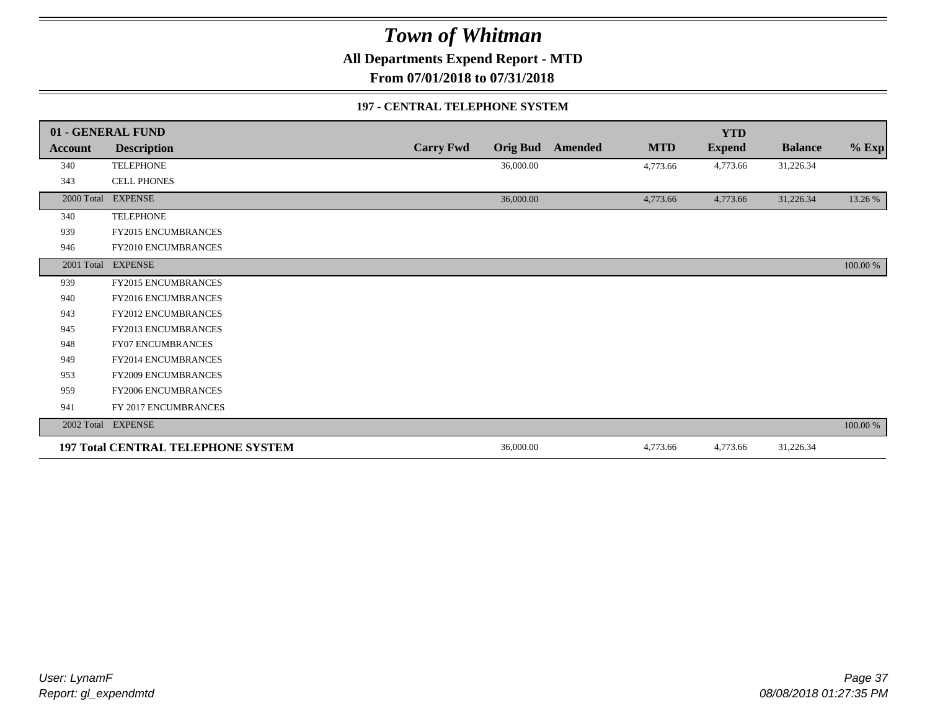**All Departments Expend Report - MTD**

**From 07/01/2018 to 07/31/2018**

#### **197 - CENTRAL TELEPHONE SYSTEM**

|            | 01 - GENERAL FUND                         |                  |                 |         |            | <b>YTD</b>    |                |          |
|------------|-------------------------------------------|------------------|-----------------|---------|------------|---------------|----------------|----------|
| Account    | <b>Description</b>                        | <b>Carry Fwd</b> | <b>Orig Bud</b> | Amended | <b>MTD</b> | <b>Expend</b> | <b>Balance</b> | $%$ Exp  |
| 340        | <b>TELEPHONE</b>                          |                  | 36,000.00       |         | 4,773.66   | 4,773.66      | 31,226.34      |          |
| 343        | <b>CELL PHONES</b>                        |                  |                 |         |            |               |                |          |
| 2000 Total | <b>EXPENSE</b>                            |                  | 36,000.00       |         | 4,773.66   | 4,773.66      | 31,226.34      | 13.26 %  |
| 340        | <b>TELEPHONE</b>                          |                  |                 |         |            |               |                |          |
| 939        | FY2015 ENCUMBRANCES                       |                  |                 |         |            |               |                |          |
| 946        | FY2010 ENCUMBRANCES                       |                  |                 |         |            |               |                |          |
| 2001 Total | <b>EXPENSE</b>                            |                  |                 |         |            |               |                | 100.00 % |
| 939        | <b>FY2015 ENCUMBRANCES</b>                |                  |                 |         |            |               |                |          |
| 940        | <b>FY2016 ENCUMBRANCES</b>                |                  |                 |         |            |               |                |          |
| 943        | <b>FY2012 ENCUMBRANCES</b>                |                  |                 |         |            |               |                |          |
| 945        | FY2013 ENCUMBRANCES                       |                  |                 |         |            |               |                |          |
| 948        | <b>FY07 ENCUMBRANCES</b>                  |                  |                 |         |            |               |                |          |
| 949        | <b>FY2014 ENCUMBRANCES</b>                |                  |                 |         |            |               |                |          |
| 953        | <b>FY2009 ENCUMBRANCES</b>                |                  |                 |         |            |               |                |          |
| 959        | FY2006 ENCUMBRANCES                       |                  |                 |         |            |               |                |          |
| 941        | FY 2017 ENCUMBRANCES                      |                  |                 |         |            |               |                |          |
| 2002 Total | <b>EXPENSE</b>                            |                  |                 |         |            |               |                | 100.00 % |
|            | <b>197 Total CENTRAL TELEPHONE SYSTEM</b> |                  | 36,000.00       |         | 4,773.66   | 4,773.66      | 31,226.34      |          |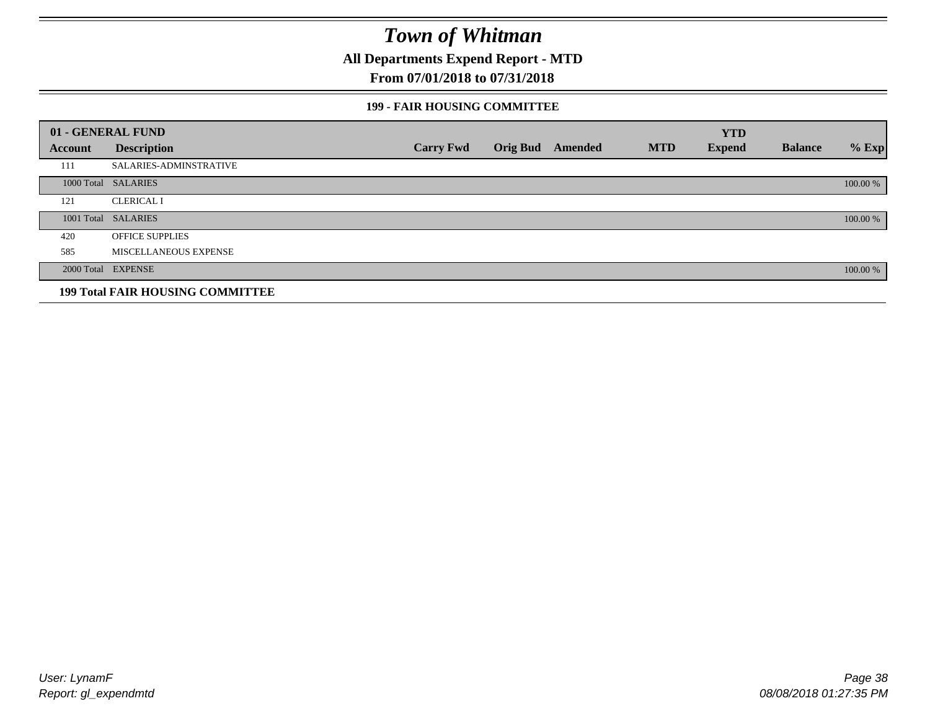**All Departments Expend Report - MTD**

### **From 07/01/2018 to 07/31/2018**

#### **199 - FAIR HOUSING COMMITTEE**

|         | 01 - GENERAL FUND                       |                  |                         |            | <b>YTD</b>    |                |          |
|---------|-----------------------------------------|------------------|-------------------------|------------|---------------|----------------|----------|
| Account | <b>Description</b>                      | <b>Carry Fwd</b> | <b>Orig Bud</b> Amended | <b>MTD</b> | <b>Expend</b> | <b>Balance</b> | $%$ Exp  |
| 111     | <b>SALARIES-ADMINSTRATIVE</b>           |                  |                         |            |               |                |          |
|         | 1000 Total SALARIES                     |                  |                         |            |               |                | 100.00 % |
| 121     | <b>CLERICAL I</b>                       |                  |                         |            |               |                |          |
|         | 1001 Total SALARIES                     |                  |                         |            |               |                | 100.00 % |
| 420     | <b>OFFICE SUPPLIES</b>                  |                  |                         |            |               |                |          |
| 585     | MISCELLANEOUS EXPENSE                   |                  |                         |            |               |                |          |
|         | 2000 Total EXPENSE                      |                  |                         |            |               |                | 100.00 % |
|         | <b>199 Total FAIR HOUSING COMMITTEE</b> |                  |                         |            |               |                |          |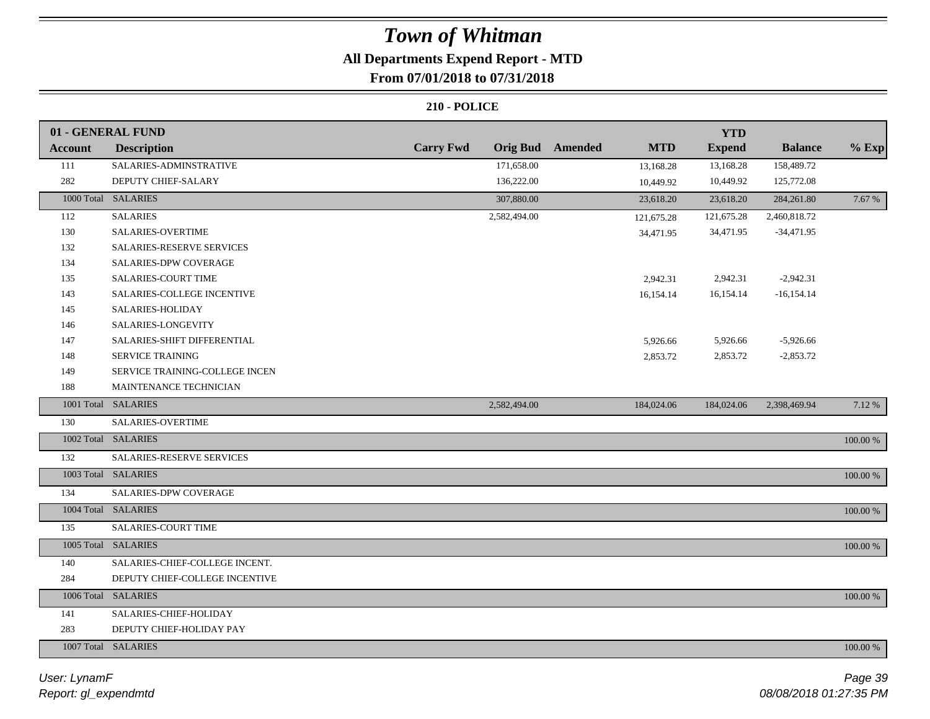## **All Departments Expend Report - MTD**

### **From 07/01/2018 to 07/31/2018**

|                | 01 - GENERAL FUND              |                                     |                |            | <b>YTD</b>    |                |          |
|----------------|--------------------------------|-------------------------------------|----------------|------------|---------------|----------------|----------|
| <b>Account</b> | <b>Description</b>             | <b>Carry Fwd</b><br><b>Orig Bud</b> | <b>Amended</b> | <b>MTD</b> | <b>Expend</b> | <b>Balance</b> | $%$ Exp  |
| 111            | SALARIES-ADMINSTRATIVE         | 171,658.00                          |                | 13,168.28  | 13,168.28     | 158,489.72     |          |
| 282            | DEPUTY CHIEF-SALARY            | 136,222.00                          |                | 10,449.92  | 10,449.92     | 125,772.08     |          |
|                | 1000 Total SALARIES            | 307,880.00                          |                | 23,618.20  | 23,618.20     | 284,261.80     | 7.67 %   |
| 112            | <b>SALARIES</b>                | 2,582,494.00                        |                | 121,675.28 | 121,675.28    | 2,460,818.72   |          |
| 130            | SALARIES-OVERTIME              |                                     |                | 34,471.95  | 34,471.95     | $-34,471.95$   |          |
| 132            | SALARIES-RESERVE SERVICES      |                                     |                |            |               |                |          |
| 134            | SALARIES-DPW COVERAGE          |                                     |                |            |               |                |          |
| 135            | SALARIES-COURT TIME            |                                     |                | 2,942.31   | 2,942.31      | $-2,942.31$    |          |
| 143            | SALARIES-COLLEGE INCENTIVE     |                                     |                | 16,154.14  | 16,154.14     | $-16, 154.14$  |          |
| 145            | SALARIES-HOLIDAY               |                                     |                |            |               |                |          |
| 146            | SALARIES-LONGEVITY             |                                     |                |            |               |                |          |
| 147            | SALARIES-SHIFT DIFFERENTIAL    |                                     |                | 5,926.66   | 5,926.66      | $-5,926.66$    |          |
| 148            | SERVICE TRAINING               |                                     |                | 2,853.72   | 2,853.72      | $-2,853.72$    |          |
| 149            | SERVICE TRAINING-COLLEGE INCEN |                                     |                |            |               |                |          |
| 188            | MAINTENANCE TECHNICIAN         |                                     |                |            |               |                |          |
|                | 1001 Total SALARIES            | 2,582,494.00                        |                | 184,024.06 | 184,024.06    | 2,398,469.94   | 7.12%    |
| 130            | SALARIES-OVERTIME              |                                     |                |            |               |                |          |
|                | 1002 Total SALARIES            |                                     |                |            |               |                | 100.00 % |
| 132            | SALARIES-RESERVE SERVICES      |                                     |                |            |               |                |          |
|                | 1003 Total SALARIES            |                                     |                |            |               |                | 100.00 % |
| 134            | SALARIES-DPW COVERAGE          |                                     |                |            |               |                |          |
|                | 1004 Total SALARIES            |                                     |                |            |               |                | 100.00 % |
| 135            | <b>SALARIES-COURT TIME</b>     |                                     |                |            |               |                |          |
|                | 1005 Total SALARIES            |                                     |                |            |               |                | 100.00 % |
| 140            | SALARIES-CHIEF-COLLEGE INCENT. |                                     |                |            |               |                |          |
| 284            | DEPUTY CHIEF-COLLEGE INCENTIVE |                                     |                |            |               |                |          |
|                | 1006 Total SALARIES            |                                     |                |            |               |                | 100.00 % |
| 141            | SALARIES-CHIEF-HOLIDAY         |                                     |                |            |               |                |          |
| 283            | DEPUTY CHIEF-HOLIDAY PAY       |                                     |                |            |               |                |          |
|                | 1007 Total SALARIES            |                                     |                |            |               |                | 100.00 % |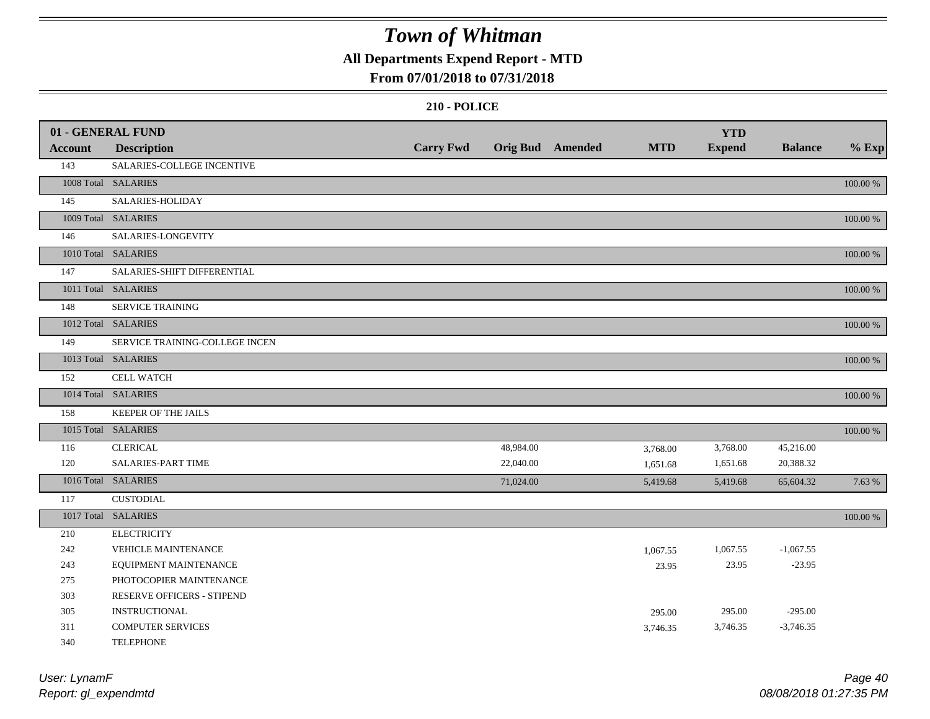### **All Departments Expend Report - MTD**

### **From 07/01/2018 to 07/31/2018**

|                | 01 - GENERAL FUND              |                  |           |                  |            | <b>YTD</b>    |                |             |
|----------------|--------------------------------|------------------|-----------|------------------|------------|---------------|----------------|-------------|
| <b>Account</b> | <b>Description</b>             | <b>Carry Fwd</b> |           | Orig Bud Amended | <b>MTD</b> | <b>Expend</b> | <b>Balance</b> | $%$ Exp     |
| 143            | SALARIES-COLLEGE INCENTIVE     |                  |           |                  |            |               |                |             |
|                | 1008 Total SALARIES            |                  |           |                  |            |               |                | 100.00 %    |
| 145            | SALARIES-HOLIDAY               |                  |           |                  |            |               |                |             |
|                | 1009 Total SALARIES            |                  |           |                  |            |               |                | 100.00 %    |
| 146            | SALARIES-LONGEVITY             |                  |           |                  |            |               |                |             |
|                | 1010 Total SALARIES            |                  |           |                  |            |               |                | $100.00~\%$ |
| 147            | SALARIES-SHIFT DIFFERENTIAL    |                  |           |                  |            |               |                |             |
|                | 1011 Total SALARIES            |                  |           |                  |            |               |                | 100.00 %    |
| 148            | <b>SERVICE TRAINING</b>        |                  |           |                  |            |               |                |             |
|                | 1012 Total SALARIES            |                  |           |                  |            |               |                | 100.00 %    |
| 149            | SERVICE TRAINING-COLLEGE INCEN |                  |           |                  |            |               |                |             |
|                | 1013 Total SALARIES            |                  |           |                  |            |               |                | 100.00 %    |
| 152            | <b>CELL WATCH</b>              |                  |           |                  |            |               |                |             |
|                | 1014 Total SALARIES            |                  |           |                  |            |               |                | 100.00 %    |
| 158            | KEEPER OF THE JAILS            |                  |           |                  |            |               |                |             |
|                | 1015 Total SALARIES            |                  |           |                  |            |               |                | 100.00 %    |
| 116            | <b>CLERICAL</b>                |                  | 48,984.00 |                  | 3,768.00   | 3,768.00      | 45,216.00      |             |
| 120            | <b>SALARIES-PART TIME</b>      |                  | 22,040.00 |                  | 1,651.68   | 1,651.68      | 20,388.32      |             |
|                | 1016 Total SALARIES            |                  | 71,024.00 |                  | 5,419.68   | 5,419.68      | 65,604.32      | 7.63 %      |
| 117            | <b>CUSTODIAL</b>               |                  |           |                  |            |               |                |             |
|                | 1017 Total SALARIES            |                  |           |                  |            |               |                | $100.00~\%$ |
| 210            | <b>ELECTRICITY</b>             |                  |           |                  |            |               |                |             |
| 242            | VEHICLE MAINTENANCE            |                  |           |                  | 1,067.55   | 1,067.55      | $-1,067.55$    |             |
| 243            | EQUIPMENT MAINTENANCE          |                  |           |                  | 23.95      | 23.95         | $-23.95$       |             |
| 275            | PHOTOCOPIER MAINTENANCE        |                  |           |                  |            |               |                |             |
| 303            | RESERVE OFFICERS - STIPEND     |                  |           |                  |            |               |                |             |
| 305            | <b>INSTRUCTIONAL</b>           |                  |           |                  | 295.00     | 295.00        | $-295.00$      |             |
| 311            | <b>COMPUTER SERVICES</b>       |                  |           |                  | 3,746.35   | 3,746.35      | $-3,746.35$    |             |
| 340            | <b>TELEPHONE</b>               |                  |           |                  |            |               |                |             |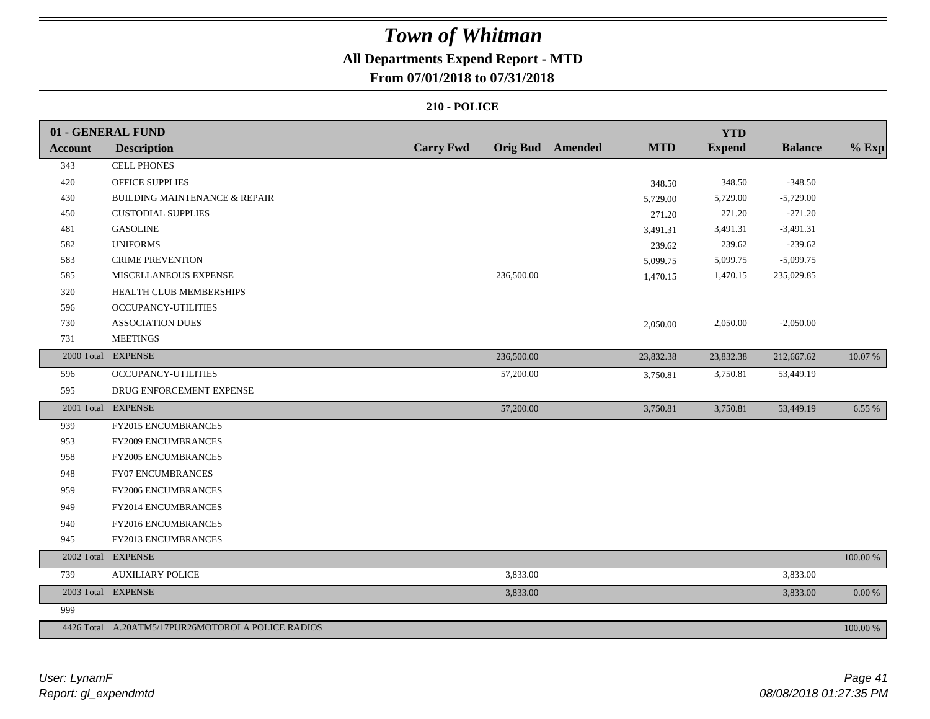## **All Departments Expend Report - MTD**

### **From 07/01/2018 to 07/31/2018**

|                | 01 - GENERAL FUND                                 |                  |            |                         |            | <b>YTD</b>    |                |             |
|----------------|---------------------------------------------------|------------------|------------|-------------------------|------------|---------------|----------------|-------------|
| <b>Account</b> | <b>Description</b>                                | <b>Carry Fwd</b> |            | <b>Orig Bud</b> Amended | <b>MTD</b> | <b>Expend</b> | <b>Balance</b> | $%$ Exp     |
| 343            | <b>CELL PHONES</b>                                |                  |            |                         |            |               |                |             |
| 420            | <b>OFFICE SUPPLIES</b>                            |                  |            |                         | 348.50     | 348.50        | $-348.50$      |             |
| 430            | BUILDING MAINTENANCE & REPAIR                     |                  |            |                         | 5,729.00   | 5,729.00      | $-5,729.00$    |             |
| 450            | <b>CUSTODIAL SUPPLIES</b>                         |                  |            |                         | 271.20     | 271.20        | $-271.20$      |             |
| 481            | <b>GASOLINE</b>                                   |                  |            |                         | 3,491.31   | 3,491.31      | $-3,491.31$    |             |
| 582            | <b>UNIFORMS</b>                                   |                  |            |                         | 239.62     | 239.62        | $-239.62$      |             |
| 583            | <b>CRIME PREVENTION</b>                           |                  |            |                         | 5,099.75   | 5,099.75      | $-5,099.75$    |             |
| 585            | MISCELLANEOUS EXPENSE                             |                  | 236,500.00 |                         | 1,470.15   | 1,470.15      | 235,029.85     |             |
| 320            | HEALTH CLUB MEMBERSHIPS                           |                  |            |                         |            |               |                |             |
| 596            | <b>OCCUPANCY-UTILITIES</b>                        |                  |            |                         |            |               |                |             |
| 730            | <b>ASSOCIATION DUES</b>                           |                  |            |                         | 2,050.00   | 2,050.00      | $-2,050.00$    |             |
| 731            | <b>MEETINGS</b>                                   |                  |            |                         |            |               |                |             |
| 2000 Total     | <b>EXPENSE</b>                                    |                  | 236,500.00 |                         | 23,832.38  | 23,832.38     | 212,667.62     | 10.07 %     |
| 596            | OCCUPANCY-UTILITIES                               |                  | 57,200.00  |                         | 3,750.81   | 3,750.81      | 53,449.19      |             |
| 595            | DRUG ENFORCEMENT EXPENSE                          |                  |            |                         |            |               |                |             |
|                | 2001 Total EXPENSE                                |                  | 57,200.00  |                         | 3,750.81   | 3,750.81      | 53,449.19      | 6.55 %      |
| 939            | FY2015 ENCUMBRANCES                               |                  |            |                         |            |               |                |             |
| 953            | <b>FY2009 ENCUMBRANCES</b>                        |                  |            |                         |            |               |                |             |
| 958            | <b>FY2005 ENCUMBRANCES</b>                        |                  |            |                         |            |               |                |             |
| 948            | <b>FY07 ENCUMBRANCES</b>                          |                  |            |                         |            |               |                |             |
| 959            | FY2006 ENCUMBRANCES                               |                  |            |                         |            |               |                |             |
| 949            | FY2014 ENCUMBRANCES                               |                  |            |                         |            |               |                |             |
| 940            | FY2016 ENCUMBRANCES                               |                  |            |                         |            |               |                |             |
| 945            | FY2013 ENCUMBRANCES                               |                  |            |                         |            |               |                |             |
| 2002 Total     | <b>EXPENSE</b>                                    |                  |            |                         |            |               |                | 100.00 %    |
| 739            | <b>AUXILIARY POLICE</b>                           |                  | 3,833.00   |                         |            |               | 3,833.00       |             |
|                | 2003 Total EXPENSE                                |                  | 3,833.00   |                         |            |               | 3,833.00       | $0.00\ \%$  |
| 999            |                                                   |                  |            |                         |            |               |                |             |
|                | 4426 Total A.20ATM5/17PUR26MOTOROLA POLICE RADIOS |                  |            |                         |            |               |                | $100.00~\%$ |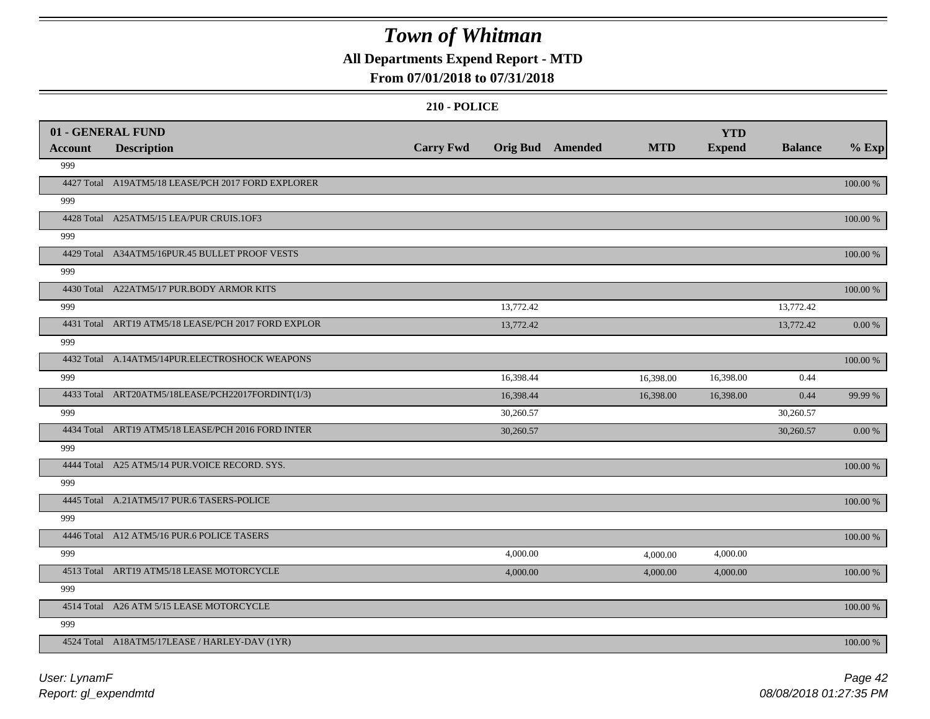### **All Departments Expend Report - MTD**

### **From 07/01/2018 to 07/31/2018**

|                | 01 - GENERAL FUND                                   |                  |                  |            | <b>YTD</b>    |                |          |
|----------------|-----------------------------------------------------|------------------|------------------|------------|---------------|----------------|----------|
| <b>Account</b> | <b>Description</b>                                  | <b>Carry Fwd</b> | Orig Bud Amended | <b>MTD</b> | <b>Expend</b> | <b>Balance</b> | $%$ Exp  |
| 999            |                                                     |                  |                  |            |               |                |          |
|                | 4427 Total A19ATM5/18 LEASE/PCH 2017 FORD EXPLORER  |                  |                  |            |               |                | 100.00 % |
| 999            |                                                     |                  |                  |            |               |                |          |
|                | 4428 Total A25ATM5/15 LEA/PUR CRUIS.1OF3            |                  |                  |            |               |                | 100.00 % |
| 999            |                                                     |                  |                  |            |               |                |          |
|                | 4429 Total A34ATM5/16PUR.45 BULLET PROOF VESTS      |                  |                  |            |               |                | 100.00 % |
| 999            |                                                     |                  |                  |            |               |                |          |
|                | 4430 Total A22ATM5/17 PUR.BODY ARMOR KITS           |                  |                  |            |               |                | 100.00 % |
| 999            |                                                     |                  | 13,772.42        |            |               | 13,772.42      |          |
|                | 4431 Total ART19 ATM5/18 LEASE/PCH 2017 FORD EXPLOR |                  | 13,772.42        |            |               | 13,772.42      | 0.00 %   |
| 999            |                                                     |                  |                  |            |               |                |          |
|                | 4432 Total A.14ATM5/14PUR.ELECTROSHOCK WEAPONS      |                  |                  |            |               |                | 100.00 % |
| 999            |                                                     |                  | 16,398.44        | 16,398.00  | 16,398.00     | 0.44           |          |
|                | 4433 Total ART20ATM5/18LEASE/PCH22017FORDINT(1/3)   |                  | 16,398.44        | 16,398.00  | 16,398.00     | 0.44           | 99.99 %  |
| 999            |                                                     |                  | 30,260.57        |            |               | 30,260.57      |          |
|                | 4434 Total ART19 ATM5/18 LEASE/PCH 2016 FORD INTER  |                  | 30,260.57        |            |               | 30,260.57      | 0.00 %   |
| 999            |                                                     |                  |                  |            |               |                |          |
|                | 4444 Total A25 ATM5/14 PUR. VOICE RECORD. SYS.      |                  |                  |            |               |                | 100.00 % |
| 999            |                                                     |                  |                  |            |               |                |          |
|                | 4445 Total A.21ATM5/17 PUR.6 TASERS-POLICE          |                  |                  |            |               |                | 100.00 % |
| 999            |                                                     |                  |                  |            |               |                |          |
|                | 4446 Total A12 ATM5/16 PUR.6 POLICE TASERS          |                  |                  |            |               |                | 100.00 % |
| 999            |                                                     |                  | 4,000.00         | 4,000.00   | 4,000.00      |                |          |
|                | 4513 Total ART19 ATM5/18 LEASE MOTORCYCLE           |                  | 4,000.00         | 4,000.00   | 4,000.00      |                | 100.00 % |
| 999            |                                                     |                  |                  |            |               |                |          |
|                | 4514 Total A26 ATM 5/15 LEASE MOTORCYCLE            |                  |                  |            |               |                | 100.00 % |
| 999            |                                                     |                  |                  |            |               |                |          |
|                | 4524 Total A18ATM5/17LEASE / HARLEY-DAV (1YR)       |                  |                  |            |               |                | 100.00 % |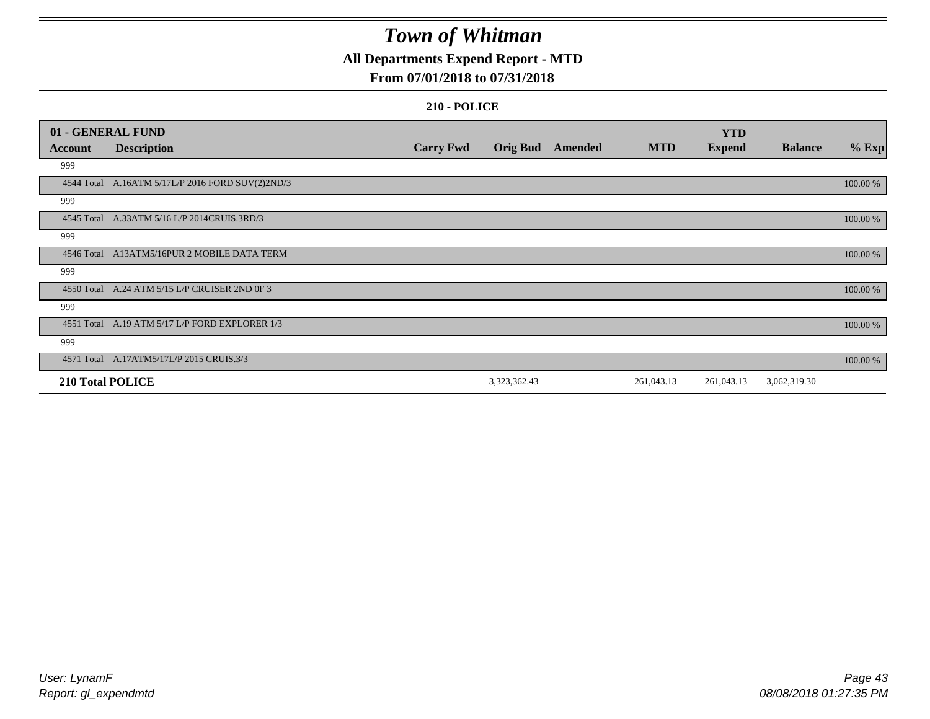### **All Departments Expend Report - MTD**

### **From 07/01/2018 to 07/31/2018**

|                         | 01 - GENERAL FUND                                |                  |                 |         |            | <b>YTD</b>    |                |          |
|-------------------------|--------------------------------------------------|------------------|-----------------|---------|------------|---------------|----------------|----------|
| <b>Account</b>          | <b>Description</b>                               | <b>Carry Fwd</b> | <b>Orig Bud</b> | Amended | <b>MTD</b> | <b>Expend</b> | <b>Balance</b> | $%$ Exp  |
| 999                     |                                                  |                  |                 |         |            |               |                |          |
|                         | 4544 Total A.16ATM 5/17L/P 2016 FORD SUV(2)2ND/3 |                  |                 |         |            |               |                | 100.00 % |
| 999                     |                                                  |                  |                 |         |            |               |                |          |
|                         | 4545 Total A.33ATM 5/16 L/P 2014CRUIS.3RD/3      |                  |                 |         |            |               |                | 100.00 % |
| 999                     |                                                  |                  |                 |         |            |               |                |          |
|                         | 4546 Total A13ATM5/16PUR 2 MOBILE DATA TERM      |                  |                 |         |            |               |                | 100.00 % |
| 999                     |                                                  |                  |                 |         |            |               |                |          |
|                         | 4550 Total A.24 ATM 5/15 L/P CRUISER 2ND 0F 3    |                  |                 |         |            |               |                | 100.00 % |
| 999                     |                                                  |                  |                 |         |            |               |                |          |
|                         | 4551 Total A.19 ATM 5/17 L/P FORD EXPLORER 1/3   |                  |                 |         |            |               |                | 100.00 % |
| 999                     |                                                  |                  |                 |         |            |               |                |          |
|                         | 4571 Total A.17ATM5/17L/P 2015 CRUIS.3/3         |                  |                 |         |            |               |                | 100.00 % |
| <b>210 Total POLICE</b> |                                                  |                  | 3,323,362.43    |         | 261,043.13 | 261,043.13    | 3,062,319.30   |          |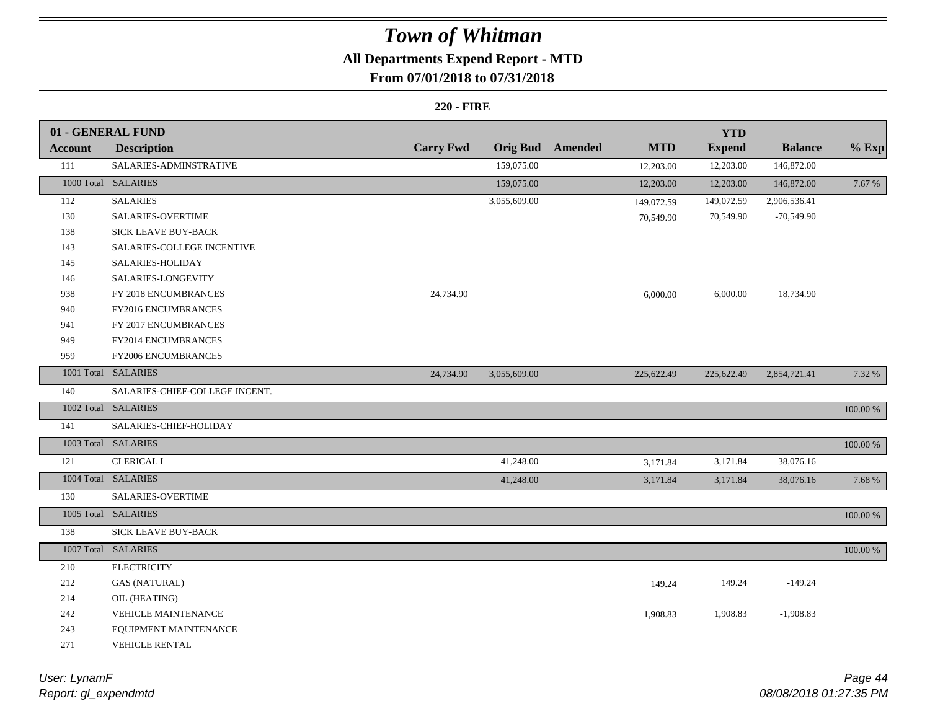## **All Departments Expend Report - MTD**

### **From 07/01/2018 to 07/31/2018**

#### **220 - FIRE**

|                | 01 - GENERAL FUND              |                  |                 |         |            | <b>YTD</b>    |                |          |
|----------------|--------------------------------|------------------|-----------------|---------|------------|---------------|----------------|----------|
| <b>Account</b> | <b>Description</b>             | <b>Carry Fwd</b> | <b>Orig Bud</b> | Amended | <b>MTD</b> | <b>Expend</b> | <b>Balance</b> | $%$ Exp  |
| 111            | SALARIES-ADMINSTRATIVE         |                  | 159,075.00      |         | 12,203.00  | 12,203.00     | 146,872.00     |          |
|                | 1000 Total SALARIES            |                  | 159,075.00      |         | 12,203.00  | 12,203.00     | 146,872.00     | 7.67 %   |
| 112            | <b>SALARIES</b>                |                  | 3,055,609.00    |         | 149,072.59 | 149,072.59    | 2,906,536.41   |          |
| 130            | SALARIES-OVERTIME              |                  |                 |         | 70,549.90  | 70,549.90     | $-70,549.90$   |          |
| 138            | SICK LEAVE BUY-BACK            |                  |                 |         |            |               |                |          |
| 143            | SALARIES-COLLEGE INCENTIVE     |                  |                 |         |            |               |                |          |
| 145            | SALARIES-HOLIDAY               |                  |                 |         |            |               |                |          |
| 146            | SALARIES-LONGEVITY             |                  |                 |         |            |               |                |          |
| 938            | FY 2018 ENCUMBRANCES           | 24,734.90        |                 |         | 6,000.00   | 6,000.00      | 18,734.90      |          |
| 940            | FY2016 ENCUMBRANCES            |                  |                 |         |            |               |                |          |
| 941            | FY 2017 ENCUMBRANCES           |                  |                 |         |            |               |                |          |
| 949            | FY2014 ENCUMBRANCES            |                  |                 |         |            |               |                |          |
| 959            | FY2006 ENCUMBRANCES            |                  |                 |         |            |               |                |          |
|                | 1001 Total SALARIES            | 24,734.90        | 3,055,609.00    |         | 225,622.49 | 225,622.49    | 2,854,721.41   | 7.32 %   |
| 140            | SALARIES-CHIEF-COLLEGE INCENT. |                  |                 |         |            |               |                |          |
|                | 1002 Total SALARIES            |                  |                 |         |            |               |                | 100.00 % |
| 141            | SALARIES-CHIEF-HOLIDAY         |                  |                 |         |            |               |                |          |
|                | 1003 Total SALARIES            |                  |                 |         |            |               |                | 100.00 % |
| 121            | <b>CLERICAL I</b>              |                  | 41,248.00       |         | 3,171.84   | 3,171.84      | 38,076.16      |          |
|                | 1004 Total SALARIES            |                  | 41,248.00       |         | 3,171.84   | 3,171.84      | 38,076.16      | 7.68 %   |
| 130            | SALARIES-OVERTIME              |                  |                 |         |            |               |                |          |
|                | 1005 Total SALARIES            |                  |                 |         |            |               |                | 100.00 % |
| 138            | <b>SICK LEAVE BUY-BACK</b>     |                  |                 |         |            |               |                |          |
|                | 1007 Total SALARIES            |                  |                 |         |            |               |                | 100.00 % |
| 210            | <b>ELECTRICITY</b>             |                  |                 |         |            |               |                |          |
| 212            | <b>GAS (NATURAL)</b>           |                  |                 |         | 149.24     | 149.24        | $-149.24$      |          |
| 214            | OIL (HEATING)                  |                  |                 |         |            |               |                |          |
| 242            | <b>VEHICLE MAINTENANCE</b>     |                  |                 |         | 1,908.83   | 1,908.83      | $-1,908.83$    |          |
| 243            | EQUIPMENT MAINTENANCE          |                  |                 |         |            |               |                |          |
| 271            | VEHICLE RENTAL                 |                  |                 |         |            |               |                |          |

*Report: gl\_expendmtd User: LynamF*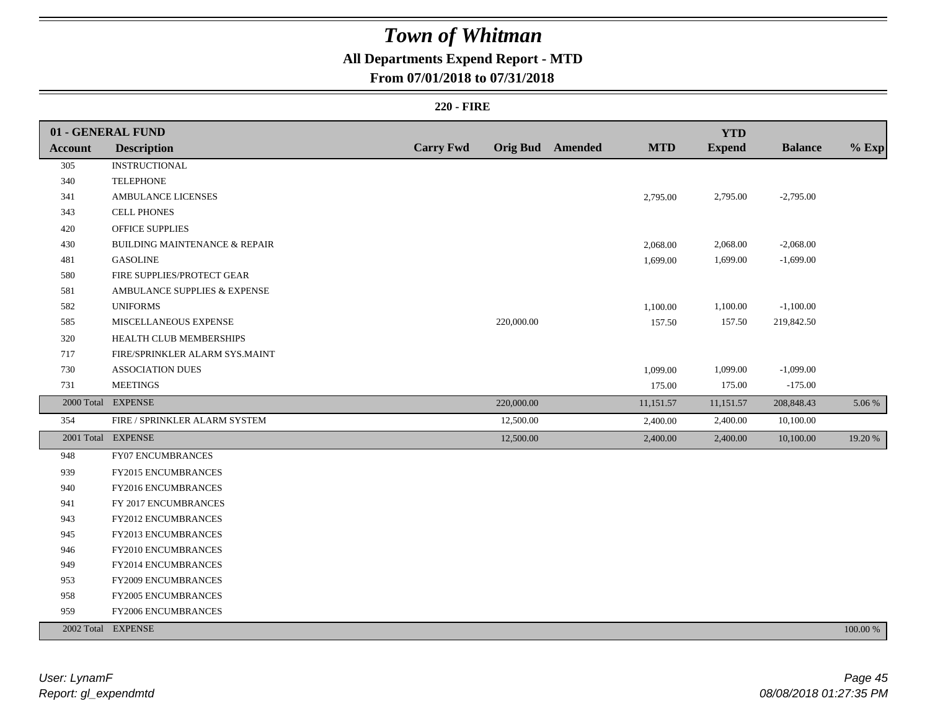### **All Departments Expend Report - MTD**

### **From 07/01/2018 to 07/31/2018**

#### **220 - FIRE**

|         | 01 - GENERAL FUND                        |                  |            |                         |            | <b>YTD</b>    |                |          |
|---------|------------------------------------------|------------------|------------|-------------------------|------------|---------------|----------------|----------|
| Account | <b>Description</b>                       | <b>Carry Fwd</b> |            | <b>Orig Bud</b> Amended | <b>MTD</b> | <b>Expend</b> | <b>Balance</b> | $%$ Exp  |
| 305     | <b>INSTRUCTIONAL</b>                     |                  |            |                         |            |               |                |          |
| 340     | <b>TELEPHONE</b>                         |                  |            |                         |            |               |                |          |
| 341     | <b>AMBULANCE LICENSES</b>                |                  |            |                         | 2,795.00   | 2,795.00      | $-2,795.00$    |          |
| 343     | <b>CELL PHONES</b>                       |                  |            |                         |            |               |                |          |
| 420     | <b>OFFICE SUPPLIES</b>                   |                  |            |                         |            |               |                |          |
| 430     | <b>BUILDING MAINTENANCE &amp; REPAIR</b> |                  |            |                         | 2,068.00   | 2,068.00      | $-2,068.00$    |          |
| 481     | <b>GASOLINE</b>                          |                  |            |                         | 1,699.00   | 1,699.00      | $-1,699.00$    |          |
| 580     | FIRE SUPPLIES/PROTECT GEAR               |                  |            |                         |            |               |                |          |
| 581     | AMBULANCE SUPPLIES & EXPENSE             |                  |            |                         |            |               |                |          |
| 582     | <b>UNIFORMS</b>                          |                  |            |                         | 1,100.00   | 1,100.00      | $-1,100.00$    |          |
| 585     | MISCELLANEOUS EXPENSE                    |                  | 220,000.00 |                         | 157.50     | 157.50        | 219,842.50     |          |
| 320     | HEALTH CLUB MEMBERSHIPS                  |                  |            |                         |            |               |                |          |
| 717     | FIRE/SPRINKLER ALARM SYS.MAINT           |                  |            |                         |            |               |                |          |
| 730     | <b>ASSOCIATION DUES</b>                  |                  |            |                         | 1,099.00   | 1,099.00      | $-1,099.00$    |          |
| 731     | <b>MEETINGS</b>                          |                  |            |                         | 175.00     | 175.00        | $-175.00$      |          |
|         | 2000 Total EXPENSE                       |                  | 220,000.00 |                         | 11,151.57  | 11,151.57     | 208,848.43     | 5.06 %   |
| 354     | FIRE / SPRINKLER ALARM SYSTEM            |                  | 12,500.00  |                         | 2,400.00   | 2,400.00      | 10,100.00      |          |
|         | 2001 Total EXPENSE                       |                  | 12,500.00  |                         | 2,400.00   | 2,400.00      | 10,100.00      | 19.20 %  |
| 948     | <b>FY07 ENCUMBRANCES</b>                 |                  |            |                         |            |               |                |          |
| 939     | <b>FY2015 ENCUMBRANCES</b>               |                  |            |                         |            |               |                |          |
| 940     | FY2016 ENCUMBRANCES                      |                  |            |                         |            |               |                |          |
| 941     | FY 2017 ENCUMBRANCES                     |                  |            |                         |            |               |                |          |
| 943     | FY2012 ENCUMBRANCES                      |                  |            |                         |            |               |                |          |
| 945     | FY2013 ENCUMBRANCES                      |                  |            |                         |            |               |                |          |
| 946     | FY2010 ENCUMBRANCES                      |                  |            |                         |            |               |                |          |
| 949     | FY2014 ENCUMBRANCES                      |                  |            |                         |            |               |                |          |
| 953     | <b>FY2009 ENCUMBRANCES</b>               |                  |            |                         |            |               |                |          |
| 958     | FY2005 ENCUMBRANCES                      |                  |            |                         |            |               |                |          |
| 959     | FY2006 ENCUMBRANCES                      |                  |            |                         |            |               |                |          |
|         | 2002 Total EXPENSE                       |                  |            |                         |            |               |                | 100.00 % |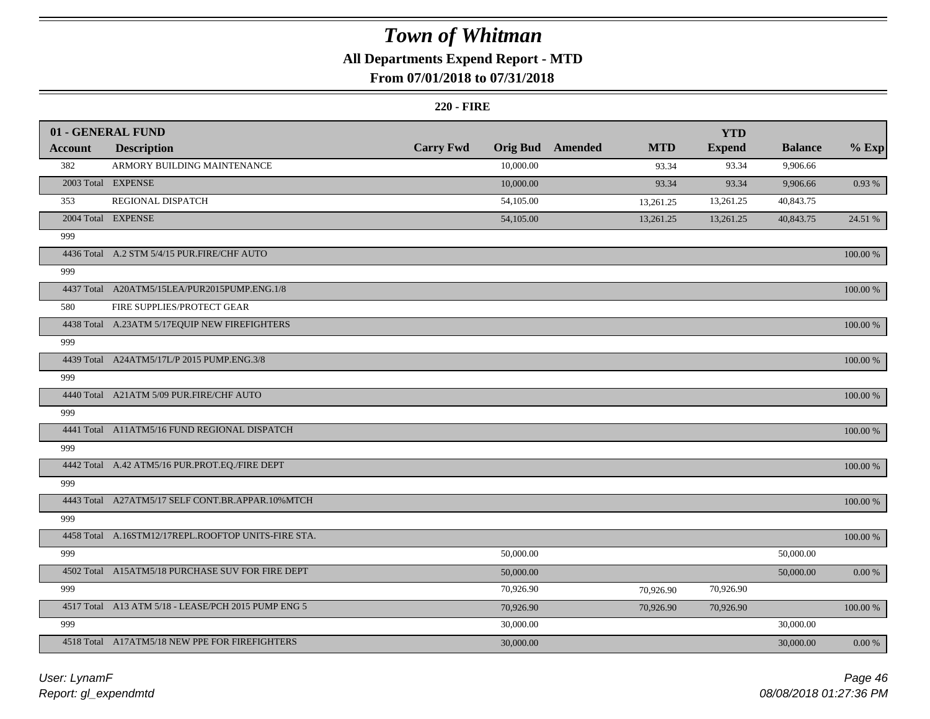### **All Departments Expend Report - MTD**

### **From 07/01/2018 to 07/31/2018**

#### **220 - FIRE**

|                | 01 - GENERAL FUND                                   |                  |                 |         |            | <b>YTD</b>    |                |             |
|----------------|-----------------------------------------------------|------------------|-----------------|---------|------------|---------------|----------------|-------------|
| <b>Account</b> | <b>Description</b>                                  | <b>Carry Fwd</b> | <b>Orig Bud</b> | Amended | <b>MTD</b> | <b>Expend</b> | <b>Balance</b> | $%$ Exp     |
| 382            | ARMORY BUILDING MAINTENANCE                         |                  | 10,000.00       |         | 93.34      | 93.34         | 9,906.66       |             |
|                | 2003 Total EXPENSE                                  |                  | 10,000.00       |         | 93.34      | 93.34         | 9,906.66       | 0.93 %      |
| 353            | REGIONAL DISPATCH                                   |                  | 54,105.00       |         | 13,261.25  | 13,261.25     | 40,843.75      |             |
|                | 2004 Total EXPENSE                                  |                  | 54,105.00       |         | 13,261.25  | 13,261.25     | 40,843.75      | 24.51 %     |
| 999            |                                                     |                  |                 |         |            |               |                |             |
|                | 4436 Total A.2 STM 5/4/15 PUR.FIRE/CHF AUTO         |                  |                 |         |            |               |                | 100.00 %    |
| 999            |                                                     |                  |                 |         |            |               |                |             |
|                | 4437 Total A20ATM5/15LEA/PUR2015PUMP.ENG.1/8        |                  |                 |         |            |               |                | 100.00 %    |
| 580            | FIRE SUPPLIES/PROTECT GEAR                          |                  |                 |         |            |               |                |             |
|                | 4438 Total A.23ATM 5/17EQUIP NEW FIREFIGHTERS       |                  |                 |         |            |               |                | 100.00 %    |
| 999            |                                                     |                  |                 |         |            |               |                |             |
|                | 4439 Total A24ATM5/17L/P 2015 PUMP.ENG.3/8          |                  |                 |         |            |               |                | $100.00~\%$ |
| 999            |                                                     |                  |                 |         |            |               |                |             |
|                | 4440 Total A21ATM 5/09 PUR.FIRE/CHF AUTO            |                  |                 |         |            |               |                | 100.00 %    |
| 999            |                                                     |                  |                 |         |            |               |                |             |
|                | 4441 Total A11ATM5/16 FUND REGIONAL DISPATCH        |                  |                 |         |            |               |                | 100.00 %    |
| 999            |                                                     |                  |                 |         |            |               |                |             |
|                | 4442 Total A.42 ATM5/16 PUR.PROT.EQ./FIRE DEPT      |                  |                 |         |            |               |                | 100.00 %    |
| 999            |                                                     |                  |                 |         |            |               |                |             |
|                | 4443 Total A27ATM5/17 SELF CONT.BR.APPAR.10%MTCH    |                  |                 |         |            |               |                | 100.00 %    |
| 999            |                                                     |                  |                 |         |            |               |                |             |
|                | 4458 Total A.16STM12/17REPL.ROOFTOP UNITS-FIRE STA. |                  |                 |         |            |               |                | 100.00 %    |
| 999            |                                                     |                  | 50,000.00       |         |            |               | 50,000.00      |             |
|                | 4502 Total A15ATM5/18 PURCHASE SUV FOR FIRE DEPT    |                  | 50,000.00       |         |            |               | 50,000.00      | $0.00\ \%$  |
| 999            |                                                     |                  | 70,926.90       |         | 70,926.90  | 70,926.90     |                |             |
|                | 4517 Total A13 ATM 5/18 - LEASE/PCH 2015 PUMP ENG 5 |                  | 70,926.90       |         | 70,926.90  | 70,926.90     |                | 100.00 %    |
| 999            |                                                     |                  | 30,000.00       |         |            |               | 30,000.00      |             |
|                | 4518 Total A17ATM5/18 NEW PPE FOR FIREFIGHTERS      |                  | 30,000.00       |         |            |               | 30,000.00      | 0.00 %      |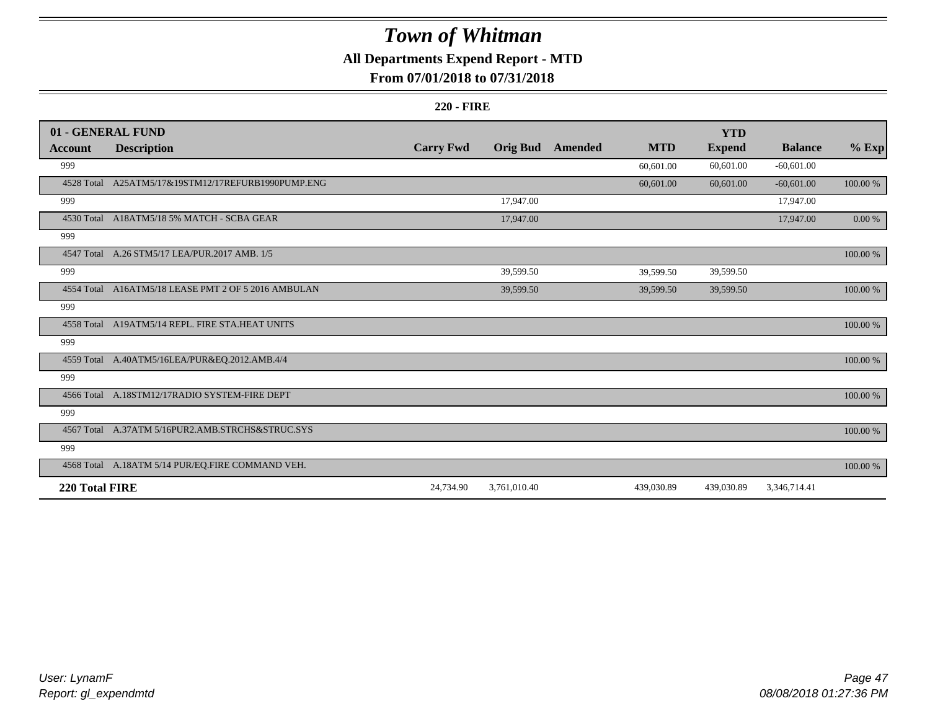### **All Departments Expend Report - MTD**

### **From 07/01/2018 to 07/31/2018**

#### **220 - FIRE**

|                | 01 - GENERAL FUND                                   |                  |                 |         |            | <b>YTD</b>    |                |             |
|----------------|-----------------------------------------------------|------------------|-----------------|---------|------------|---------------|----------------|-------------|
| <b>Account</b> | <b>Description</b>                                  | <b>Carry Fwd</b> | <b>Orig Bud</b> | Amended | <b>MTD</b> | <b>Expend</b> | <b>Balance</b> | $%$ Exp     |
| 999            |                                                     |                  |                 |         | 60,601.00  | 60,601.00     | $-60,601.00$   |             |
|                | 4528 Total A25ATM5/17&19STM12/17REFURB1990PUMP.ENG  |                  |                 |         | 60,601.00  | 60,601.00     | $-60,601.00$   | $100.00~\%$ |
| 999            |                                                     |                  | 17,947.00       |         |            |               | 17,947.00      |             |
|                | 4530 Total A18ATM5/18 5% MATCH - SCBA GEAR          |                  | 17,947.00       |         |            |               | 17,947.00      | $0.00 \%$   |
| 999            |                                                     |                  |                 |         |            |               |                |             |
|                | 4547 Total A.26 STM5/17 LEA/PUR.2017 AMB. 1/5       |                  |                 |         |            |               |                | 100.00 %    |
| 999            |                                                     |                  | 39,599.50       |         | 39,599.50  | 39,599.50     |                |             |
|                | 4554 Total A16ATM5/18 LEASE PMT 2 OF 5 2016 AMBULAN |                  | 39,599.50       |         | 39,599.50  | 39,599.50     |                | 100.00 %    |
| 999            |                                                     |                  |                 |         |            |               |                |             |
|                | 4558 Total A19ATM5/14 REPL. FIRE STA.HEAT UNITS     |                  |                 |         |            |               |                | 100.00 %    |
| 999            |                                                     |                  |                 |         |            |               |                |             |
|                | 4559 Total A.40ATM5/16LEA/PUR&EQ.2012.AMB.4/4       |                  |                 |         |            |               |                | 100.00 %    |
| 999            |                                                     |                  |                 |         |            |               |                |             |
|                | 4566 Total A.18STM12/17RADIO SYSTEM-FIRE DEPT       |                  |                 |         |            |               |                | 100.00 %    |
| 999            |                                                     |                  |                 |         |            |               |                |             |
|                | 4567 Total A.37ATM 5/16PUR2.AMB.STRCHS&STRUC.SYS    |                  |                 |         |            |               |                | 100.00 %    |
| 999            |                                                     |                  |                 |         |            |               |                |             |
|                | 4568 Total A.18ATM 5/14 PUR/EQ.FIRE COMMAND VEH.    |                  |                 |         |            |               |                | 100.00 %    |
| 220 Total FIRE |                                                     | 24,734.90        | 3,761,010.40    |         | 439,030.89 | 439,030.89    | 3,346,714.41   |             |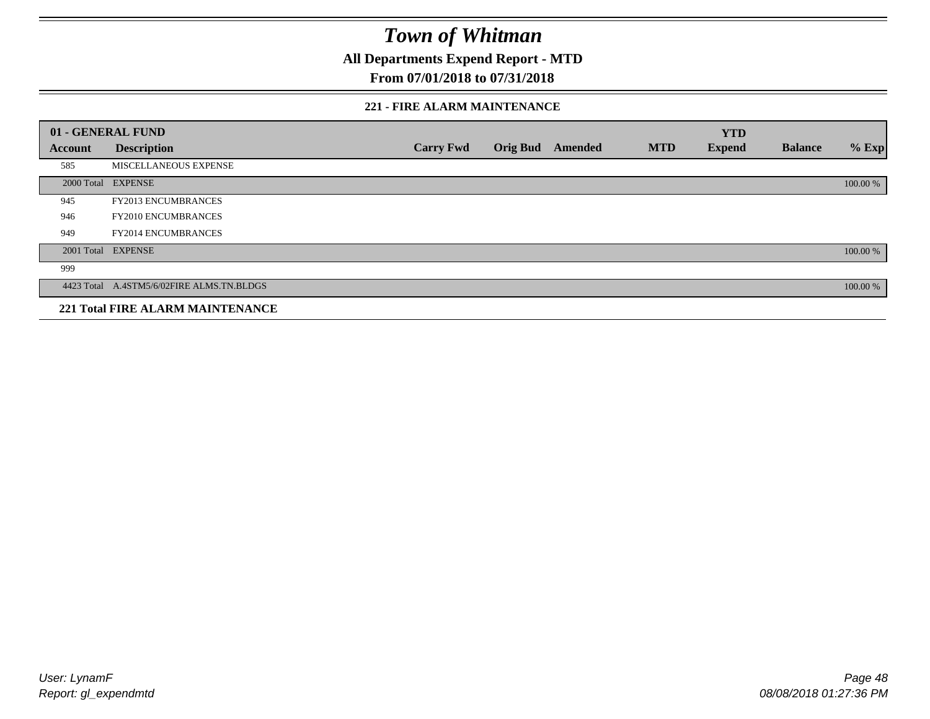**All Departments Expend Report - MTD**

### **From 07/01/2018 to 07/31/2018**

#### **221 - FIRE ALARM MAINTENANCE**

|         | 01 - GENERAL FUND                         |                  |                 |         |            | <b>YTD</b>    |                |          |
|---------|-------------------------------------------|------------------|-----------------|---------|------------|---------------|----------------|----------|
| Account | <b>Description</b>                        | <b>Carry Fwd</b> | <b>Orig Bud</b> | Amended | <b>MTD</b> | <b>Expend</b> | <b>Balance</b> | $%$ Exp  |
| 585     | MISCELLANEOUS EXPENSE                     |                  |                 |         |            |               |                |          |
|         | 2000 Total EXPENSE                        |                  |                 |         |            |               |                | 100.00 % |
| 945     | <b>FY2013 ENCUMBRANCES</b>                |                  |                 |         |            |               |                |          |
| 946     | <b>FY2010 ENCUMBRANCES</b>                |                  |                 |         |            |               |                |          |
| 949     | <b>FY2014 ENCUMBRANCES</b>                |                  |                 |         |            |               |                |          |
|         | 2001 Total EXPENSE                        |                  |                 |         |            |               |                | 100.00 % |
| 999     |                                           |                  |                 |         |            |               |                |          |
|         | 4423 Total A.4STM5/6/02FIRE ALMS.TN.BLDGS |                  |                 |         |            |               |                | 100.00 % |
|         | <b>221 Total FIRE ALARM MAINTENANCE</b>   |                  |                 |         |            |               |                |          |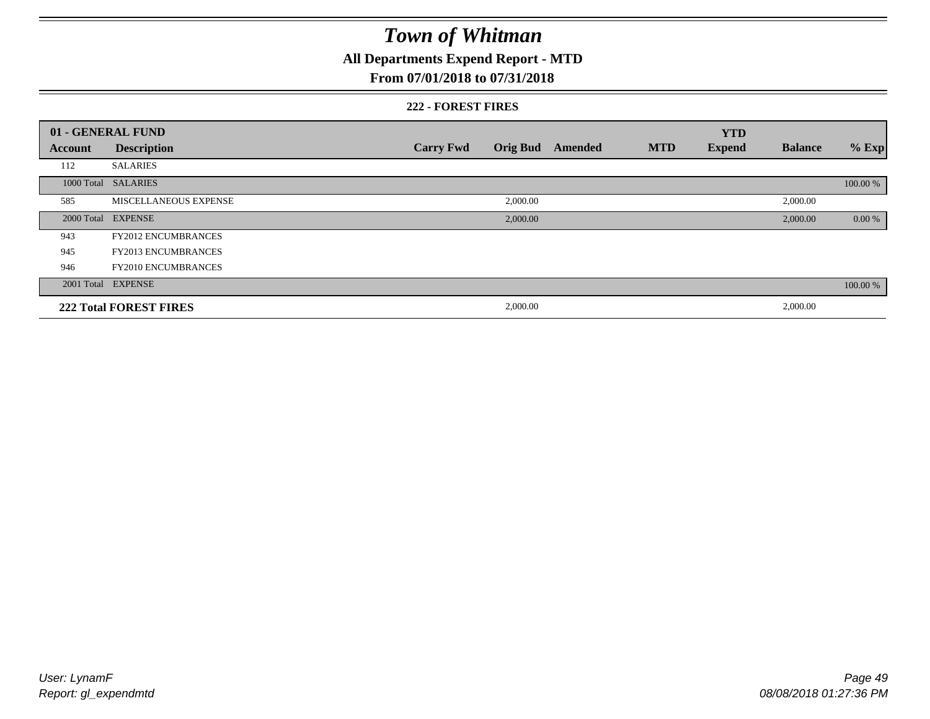**All Departments Expend Report - MTD**

### **From 07/01/2018 to 07/31/2018**

#### **222 - FOREST FIRES**

|         | 01 - GENERAL FUND             |                  |                 |         |            | <b>YTD</b>    |                |          |
|---------|-------------------------------|------------------|-----------------|---------|------------|---------------|----------------|----------|
| Account | <b>Description</b>            | <b>Carry Fwd</b> | <b>Orig Bud</b> | Amended | <b>MTD</b> | <b>Expend</b> | <b>Balance</b> | $%$ Exp  |
| 112     | <b>SALARIES</b>               |                  |                 |         |            |               |                |          |
|         | 1000 Total SALARIES           |                  |                 |         |            |               |                | 100.00 % |
| 585     | <b>MISCELLANEOUS EXPENSE</b>  |                  | 2,000.00        |         |            |               | 2,000.00       |          |
|         | 2000 Total EXPENSE            |                  | 2,000.00        |         |            |               | 2,000.00       | 0.00 %   |
| 943     | <b>FY2012 ENCUMBRANCES</b>    |                  |                 |         |            |               |                |          |
| 945     | <b>FY2013 ENCUMBRANCES</b>    |                  |                 |         |            |               |                |          |
| 946     | <b>FY2010 ENCUMBRANCES</b>    |                  |                 |         |            |               |                |          |
|         | 2001 Total EXPENSE            |                  |                 |         |            |               |                | 100.00 % |
|         | <b>222 Total FOREST FIRES</b> |                  | 2,000.00        |         |            |               | 2,000.00       |          |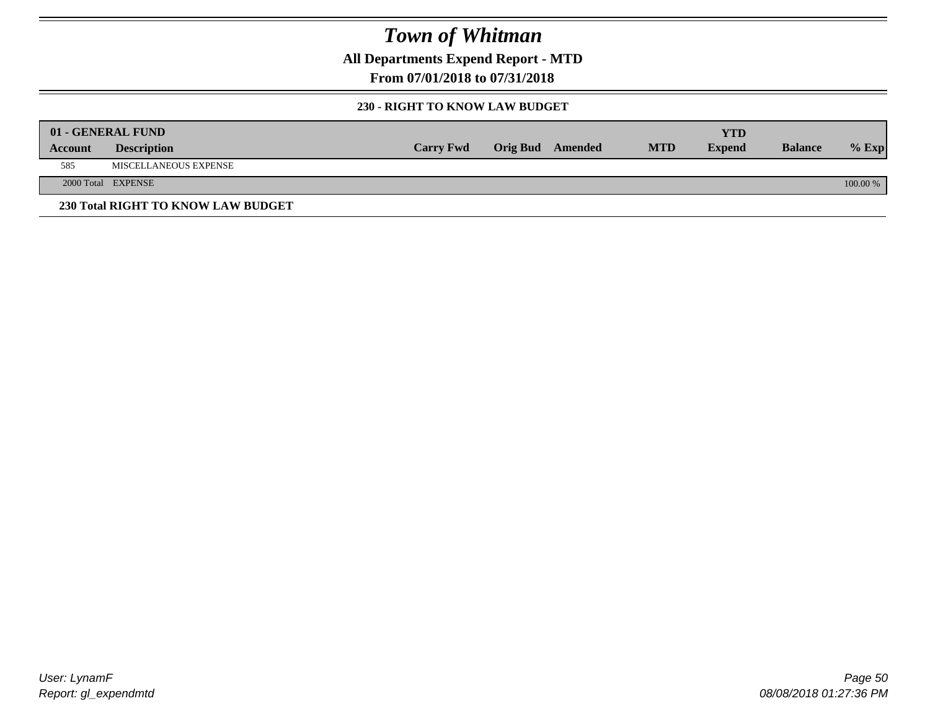**All Departments Expend Report - MTD**

**From 07/01/2018 to 07/31/2018**

#### **230 - RIGHT TO KNOW LAW BUDGET**

|         | 01 - GENERAL FUND                  |                  |                         |            | <b>YTD</b>    |                |          |
|---------|------------------------------------|------------------|-------------------------|------------|---------------|----------------|----------|
| Account | <b>Description</b>                 | <b>Carry Fwd</b> | <b>Orig Bud</b> Amended | <b>MTD</b> | <b>Expend</b> | <b>Balance</b> | $%$ Exp  |
| 585     | MISCELLANEOUS EXPENSE              |                  |                         |            |               |                |          |
|         | 2000 Total EXPENSE                 |                  |                         |            |               |                | 100.00 % |
|         | 230 Total RIGHT TO KNOW LAW BUDGET |                  |                         |            |               |                |          |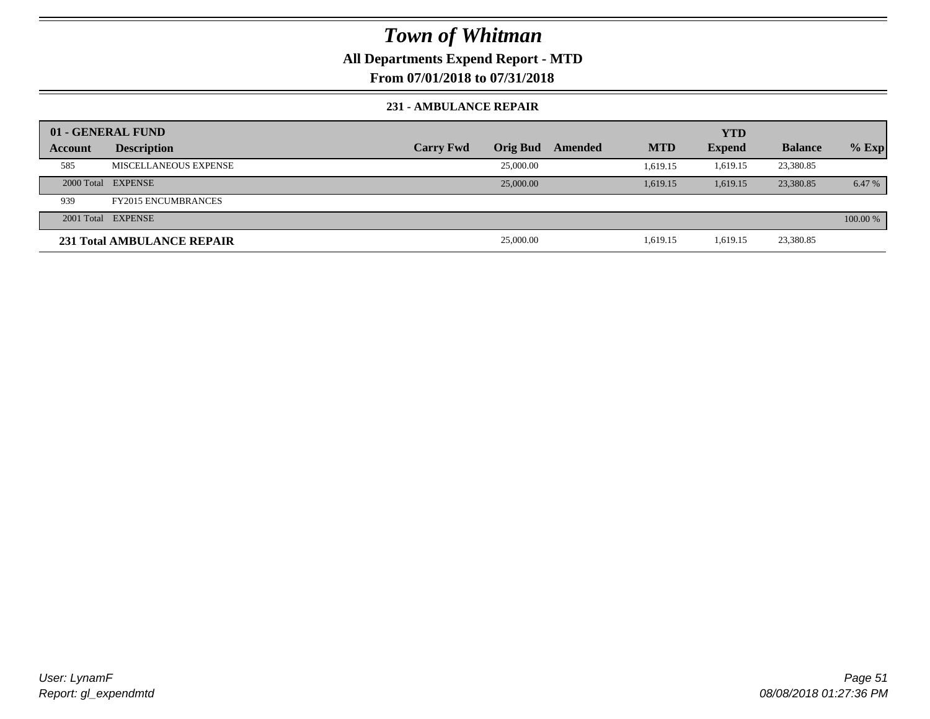### **All Departments Expend Report - MTD**

### **From 07/01/2018 to 07/31/2018**

#### **231 - AMBULANCE REPAIR**

|         | 01 - GENERAL FUND                 |                  |                 |         |            | <b>YTD</b>    |                |          |
|---------|-----------------------------------|------------------|-----------------|---------|------------|---------------|----------------|----------|
| Account | <b>Description</b>                | <b>Carry Fwd</b> | <b>Orig Bud</b> | Amended | <b>MTD</b> | <b>Expend</b> | <b>Balance</b> | $%$ Exp  |
| 585     | MISCELLANEOUS EXPENSE             |                  | 25,000.00       |         | 1.619.15   | 1.619.15      | 23,380.85      |          |
|         | 2000 Total EXPENSE                |                  | 25,000.00       |         | 1.619.15   | 1.619.15      | 23,380.85      | 6.47 %   |
| 939     | <b>FY2015 ENCUMBRANCES</b>        |                  |                 |         |            |               |                |          |
|         | 2001 Total EXPENSE                |                  |                 |         |            |               |                | 100.00 % |
|         | <b>231 Total AMBULANCE REPAIR</b> |                  | 25,000.00       |         | 1,619.15   | 1,619.15      | 23,380.85      |          |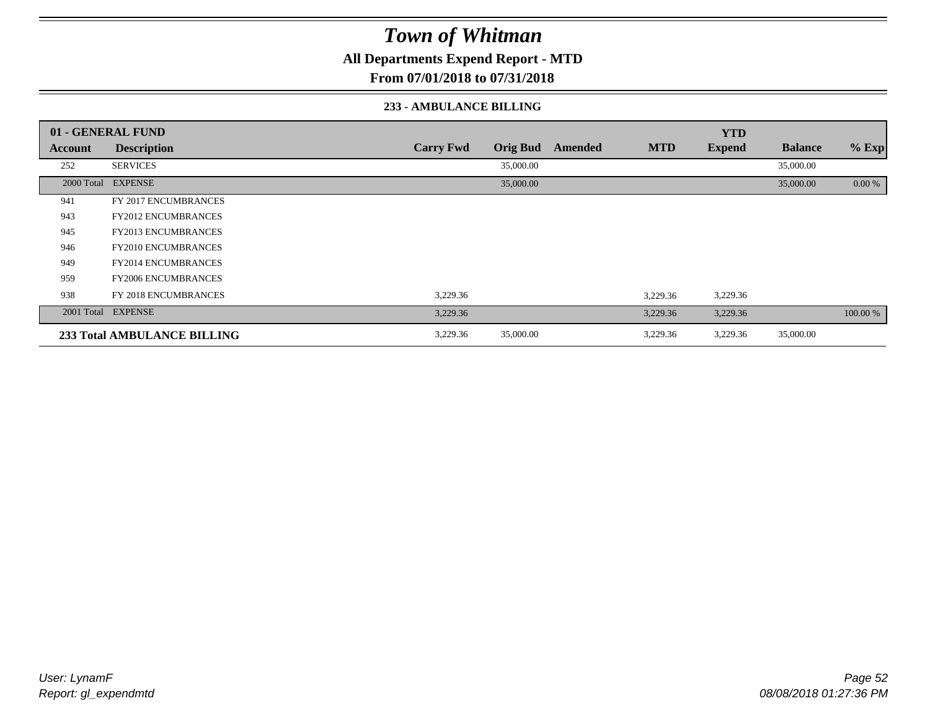**All Departments Expend Report - MTD**

**From 07/01/2018 to 07/31/2018**

#### **233 - AMBULANCE BILLING**

|         | 01 - GENERAL FUND                  |                  |                 |         |            | <b>YTD</b>    |                |          |
|---------|------------------------------------|------------------|-----------------|---------|------------|---------------|----------------|----------|
| Account | <b>Description</b>                 | <b>Carry Fwd</b> | <b>Orig Bud</b> | Amended | <b>MTD</b> | <b>Expend</b> | <b>Balance</b> | $%$ Exp  |
| 252     | <b>SERVICES</b>                    |                  | 35,000.00       |         |            |               | 35,000.00      |          |
|         | 2000 Total EXPENSE                 |                  | 35,000.00       |         |            |               | 35,000.00      | 0.00 %   |
| 941     | FY 2017 ENCUMBRANCES               |                  |                 |         |            |               |                |          |
| 943     | <b>FY2012 ENCUMBRANCES</b>         |                  |                 |         |            |               |                |          |
| 945     | <b>FY2013 ENCUMBRANCES</b>         |                  |                 |         |            |               |                |          |
| 946     | <b>FY2010 ENCUMBRANCES</b>         |                  |                 |         |            |               |                |          |
| 949     | <b>FY2014 ENCUMBRANCES</b>         |                  |                 |         |            |               |                |          |
| 959     | <b>FY2006 ENCUMBRANCES</b>         |                  |                 |         |            |               |                |          |
| 938     | <b>FY 2018 ENCUMBRANCES</b>        | 3,229.36         |                 |         | 3,229.36   | 3,229.36      |                |          |
|         | 2001 Total EXPENSE                 | 3,229.36         |                 |         | 3,229.36   | 3,229.36      |                | 100.00 % |
|         | <b>233 Total AMBULANCE BILLING</b> | 3,229.36         | 35,000.00       |         | 3,229.36   | 3,229.36      | 35,000.00      |          |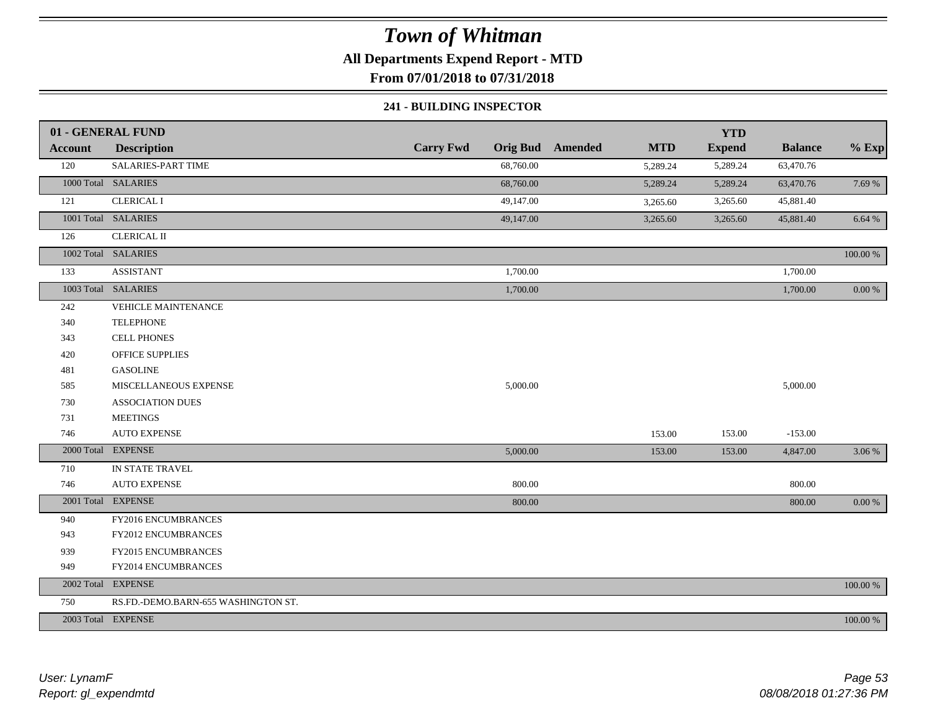### **All Departments Expend Report - MTD**

**From 07/01/2018 to 07/31/2018**

#### **241 - BUILDING INSPECTOR**

|                | 01 - GENERAL FUND                   |                  |                         |            | <b>YTD</b>    |                |             |
|----------------|-------------------------------------|------------------|-------------------------|------------|---------------|----------------|-------------|
| <b>Account</b> | <b>Description</b>                  | <b>Carry Fwd</b> | <b>Orig Bud</b> Amended | <b>MTD</b> | <b>Expend</b> | <b>Balance</b> | $%$ Exp     |
| 120            | <b>SALARIES-PART TIME</b>           | 68,760.00        |                         | 5,289.24   | 5,289.24      | 63,470.76      |             |
|                | 1000 Total SALARIES                 | 68,760.00        |                         | 5,289.24   | 5,289.24      | 63,470.76      | 7.69 %      |
| 121            | <b>CLERICAL I</b>                   | 49,147.00        |                         | 3,265.60   | 3,265.60      | 45,881.40      |             |
|                | 1001 Total SALARIES                 | 49,147.00        |                         | 3,265.60   | 3,265.60      | 45,881.40      | 6.64 %      |
| 126            | <b>CLERICAL II</b>                  |                  |                         |            |               |                |             |
|                | 1002 Total SALARIES                 |                  |                         |            |               |                | $100.00~\%$ |
| 133            | <b>ASSISTANT</b>                    | 1,700.00         |                         |            |               | 1,700.00       |             |
|                | 1003 Total SALARIES                 | 1,700.00         |                         |            |               | 1,700.00       | $0.00\ \%$  |
| 242            | <b>VEHICLE MAINTENANCE</b>          |                  |                         |            |               |                |             |
| 340            | <b>TELEPHONE</b>                    |                  |                         |            |               |                |             |
| 343            | CELL PHONES                         |                  |                         |            |               |                |             |
| 420            | <b>OFFICE SUPPLIES</b>              |                  |                         |            |               |                |             |
| 481            | <b>GASOLINE</b>                     |                  |                         |            |               |                |             |
| 585            | MISCELLANEOUS EXPENSE               | 5,000.00         |                         |            |               | 5,000.00       |             |
| 730            | <b>ASSOCIATION DUES</b>             |                  |                         |            |               |                |             |
| 731            | <b>MEETINGS</b>                     |                  |                         |            |               |                |             |
| 746            | <b>AUTO EXPENSE</b>                 |                  |                         | 153.00     | 153.00        | $-153.00$      |             |
|                | 2000 Total EXPENSE                  | 5,000.00         |                         | 153.00     | 153.00        | 4,847.00       | 3.06 %      |
| 710            | IN STATE TRAVEL                     |                  |                         |            |               |                |             |
| 746            | <b>AUTO EXPENSE</b>                 | 800.00           |                         |            |               | 800.00         |             |
|                | 2001 Total EXPENSE                  | 800.00           |                         |            |               | 800.00         | 0.00 %      |
| 940            | FY2016 ENCUMBRANCES                 |                  |                         |            |               |                |             |
| 943            | <b>FY2012 ENCUMBRANCES</b>          |                  |                         |            |               |                |             |
| 939            | FY2015 ENCUMBRANCES                 |                  |                         |            |               |                |             |
| 949            | FY2014 ENCUMBRANCES                 |                  |                         |            |               |                |             |
|                | 2002 Total EXPENSE                  |                  |                         |            |               |                | 100.00 %    |
| 750            | RS.FD.-DEMO.BARN-655 WASHINGTON ST. |                  |                         |            |               |                |             |
|                | 2003 Total EXPENSE                  |                  |                         |            |               |                | 100.00 %    |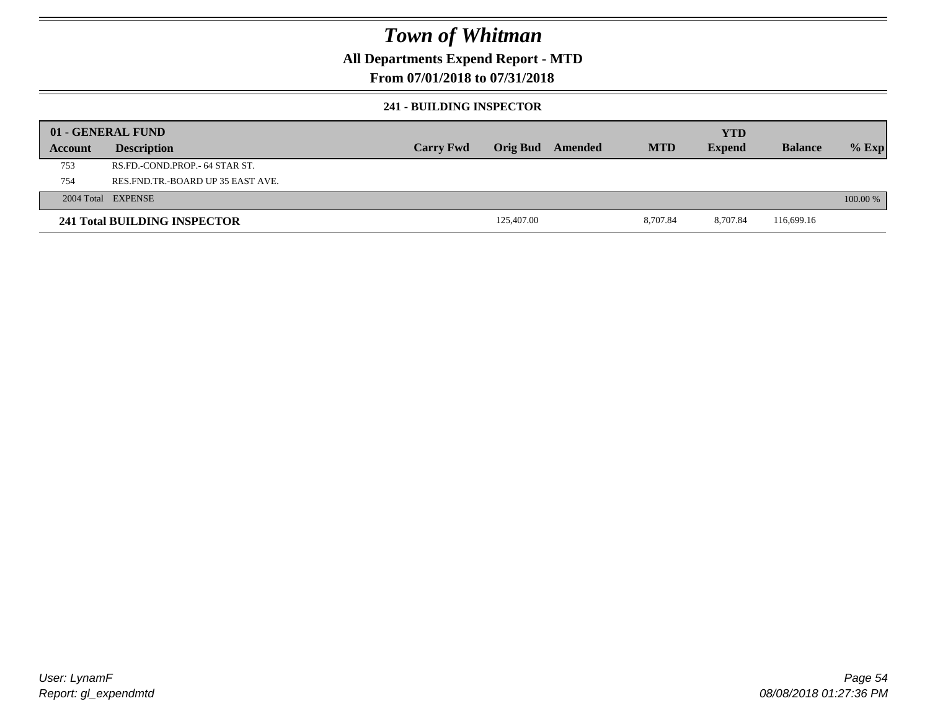### **All Departments Expend Report - MTD**

### **From 07/01/2018 to 07/31/2018**

#### **241 - BUILDING INSPECTOR**

|         | 01 - GENERAL FUND                 |                  |            |         |            | <b>YTD</b>    |                |          |
|---------|-----------------------------------|------------------|------------|---------|------------|---------------|----------------|----------|
| Account | <b>Description</b>                | <b>Carry Fwd</b> | Orig Bud   | Amended | <b>MTD</b> | <b>Expend</b> | <b>Balance</b> | $%$ Exp  |
| 753     | RS.FD.-COND.PROP.- 64 STAR ST.    |                  |            |         |            |               |                |          |
| 754     | RES.FND.TR.-BOARD UP 35 EAST AVE. |                  |            |         |            |               |                |          |
|         | 2004 Total EXPENSE                |                  |            |         |            |               |                | 100.00 % |
|         | 241 Total BUILDING INSPECTOR      |                  | 125,407.00 |         | 8,707.84   | 8.707.84      | 116,699.16     |          |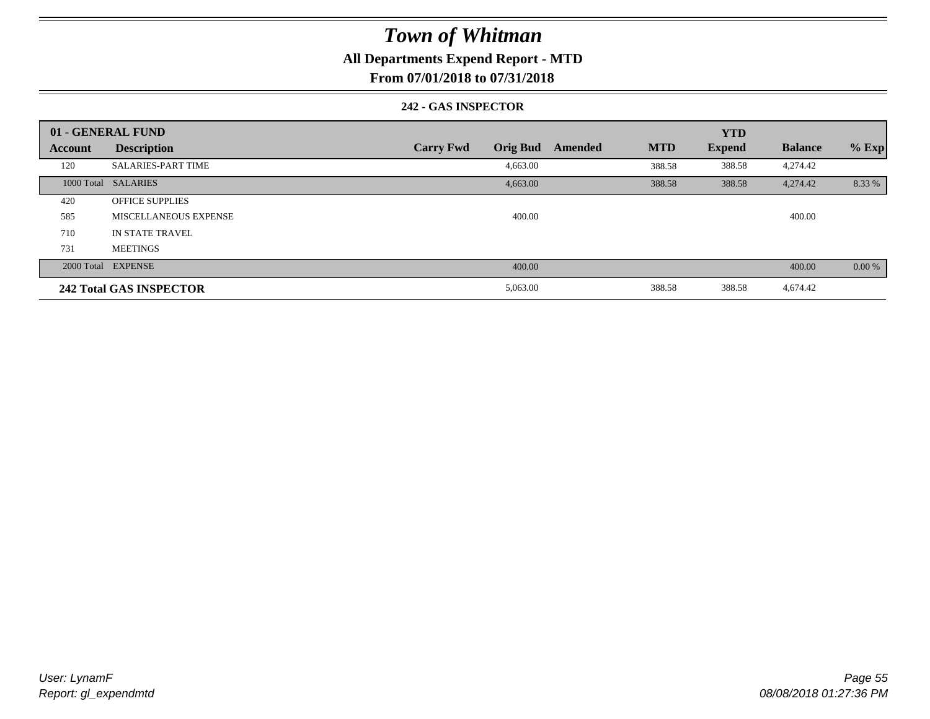### **All Departments Expend Report - MTD**

### **From 07/01/2018 to 07/31/2018**

#### **242 - GAS INSPECTOR**

|         | 01 - GENERAL FUND              |                                     |                       | <b>YTD</b>    |                |         |
|---------|--------------------------------|-------------------------------------|-----------------------|---------------|----------------|---------|
| Account | <b>Description</b>             | <b>Carry Fwd</b><br><b>Orig Bud</b> | <b>MTD</b><br>Amended | <b>Expend</b> | <b>Balance</b> | $%$ Exp |
| 120     | <b>SALARIES-PART TIME</b>      | 4,663.00                            | 388.58                | 388.58        | 4,274.42       |         |
|         | 1000 Total SALARIES            | 4,663.00                            | 388.58                | 388.58        | 4,274.42       | 8.33 %  |
| 420     | <b>OFFICE SUPPLIES</b>         |                                     |                       |               |                |         |
| 585     | MISCELLANEOUS EXPENSE          | 400.00                              |                       |               | 400.00         |         |
| 710     | IN STATE TRAVEL                |                                     |                       |               |                |         |
| 731     | <b>MEETINGS</b>                |                                     |                       |               |                |         |
|         | 2000 Total EXPENSE             | 400.00                              |                       |               | 400.00         | 0.00 %  |
|         | <b>242 Total GAS INSPECTOR</b> | 5,063.00                            | 388.58                | 388.58        | 4,674.42       |         |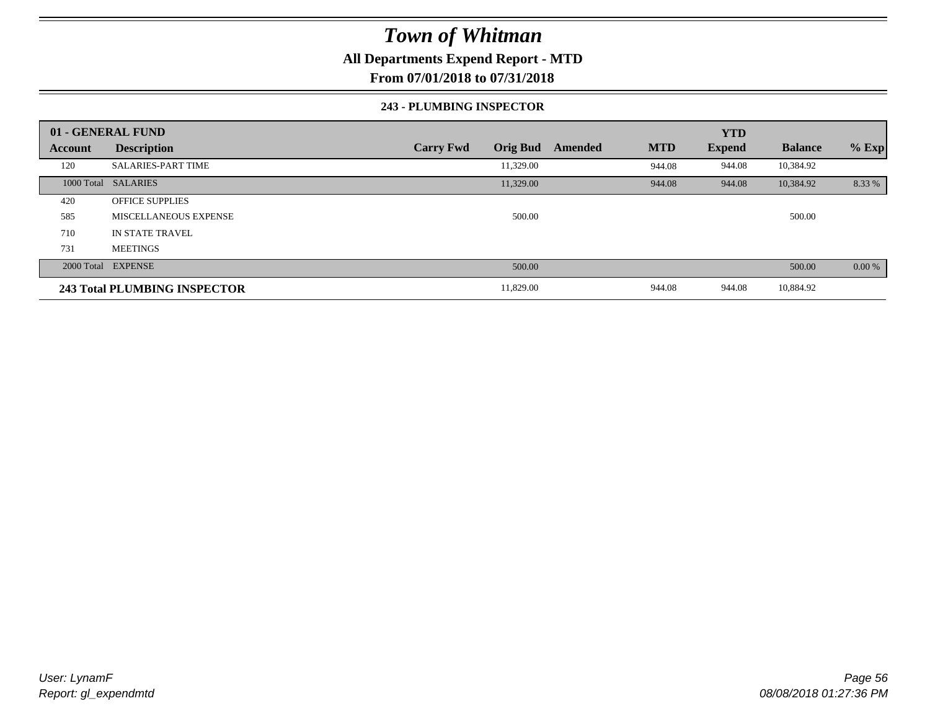### **All Departments Expend Report - MTD**

**From 07/01/2018 to 07/31/2018**

#### **243 - PLUMBING INSPECTOR**

|                | 01 - GENERAL FUND            |                                     |                       | <b>YTD</b>    |                |         |
|----------------|------------------------------|-------------------------------------|-----------------------|---------------|----------------|---------|
| <b>Account</b> | <b>Description</b>           | <b>Carry Fwd</b><br><b>Orig Bud</b> | <b>MTD</b><br>Amended | <b>Expend</b> | <b>Balance</b> | $%$ Exp |
| 120            | <b>SALARIES-PART TIME</b>    | 11,329.00                           | 944.08                | 944.08        | 10,384.92      |         |
|                | 1000 Total SALARIES          | 11,329.00                           | 944.08                | 944.08        | 10,384.92      | 8.33 %  |
| 420            | <b>OFFICE SUPPLIES</b>       |                                     |                       |               |                |         |
| 585            | MISCELLANEOUS EXPENSE        | 500.00                              |                       |               | 500.00         |         |
| 710            | IN STATE TRAVEL              |                                     |                       |               |                |         |
| 731            | <b>MEETINGS</b>              |                                     |                       |               |                |         |
|                | 2000 Total EXPENSE           | 500.00                              |                       |               | 500.00         | 0.00 %  |
|                | 243 Total PLUMBING INSPECTOR | 11,829.00                           | 944.08                | 944.08        | 10,884.92      |         |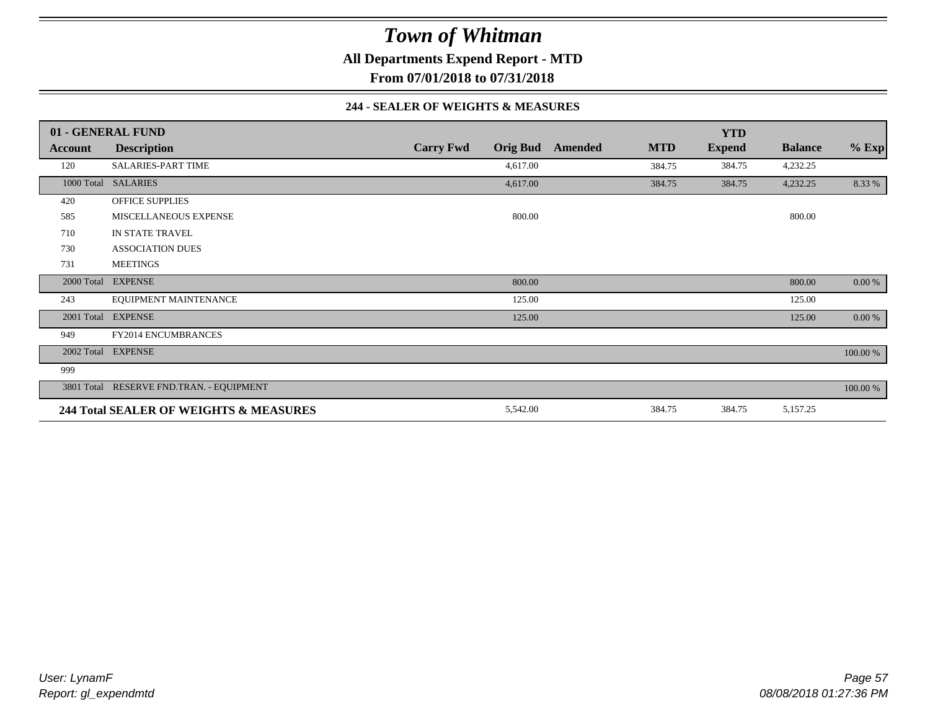**All Departments Expend Report - MTD**

**From 07/01/2018 to 07/31/2018**

#### **244 - SEALER OF WEIGHTS & MEASURES**

|         | 01 - GENERAL FUND                        |                  |                 |         |            | <b>YTD</b>    |                |          |
|---------|------------------------------------------|------------------|-----------------|---------|------------|---------------|----------------|----------|
| Account | <b>Description</b>                       | <b>Carry Fwd</b> | <b>Orig Bud</b> | Amended | <b>MTD</b> | <b>Expend</b> | <b>Balance</b> | $%$ Exp  |
| 120     | SALARIES-PART TIME                       |                  | 4,617.00        |         | 384.75     | 384.75        | 4,232.25       |          |
|         | 1000 Total SALARIES                      |                  | 4,617.00        |         | 384.75     | 384.75        | 4,232.25       | 8.33 %   |
| 420     | <b>OFFICE SUPPLIES</b>                   |                  |                 |         |            |               |                |          |
| 585     | MISCELLANEOUS EXPENSE                    |                  | 800.00          |         |            |               | 800.00         |          |
| 710     | IN STATE TRAVEL                          |                  |                 |         |            |               |                |          |
| 730     | <b>ASSOCIATION DUES</b>                  |                  |                 |         |            |               |                |          |
| 731     | <b>MEETINGS</b>                          |                  |                 |         |            |               |                |          |
|         | 2000 Total EXPENSE                       |                  | 800.00          |         |            |               | 800.00         | 0.00 %   |
| 243     | EQUIPMENT MAINTENANCE                    |                  | 125.00          |         |            |               | 125.00         |          |
|         | 2001 Total EXPENSE                       |                  | 125.00          |         |            |               | 125.00         | 0.00 %   |
| 949     | <b>FY2014 ENCUMBRANCES</b>               |                  |                 |         |            |               |                |          |
|         | 2002 Total EXPENSE                       |                  |                 |         |            |               |                | 100.00 % |
| 999     |                                          |                  |                 |         |            |               |                |          |
|         | 3801 Total RESERVE FND.TRAN. - EQUIPMENT |                  |                 |         |            |               |                | 100.00 % |
|         | 244 Total SEALER OF WEIGHTS & MEASURES   |                  | 5,542.00        |         | 384.75     | 384.75        | 5,157.25       |          |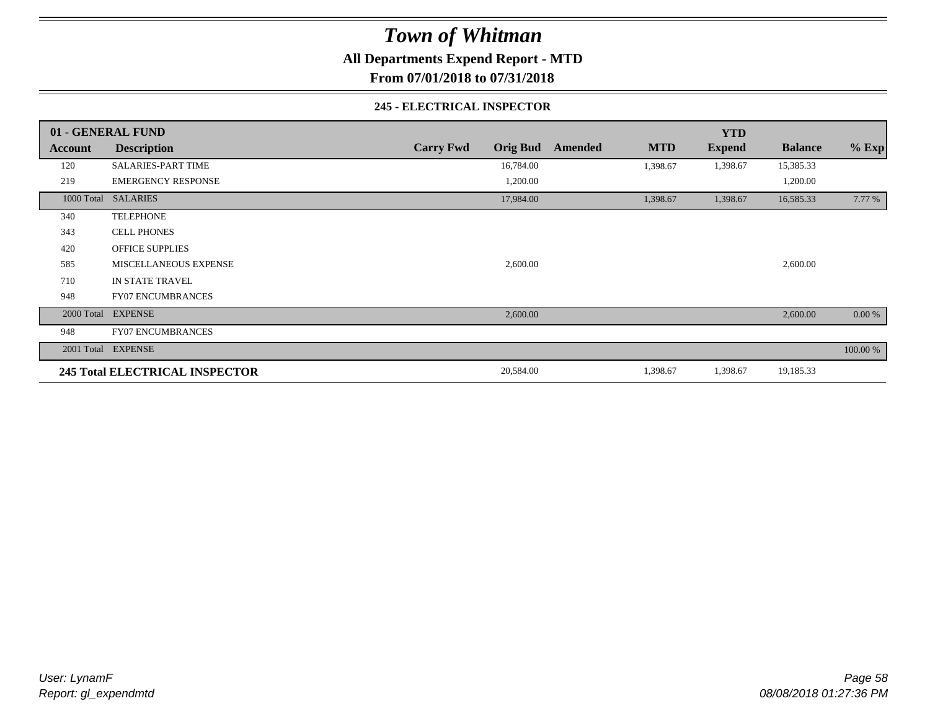**All Departments Expend Report - MTD**

**From 07/01/2018 to 07/31/2018**

#### **245 - ELECTRICAL INSPECTOR**

|         | 01 - GENERAL FUND                     |                                     |         |            | <b>YTD</b>    |                |          |
|---------|---------------------------------------|-------------------------------------|---------|------------|---------------|----------------|----------|
| Account | <b>Description</b>                    | <b>Carry Fwd</b><br><b>Orig Bud</b> | Amended | <b>MTD</b> | <b>Expend</b> | <b>Balance</b> | $%$ Exp  |
| 120     | <b>SALARIES-PART TIME</b>             | 16,784.00                           |         | 1,398.67   | 1,398.67      | 15,385.33      |          |
| 219     | <b>EMERGENCY RESPONSE</b>             | 1,200.00                            |         |            |               | 1,200.00       |          |
|         | 1000 Total SALARIES                   | 17,984.00                           |         | 1,398.67   | 1,398.67      | 16,585.33      | 7.77 %   |
| 340     | <b>TELEPHONE</b>                      |                                     |         |            |               |                |          |
| 343     | <b>CELL PHONES</b>                    |                                     |         |            |               |                |          |
| 420     | <b>OFFICE SUPPLIES</b>                |                                     |         |            |               |                |          |
| 585     | MISCELLANEOUS EXPENSE                 | 2,600.00                            |         |            |               | 2,600.00       |          |
| 710     | IN STATE TRAVEL                       |                                     |         |            |               |                |          |
| 948     | <b>FY07 ENCUMBRANCES</b>              |                                     |         |            |               |                |          |
|         | 2000 Total EXPENSE                    | 2,600.00                            |         |            |               | 2,600.00       | 0.00 %   |
| 948     | <b>FY07 ENCUMBRANCES</b>              |                                     |         |            |               |                |          |
|         | 2001 Total EXPENSE                    |                                     |         |            |               |                | 100.00 % |
|         | <b>245 Total ELECTRICAL INSPECTOR</b> | 20,584.00                           |         | 1,398.67   | 1,398.67      | 19,185.33      |          |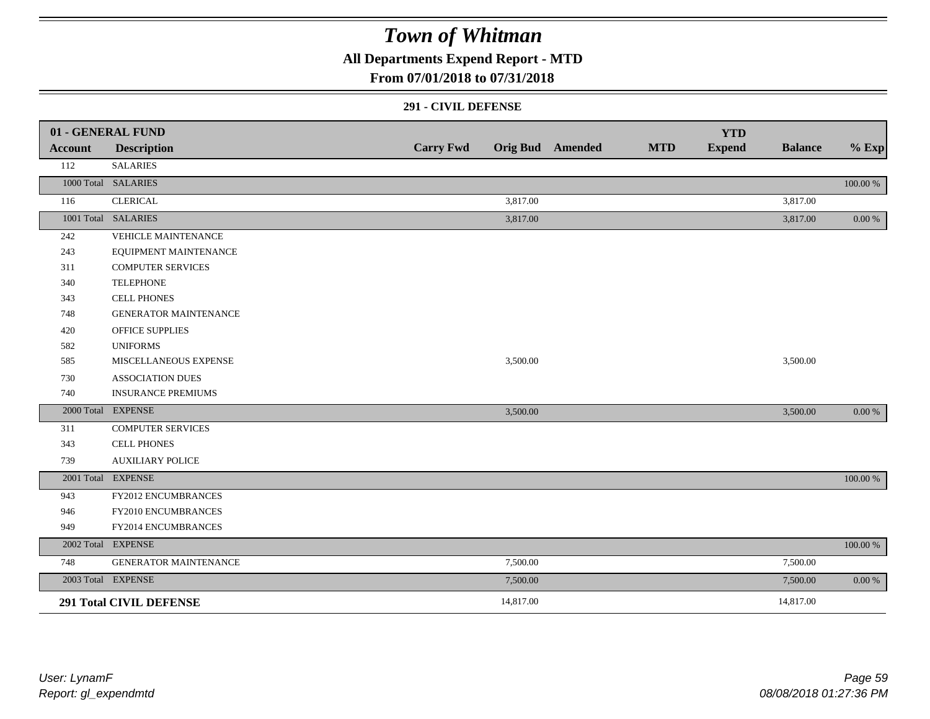**All Departments Expend Report - MTD**

### **From 07/01/2018 to 07/31/2018**

#### **291 - CIVIL DEFENSE**

|                | 01 - GENERAL FUND              |                  |           |                         |            | <b>YTD</b>    |                |             |
|----------------|--------------------------------|------------------|-----------|-------------------------|------------|---------------|----------------|-------------|
| <b>Account</b> | <b>Description</b>             | <b>Carry Fwd</b> |           | <b>Orig Bud</b> Amended | <b>MTD</b> | <b>Expend</b> | <b>Balance</b> | $%$ Exp     |
| 112            | <b>SALARIES</b>                |                  |           |                         |            |               |                |             |
|                | 1000 Total SALARIES            |                  |           |                         |            |               |                | 100.00 %    |
| 116            | <b>CLERICAL</b>                |                  | 3,817.00  |                         |            |               | 3,817.00       |             |
|                | 1001 Total SALARIES            |                  | 3,817.00  |                         |            |               | 3,817.00       | $0.00\,\%$  |
| 242            | <b>VEHICLE MAINTENANCE</b>     |                  |           |                         |            |               |                |             |
| 243            | EQUIPMENT MAINTENANCE          |                  |           |                         |            |               |                |             |
| 311            | <b>COMPUTER SERVICES</b>       |                  |           |                         |            |               |                |             |
| 340            | <b>TELEPHONE</b>               |                  |           |                         |            |               |                |             |
| 343            | <b>CELL PHONES</b>             |                  |           |                         |            |               |                |             |
| 748            | <b>GENERATOR MAINTENANCE</b>   |                  |           |                         |            |               |                |             |
| 420            | <b>OFFICE SUPPLIES</b>         |                  |           |                         |            |               |                |             |
| 582            | <b>UNIFORMS</b>                |                  |           |                         |            |               |                |             |
| 585            | MISCELLANEOUS EXPENSE          |                  | 3,500.00  |                         |            |               | 3,500.00       |             |
| 730            | <b>ASSOCIATION DUES</b>        |                  |           |                         |            |               |                |             |
| 740            | <b>INSURANCE PREMIUMS</b>      |                  |           |                         |            |               |                |             |
|                | 2000 Total EXPENSE             |                  | 3,500.00  |                         |            |               | 3,500.00       | 0.00 %      |
| 311            | <b>COMPUTER SERVICES</b>       |                  |           |                         |            |               |                |             |
| 343            | <b>CELL PHONES</b>             |                  |           |                         |            |               |                |             |
| 739            | <b>AUXILIARY POLICE</b>        |                  |           |                         |            |               |                |             |
|                | 2001 Total EXPENSE             |                  |           |                         |            |               |                | 100.00 %    |
| 943            | FY2012 ENCUMBRANCES            |                  |           |                         |            |               |                |             |
| 946            | FY2010 ENCUMBRANCES            |                  |           |                         |            |               |                |             |
| 949            | FY2014 ENCUMBRANCES            |                  |           |                         |            |               |                |             |
|                | 2002 Total EXPENSE             |                  |           |                         |            |               |                | $100.00~\%$ |
| 748            | GENERATOR MAINTENANCE          |                  | 7,500.00  |                         |            |               | 7,500.00       |             |
|                | 2003 Total EXPENSE             |                  | 7,500.00  |                         |            |               | 7,500.00       | $0.00\,\%$  |
|                | <b>291 Total CIVIL DEFENSE</b> |                  | 14,817.00 |                         |            |               | 14,817.00      |             |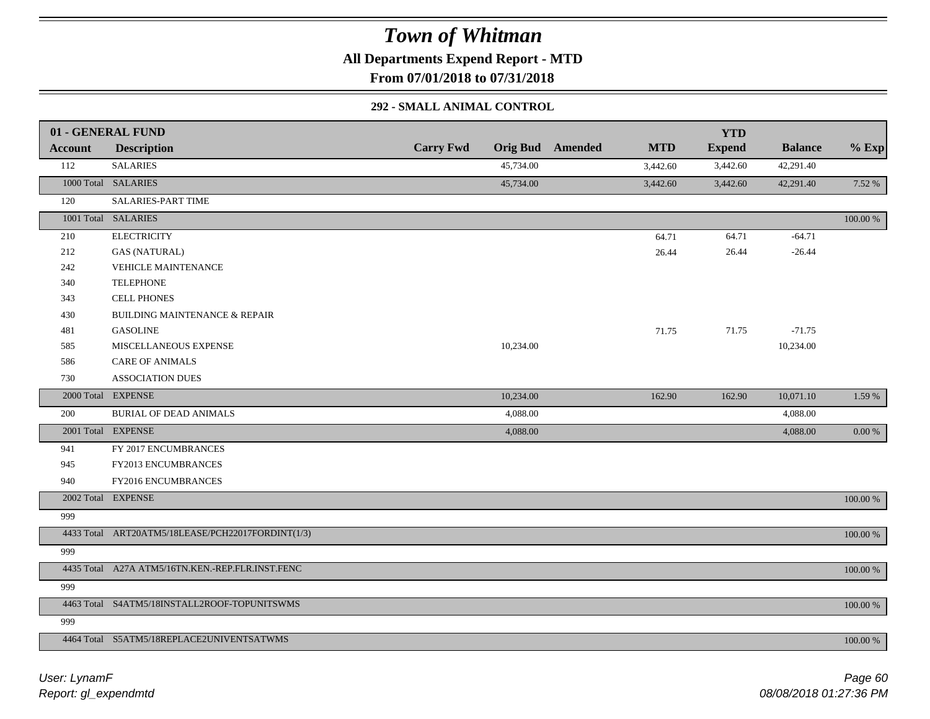**All Departments Expend Report - MTD**

**From 07/01/2018 to 07/31/2018**

#### **292 - SMALL ANIMAL CONTROL**

|                | 01 - GENERAL FUND                                 |                  |           |                         |            | <b>YTD</b>    |                |             |
|----------------|---------------------------------------------------|------------------|-----------|-------------------------|------------|---------------|----------------|-------------|
| <b>Account</b> | <b>Description</b>                                | <b>Carry Fwd</b> |           | <b>Orig Bud</b> Amended | <b>MTD</b> | <b>Expend</b> | <b>Balance</b> | $%$ Exp     |
| 112            | <b>SALARIES</b>                                   |                  | 45,734.00 |                         | 3,442.60   | 3,442.60      | 42,291.40      |             |
|                | 1000 Total SALARIES                               |                  | 45,734.00 |                         | 3,442.60   | 3,442.60      | 42,291.40      | 7.52 %      |
| 120            | SALARIES-PART TIME                                |                  |           |                         |            |               |                |             |
|                | 1001 Total SALARIES                               |                  |           |                         |            |               |                | 100.00 %    |
| 210            | <b>ELECTRICITY</b>                                |                  |           |                         | 64.71      | 64.71         | $-64.71$       |             |
| 212            | <b>GAS (NATURAL)</b>                              |                  |           |                         | 26.44      | 26.44         | $-26.44$       |             |
| 242            | <b>VEHICLE MAINTENANCE</b>                        |                  |           |                         |            |               |                |             |
| 340            | <b>TELEPHONE</b>                                  |                  |           |                         |            |               |                |             |
| 343            | <b>CELL PHONES</b>                                |                  |           |                         |            |               |                |             |
| 430            | BUILDING MAINTENANCE & REPAIR                     |                  |           |                         |            |               |                |             |
| 481            | <b>GASOLINE</b>                                   |                  |           |                         | 71.75      | 71.75         | $-71.75$       |             |
| 585            | MISCELLANEOUS EXPENSE                             |                  | 10,234.00 |                         |            |               | 10,234.00      |             |
| 586            | <b>CARE OF ANIMALS</b>                            |                  |           |                         |            |               |                |             |
| 730            | <b>ASSOCIATION DUES</b>                           |                  |           |                         |            |               |                |             |
|                | 2000 Total EXPENSE                                |                  | 10,234.00 |                         | 162.90     | 162.90        | 10,071.10      | 1.59 %      |
| 200            | <b>BURIAL OF DEAD ANIMALS</b>                     |                  | 4,088.00  |                         |            |               | 4,088.00       |             |
|                | 2001 Total EXPENSE                                |                  | 4,088.00  |                         |            |               | 4,088.00       | $0.00\ \%$  |
| 941            | FY 2017 ENCUMBRANCES                              |                  |           |                         |            |               |                |             |
| 945            | FY2013 ENCUMBRANCES                               |                  |           |                         |            |               |                |             |
| 940            | FY2016 ENCUMBRANCES                               |                  |           |                         |            |               |                |             |
|                | 2002 Total EXPENSE                                |                  |           |                         |            |               |                | $100.00~\%$ |
| 999            |                                                   |                  |           |                         |            |               |                |             |
|                | 4433 Total ART20ATM5/18LEASE/PCH22017FORDINT(1/3) |                  |           |                         |            |               |                | 100.00 %    |
| 999            |                                                   |                  |           |                         |            |               |                |             |
|                | 4435 Total A27A ATM5/16TN.KEN.-REP.FLR.INST.FENC  |                  |           |                         |            |               |                | $100.00~\%$ |
| 999            |                                                   |                  |           |                         |            |               |                |             |
|                | 4463 Total S4ATM5/18INSTALL2ROOF-TOPUNITSWMS      |                  |           |                         |            |               |                | 100.00 %    |
| 999            |                                                   |                  |           |                         |            |               |                |             |
|                | 4464 Total S5ATM5/18REPLACE2UNIVENTSATWMS         |                  |           |                         |            |               |                | 100.00 %    |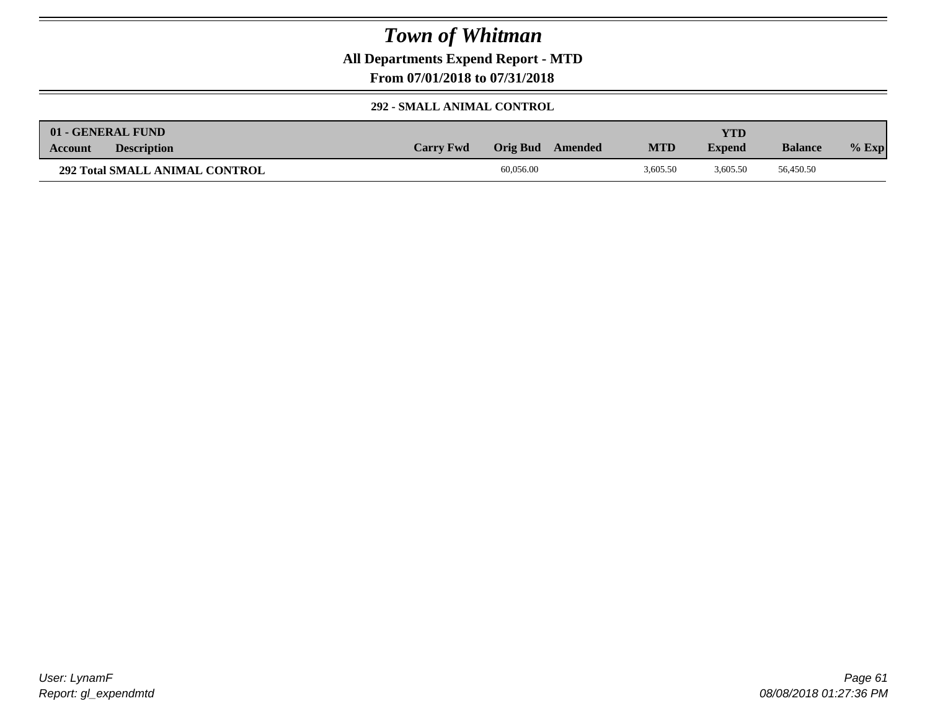**All Departments Expend Report - MTD**

**From 07/01/2018 to 07/31/2018**

#### **292 - SMALL ANIMAL CONTROL**

|         | 01 - GENERAL FUND                     |                  |           |         |            | YTD)          |                |         |
|---------|---------------------------------------|------------------|-----------|---------|------------|---------------|----------------|---------|
| Account | <b>Description</b>                    | <b>Carry Fwd</b> | Orig Bud  | Amended | <b>MTD</b> | <b>Expend</b> | <b>Balance</b> | $%$ Exp |
|         | <b>292 Total SMALL ANIMAL CONTROL</b> |                  | 60,056.00 |         | 3.605.50   | 3.605.50      | 56,450.50      |         |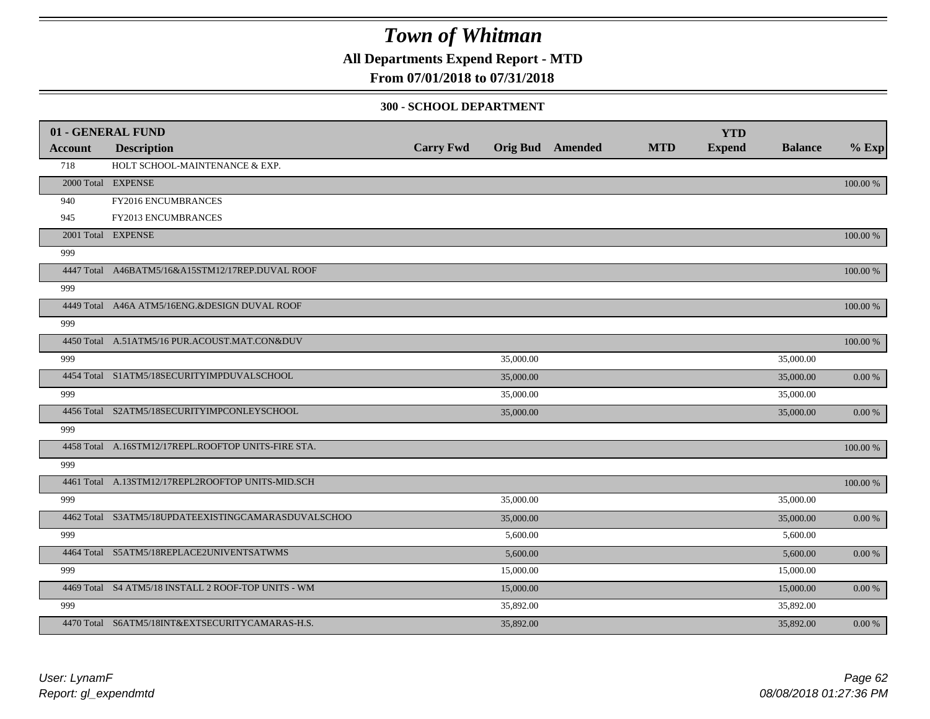**All Departments Expend Report - MTD**

### **From 07/01/2018 to 07/31/2018**

#### **300 - SCHOOL DEPARTMENT**

|         | 01 - GENERAL FUND                                   |                  |           |                         |            | <b>YTD</b>    |                |            |
|---------|-----------------------------------------------------|------------------|-----------|-------------------------|------------|---------------|----------------|------------|
| Account | <b>Description</b>                                  | <b>Carry Fwd</b> |           | <b>Orig Bud</b> Amended | <b>MTD</b> | <b>Expend</b> | <b>Balance</b> | $%$ Exp    |
| 718     | HOLT SCHOOL-MAINTENANCE & EXP.                      |                  |           |                         |            |               |                |            |
|         | 2000 Total EXPENSE                                  |                  |           |                         |            |               |                | 100.00 %   |
| 940     | FY2016 ENCUMBRANCES                                 |                  |           |                         |            |               |                |            |
| 945     | FY2013 ENCUMBRANCES                                 |                  |           |                         |            |               |                |            |
|         | 2001 Total EXPENSE                                  |                  |           |                         |            |               |                | 100.00 %   |
| 999     |                                                     |                  |           |                         |            |               |                |            |
|         | 4447 Total A46BATM5/16&A15STM12/17REP.DUVAL ROOF    |                  |           |                         |            |               |                | 100.00 %   |
| 999     |                                                     |                  |           |                         |            |               |                |            |
|         | 4449 Total A46A ATM5/16ENG.&DESIGN DUVAL ROOF       |                  |           |                         |            |               |                | 100.00 %   |
| 999     |                                                     |                  |           |                         |            |               |                |            |
|         | 4450 Total A.51ATM5/16 PUR.ACOUST.MAT.CON&DUV       |                  |           |                         |            |               |                | 100.00 %   |
| 999     |                                                     |                  | 35,000.00 |                         |            |               | 35,000.00      |            |
|         | 4454 Total S1ATM5/18SECURITYIMPDUVALSCHOOL          |                  | 35,000.00 |                         |            |               | 35,000.00      | 0.00%      |
| 999     |                                                     |                  | 35,000.00 |                         |            |               | 35,000.00      |            |
|         | 4456 Total S2ATM5/18SECURITYIMPCONLEYSCHOOL         |                  | 35,000.00 |                         |            |               | 35,000.00      | 0.00 %     |
| 999     |                                                     |                  |           |                         |            |               |                |            |
|         | 4458 Total A.16STM12/17REPL.ROOFTOP UNITS-FIRE STA. |                  |           |                         |            |               |                | 100.00 %   |
| 999     |                                                     |                  |           |                         |            |               |                |            |
|         | 4461 Total A.13STM12/17REPL2ROOFTOP UNITS-MID.SCH   |                  |           |                         |            |               |                | 100.00 %   |
| 999     |                                                     |                  | 35,000.00 |                         |            |               | 35,000.00      |            |
|         | 4462 Total S3ATM5/18UPDATEEXISTINGCAMARASDUVALSCHOO |                  | 35,000.00 |                         |            |               | 35,000.00      | $0.00\,\%$ |
| 999     |                                                     |                  | 5,600.00  |                         |            |               | 5,600.00       |            |
|         | 4464 Total S5ATM5/18REPLACE2UNIVENTSATWMS           |                  | 5,600.00  |                         |            |               | 5,600.00       | 0.00 %     |
| 999     |                                                     |                  | 15,000.00 |                         |            |               | 15,000.00      |            |
|         | 4469 Total S4 ATM5/18 INSTALL 2 ROOF-TOP UNITS - WM |                  | 15,000.00 |                         |            |               | 15,000.00      | 0.00 %     |
| 999     |                                                     |                  | 35,892.00 |                         |            |               | 35,892.00      |            |
|         | 4470 Total S6ATM5/18INT&EXTSECURITYCAMARAS-H.S.     |                  | 35,892.00 |                         |            |               | 35,892.00      | 0.00 %     |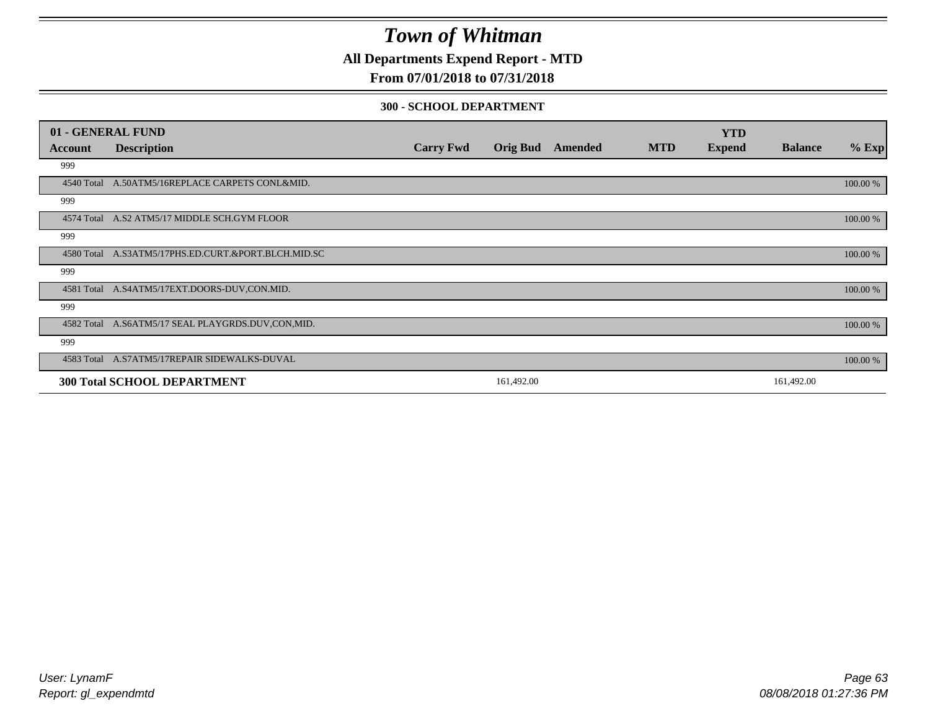**All Departments Expend Report - MTD**

### **From 07/01/2018 to 07/31/2018**

#### **300 - SCHOOL DEPARTMENT**

|            | 01 - GENERAL FUND                                   |                  |                 |         |            | <b>YTD</b>    |                |          |
|------------|-----------------------------------------------------|------------------|-----------------|---------|------------|---------------|----------------|----------|
| Account    | <b>Description</b>                                  | <b>Carry Fwd</b> | <b>Orig Bud</b> | Amended | <b>MTD</b> | <b>Expend</b> | <b>Balance</b> | $%$ Exp  |
| 999        |                                                     |                  |                 |         |            |               |                |          |
| 4540 Total | A.50ATM5/16REPLACE CARPETS CONL&MID.                |                  |                 |         |            |               |                | 100.00 % |
| 999        |                                                     |                  |                 |         |            |               |                |          |
|            | 4574 Total A.S2 ATM5/17 MIDDLE SCH.GYM FLOOR        |                  |                 |         |            |               |                | 100.00 % |
| 999        |                                                     |                  |                 |         |            |               |                |          |
|            | 4580 Total A.S3ATM5/17PHS.ED.CURT.&PORT.BLCH.MID.SC |                  |                 |         |            |               |                | 100.00 % |
| 999        |                                                     |                  |                 |         |            |               |                |          |
|            | 4581 Total A.S4ATM5/17EXT.DOORS-DUV,CON.MID.        |                  |                 |         |            |               |                | 100.00 % |
| 999        |                                                     |                  |                 |         |            |               |                |          |
|            | 4582 Total A.S6ATM5/17 SEAL PLAYGRDS.DUV,CON,MID.   |                  |                 |         |            |               |                | 100.00 % |
| 999        |                                                     |                  |                 |         |            |               |                |          |
|            | 4583 Total A.S7ATM5/17REPAIR SIDEWALKS-DUVAL        |                  |                 |         |            |               |                | 100.00 % |
|            | <b>300 Total SCHOOL DEPARTMENT</b>                  |                  | 161,492.00      |         |            |               | 161,492.00     |          |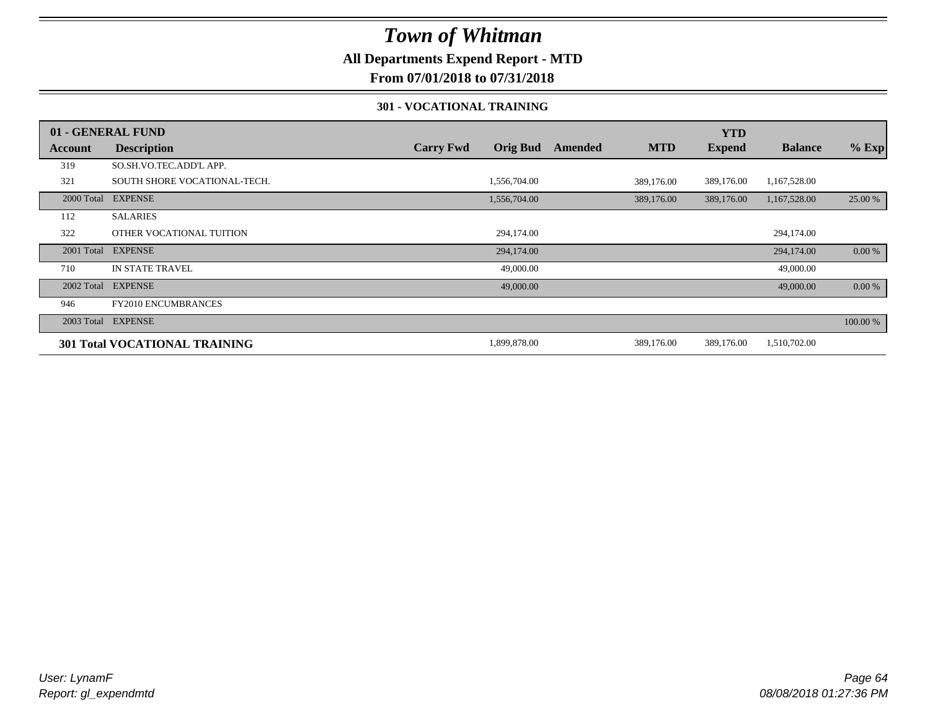### **All Departments Expend Report - MTD**

### **From 07/01/2018 to 07/31/2018**

#### **301 - VOCATIONAL TRAINING**

|         | 01 - GENERAL FUND                    |                  |                 |         |            | <b>YTD</b>    |                |          |
|---------|--------------------------------------|------------------|-----------------|---------|------------|---------------|----------------|----------|
| Account | <b>Description</b>                   | <b>Carry Fwd</b> | <b>Orig Bud</b> | Amended | <b>MTD</b> | <b>Expend</b> | <b>Balance</b> | $%$ Exp  |
| 319     | SO.SH.VO.TEC.ADD'L APP.              |                  |                 |         |            |               |                |          |
| 321     | SOUTH SHORE VOCATIONAL-TECH.         |                  | 1,556,704.00    |         | 389,176.00 | 389,176.00    | 1,167,528.00   |          |
|         | 2000 Total EXPENSE                   |                  | 1,556,704.00    |         | 389,176.00 | 389,176.00    | 1,167,528.00   | 25.00 %  |
| 112     | <b>SALARIES</b>                      |                  |                 |         |            |               |                |          |
| 322     | OTHER VOCATIONAL TUITION             |                  | 294,174.00      |         |            |               | 294,174.00     |          |
|         | 2001 Total EXPENSE                   |                  | 294,174.00      |         |            |               | 294,174.00     | 0.00 %   |
| 710     | <b>IN STATE TRAVEL</b>               |                  | 49,000.00       |         |            |               | 49,000.00      |          |
|         | 2002 Total EXPENSE                   |                  | 49,000.00       |         |            |               | 49,000.00      | $0.00\%$ |
| 946     | <b>FY2010 ENCUMBRANCES</b>           |                  |                 |         |            |               |                |          |
|         | 2003 Total EXPENSE                   |                  |                 |         |            |               |                | 100.00 % |
|         | <b>301 Total VOCATIONAL TRAINING</b> |                  | 1,899,878.00    |         | 389,176.00 | 389,176.00    | 1,510,702.00   |          |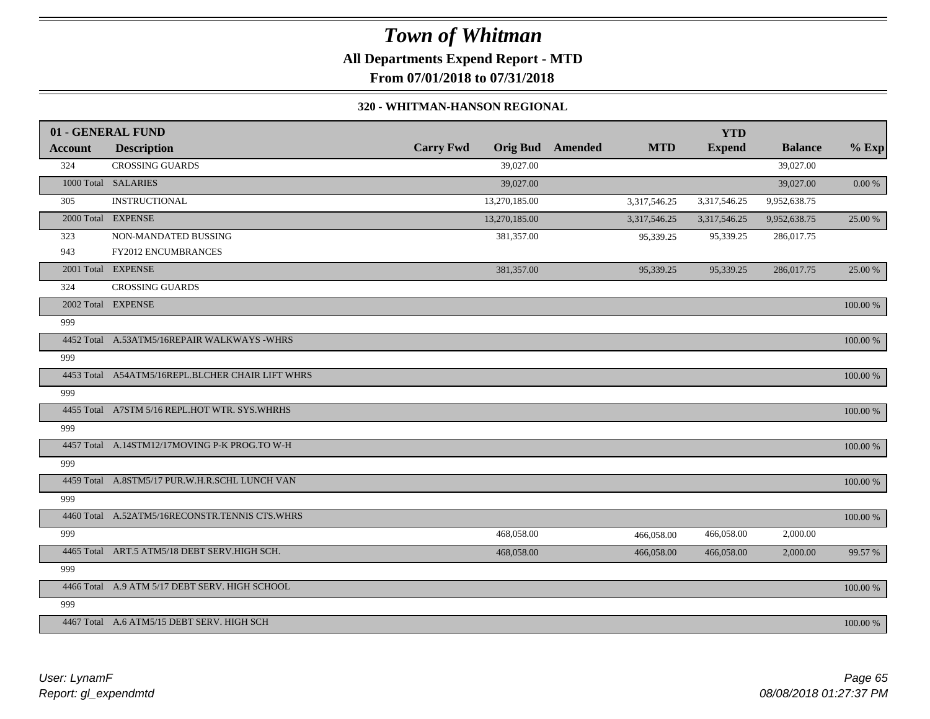## *Town of Whitman* **All Departments Expend Report - MTD**

### **From 07/01/2018 to 07/31/2018**

#### **320 - WHITMAN-HANSON REGIONAL**

|                | 01 - GENERAL FUND                                |                  |                         |              | <b>YTD</b>    |                |            |
|----------------|--------------------------------------------------|------------------|-------------------------|--------------|---------------|----------------|------------|
| <b>Account</b> | <b>Description</b>                               | <b>Carry Fwd</b> | <b>Orig Bud</b> Amended | <b>MTD</b>   | <b>Expend</b> | <b>Balance</b> | $%$ Exp    |
| 324            | <b>CROSSING GUARDS</b>                           | 39,027.00        |                         |              |               | 39,027.00      |            |
|                | 1000 Total SALARIES                              | 39,027.00        |                         |              |               | 39,027.00      | $0.00\,\%$ |
| 305            | <b>INSTRUCTIONAL</b>                             | 13,270,185.00    |                         | 3,317,546.25 | 3,317,546.25  | 9,952,638.75   |            |
|                | 2000 Total EXPENSE                               | 13,270,185.00    |                         | 3,317,546.25 | 3,317,546.25  | 9,952,638.75   | 25.00 %    |
| 323            | NON-MANDATED BUSSING                             | 381,357.00       |                         | 95,339.25    | 95,339.25     | 286,017.75     |            |
| 943            | <b>FY2012 ENCUMBRANCES</b>                       |                  |                         |              |               |                |            |
|                | 2001 Total EXPENSE                               | 381,357.00       |                         | 95,339.25    | 95,339.25     | 286,017.75     | 25.00 %    |
| 324            | <b>CROSSING GUARDS</b>                           |                  |                         |              |               |                |            |
|                | 2002 Total EXPENSE                               |                  |                         |              |               |                | 100.00 %   |
| 999            |                                                  |                  |                         |              |               |                |            |
|                | 4452 Total A.53ATM5/16REPAIR WALKWAYS -WHRS      |                  |                         |              |               |                | 100.00 %   |
| 999            |                                                  |                  |                         |              |               |                |            |
|                | 4453 Total A54ATM5/16REPL.BLCHER CHAIR LIFT WHRS |                  |                         |              |               |                | 100.00 %   |
| 999            |                                                  |                  |                         |              |               |                |            |
|                | 4455 Total A7STM 5/16 REPL.HOT WTR. SYS.WHRHS    |                  |                         |              |               |                | 100.00 %   |
| 999            |                                                  |                  |                         |              |               |                |            |
|                | 4457 Total A.14STM12/17MOVING P-K PROG.TO W-H    |                  |                         |              |               |                | 100.00 %   |
| 999            |                                                  |                  |                         |              |               |                |            |
|                | 4459 Total A.8STM5/17 PUR.W.H.R.SCHL LUNCH VAN   |                  |                         |              |               |                | 100.00 %   |
| 999            |                                                  |                  |                         |              |               |                |            |
|                | 4460 Total A.52ATM5/16RECONSTR.TENNIS CTS.WHRS   |                  |                         |              |               |                | 100.00 %   |
| 999            |                                                  | 468,058.00       |                         | 466,058.00   | 466,058.00    | 2,000.00       |            |
|                | 4465 Total ART.5 ATM5/18 DEBT SERV.HIGH SCH.     | 468,058.00       |                         | 466,058.00   | 466,058.00    | 2,000.00       | 99.57 %    |
| 999            |                                                  |                  |                         |              |               |                |            |
|                | 4466 Total A.9 ATM 5/17 DEBT SERV. HIGH SCHOOL   |                  |                         |              |               |                | 100.00 %   |
| 999            |                                                  |                  |                         |              |               |                |            |
|                | 4467 Total A.6 ATM5/15 DEBT SERV. HIGH SCH       |                  |                         |              |               |                | 100.00 %   |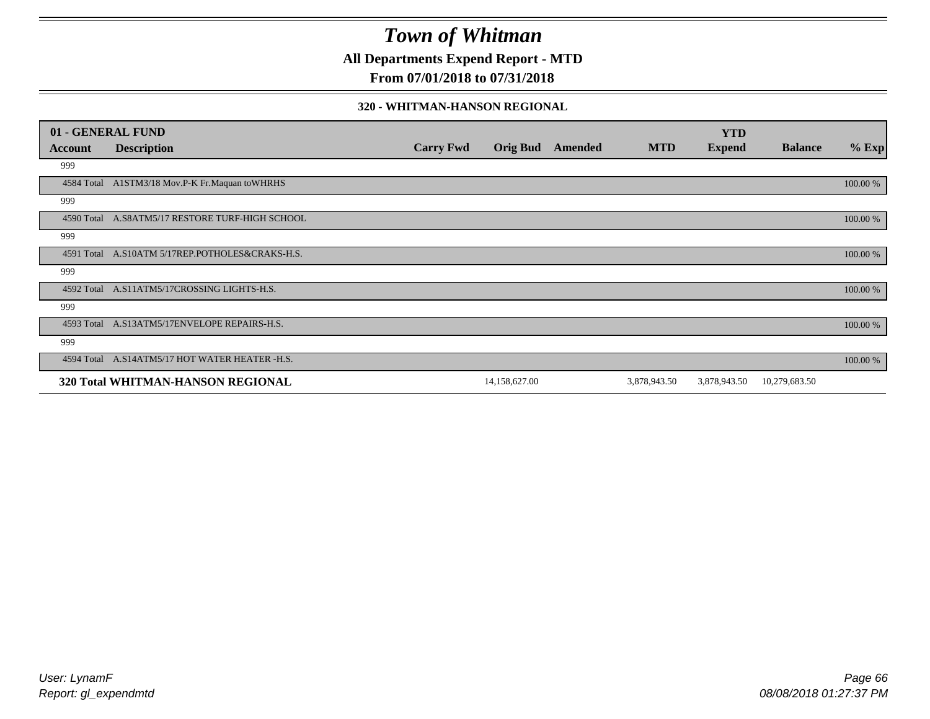**All Departments Expend Report - MTD**

### **From 07/01/2018 to 07/31/2018**

#### **320 - WHITMAN-HANSON REGIONAL**

|            | 01 - GENERAL FUND                               |                  |                 |         |              | <b>YTD</b>    |                |          |
|------------|-------------------------------------------------|------------------|-----------------|---------|--------------|---------------|----------------|----------|
| Account    | <b>Description</b>                              | <b>Carry Fwd</b> | <b>Orig Bud</b> | Amended | <b>MTD</b>   | <b>Expend</b> | <b>Balance</b> | $%$ Exp  |
| 999        |                                                 |                  |                 |         |              |               |                |          |
|            | 4584 Total A1STM3/18 Mov.P-K Fr.Maquan to WHRHS |                  |                 |         |              |               |                | 100.00 % |
| 999        |                                                 |                  |                 |         |              |               |                |          |
|            | 4590 Total A.S8ATM5/17 RESTORE TURF-HIGH SCHOOL |                  |                 |         |              |               |                | 100.00 % |
| 999        |                                                 |                  |                 |         |              |               |                |          |
|            | 4591 Total A.S10ATM 5/17REP.POTHOLES&CRAKS-H.S. |                  |                 |         |              |               |                | 100.00 % |
| 999        |                                                 |                  |                 |         |              |               |                |          |
| 4592 Total | A.S11ATM5/17CROSSING LIGHTS-H.S.                |                  |                 |         |              |               |                | 100.00 % |
| 999        |                                                 |                  |                 |         |              |               |                |          |
| 4593 Total | A.S13ATM5/17ENVELOPE REPAIRS-H.S.               |                  |                 |         |              |               |                | 100.00 % |
| 999        |                                                 |                  |                 |         |              |               |                |          |
| 4594 Total | A.S14ATM5/17 HOT WATER HEATER -H.S.             |                  |                 |         |              |               |                | 100.00 % |
|            | 320 Total WHITMAN-HANSON REGIONAL               |                  | 14,158,627.00   |         | 3,878,943.50 | 3,878,943.50  | 10,279,683.50  |          |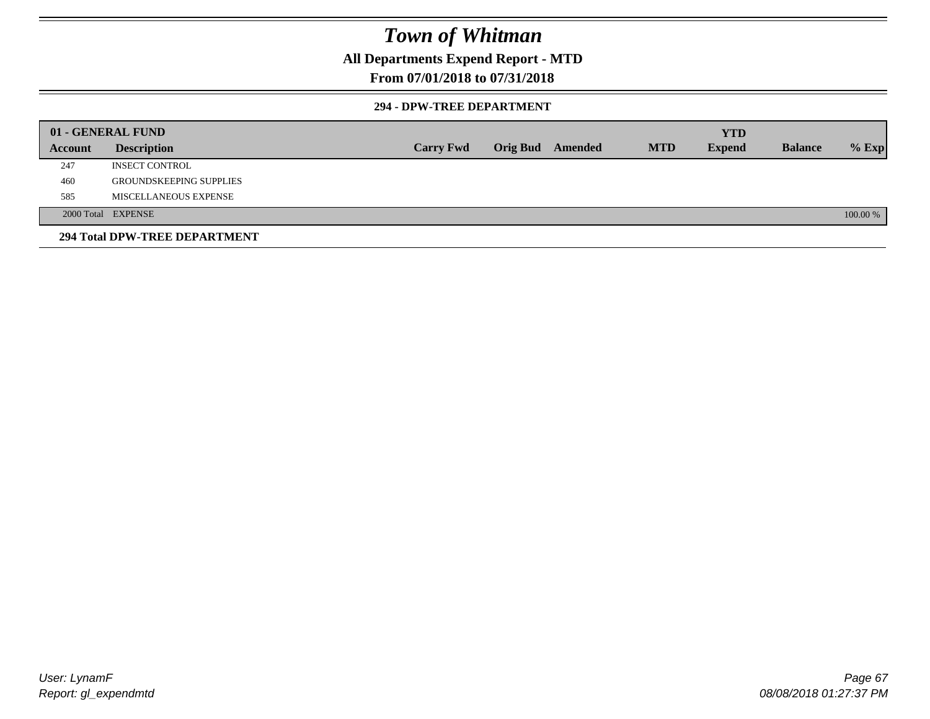### **All Departments Expend Report - MTD**

### **From 07/01/2018 to 07/31/2018**

#### **294 - DPW-TREE DEPARTMENT**

|         | 01 - GENERAL FUND              |                  |                         |            | <b>YTD</b>    |                |          |
|---------|--------------------------------|------------------|-------------------------|------------|---------------|----------------|----------|
| Account | <b>Description</b>             | <b>Carry Fwd</b> | <b>Orig Bud</b> Amended | <b>MTD</b> | <b>Expend</b> | <b>Balance</b> | $%$ Exp  |
| 247     | <b>INSECT CONTROL</b>          |                  |                         |            |               |                |          |
| 460     | <b>GROUNDSKEEPING SUPPLIES</b> |                  |                         |            |               |                |          |
| 585     | MISCELLANEOUS EXPENSE          |                  |                         |            |               |                |          |
|         | 2000 Total EXPENSE             |                  |                         |            |               |                | 100.00 % |
|         | 294 Total DPW-TREE DEPARTMENT  |                  |                         |            |               |                |          |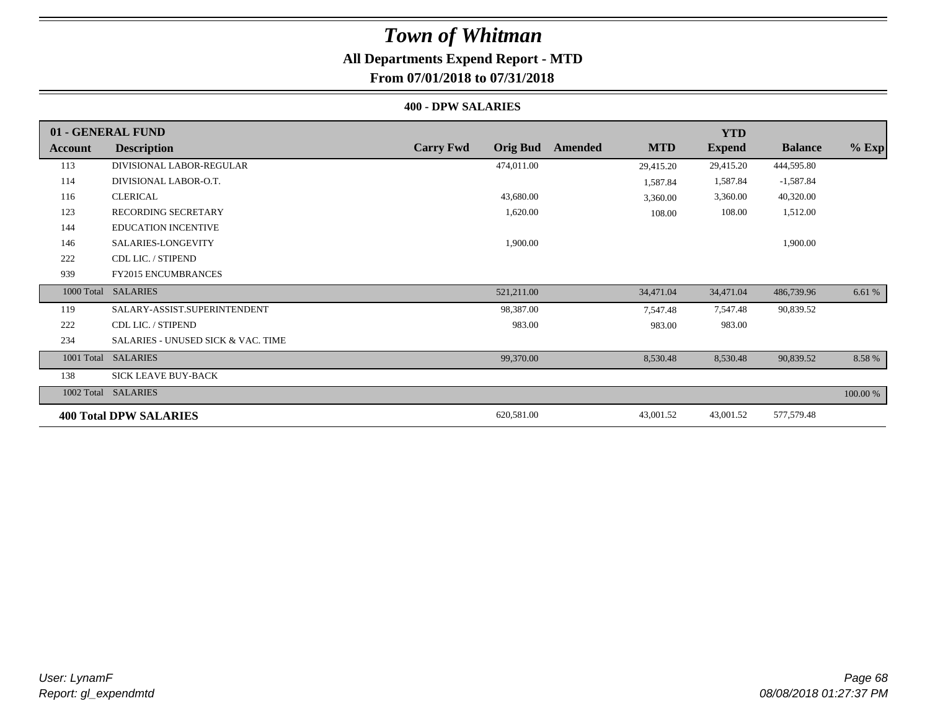### **All Departments Expend Report - MTD From 07/01/2018 to 07/31/2018**

#### **400 - DPW SALARIES**

|         | 01 - GENERAL FUND                             |                                     |                       | <b>YTD</b>    |                |          |
|---------|-----------------------------------------------|-------------------------------------|-----------------------|---------------|----------------|----------|
| Account | <b>Description</b>                            | <b>Carry Fwd</b><br><b>Orig Bud</b> | <b>MTD</b><br>Amended | <b>Expend</b> | <b>Balance</b> | $%$ Exp  |
| 113     | DIVISIONAL LABOR-REGULAR                      | 474,011.00                          | 29,415.20             | 29,415.20     | 444,595.80     |          |
| 114     | DIVISIONAL LABOR-O.T.                         |                                     | 1,587.84              | 1,587.84      | $-1,587.84$    |          |
| 116     | <b>CLERICAL</b>                               | 43,680.00                           | 3,360.00              | 3,360.00      | 40,320.00      |          |
| 123     | RECORDING SECRETARY                           | 1,620.00                            | 108.00                | 108.00        | 1,512.00       |          |
| 144     | <b>EDUCATION INCENTIVE</b>                    |                                     |                       |               |                |          |
| 146     | SALARIES-LONGEVITY                            | 1,900.00                            |                       |               | 1,900.00       |          |
| 222     | CDL LIC. / STIPEND                            |                                     |                       |               |                |          |
| 939     | <b>FY2015 ENCUMBRANCES</b>                    |                                     |                       |               |                |          |
|         | 1000 Total SALARIES                           | 521,211.00                          | 34,471.04             | 34,471.04     | 486,739.96     | 6.61 %   |
| 119     | SALARY-ASSIST.SUPERINTENDENT                  | 98,387.00                           | 7,547.48              | 7,547.48      | 90,839.52      |          |
| 222     | CDL LIC. / STIPEND                            | 983.00                              | 983.00                | 983.00        |                |          |
| 234     | <b>SALARIES - UNUSED SICK &amp; VAC. TIME</b> |                                     |                       |               |                |          |
|         | 1001 Total SALARIES                           | 99,370.00                           | 8,530.48              | 8,530.48      | 90,839.52      | 8.58 %   |
| 138     | <b>SICK LEAVE BUY-BACK</b>                    |                                     |                       |               |                |          |
|         | 1002 Total SALARIES                           |                                     |                       |               |                | 100.00 % |
|         | <b>400 Total DPW SALARIES</b>                 | 620,581.00                          | 43,001.52             | 43,001.52     | 577,579.48     |          |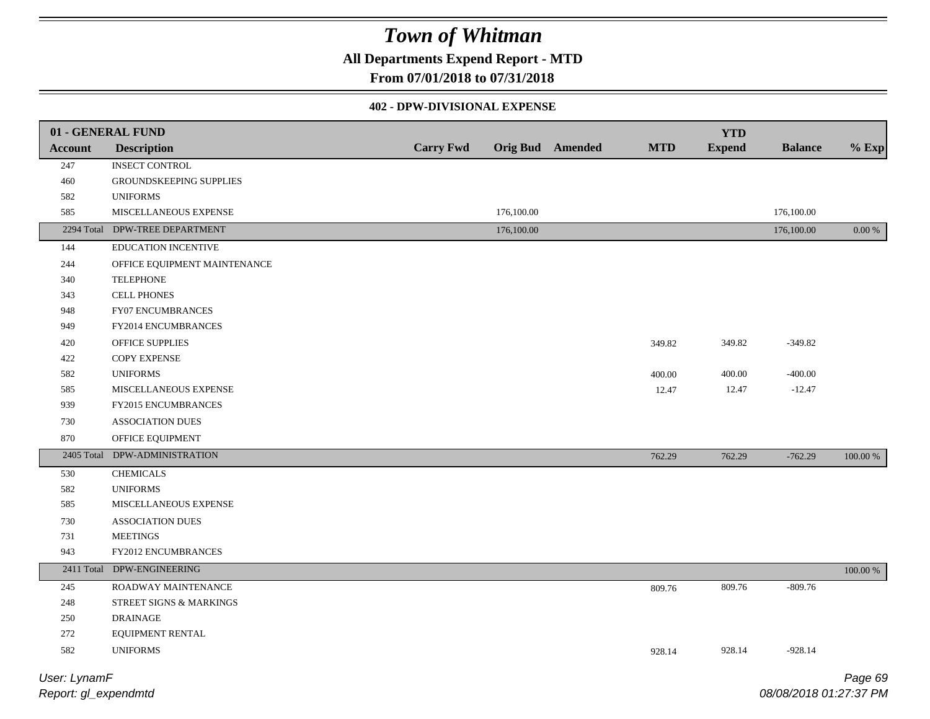### **All Departments Expend Report - MTD**

### **From 07/01/2018 to 07/31/2018**

#### **402 - DPW-DIVISIONAL EXPENSE**

| Account           | 01 - GENERAL FUND<br><b>Description</b> | <b>Carry Fwd</b> |            | <b>Orig Bud</b> Amended | <b>MTD</b> | <b>YTD</b><br><b>Expend</b> | <b>Balance</b> | $%$ Exp           |
|-------------------|-----------------------------------------|------------------|------------|-------------------------|------------|-----------------------------|----------------|-------------------|
| 247               | <b>INSECT CONTROL</b>                   |                  |            |                         |            |                             |                |                   |
| 460               | GROUNDSKEEPING SUPPLIES                 |                  |            |                         |            |                             |                |                   |
| 582               | <b>UNIFORMS</b>                         |                  |            |                         |            |                             |                |                   |
| 585               | MISCELLANEOUS EXPENSE                   |                  | 176,100.00 |                         |            |                             | 176,100.00     |                   |
|                   | 2294 Total DPW-TREE DEPARTMENT          |                  | 176,100.00 |                         |            |                             | 176,100.00     | 0.00 %            |
| 144               | EDUCATION INCENTIVE                     |                  |            |                         |            |                             |                |                   |
| 244               | OFFICE EQUIPMENT MAINTENANCE            |                  |            |                         |            |                             |                |                   |
| 340               | <b>TELEPHONE</b>                        |                  |            |                         |            |                             |                |                   |
| 343               | <b>CELL PHONES</b>                      |                  |            |                         |            |                             |                |                   |
| 948               | FY07 ENCUMBRANCES                       |                  |            |                         |            |                             |                |                   |
| 949               | FY2014 ENCUMBRANCES                     |                  |            |                         |            |                             |                |                   |
| 420               | OFFICE SUPPLIES                         |                  |            |                         | 349.82     | 349.82                      | $-349.82$      |                   |
| 422               | <b>COPY EXPENSE</b>                     |                  |            |                         |            |                             |                |                   |
| 582               | <b>UNIFORMS</b>                         |                  |            |                         | 400.00     | 400.00                      | $-400.00$      |                   |
| 585               | MISCELLANEOUS EXPENSE                   |                  |            |                         | 12.47      | 12.47                       | $-12.47$       |                   |
| 939               | FY2015 ENCUMBRANCES                     |                  |            |                         |            |                             |                |                   |
| 730               | ASSOCIATION DUES                        |                  |            |                         |            |                             |                |                   |
| 870               | OFFICE EQUIPMENT                        |                  |            |                         |            |                             |                |                   |
| 2405 Total        | DPW-ADMINISTRATION                      |                  |            |                         | 762.29     | 762.29                      | $-762.29$      | 100.00 %          |
| 530               | <b>CHEMICALS</b>                        |                  |            |                         |            |                             |                |                   |
| 582               | <b>UNIFORMS</b>                         |                  |            |                         |            |                             |                |                   |
| 585               | MISCELLANEOUS EXPENSE                   |                  |            |                         |            |                             |                |                   |
| 730               | <b>ASSOCIATION DUES</b>                 |                  |            |                         |            |                             |                |                   |
| 731               | <b>MEETINGS</b>                         |                  |            |                         |            |                             |                |                   |
| 943               | FY2012 ENCUMBRANCES                     |                  |            |                         |            |                             |                |                   |
|                   | 2411 Total DPW-ENGINEERING              |                  |            |                         |            |                             |                | 100.00 %          |
| 245               | ROADWAY MAINTENANCE                     |                  |            |                         | 809.76     | 809.76                      | $-809.76$      |                   |
| 248               | STREET SIGNS & MARKINGS                 |                  |            |                         |            |                             |                |                   |
| 250               | <b>DRAINAGE</b>                         |                  |            |                         |            |                             |                |                   |
| 272               | EQUIPMENT RENTAL                        |                  |            |                         |            |                             |                |                   |
| 582               | <b>UNIFORMS</b>                         |                  |            |                         | 928.14     | 928.14                      | $-928.14$      |                   |
| $112221$ $122222$ |                                         |                  |            |                         |            |                             |                | $D - \cdots$ $D'$ |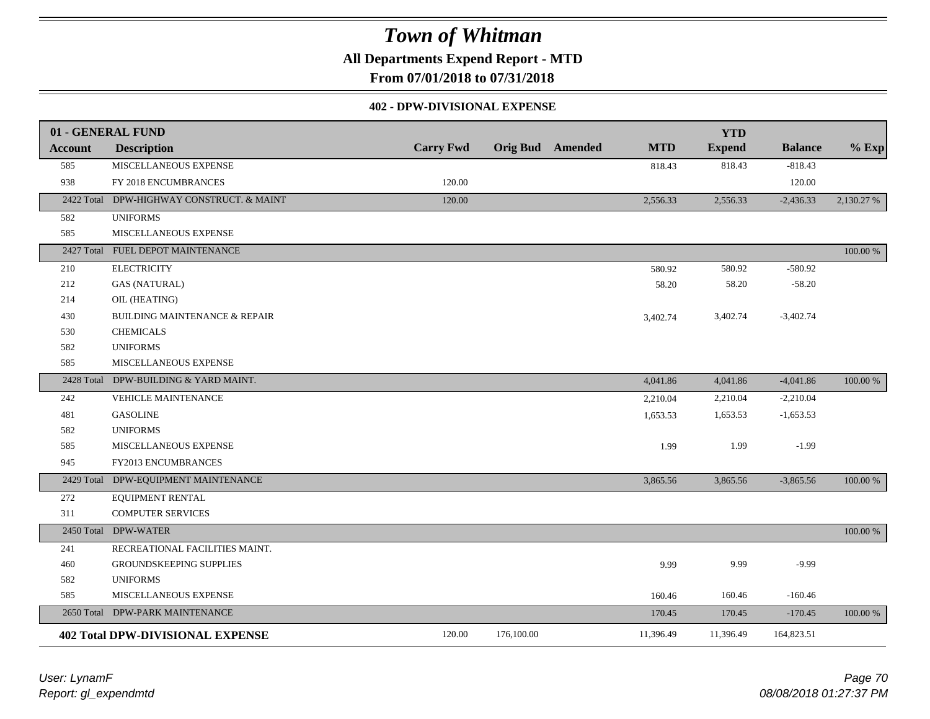**All Departments Expend Report - MTD**

**From 07/01/2018 to 07/31/2018**

#### **402 - DPW-DIVISIONAL EXPENSE**

|                | 01 - GENERAL FUND                         |                  |                         |            | <b>YTD</b>    |                |            |
|----------------|-------------------------------------------|------------------|-------------------------|------------|---------------|----------------|------------|
| <b>Account</b> | <b>Description</b>                        | <b>Carry Fwd</b> | <b>Orig Bud</b> Amended | <b>MTD</b> | <b>Expend</b> | <b>Balance</b> | $%$ Exp    |
| 585            | MISCELLANEOUS EXPENSE                     |                  |                         | 818.43     | 818.43        | $-818.43$      |            |
| 938            | FY 2018 ENCUMBRANCES                      | 120.00           |                         |            |               | 120.00         |            |
|                | 2422 Total DPW-HIGHWAY CONSTRUCT. & MAINT | 120.00           |                         | 2,556.33   | 2,556.33      | $-2,436.33$    | 2,130.27 % |
| 582            | <b>UNIFORMS</b>                           |                  |                         |            |               |                |            |
| 585            | MISCELLANEOUS EXPENSE                     |                  |                         |            |               |                |            |
|                | 2427 Total FUEL DEPOT MAINTENANCE         |                  |                         |            |               |                | 100.00 %   |
| 210            | <b>ELECTRICITY</b>                        |                  |                         | 580.92     | 580.92        | $-580.92$      |            |
| 212            | <b>GAS (NATURAL)</b>                      |                  |                         | 58.20      | 58.20         | $-58.20$       |            |
| 214            | OIL (HEATING)                             |                  |                         |            |               |                |            |
| 430            | <b>BUILDING MAINTENANCE &amp; REPAIR</b>  |                  |                         | 3,402.74   | 3,402.74      | $-3,402.74$    |            |
| 530            | <b>CHEMICALS</b>                          |                  |                         |            |               |                |            |
| 582            | <b>UNIFORMS</b>                           |                  |                         |            |               |                |            |
| 585            | MISCELLANEOUS EXPENSE                     |                  |                         |            |               |                |            |
|                | 2428 Total DPW-BUILDING & YARD MAINT.     |                  |                         | 4,041.86   | 4,041.86      | $-4,041.86$    | 100.00 %   |
| 242            | VEHICLE MAINTENANCE                       |                  |                         | 2,210.04   | 2,210.04      | $-2,210.04$    |            |
| 481            | <b>GASOLINE</b>                           |                  |                         | 1,653.53   | 1,653.53      | $-1,653.53$    |            |
| 582            | <b>UNIFORMS</b>                           |                  |                         |            |               |                |            |
| 585            | MISCELLANEOUS EXPENSE                     |                  |                         | 1.99       | 1.99          | $-1.99$        |            |
| 945            | FY2013 ENCUMBRANCES                       |                  |                         |            |               |                |            |
| 2429 Total     | DPW-EQUIPMENT MAINTENANCE                 |                  |                         | 3,865.56   | 3,865.56      | $-3,865.56$    | 100.00 %   |
| 272            | EQUIPMENT RENTAL                          |                  |                         |            |               |                |            |
| 311            | <b>COMPUTER SERVICES</b>                  |                  |                         |            |               |                |            |
|                | 2450 Total DPW-WATER                      |                  |                         |            |               |                | 100.00 %   |
| 241            | RECREATIONAL FACILITIES MAINT.            |                  |                         |            |               |                |            |
| 460            | GROUNDSKEEPING SUPPLIES                   |                  |                         | 9.99       | 9.99          | $-9.99$        |            |
| 582            | <b>UNIFORMS</b>                           |                  |                         |            |               |                |            |
| 585            | MISCELLANEOUS EXPENSE                     |                  |                         | 160.46     | 160.46        | $-160.46$      |            |
|                | 2650 Total DPW-PARK MAINTENANCE           |                  |                         | 170.45     | 170.45        | $-170.45$      | 100.00 %   |
|                | <b>402 Total DPW-DIVISIONAL EXPENSE</b>   | 120.00           | 176,100.00              | 11,396.49  | 11,396.49     | 164,823.51     |            |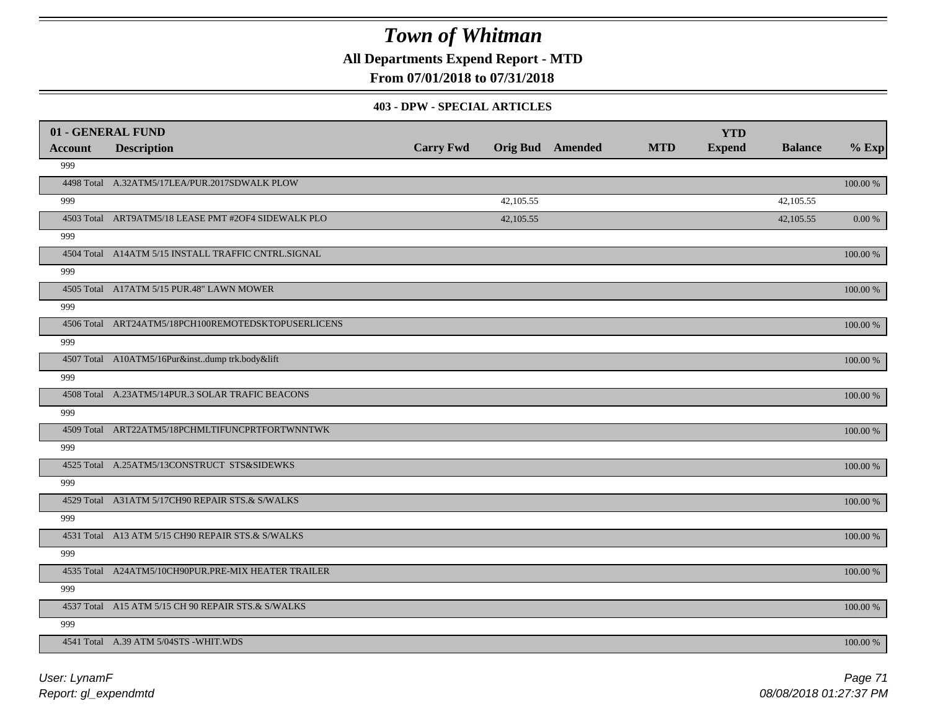**All Departments Expend Report - MTD**

### **From 07/01/2018 to 07/31/2018**

#### **403 - DPW - SPECIAL ARTICLES**

| 01 - GENERAL FUND |                                                     |                  |                         |            | <b>YTD</b>    |                |          |
|-------------------|-----------------------------------------------------|------------------|-------------------------|------------|---------------|----------------|----------|
| <b>Account</b>    | <b>Description</b>                                  | <b>Carry Fwd</b> | <b>Orig Bud</b> Amended | <b>MTD</b> | <b>Expend</b> | <b>Balance</b> | $%$ Exp  |
| 999               |                                                     |                  |                         |            |               |                |          |
|                   | 4498 Total A.32ATM5/17LEA/PUR.2017SDWALK PLOW       |                  |                         |            |               |                | 100.00 % |
| 999               |                                                     |                  | 42,105.55               |            |               | 42,105.55      |          |
|                   | 4503 Total ART9ATM5/18 LEASE PMT #2OF4 SIDEWALK PLO |                  | 42,105.55               |            |               | 42,105.55      | 0.00 %   |
| 999               |                                                     |                  |                         |            |               |                |          |
|                   | 4504 Total A14ATM 5/15 INSTALL TRAFFIC CNTRL.SIGNAL |                  |                         |            |               |                | 100.00 % |
| 999               |                                                     |                  |                         |            |               |                |          |
|                   | 4505 Total A17ATM 5/15 PUR.48" LAWN MOWER           |                  |                         |            |               |                | 100.00 % |
| 999               |                                                     |                  |                         |            |               |                |          |
|                   | 4506 Total ART24ATM5/18PCH100REMOTEDSKTOPUSERLICENS |                  |                         |            |               |                | 100.00 % |
| 999               |                                                     |                  |                         |            |               |                |          |
|                   | 4507 Total A10ATM5/16Pur&instdump trk.body&lift     |                  |                         |            |               |                | 100.00 % |
| 999               |                                                     |                  |                         |            |               |                |          |
|                   | 4508 Total A.23ATM5/14PUR.3 SOLAR TRAFIC BEACONS    |                  |                         |            |               |                | 100.00 % |
| 999               |                                                     |                  |                         |            |               |                |          |
|                   | 4509 Total ART22ATM5/18PCHMLTIFUNCPRTFORTWNNTWK     |                  |                         |            |               |                | 100.00 % |
| 999               |                                                     |                  |                         |            |               |                |          |
|                   | 4525 Total A.25ATM5/13CONSTRUCT STS&SIDEWKS         |                  |                         |            |               |                | 100.00 % |
| 999               |                                                     |                  |                         |            |               |                |          |
|                   | 4529 Total A31ATM 5/17CH90 REPAIR STS.& S/WALKS     |                  |                         |            |               |                | 100.00 % |
| 999               |                                                     |                  |                         |            |               |                |          |
|                   | 4531 Total A13 ATM 5/15 CH90 REPAIR STS.& S/WALKS   |                  |                         |            |               |                | 100.00 % |
| 999               |                                                     |                  |                         |            |               |                |          |
|                   | 4535 Total A24ATM5/10CH90PUR.PRE-MIX HEATER TRAILER |                  |                         |            |               |                | 100.00 % |
| 999               |                                                     |                  |                         |            |               |                |          |
|                   | 4537 Total A15 ATM 5/15 CH 90 REPAIR STS.& S/WALKS  |                  |                         |            |               |                | 100.00 % |
| 999               |                                                     |                  |                         |            |               |                |          |
|                   | 4541 Total A.39 ATM 5/04STS - WHIT.WDS              |                  |                         |            |               |                | 100.00 % |

*Report: gl\_expendmtd User: LynamF*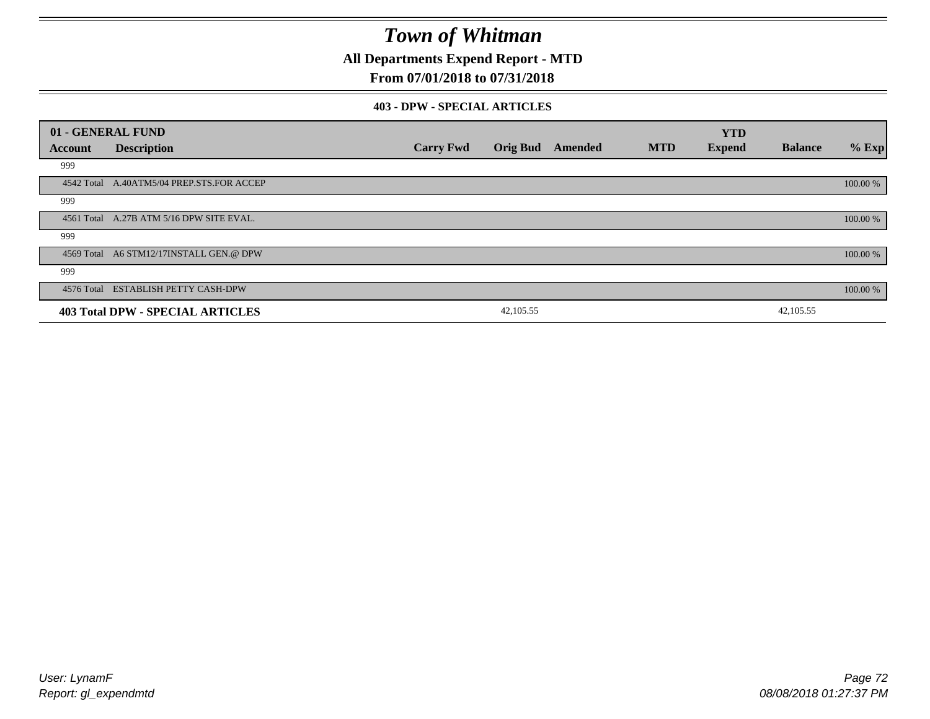**All Departments Expend Report - MTD**

### **From 07/01/2018 to 07/31/2018**

#### **403 - DPW - SPECIAL ARTICLES**

|         | 01 - GENERAL FUND                         |                  |                 |         |            | <b>YTD</b>    |                |          |
|---------|-------------------------------------------|------------------|-----------------|---------|------------|---------------|----------------|----------|
| Account | <b>Description</b>                        | <b>Carry Fwd</b> | <b>Orig Bud</b> | Amended | <b>MTD</b> | <b>Expend</b> | <b>Balance</b> | $%$ Exp  |
| 999     |                                           |                  |                 |         |            |               |                |          |
|         | 4542 Total A.40ATM5/04 PREP.STS.FOR ACCEP |                  |                 |         |            |               |                | 100.00 % |
| 999     |                                           |                  |                 |         |            |               |                |          |
|         | 4561 Total A.27B ATM 5/16 DPW SITE EVAL.  |                  |                 |         |            |               |                | 100.00 % |
| 999     |                                           |                  |                 |         |            |               |                |          |
|         | 4569 Total A6 STM12/17INSTALL GEN.@ DPW   |                  |                 |         |            |               |                | 100.00 % |
| 999     |                                           |                  |                 |         |            |               |                |          |
|         | 4576 Total ESTABLISH PETTY CASH-DPW       |                  |                 |         |            |               |                | 100.00 % |
|         | <b>403 Total DPW - SPECIAL ARTICLES</b>   |                  | 42,105.55       |         |            |               | 42,105.55      |          |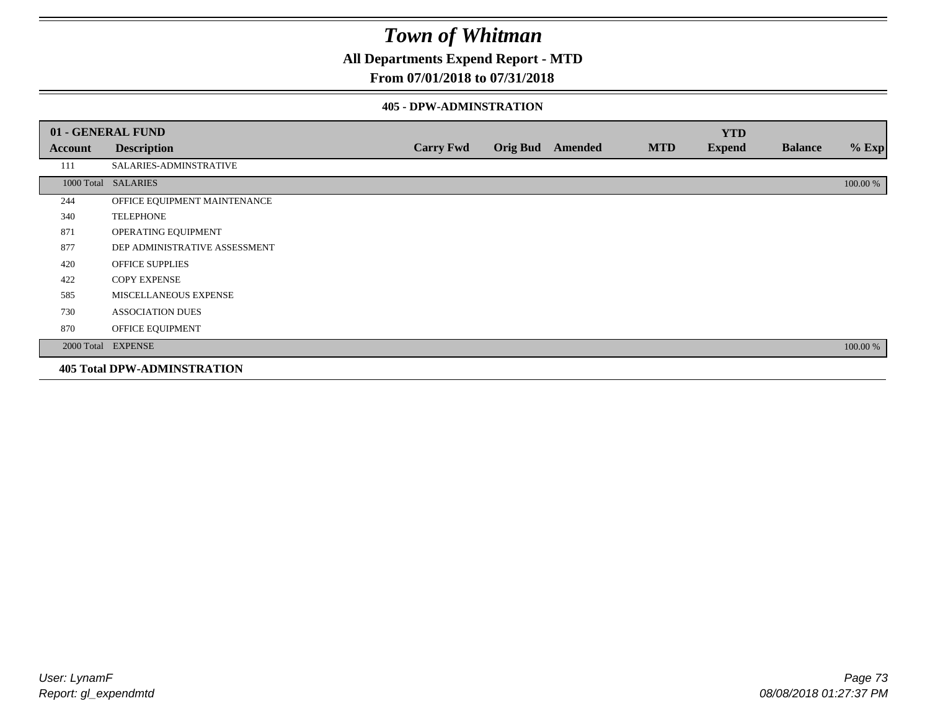**All Departments Expend Report - MTD**

### **From 07/01/2018 to 07/31/2018**

#### **405 - DPW-ADMINSTRATION**

|         | 01 - GENERAL FUND                  |                  |                         |            | <b>YTD</b>    |                |          |
|---------|------------------------------------|------------------|-------------------------|------------|---------------|----------------|----------|
| Account | <b>Description</b>                 | <b>Carry Fwd</b> | <b>Orig Bud</b> Amended | <b>MTD</b> | <b>Expend</b> | <b>Balance</b> | $%$ Exp  |
| 111     | SALARIES-ADMINSTRATIVE             |                  |                         |            |               |                |          |
|         | 1000 Total SALARIES                |                  |                         |            |               |                | 100.00 % |
| 244     | OFFICE EQUIPMENT MAINTENANCE       |                  |                         |            |               |                |          |
| 340     | <b>TELEPHONE</b>                   |                  |                         |            |               |                |          |
| 871     | OPERATING EQUIPMENT                |                  |                         |            |               |                |          |
| 877     | DEP ADMINISTRATIVE ASSESSMENT      |                  |                         |            |               |                |          |
| 420     | <b>OFFICE SUPPLIES</b>             |                  |                         |            |               |                |          |
| 422     | <b>COPY EXPENSE</b>                |                  |                         |            |               |                |          |
| 585     | <b>MISCELLANEOUS EXPENSE</b>       |                  |                         |            |               |                |          |
| 730     | <b>ASSOCIATION DUES</b>            |                  |                         |            |               |                |          |
| 870     | OFFICE EQUIPMENT                   |                  |                         |            |               |                |          |
|         | 2000 Total EXPENSE                 |                  |                         |            |               |                | 100.00 % |
|         | <b>405 Total DPW-ADMINSTRATION</b> |                  |                         |            |               |                |          |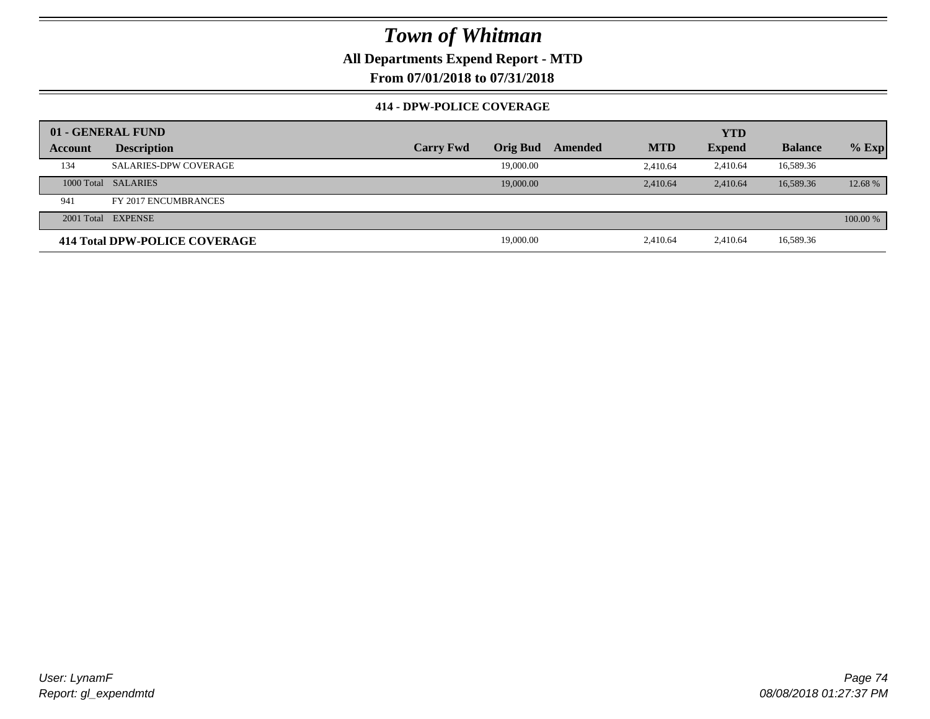### **All Departments Expend Report - MTD**

**From 07/01/2018 to 07/31/2018**

#### **414 - DPW-POLICE COVERAGE**

|         | 01 - GENERAL FUND             |                  |                 |         | <b>YTD</b> |               |                |          |
|---------|-------------------------------|------------------|-----------------|---------|------------|---------------|----------------|----------|
| Account | <b>Description</b>            | <b>Carry Fwd</b> | <b>Orig Bud</b> | Amended | <b>MTD</b> | <b>Expend</b> | <b>Balance</b> | $%$ Exp  |
| 134     | <b>SALARIES-DPW COVERAGE</b>  |                  | 19,000.00       |         | 2.410.64   | 2.410.64      | 16,589.36      |          |
|         | 1000 Total SALARIES           |                  | 19,000.00       |         | 2.410.64   | 2.410.64      | 16.589.36      | 12.68 %  |
| 941     | FY 2017 ENCUMBRANCES          |                  |                 |         |            |               |                |          |
|         | 2001 Total EXPENSE            |                  |                 |         |            |               |                | 100.00 % |
|         | 414 Total DPW-POLICE COVERAGE |                  | 19,000.00       |         | 2,410.64   | 2,410.64      | 16,589.36      |          |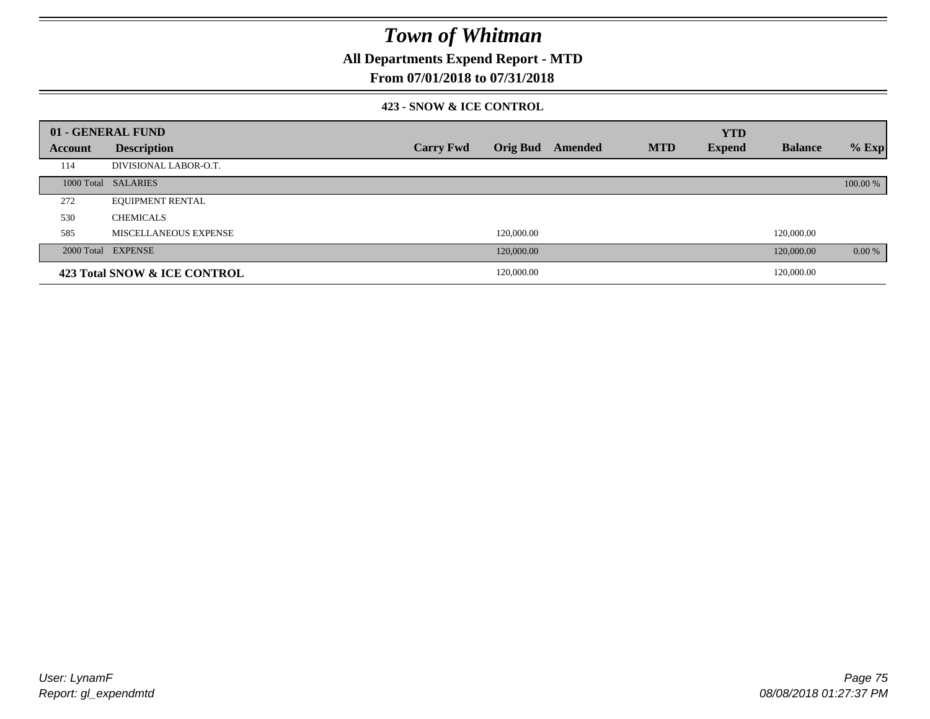**All Departments Expend Report - MTD**

### **From 07/01/2018 to 07/31/2018**

#### **423 - SNOW & ICE CONTROL**

|         | 01 - GENERAL FUND            |                  |            |                         |            | <b>YTD</b>    |                |          |
|---------|------------------------------|------------------|------------|-------------------------|------------|---------------|----------------|----------|
| Account | <b>Description</b>           | <b>Carry Fwd</b> |            | <b>Orig Bud</b> Amended | <b>MTD</b> | <b>Expend</b> | <b>Balance</b> | $%$ Exp  |
| 114     | DIVISIONAL LABOR-O.T.        |                  |            |                         |            |               |                |          |
|         | 1000 Total SALARIES          |                  |            |                         |            |               |                | 100.00 % |
| 272     | <b>EQUIPMENT RENTAL</b>      |                  |            |                         |            |               |                |          |
| 530     | <b>CHEMICALS</b>             |                  |            |                         |            |               |                |          |
| 585     | MISCELLANEOUS EXPENSE        |                  | 120,000.00 |                         |            |               | 120,000.00     |          |
|         | 2000 Total EXPENSE           |                  | 120,000.00 |                         |            |               | 120,000.00     | 0.00 %   |
|         | 423 Total SNOW & ICE CONTROL |                  | 120,000.00 |                         |            |               | 120,000.00     |          |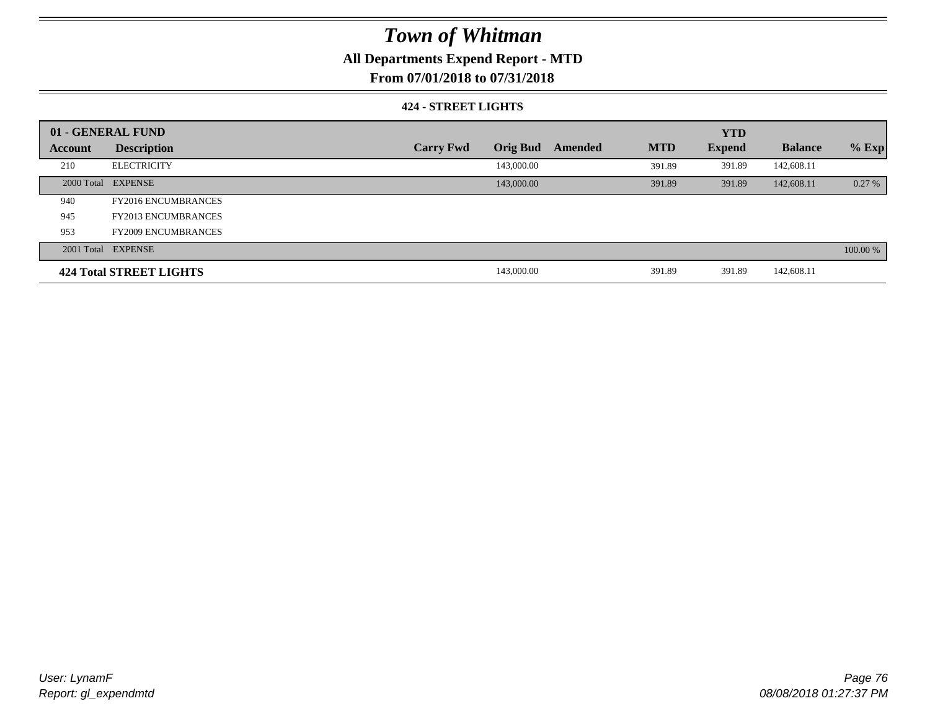### **All Departments Expend Report - MTD**

### **From 07/01/2018 to 07/31/2018**

#### **424 - STREET LIGHTS**

|         | 01 - GENERAL FUND          |                  |                 |         |            | <b>YTD</b>    |                |          |  |
|---------|----------------------------|------------------|-----------------|---------|------------|---------------|----------------|----------|--|
| Account | <b>Description</b>         | <b>Carry Fwd</b> | <b>Orig Bud</b> | Amended | <b>MTD</b> | <b>Expend</b> | <b>Balance</b> | $%$ Exp  |  |
| 210     | <b>ELECTRICITY</b>         |                  | 143,000.00      |         | 391.89     | 391.89        | 142,608.11     |          |  |
|         | 2000 Total EXPENSE         |                  | 143,000.00      |         | 391.89     | 391.89        | 142,608.11     | 0.27%    |  |
| 940     | <b>FY2016 ENCUMBRANCES</b> |                  |                 |         |            |               |                |          |  |
| 945     | <b>FY2013 ENCUMBRANCES</b> |                  |                 |         |            |               |                |          |  |
| 953     | <b>FY2009 ENCUMBRANCES</b> |                  |                 |         |            |               |                |          |  |
|         | 2001 Total EXPENSE         |                  |                 |         |            |               |                | 100.00 % |  |
|         | 424 Total STREET LIGHTS    |                  | 143,000.00      |         | 391.89     | 391.89        | 142,608.11     |          |  |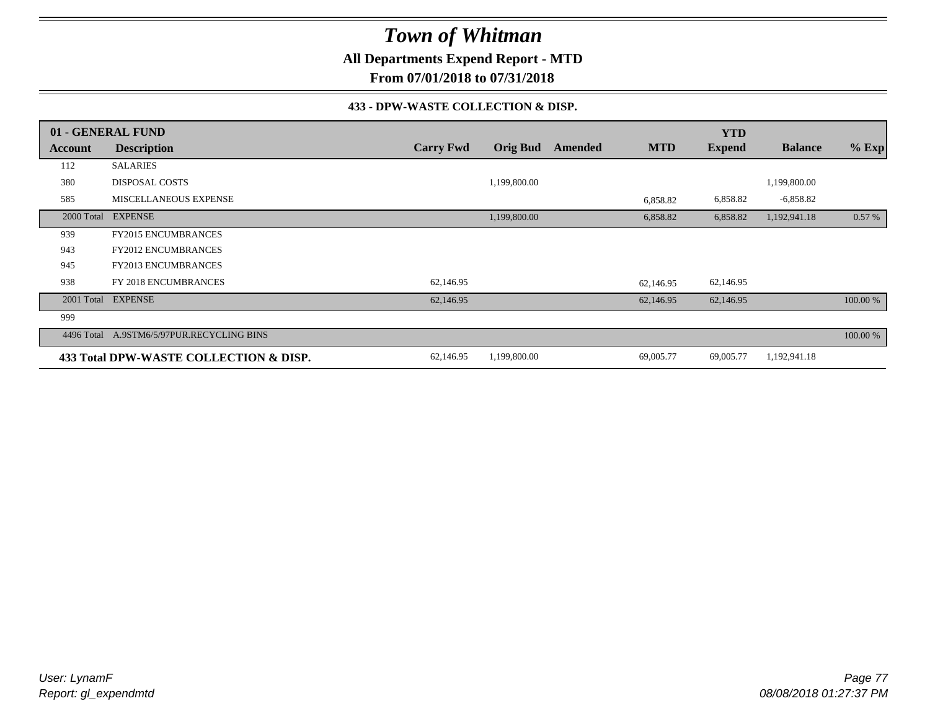**All Departments Expend Report - MTD**

**From 07/01/2018 to 07/31/2018**

#### **433 - DPW-WASTE COLLECTION & DISP.**

|            | 01 - GENERAL FUND                      |                  |                 |         |            | <b>YTD</b>    |                |          |
|------------|----------------------------------------|------------------|-----------------|---------|------------|---------------|----------------|----------|
| Account    | <b>Description</b>                     | <b>Carry Fwd</b> | <b>Orig Bud</b> | Amended | <b>MTD</b> | <b>Expend</b> | <b>Balance</b> | $%$ Exp  |
| 112        | <b>SALARIES</b>                        |                  |                 |         |            |               |                |          |
| 380        | <b>DISPOSAL COSTS</b>                  |                  | 1,199,800.00    |         |            |               | 1,199,800.00   |          |
| 585        | <b>MISCELLANEOUS EXPENSE</b>           |                  |                 |         | 6,858.82   | 6,858.82      | $-6,858.82$    |          |
| 2000 Total | <b>EXPENSE</b>                         |                  | 1,199,800.00    |         | 6,858.82   | 6,858.82      | 1,192,941.18   | 0.57%    |
| 939        | <b>FY2015 ENCUMBRANCES</b>             |                  |                 |         |            |               |                |          |
| 943        | <b>FY2012 ENCUMBRANCES</b>             |                  |                 |         |            |               |                |          |
| 945        | <b>FY2013 ENCUMBRANCES</b>             |                  |                 |         |            |               |                |          |
| 938        | FY 2018 ENCUMBRANCES                   | 62,146.95        |                 |         | 62,146.95  | 62,146.95     |                |          |
|            | 2001 Total EXPENSE                     | 62,146.95        |                 |         | 62,146.95  | 62,146.95     |                | 100.00 % |
| 999        |                                        |                  |                 |         |            |               |                |          |
| 4496 Total | A.9STM6/5/97PUR.RECYCLING BINS         |                  |                 |         |            |               |                | 100.00 % |
|            | 433 Total DPW-WASTE COLLECTION & DISP. | 62,146.95        | 1,199,800.00    |         | 69,005.77  | 69,005.77     | 1,192,941.18   |          |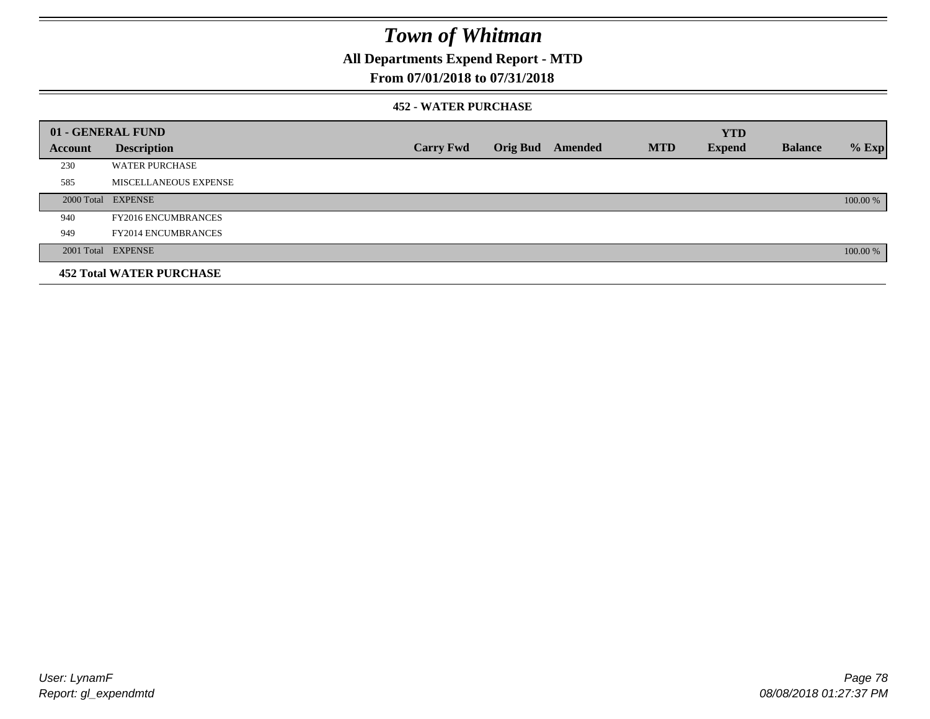**All Departments Expend Report - MTD**

### **From 07/01/2018 to 07/31/2018**

#### **452 - WATER PURCHASE**

|         | 01 - GENERAL FUND               |                  |                 |         |            | <b>YTD</b>    |                |          |
|---------|---------------------------------|------------------|-----------------|---------|------------|---------------|----------------|----------|
| Account | <b>Description</b>              | <b>Carry Fwd</b> | <b>Orig Bud</b> | Amended | <b>MTD</b> | <b>Expend</b> | <b>Balance</b> | $%$ Exp  |
| 230     | <b>WATER PURCHASE</b>           |                  |                 |         |            |               |                |          |
| 585     | MISCELLANEOUS EXPENSE           |                  |                 |         |            |               |                |          |
|         | 2000 Total EXPENSE              |                  |                 |         |            |               |                | 100.00 % |
| 940     | <b>FY2016 ENCUMBRANCES</b>      |                  |                 |         |            |               |                |          |
| 949     | <b>FY2014 ENCUMBRANCES</b>      |                  |                 |         |            |               |                |          |
|         | 2001 Total EXPENSE              |                  |                 |         |            |               |                | 100.00 % |
|         | <b>452 Total WATER PURCHASE</b> |                  |                 |         |            |               |                |          |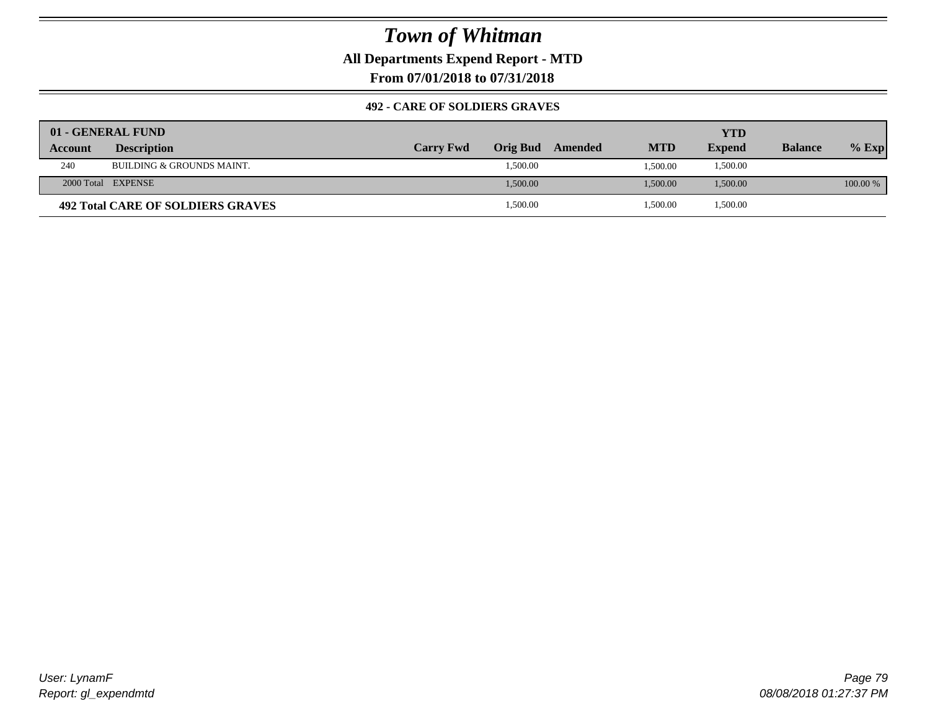### **All Departments Expend Report - MTD**

**From 07/01/2018 to 07/31/2018**

#### **492 - CARE OF SOLDIERS GRAVES**

|         | 01 - GENERAL FUND                 |                  |                 |         |            | YTD           |                |          |
|---------|-----------------------------------|------------------|-----------------|---------|------------|---------------|----------------|----------|
| Account | <b>Description</b>                | <b>Carry Fwd</b> | <b>Orig Bud</b> | Amended | <b>MTD</b> | <b>Expend</b> | <b>Balance</b> | $%$ Exp  |
| 240     | BUILDING & GROUNDS MAINT.         |                  | 1,500.00        |         | 1.500.00   | 1,500.00      |                |          |
|         | 2000 Total EXPENSE                |                  | 1,500.00        |         | 1,500.00   | 1,500.00      |                | 100.00 % |
|         | 492 Total CARE OF SOLDIERS GRAVES |                  | 1,500.00        |         | 1,500.00   | 1,500.00      |                |          |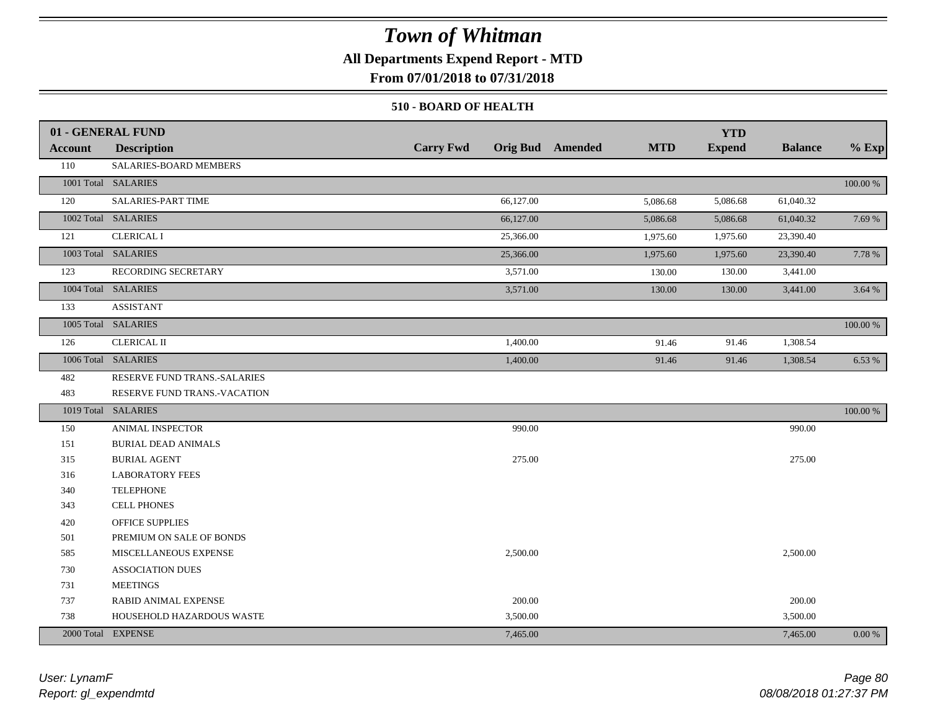### **All Departments Expend Report - MTD**

**From 07/01/2018 to 07/31/2018**

#### **510 - BOARD OF HEALTH**

|                | 01 - GENERAL FUND            |                  |                                       | <b>YTD</b>    |                |             |
|----------------|------------------------------|------------------|---------------------------------------|---------------|----------------|-------------|
| <b>Account</b> | <b>Description</b>           | <b>Carry Fwd</b> | <b>Orig Bud</b> Amended<br><b>MTD</b> | <b>Expend</b> | <b>Balance</b> | $%$ Exp     |
| 110            | SALARIES-BOARD MEMBERS       |                  |                                       |               |                |             |
|                | 1001 Total SALARIES          |                  |                                       |               |                | 100.00 %    |
| 120            | SALARIES-PART TIME           | 66,127.00        | 5,086.68                              | 5,086.68      | 61,040.32      |             |
|                | 1002 Total SALARIES          | 66,127.00        | 5,086.68                              | 5,086.68      | 61,040.32      | 7.69 %      |
| 121            | <b>CLERICAL I</b>            | 25,366.00        | 1,975.60                              | 1,975.60      | 23,390.40      |             |
|                | 1003 Total SALARIES          | 25,366.00        | 1,975.60                              | 1,975.60      | 23,390.40      | 7.78 %      |
| 123            | RECORDING SECRETARY          | 3,571.00         | 130.00                                | 130.00        | 3,441.00       |             |
|                | 1004 Total SALARIES          | 3,571.00         | 130.00                                | 130.00        | 3,441.00       | 3.64 %      |
| 133            | <b>ASSISTANT</b>             |                  |                                       |               |                |             |
|                | 1005 Total SALARIES          |                  |                                       |               |                | 100.00 %    |
| 126            | <b>CLERICAL II</b>           | 1,400.00         | 91.46                                 | 91.46         | 1,308.54       |             |
|                | 1006 Total SALARIES          | 1,400.00         | 91.46                                 | 91.46         | 1,308.54       | 6.53 %      |
| 482            | RESERVE FUND TRANS.-SALARIES |                  |                                       |               |                |             |
| 483            | RESERVE FUND TRANS.-VACATION |                  |                                       |               |                |             |
|                | 1019 Total SALARIES          |                  |                                       |               |                | $100.00~\%$ |
| 150            | ANIMAL INSPECTOR             | 990.00           |                                       |               | 990.00         |             |
| 151            | <b>BURIAL DEAD ANIMALS</b>   |                  |                                       |               |                |             |
| 315            | <b>BURIAL AGENT</b>          | 275.00           |                                       |               | 275.00         |             |
| 316            | <b>LABORATORY FEES</b>       |                  |                                       |               |                |             |
| 340            | <b>TELEPHONE</b>             |                  |                                       |               |                |             |
| 343            | CELL PHONES                  |                  |                                       |               |                |             |
| 420            | <b>OFFICE SUPPLIES</b>       |                  |                                       |               |                |             |
| 501            | PREMIUM ON SALE OF BONDS     |                  |                                       |               |                |             |
| 585            | MISCELLANEOUS EXPENSE        | 2,500.00         |                                       |               | 2,500.00       |             |
| 730            | <b>ASSOCIATION DUES</b>      |                  |                                       |               |                |             |
| 731            | <b>MEETINGS</b>              |                  |                                       |               |                |             |
| 737            | RABID ANIMAL EXPENSE         | 200.00           |                                       |               | 200.00         |             |
| 738            | HOUSEHOLD HAZARDOUS WASTE    | 3,500.00         |                                       |               | 3,500.00       |             |
|                | 2000 Total EXPENSE           | 7,465.00         |                                       |               | 7,465.00       | 0.00 %      |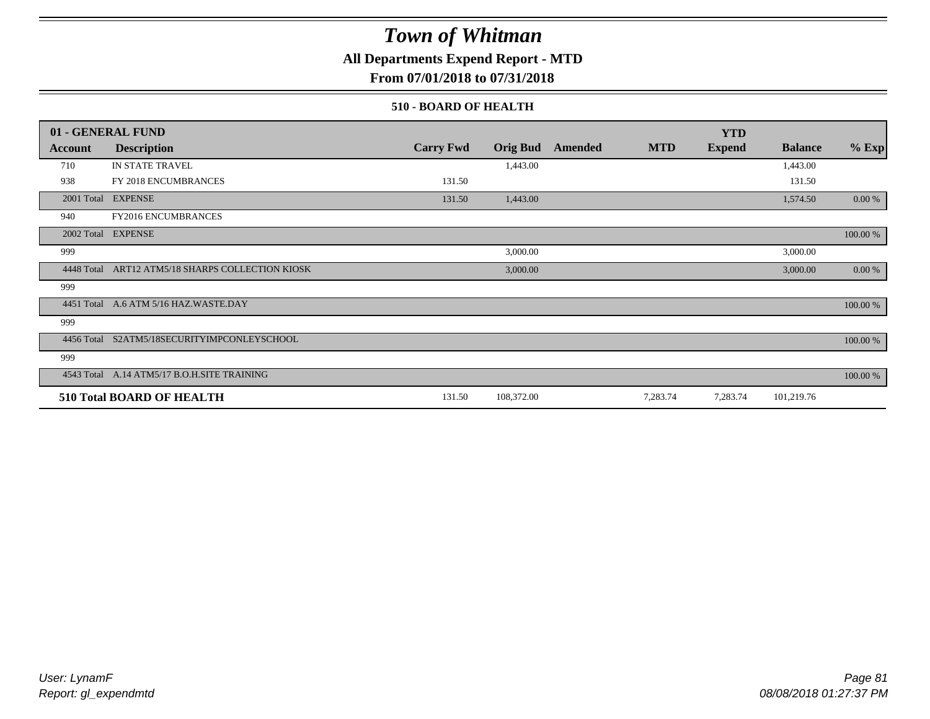**All Departments Expend Report - MTD**

**From 07/01/2018 to 07/31/2018**

#### **510 - BOARD OF HEALTH**

|            | 01 - GENERAL FUND                                |                  |                 |         |            | <b>YTD</b>    |                |          |
|------------|--------------------------------------------------|------------------|-----------------|---------|------------|---------------|----------------|----------|
| Account    | <b>Description</b>                               | <b>Carry Fwd</b> | <b>Orig Bud</b> | Amended | <b>MTD</b> | <b>Expend</b> | <b>Balance</b> | $%$ Exp  |
| 710        | IN STATE TRAVEL                                  |                  | 1,443.00        |         |            |               | 1,443.00       |          |
| 938        | FY 2018 ENCUMBRANCES                             | 131.50           |                 |         |            |               | 131.50         |          |
| 2001 Total | <b>EXPENSE</b>                                   | 131.50           | 1,443.00        |         |            |               | 1,574.50       | 0.00 %   |
| 940        | FY2016 ENCUMBRANCES                              |                  |                 |         |            |               |                |          |
|            | 2002 Total EXPENSE                               |                  |                 |         |            |               |                | 100.00 % |
| 999        |                                                  |                  | 3,000.00        |         |            |               | 3,000.00       |          |
|            | 4448 Total ART12 ATM5/18 SHARPS COLLECTION KIOSK |                  | 3,000.00        |         |            |               | 3,000.00       | 0.00 %   |
| 999        |                                                  |                  |                 |         |            |               |                |          |
|            | 4451 Total A.6 ATM 5/16 HAZ.WASTE.DAY            |                  |                 |         |            |               |                | 100.00 % |
| 999        |                                                  |                  |                 |         |            |               |                |          |
| 4456 Total | S2ATM5/18SECURITYIMPCONLEYSCHOOL                 |                  |                 |         |            |               |                | 100.00 % |
| 999        |                                                  |                  |                 |         |            |               |                |          |
|            | 4543 Total A.14 ATM5/17 B.O.H.SITE TRAINING      |                  |                 |         |            |               |                | 100.00 % |
|            | <b>510 Total BOARD OF HEALTH</b>                 | 131.50           | 108,372.00      |         | 7,283.74   | 7,283.74      | 101,219.76     |          |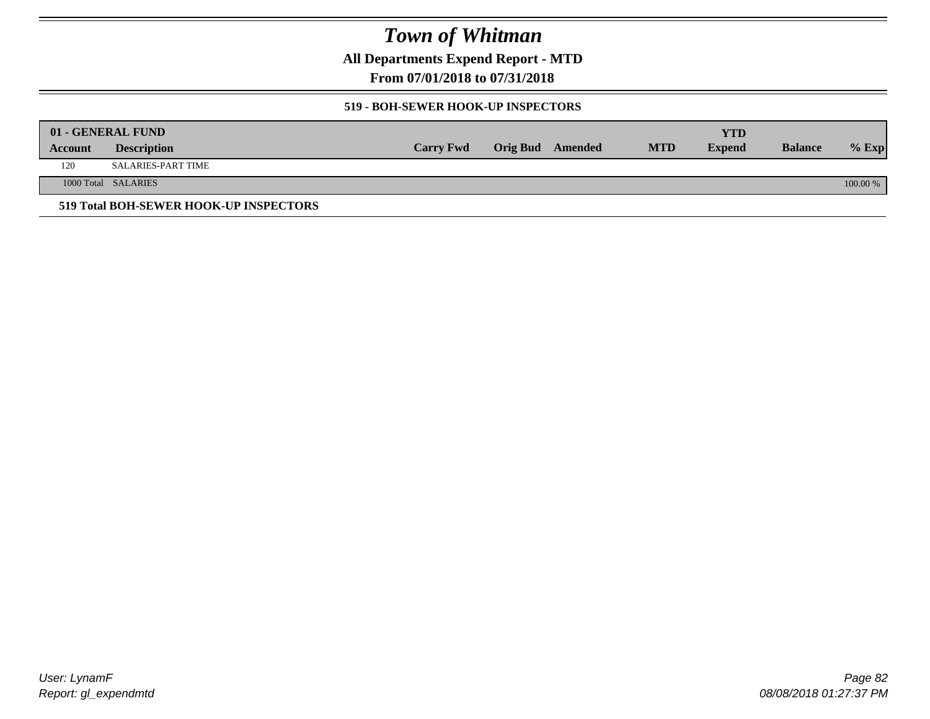**All Departments Expend Report - MTD**

**From 07/01/2018 to 07/31/2018**

#### **519 - BOH-SEWER HOOK-UP INSPECTORS**

|         | 01 - GENERAL FUND                      |                  |                  |            | YTD           |                |          |
|---------|----------------------------------------|------------------|------------------|------------|---------------|----------------|----------|
| Account | <b>Description</b>                     | <b>Carry Fwd</b> | Orig Bud Amended | <b>MTD</b> | <b>Expend</b> | <b>Balance</b> | $%$ Exp  |
| 120     | SALARIES-PART TIME                     |                  |                  |            |               |                |          |
|         | 1000 Total SALARIES                    |                  |                  |            |               |                | 100.00 % |
|         | 519 Total BOH-SEWER HOOK-UP INSPECTORS |                  |                  |            |               |                |          |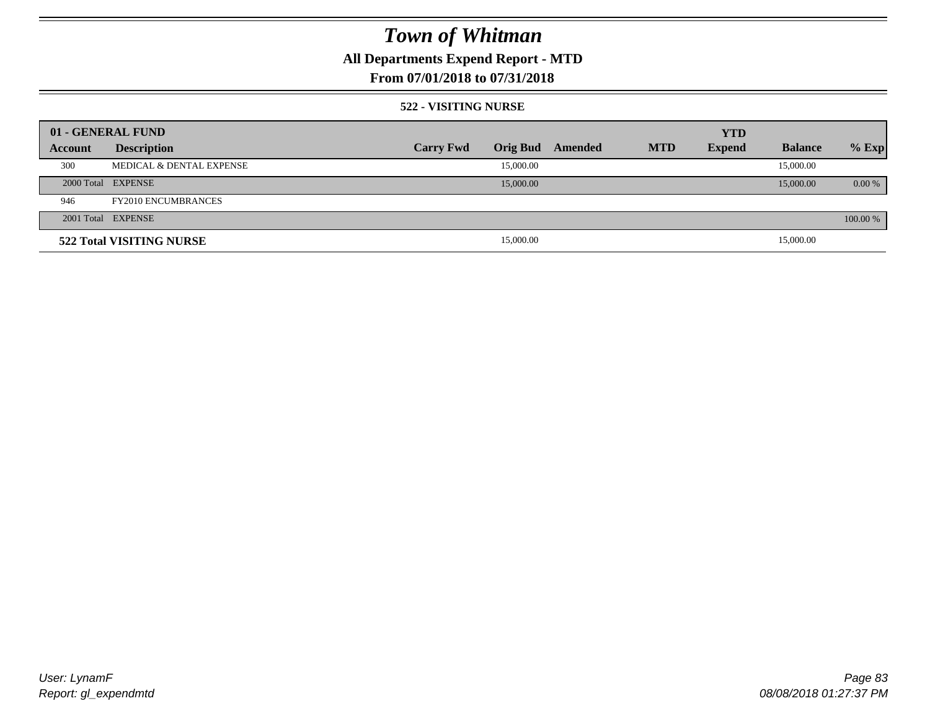## **All Departments Expend Report - MTD**

### **From 07/01/2018 to 07/31/2018**

#### **522 - VISITING NURSE**

| 01 - GENERAL FUND |                            |                  |                 |         |            | <b>YTD</b>    |                |          |
|-------------------|----------------------------|------------------|-----------------|---------|------------|---------------|----------------|----------|
| Account           | <b>Description</b>         | <b>Carry Fwd</b> | <b>Orig Bud</b> | Amended | <b>MTD</b> | <b>Expend</b> | <b>Balance</b> | $%$ Exp  |
| 300               | MEDICAL & DENTAL EXPENSE   |                  | 15,000.00       |         |            |               | 15,000.00      |          |
|                   | 2000 Total EXPENSE         |                  | 15,000.00       |         |            |               | 15,000.00      | $0.00\%$ |
| 946               | <b>FY2010 ENCUMBRANCES</b> |                  |                 |         |            |               |                |          |
|                   | 2001 Total EXPENSE         |                  |                 |         |            |               |                | 100.00 % |
|                   | 522 Total VISITING NURSE   |                  | 15,000.00       |         |            |               | 15,000.00      |          |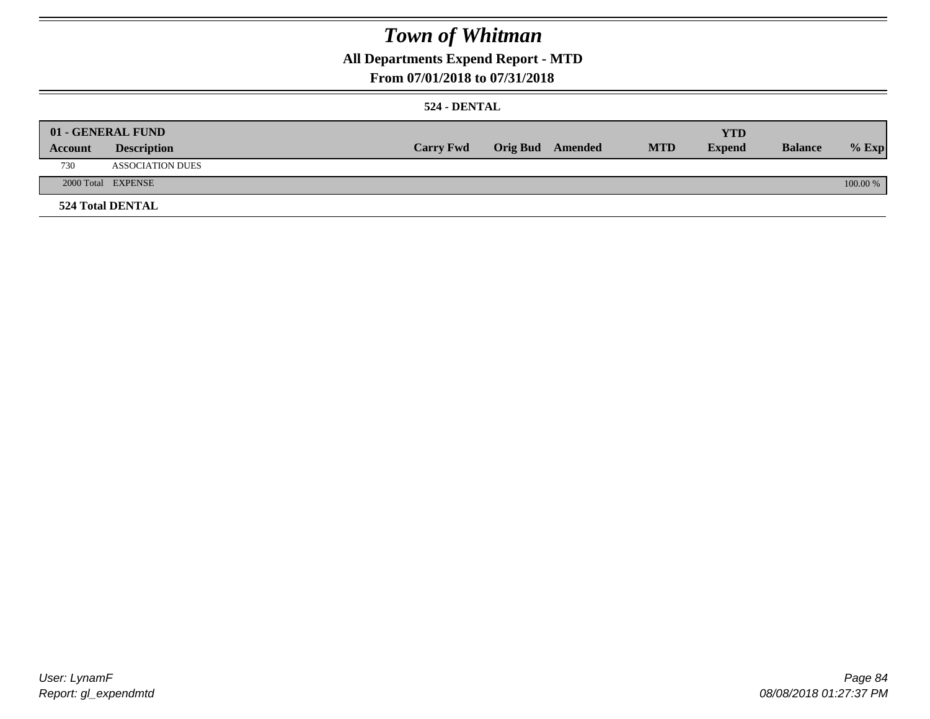### **All Departments Expend Report - MTD**

### **From 07/01/2018 to 07/31/2018**

#### **524 - DENTAL**

|         | 01 - GENERAL FUND       |                  |                  |            | <b>YTD</b>    |                |          |
|---------|-------------------------|------------------|------------------|------------|---------------|----------------|----------|
| Account | <b>Description</b>      | <b>Carry Fwd</b> | Orig Bud Amended | <b>MTD</b> | <b>Expend</b> | <b>Balance</b> | $%$ Exp  |
| 730     | <b>ASSOCIATION DUES</b> |                  |                  |            |               |                |          |
|         | 2000 Total EXPENSE      |                  |                  |            |               |                | 100.00 % |
|         | <b>524 Total DENTAL</b> |                  |                  |            |               |                |          |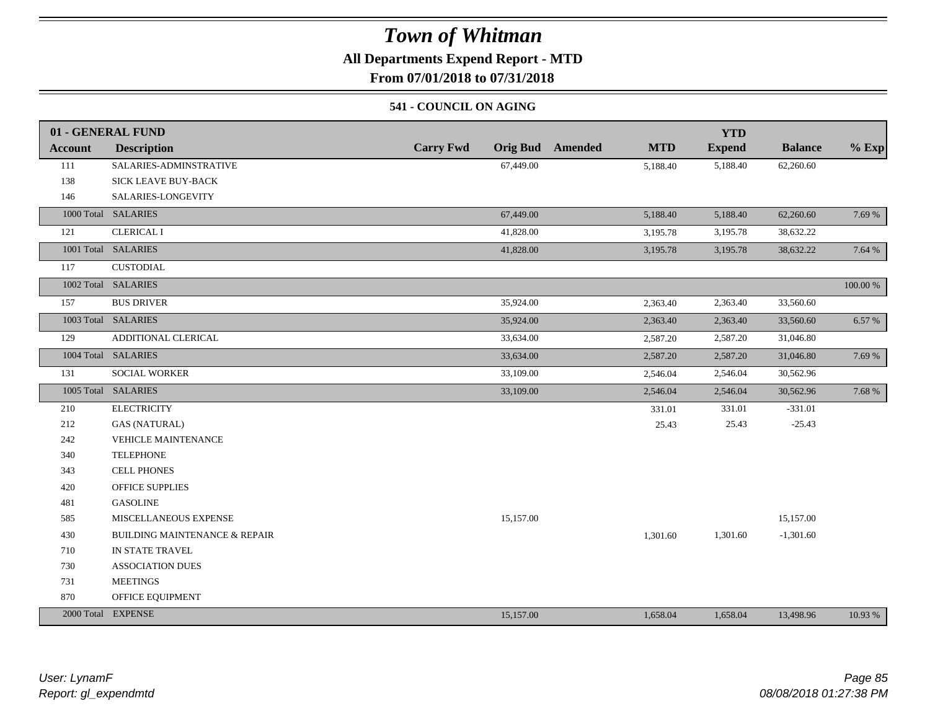### **All Departments Expend Report - MTD**

**From 07/01/2018 to 07/31/2018**

#### **541 - COUNCIL ON AGING**

|                | 01 - GENERAL FUND                        |                                     |                              | <b>YTD</b>    |                |          |
|----------------|------------------------------------------|-------------------------------------|------------------------------|---------------|----------------|----------|
| <b>Account</b> | <b>Description</b>                       | <b>Carry Fwd</b><br><b>Orig Bud</b> | <b>Amended</b><br><b>MTD</b> | <b>Expend</b> | <b>Balance</b> | $%$ Exp  |
| 111            | SALARIES-ADMINSTRATIVE                   | 67,449.00                           | 5,188.40                     | 5,188.40      | 62,260.60      |          |
| 138            | <b>SICK LEAVE BUY-BACK</b>               |                                     |                              |               |                |          |
| 146            | SALARIES-LONGEVITY                       |                                     |                              |               |                |          |
|                | 1000 Total SALARIES                      | 67,449.00                           | 5,188.40                     | 5,188.40      | 62,260.60      | 7.69 %   |
| 121            | <b>CLERICAL I</b>                        | 41,828.00                           | 3,195.78                     | 3,195.78      | 38,632.22      |          |
|                | 1001 Total SALARIES                      | 41,828.00                           | 3,195.78                     | 3,195.78      | 38,632.22      | 7.64 %   |
| 117            | <b>CUSTODIAL</b>                         |                                     |                              |               |                |          |
|                | 1002 Total SALARIES                      |                                     |                              |               |                | 100.00 % |
| 157            | <b>BUS DRIVER</b>                        | 35,924.00                           | 2,363.40                     | 2,363.40      | 33,560.60      |          |
|                | 1003 Total SALARIES                      | 35,924.00                           | 2,363.40                     | 2,363.40      | 33,560.60      | 6.57 %   |
| 129            | ADDITIONAL CLERICAL                      | 33,634.00                           | 2,587.20                     | 2,587.20      | 31,046.80      |          |
|                | 1004 Total SALARIES                      | 33,634.00                           | 2,587.20                     | 2,587.20      | 31,046.80      | 7.69 %   |
| 131            | SOCIAL WORKER                            | 33,109.00                           | 2,546.04                     | 2,546.04      | 30,562.96      |          |
|                | 1005 Total SALARIES                      | 33,109.00                           | 2,546.04                     | 2,546.04      | 30,562.96      | 7.68 %   |
| 210            | <b>ELECTRICITY</b>                       |                                     | 331.01                       | 331.01        | $-331.01$      |          |
| 212            | <b>GAS (NATURAL)</b>                     |                                     | 25.43                        | 25.43         | $-25.43$       |          |
| 242            | <b>VEHICLE MAINTENANCE</b>               |                                     |                              |               |                |          |
| 340            | <b>TELEPHONE</b>                         |                                     |                              |               |                |          |
| 343            | <b>CELL PHONES</b>                       |                                     |                              |               |                |          |
| 420            | <b>OFFICE SUPPLIES</b>                   |                                     |                              |               |                |          |
| 481            | <b>GASOLINE</b>                          |                                     |                              |               |                |          |
| 585            | MISCELLANEOUS EXPENSE                    | 15,157.00                           |                              |               | 15,157.00      |          |
| 430            | <b>BUILDING MAINTENANCE &amp; REPAIR</b> |                                     | 1,301.60                     | 1,301.60      | $-1,301.60$    |          |
| 710            | IN STATE TRAVEL                          |                                     |                              |               |                |          |
| 730            | <b>ASSOCIATION DUES</b>                  |                                     |                              |               |                |          |
| 731            | <b>MEETINGS</b>                          |                                     |                              |               |                |          |
| 870            | OFFICE EQUIPMENT                         |                                     |                              |               |                |          |
|                | 2000 Total EXPENSE                       | 15,157.00                           | 1,658.04                     | 1,658.04      | 13,498.96      | 10.93 %  |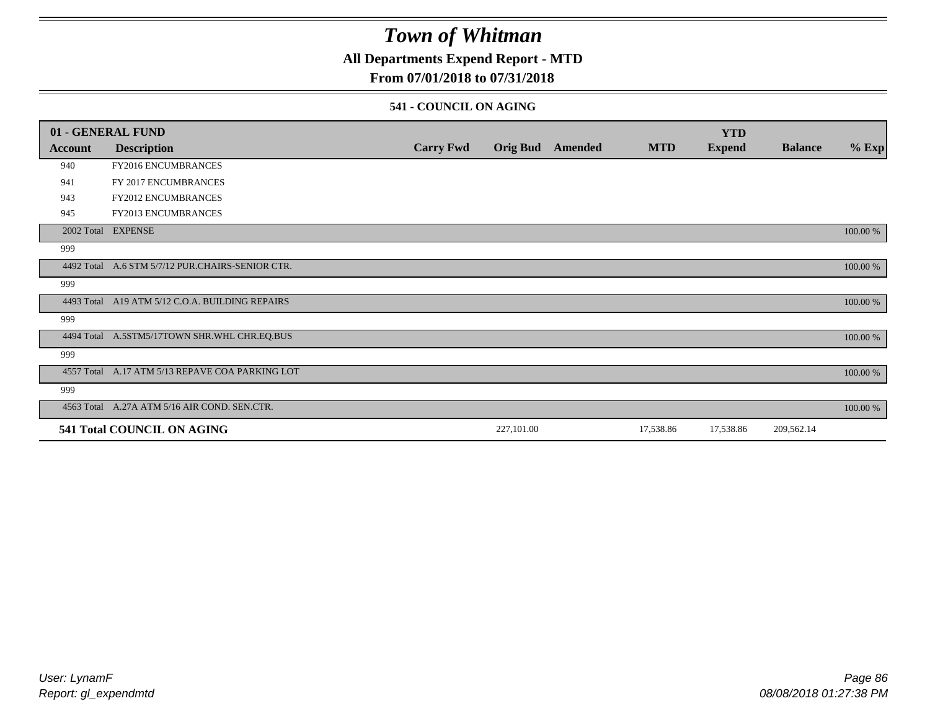### **All Departments Expend Report - MTD**

### **From 07/01/2018 to 07/31/2018**

#### **541 - COUNCIL ON AGING**

|         | 01 - GENERAL FUND                                |                  |                 |         |            | <b>YTD</b>    |                |          |
|---------|--------------------------------------------------|------------------|-----------------|---------|------------|---------------|----------------|----------|
| Account | <b>Description</b>                               | <b>Carry Fwd</b> | <b>Orig Bud</b> | Amended | <b>MTD</b> | <b>Expend</b> | <b>Balance</b> | $%$ Exp  |
| 940     | FY2016 ENCUMBRANCES                              |                  |                 |         |            |               |                |          |
| 941     | FY 2017 ENCUMBRANCES                             |                  |                 |         |            |               |                |          |
| 943     | <b>FY2012 ENCUMBRANCES</b>                       |                  |                 |         |            |               |                |          |
| 945     | <b>FY2013 ENCUMBRANCES</b>                       |                  |                 |         |            |               |                |          |
|         | 2002 Total EXPENSE                               |                  |                 |         |            |               |                | 100.00 % |
| 999     |                                                  |                  |                 |         |            |               |                |          |
|         | 4492 Total A.6 STM 5/7/12 PUR.CHAIRS-SENIOR CTR. |                  |                 |         |            |               |                | 100.00 % |
| 999     |                                                  |                  |                 |         |            |               |                |          |
|         | 4493 Total A19 ATM 5/12 C.O.A. BUILDING REPAIRS  |                  |                 |         |            |               |                | 100.00 % |
| 999     |                                                  |                  |                 |         |            |               |                |          |
|         | 4494 Total A.5STM5/17TOWN SHR.WHL CHR.EQ.BUS     |                  |                 |         |            |               |                | 100.00 % |
| 999     |                                                  |                  |                 |         |            |               |                |          |
|         | 4557 Total A.17 ATM 5/13 REPAVE COA PARKING LOT  |                  |                 |         |            |               |                | 100.00 % |
| 999     |                                                  |                  |                 |         |            |               |                |          |
|         | 4563 Total A.27A ATM 5/16 AIR COND. SEN.CTR.     |                  |                 |         |            |               |                | 100.00 % |
|         | <b>541 Total COUNCIL ON AGING</b>                |                  | 227,101.00      |         | 17,538.86  | 17,538.86     | 209,562.14     |          |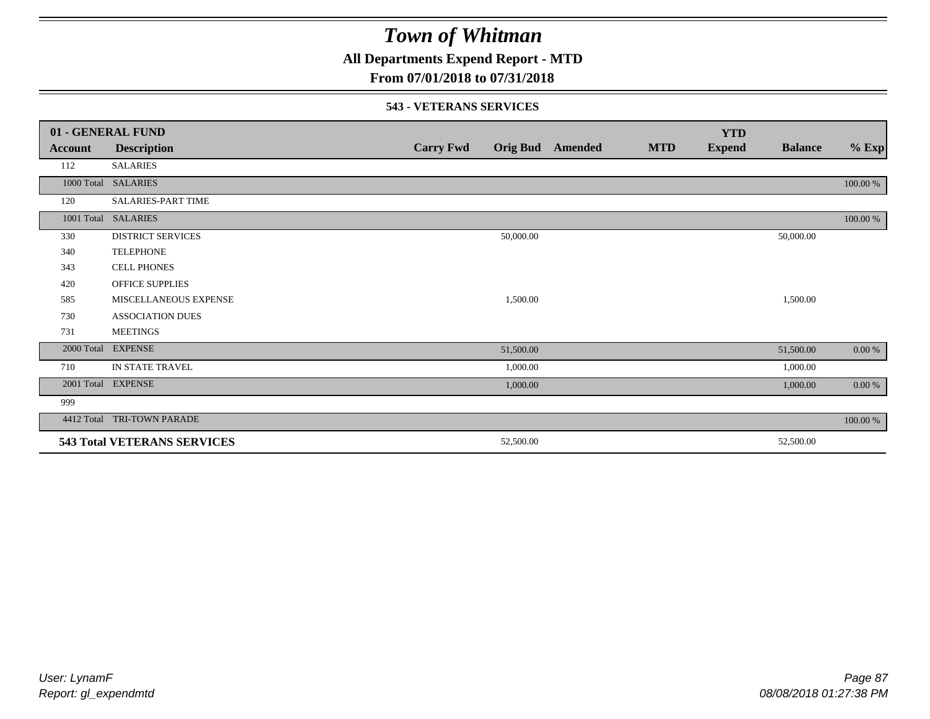**All Departments Expend Report - MTD**

### **From 07/01/2018 to 07/31/2018**

#### **543 - VETERANS SERVICES**

|            | 01 - GENERAL FUND                  |                  |                 |         |            | <b>YTD</b>    |                |          |
|------------|------------------------------------|------------------|-----------------|---------|------------|---------------|----------------|----------|
| Account    | <b>Description</b>                 | <b>Carry Fwd</b> | <b>Orig Bud</b> | Amended | <b>MTD</b> | <b>Expend</b> | <b>Balance</b> | $%$ Exp  |
| 112        | <b>SALARIES</b>                    |                  |                 |         |            |               |                |          |
|            | 1000 Total SALARIES                |                  |                 |         |            |               |                | 100.00 % |
| 120        | SALARIES-PART TIME                 |                  |                 |         |            |               |                |          |
|            | 1001 Total SALARIES                |                  |                 |         |            |               |                | 100.00 % |
| 330        | <b>DISTRICT SERVICES</b>           |                  | 50,000.00       |         |            |               | 50,000.00      |          |
| 340        | <b>TELEPHONE</b>                   |                  |                 |         |            |               |                |          |
| 343        | <b>CELL PHONES</b>                 |                  |                 |         |            |               |                |          |
| 420        | <b>OFFICE SUPPLIES</b>             |                  |                 |         |            |               |                |          |
| 585        | MISCELLANEOUS EXPENSE              |                  | 1,500.00        |         |            |               | 1,500.00       |          |
| 730        | <b>ASSOCIATION DUES</b>            |                  |                 |         |            |               |                |          |
| 731        | <b>MEETINGS</b>                    |                  |                 |         |            |               |                |          |
| 2000 Total | <b>EXPENSE</b>                     |                  | 51,500.00       |         |            |               | 51,500.00      | 0.00 %   |
| 710        | IN STATE TRAVEL                    |                  | 1,000.00        |         |            |               | 1,000.00       |          |
|            | 2001 Total EXPENSE                 |                  | 1,000.00        |         |            |               | 1,000.00       | $0.00\%$ |
| 999        |                                    |                  |                 |         |            |               |                |          |
| 4412 Total | <b>TRI-TOWN PARADE</b>             |                  |                 |         |            |               |                | 100.00 % |
|            | <b>543 Total VETERANS SERVICES</b> |                  | 52,500.00       |         |            |               | 52,500.00      |          |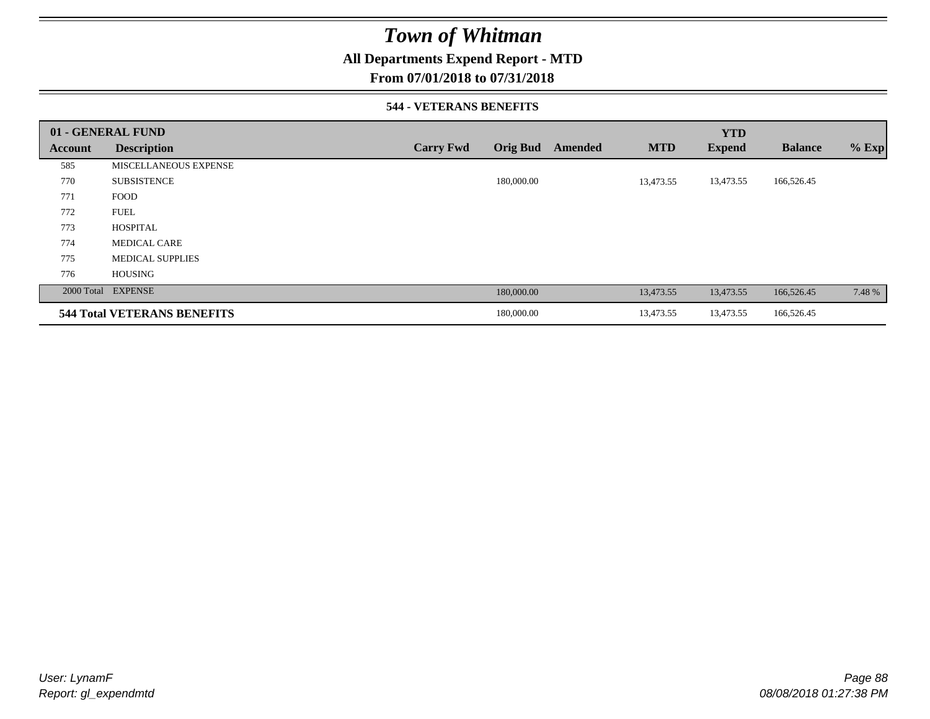### **All Departments Expend Report - MTD**

#### **From 07/01/2018 to 07/31/2018**

#### **544 - VETERANS BENEFITS**

|         | 01 - GENERAL FUND                  |                  |                 |         |            | <b>YTD</b>    |                |         |
|---------|------------------------------------|------------------|-----------------|---------|------------|---------------|----------------|---------|
| Account | <b>Description</b>                 | <b>Carry Fwd</b> | <b>Orig Bud</b> | Amended | <b>MTD</b> | <b>Expend</b> | <b>Balance</b> | $%$ Exp |
| 585     | MISCELLANEOUS EXPENSE              |                  |                 |         |            |               |                |         |
| 770     | <b>SUBSISTENCE</b>                 |                  | 180,000.00      |         | 13,473.55  | 13,473.55     | 166,526.45     |         |
| 771     | <b>FOOD</b>                        |                  |                 |         |            |               |                |         |
| 772     | <b>FUEL</b>                        |                  |                 |         |            |               |                |         |
| 773     | <b>HOSPITAL</b>                    |                  |                 |         |            |               |                |         |
| 774     | <b>MEDICAL CARE</b>                |                  |                 |         |            |               |                |         |
| 775     | <b>MEDICAL SUPPLIES</b>            |                  |                 |         |            |               |                |         |
| 776     | <b>HOUSING</b>                     |                  |                 |         |            |               |                |         |
|         | 2000 Total EXPENSE                 |                  | 180,000.00      |         | 13,473.55  | 13,473.55     | 166,526.45     | 7.48 %  |
|         | <b>544 Total VETERANS BENEFITS</b> |                  | 180,000.00      |         | 13,473.55  | 13,473.55     | 166,526.45     |         |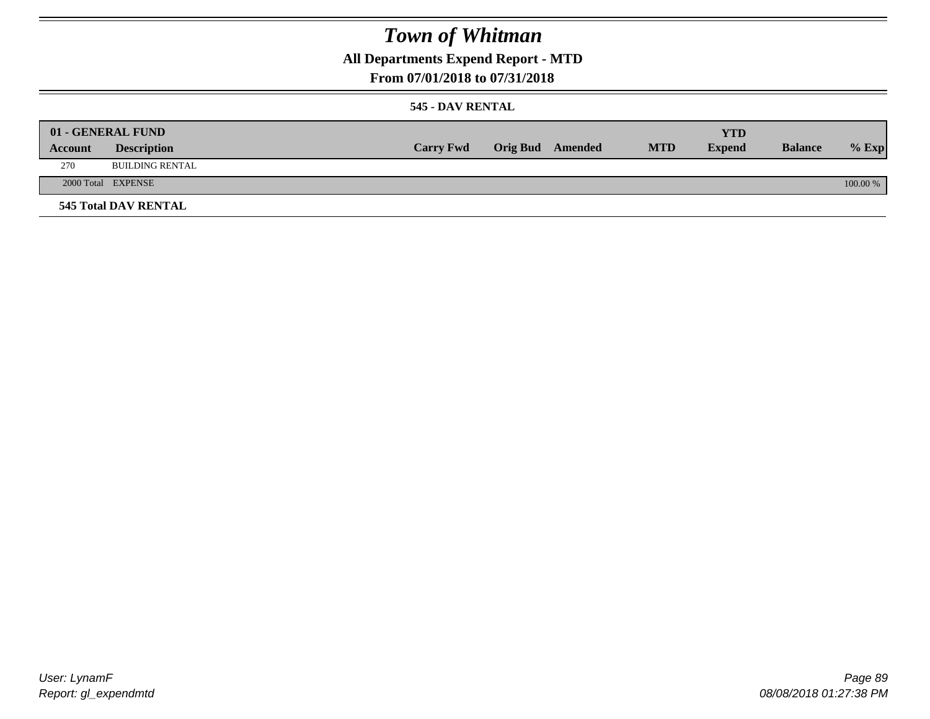**All Departments Expend Report - MTD**

### **From 07/01/2018 to 07/31/2018**

#### **545 - DAV RENTAL**

|         | 01 - GENERAL FUND           |                  |                  |            | <b>YTD</b>    |                |          |
|---------|-----------------------------|------------------|------------------|------------|---------------|----------------|----------|
| Account | <b>Description</b>          | <b>Carry Fwd</b> | Orig Bud Amended | <b>MTD</b> | <b>Expend</b> | <b>Balance</b> | $%$ Exp  |
| 270     | <b>BUILDING RENTAL</b>      |                  |                  |            |               |                |          |
|         | 2000 Total EXPENSE          |                  |                  |            |               |                | 100.00 % |
|         | <b>545 Total DAV RENTAL</b> |                  |                  |            |               |                |          |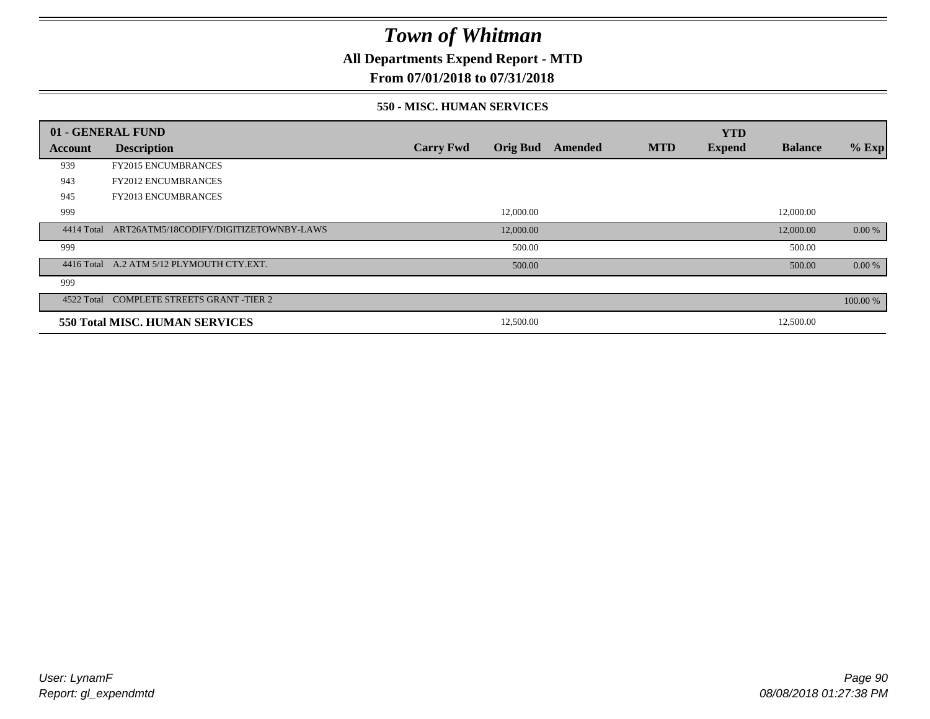**All Departments Expend Report - MTD**

### **From 07/01/2018 to 07/31/2018**

#### **550 - MISC. HUMAN SERVICES**

|            | 01 - GENERAL FUND                         |                  |                 |         |            | <b>YTD</b>    |                |          |
|------------|-------------------------------------------|------------------|-----------------|---------|------------|---------------|----------------|----------|
| Account    | <b>Description</b>                        | <b>Carry Fwd</b> | <b>Orig Bud</b> | Amended | <b>MTD</b> | <b>Expend</b> | <b>Balance</b> | $%$ Exp  |
| 939        | <b>FY2015 ENCUMBRANCES</b>                |                  |                 |         |            |               |                |          |
| 943        | <b>FY2012 ENCUMBRANCES</b>                |                  |                 |         |            |               |                |          |
| 945        | <b>FY2013 ENCUMBRANCES</b>                |                  |                 |         |            |               |                |          |
| 999        |                                           |                  | 12,000.00       |         |            |               | 12,000.00      |          |
| 4414 Total | ART26ATM5/18CODIFY/DIGITIZETOWNBY-LAWS    |                  | 12,000.00       |         |            |               | 12,000.00      | 0.00 %   |
| 999        |                                           |                  | 500.00          |         |            |               | 500.00         |          |
|            | 4416 Total A.2 ATM 5/12 PLYMOUTH CTY.EXT. |                  | 500.00          |         |            |               | 500.00         | 0.00 %   |
| 999        |                                           |                  |                 |         |            |               |                |          |
|            | 4522 Total COMPLETE STREETS GRANT -TIER 2 |                  |                 |         |            |               |                | 100.00 % |
|            | 550 Total MISC. HUMAN SERVICES            |                  | 12,500.00       |         |            |               | 12,500.00      |          |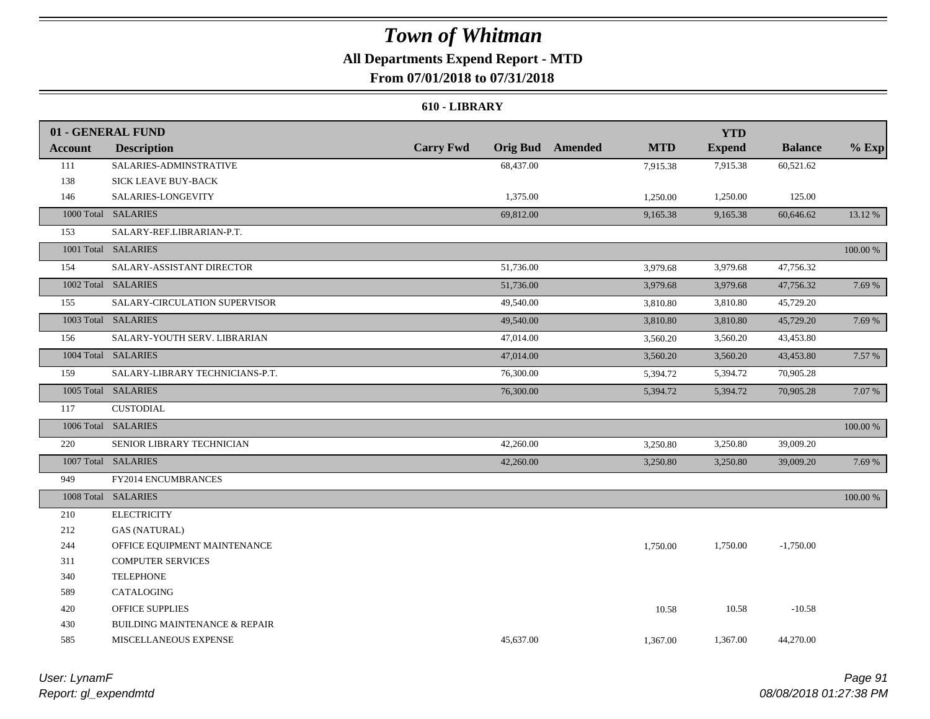### **All Departments Expend Report - MTD From 07/01/2018 to 07/31/2018**

#### **610 - LIBRARY**

|                | 01 - GENERAL FUND                        |                  |           |                         |            | <b>YTD</b>    |                |          |
|----------------|------------------------------------------|------------------|-----------|-------------------------|------------|---------------|----------------|----------|
| <b>Account</b> | <b>Description</b>                       | <b>Carry Fwd</b> |           | <b>Orig Bud</b> Amended | <b>MTD</b> | <b>Expend</b> | <b>Balance</b> | $%$ Exp  |
| 111            | SALARIES-ADMINSTRATIVE                   |                  | 68,437.00 |                         | 7,915.38   | 7,915.38      | 60,521.62      |          |
| 138            | SICK LEAVE BUY-BACK                      |                  |           |                         |            |               |                |          |
| 146            | SALARIES-LONGEVITY                       |                  | 1,375.00  |                         | 1,250.00   | 1,250.00      | 125.00         |          |
|                | 1000 Total SALARIES                      |                  | 69,812.00 |                         | 9,165.38   | 9,165.38      | 60,646.62      | 13.12 %  |
| 153            | SALARY-REF.LIBRARIAN-P.T.                |                  |           |                         |            |               |                |          |
|                | 1001 Total SALARIES                      |                  |           |                         |            |               |                | 100.00 % |
| 154            | SALARY-ASSISTANT DIRECTOR                |                  | 51,736.00 |                         | 3,979.68   | 3,979.68      | 47,756.32      |          |
|                | 1002 Total SALARIES                      |                  | 51,736.00 |                         | 3,979.68   | 3,979.68      | 47,756.32      | 7.69 %   |
| 155            | SALARY-CIRCULATION SUPERVISOR            |                  | 49,540.00 |                         | 3,810.80   | 3,810.80      | 45,729.20      |          |
|                | 1003 Total SALARIES                      |                  | 49,540.00 |                         | 3,810.80   | 3,810.80      | 45,729.20      | 7.69 %   |
| 156            | SALARY-YOUTH SERV. LIBRARIAN             |                  | 47,014.00 |                         | 3,560.20   | 3,560.20      | 43,453.80      |          |
|                | 1004 Total SALARIES                      |                  | 47,014.00 |                         | 3,560.20   | 3,560.20      | 43,453.80      | 7.57 %   |
| 159            | SALARY-LIBRARY TECHNICIANS-P.T.          |                  | 76,300.00 |                         | 5,394.72   | 5,394.72      | 70,905.28      |          |
|                | 1005 Total SALARIES                      |                  | 76,300.00 |                         | 5,394.72   | 5,394.72      | 70,905.28      | 7.07 %   |
| 117            | <b>CUSTODIAL</b>                         |                  |           |                         |            |               |                |          |
|                | 1006 Total SALARIES                      |                  |           |                         |            |               |                | 100.00 % |
| 220            | SENIOR LIBRARY TECHNICIAN                |                  | 42,260.00 |                         | 3,250.80   | 3,250.80      | 39,009.20      |          |
|                | 1007 Total SALARIES                      |                  | 42,260.00 |                         | 3,250.80   | 3,250.80      | 39,009.20      | 7.69 %   |
| 949            | FY2014 ENCUMBRANCES                      |                  |           |                         |            |               |                |          |
|                | 1008 Total SALARIES                      |                  |           |                         |            |               |                | 100.00 % |
| 210            | <b>ELECTRICITY</b>                       |                  |           |                         |            |               |                |          |
| 212            | <b>GAS (NATURAL)</b>                     |                  |           |                         |            |               |                |          |
| 244            | OFFICE EQUIPMENT MAINTENANCE             |                  |           |                         | 1,750.00   | 1,750.00      | $-1,750.00$    |          |
| 311            | <b>COMPUTER SERVICES</b>                 |                  |           |                         |            |               |                |          |
| 340            | <b>TELEPHONE</b>                         |                  |           |                         |            |               |                |          |
| 589            | CATALOGING                               |                  |           |                         |            |               |                |          |
| 420            | <b>OFFICE SUPPLIES</b>                   |                  |           |                         | 10.58      | 10.58         | $-10.58$       |          |
| 430            | <b>BUILDING MAINTENANCE &amp; REPAIR</b> |                  |           |                         |            |               |                |          |
| 585            | MISCELLANEOUS EXPENSE                    |                  | 45,637.00 |                         | 1,367.00   | 1,367.00      | 44,270.00      |          |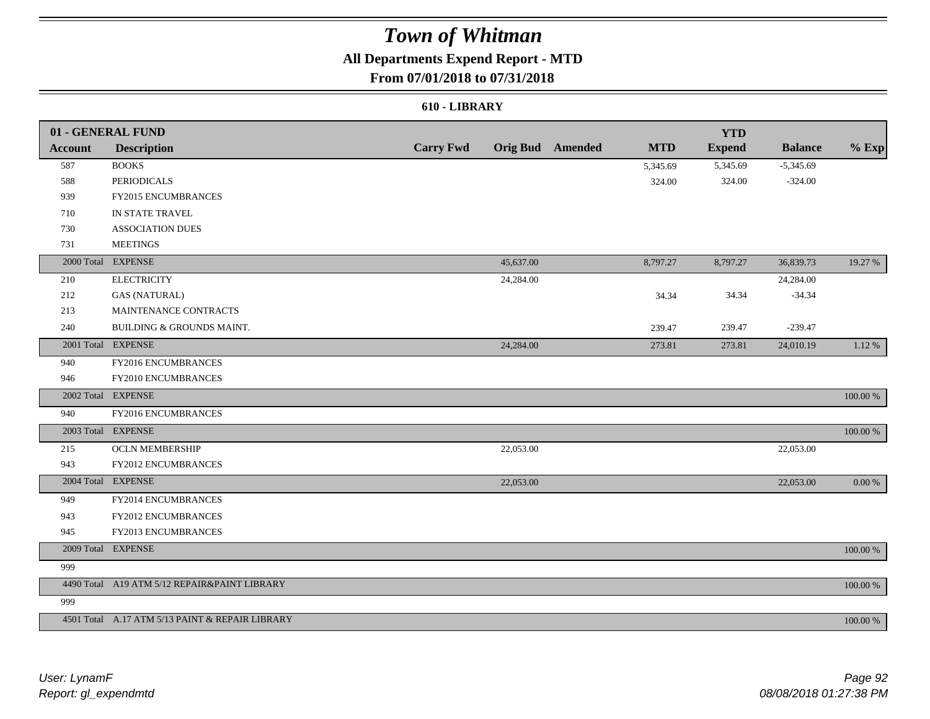## **All Departments Expend Report - MTD**

### **From 07/01/2018 to 07/31/2018**

#### **610 - LIBRARY**

|                | 01 - GENERAL FUND                               |                  |           |                         |            | <b>YTD</b>    |                |             |
|----------------|-------------------------------------------------|------------------|-----------|-------------------------|------------|---------------|----------------|-------------|
| <b>Account</b> | <b>Description</b>                              | <b>Carry Fwd</b> |           | <b>Orig Bud</b> Amended | <b>MTD</b> | <b>Expend</b> | <b>Balance</b> | $%$ Exp     |
| 587            | <b>BOOKS</b>                                    |                  |           |                         | 5,345.69   | 5,345.69      | $-5,345.69$    |             |
| 588            | <b>PERIODICALS</b>                              |                  |           |                         | 324.00     | 324.00        | $-324.00$      |             |
| 939            | <b>FY2015 ENCUMBRANCES</b>                      |                  |           |                         |            |               |                |             |
| 710            | IN STATE TRAVEL                                 |                  |           |                         |            |               |                |             |
| 730            | <b>ASSOCIATION DUES</b>                         |                  |           |                         |            |               |                |             |
| 731            | <b>MEETINGS</b>                                 |                  |           |                         |            |               |                |             |
|                | 2000 Total EXPENSE                              |                  | 45,637.00 |                         | 8,797.27   | 8,797.27      | 36,839.73      | 19.27 %     |
| 210            | <b>ELECTRICITY</b>                              |                  | 24,284.00 |                         |            |               | 24,284.00      |             |
| 212            | <b>GAS (NATURAL)</b>                            |                  |           |                         | 34.34      | 34.34         | $-34.34$       |             |
| 213            | MAINTENANCE CONTRACTS                           |                  |           |                         |            |               |                |             |
| 240            | BUILDING & GROUNDS MAINT.                       |                  |           |                         | 239.47     | 239.47        | $-239.47$      |             |
|                | 2001 Total EXPENSE                              |                  | 24,284.00 |                         | 273.81     | 273.81        | 24,010.19      | 1.12 %      |
| 940            | FY2016 ENCUMBRANCES                             |                  |           |                         |            |               |                |             |
| 946            | FY2010 ENCUMBRANCES                             |                  |           |                         |            |               |                |             |
|                | 2002 Total EXPENSE                              |                  |           |                         |            |               |                | 100.00 %    |
| 940            | FY2016 ENCUMBRANCES                             |                  |           |                         |            |               |                |             |
|                | 2003 Total EXPENSE                              |                  |           |                         |            |               |                | 100.00 %    |
| 215            | <b>OCLN MEMBERSHIP</b>                          |                  | 22,053.00 |                         |            |               | 22,053.00      |             |
| 943            | <b>FY2012 ENCUMBRANCES</b>                      |                  |           |                         |            |               |                |             |
|                | 2004 Total EXPENSE                              |                  | 22,053.00 |                         |            |               | 22,053.00      | 0.00 %      |
| 949            | FY2014 ENCUMBRANCES                             |                  |           |                         |            |               |                |             |
| 943            | <b>FY2012 ENCUMBRANCES</b>                      |                  |           |                         |            |               |                |             |
| 945            | FY2013 ENCUMBRANCES                             |                  |           |                         |            |               |                |             |
|                | 2009 Total EXPENSE                              |                  |           |                         |            |               |                | $100.00~\%$ |
| 999            |                                                 |                  |           |                         |            |               |                |             |
|                | 4490 Total A19 ATM 5/12 REPAIR&PAINT LIBRARY    |                  |           |                         |            |               |                | 100.00 %    |
| 999            |                                                 |                  |           |                         |            |               |                |             |
|                | 4501 Total A.17 ATM 5/13 PAINT & REPAIR LIBRARY |                  |           |                         |            |               |                | 100.00 %    |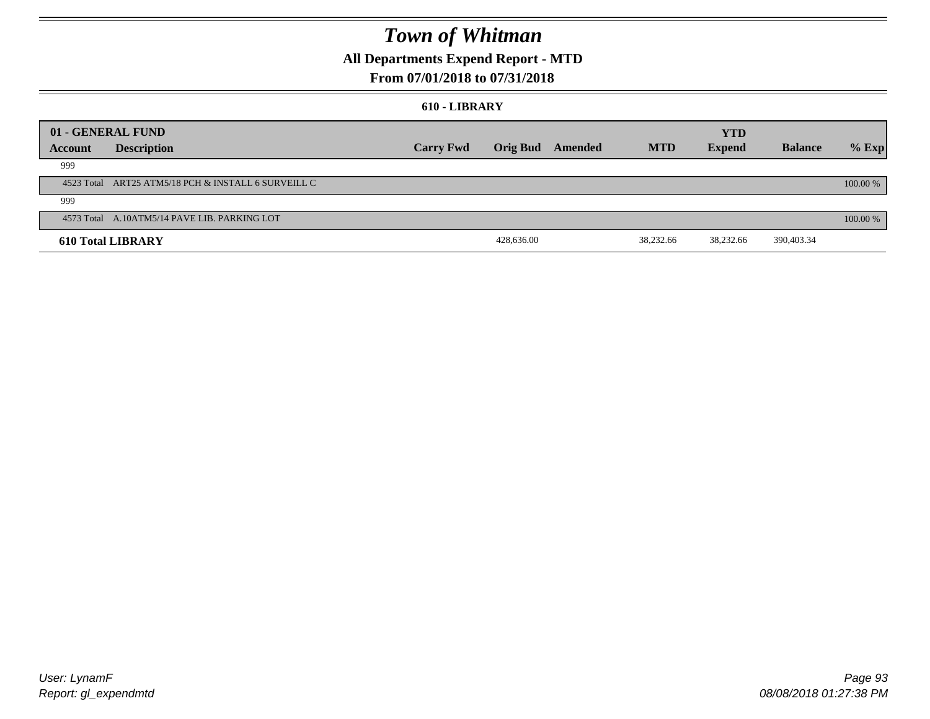### **All Departments Expend Report - MTD**

### **From 07/01/2018 to 07/31/2018**

#### **610 - LIBRARY**

| 01 - GENERAL FUND |                                                     |                  |                 |         |            | <b>YTD</b>    |                |          |
|-------------------|-----------------------------------------------------|------------------|-----------------|---------|------------|---------------|----------------|----------|
| Account           | <b>Description</b>                                  | <b>Carry Fwd</b> | <b>Orig Bud</b> | Amended | <b>MTD</b> | <b>Expend</b> | <b>Balance</b> | $%$ Exp  |
| 999               |                                                     |                  |                 |         |            |               |                |          |
|                   | 4523 Total ART25 ATM5/18 PCH & INSTALL 6 SURVEILL C |                  |                 |         |            |               |                | 100.00 % |
| 999               |                                                     |                  |                 |         |            |               |                |          |
|                   | 4573 Total A.10ATM5/14 PAVE LIB. PARKING LOT        |                  |                 |         |            |               |                | 100.00 % |
|                   | <b>610 Total LIBRARY</b>                            |                  | 428,636.00      |         | 38,232.66  | 38,232.66     | 390,403.34     |          |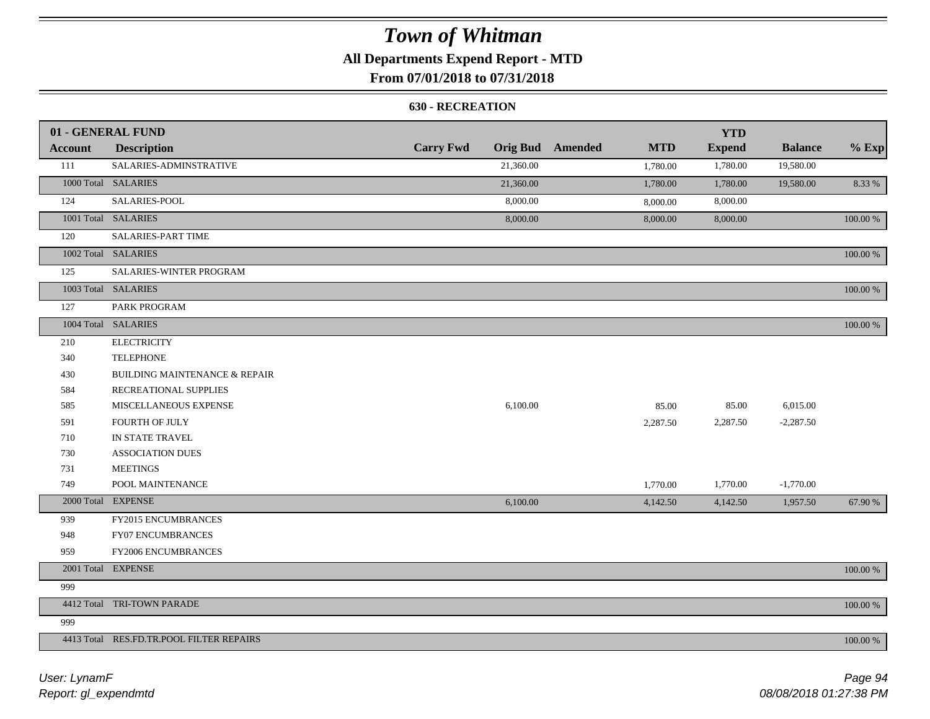## **All Departments Expend Report - MTD**

### **From 07/01/2018 to 07/31/2018**

#### **630 - RECREATION**

|         | 01 - GENERAL FUND                        |                  |           |                         |            | <b>YTD</b>    |                |             |
|---------|------------------------------------------|------------------|-----------|-------------------------|------------|---------------|----------------|-------------|
| Account | <b>Description</b>                       | <b>Carry Fwd</b> |           | <b>Orig Bud</b> Amended | <b>MTD</b> | <b>Expend</b> | <b>Balance</b> | $%$ Exp     |
| 111     | SALARIES-ADMINSTRATIVE                   |                  | 21,360.00 |                         | 1,780.00   | 1,780.00      | 19,580.00      |             |
|         | 1000 Total SALARIES                      |                  | 21,360.00 |                         | 1,780.00   | 1,780.00      | 19,580.00      | 8.33 %      |
| 124     | SALARIES-POOL                            |                  | 8,000.00  |                         | 8,000.00   | 8,000.00      |                |             |
|         | 1001 Total SALARIES                      |                  | 8,000.00  |                         | 8,000.00   | 8,000.00      |                | $100.00~\%$ |
| 120     | SALARIES-PART TIME                       |                  |           |                         |            |               |                |             |
|         | 1002 Total SALARIES                      |                  |           |                         |            |               |                | 100.00 %    |
| 125     | SALARIES-WINTER PROGRAM                  |                  |           |                         |            |               |                |             |
|         | 1003 Total SALARIES                      |                  |           |                         |            |               |                | 100.00 %    |
| 127     | PARK PROGRAM                             |                  |           |                         |            |               |                |             |
|         | 1004 Total SALARIES                      |                  |           |                         |            |               |                | 100.00 %    |
| 210     | <b>ELECTRICITY</b>                       |                  |           |                         |            |               |                |             |
| 340     | <b>TELEPHONE</b>                         |                  |           |                         |            |               |                |             |
| 430     | <b>BUILDING MAINTENANCE &amp; REPAIR</b> |                  |           |                         |            |               |                |             |
| 584     | RECREATIONAL SUPPLIES                    |                  |           |                         |            |               |                |             |
| 585     | MISCELLANEOUS EXPENSE                    |                  | 6,100.00  |                         | 85.00      | 85.00         | 6,015.00       |             |
| 591     | FOURTH OF JULY                           |                  |           |                         | 2,287.50   | 2,287.50      | $-2,287.50$    |             |
| 710     | IN STATE TRAVEL                          |                  |           |                         |            |               |                |             |
| 730     | <b>ASSOCIATION DUES</b>                  |                  |           |                         |            |               |                |             |
| 731     | <b>MEETINGS</b>                          |                  |           |                         |            |               |                |             |
| 749     | POOL MAINTENANCE                         |                  |           |                         | 1,770.00   | 1,770.00      | $-1,770.00$    |             |
|         | 2000 Total EXPENSE                       |                  | 6,100.00  |                         | 4,142.50   | 4,142.50      | 1,957.50       | 67.90 %     |
| 939     | FY2015 ENCUMBRANCES                      |                  |           |                         |            |               |                |             |
| 948     | <b>FY07 ENCUMBRANCES</b>                 |                  |           |                         |            |               |                |             |
| 959     | FY2006 ENCUMBRANCES                      |                  |           |                         |            |               |                |             |
|         | 2001 Total EXPENSE                       |                  |           |                         |            |               |                | 100.00 %    |
| 999     |                                          |                  |           |                         |            |               |                |             |
|         | 4412 Total TRI-TOWN PARADE               |                  |           |                         |            |               |                | 100.00 %    |
| 999     |                                          |                  |           |                         |            |               |                |             |
|         | 4413 Total RES.FD.TR.POOL FILTER REPAIRS |                  |           |                         |            |               |                | 100.00 %    |

*Report: gl\_expendmtd User: LynamF*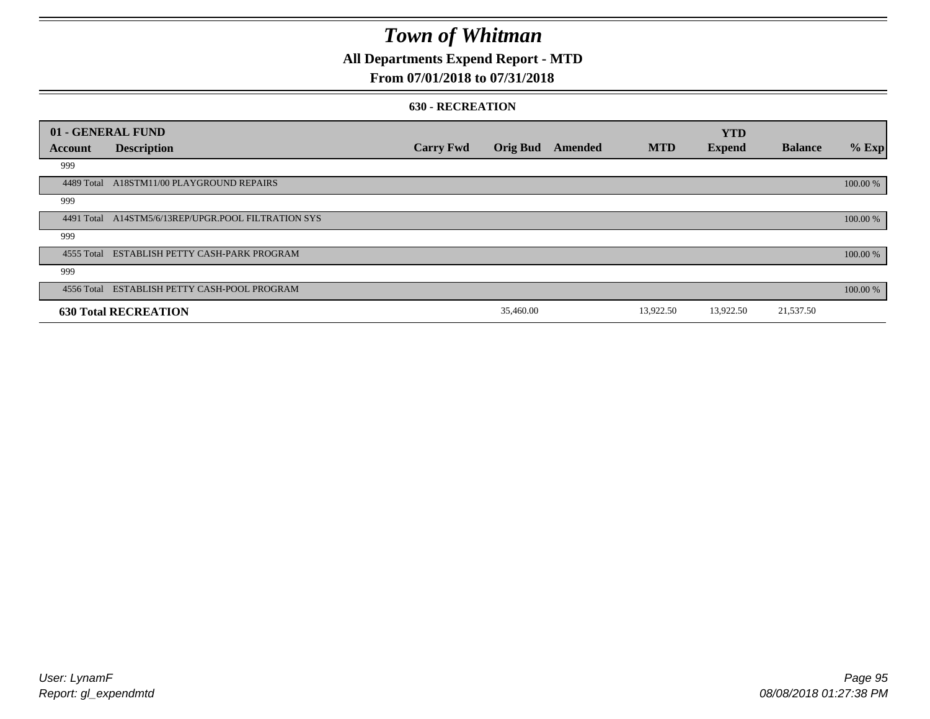### **All Departments Expend Report - MTD**

#### **From 07/01/2018 to 07/31/2018**

#### **630 - RECREATION**

| 01 - GENERAL FUND |                                                     |                  |                 |         |            | <b>YTD</b>    |                |          |
|-------------------|-----------------------------------------------------|------------------|-----------------|---------|------------|---------------|----------------|----------|
| Account           | <b>Description</b>                                  | <b>Carry Fwd</b> | <b>Orig Bud</b> | Amended | <b>MTD</b> | <b>Expend</b> | <b>Balance</b> | $%$ Exp  |
| 999               |                                                     |                  |                 |         |            |               |                |          |
| 4489 Total        | A18STM11/00 PLAYGROUND REPAIRS                      |                  |                 |         |            |               |                | 100.00 % |
| 999               |                                                     |                  |                 |         |            |               |                |          |
|                   | 4491 Total A14STM5/6/13REP/UPGR.POOL FILTRATION SYS |                  |                 |         |            |               |                | 100.00 % |
| 999               |                                                     |                  |                 |         |            |               |                |          |
|                   | 4555 Total ESTABLISH PETTY CASH-PARK PROGRAM        |                  |                 |         |            |               |                | 100.00 % |
| 999               |                                                     |                  |                 |         |            |               |                |          |
|                   | 4556 Total ESTABLISH PETTY CASH-POOL PROGRAM        |                  |                 |         |            |               |                | 100.00 % |
|                   | <b>630 Total RECREATION</b>                         |                  | 35,460.00       |         | 13,922.50  | 13,922.50     | 21,537.50      |          |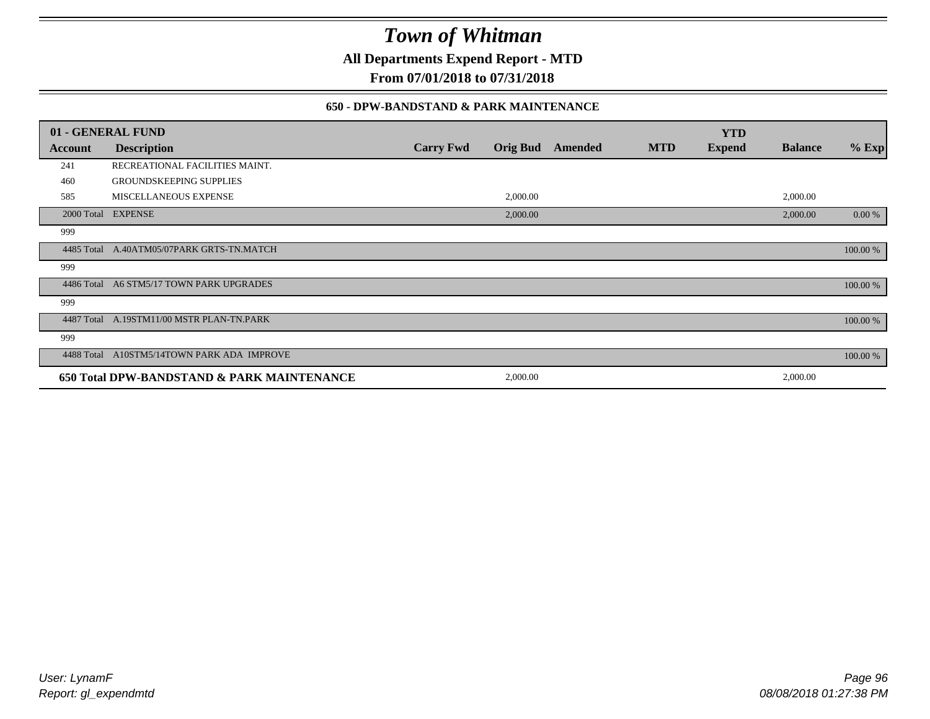**All Departments Expend Report - MTD**

**From 07/01/2018 to 07/31/2018**

#### **650 - DPW-BANDSTAND & PARK MAINTENANCE**

|            | 01 - GENERAL FUND                          |                  |                 |         |            | <b>YTD</b>    |                |          |
|------------|--------------------------------------------|------------------|-----------------|---------|------------|---------------|----------------|----------|
| Account    | <b>Description</b>                         | <b>Carry Fwd</b> | <b>Orig Bud</b> | Amended | <b>MTD</b> | <b>Expend</b> | <b>Balance</b> | $%$ Exp  |
| 241        | RECREATIONAL FACILITIES MAINT.             |                  |                 |         |            |               |                |          |
| 460        | <b>GROUNDSKEEPING SUPPLIES</b>             |                  |                 |         |            |               |                |          |
| 585        | MISCELLANEOUS EXPENSE                      |                  | 2,000.00        |         |            |               | 2,000.00       |          |
| 2000 Total | <b>EXPENSE</b>                             |                  | 2,000.00        |         |            |               | 2,000.00       | 0.00 %   |
| 999        |                                            |                  |                 |         |            |               |                |          |
| 4485 Total | A.40ATM05/07PARK GRTS-TN.MATCH             |                  |                 |         |            |               |                | 100.00 % |
| 999        |                                            |                  |                 |         |            |               |                |          |
| 4486 Total | A6 STM5/17 TOWN PARK UPGRADES              |                  |                 |         |            |               |                | 100.00 % |
| 999        |                                            |                  |                 |         |            |               |                |          |
|            | 4487 Total A.19STM11/00 MSTR PLAN-TN.PARK  |                  |                 |         |            |               |                | 100.00 % |
| 999        |                                            |                  |                 |         |            |               |                |          |
| 4488 Total | A10STM5/14TOWN PARK ADA IMPROVE            |                  |                 |         |            |               |                | 100.00 % |
|            | 650 Total DPW-BANDSTAND & PARK MAINTENANCE |                  | 2,000.00        |         |            |               | 2,000.00       |          |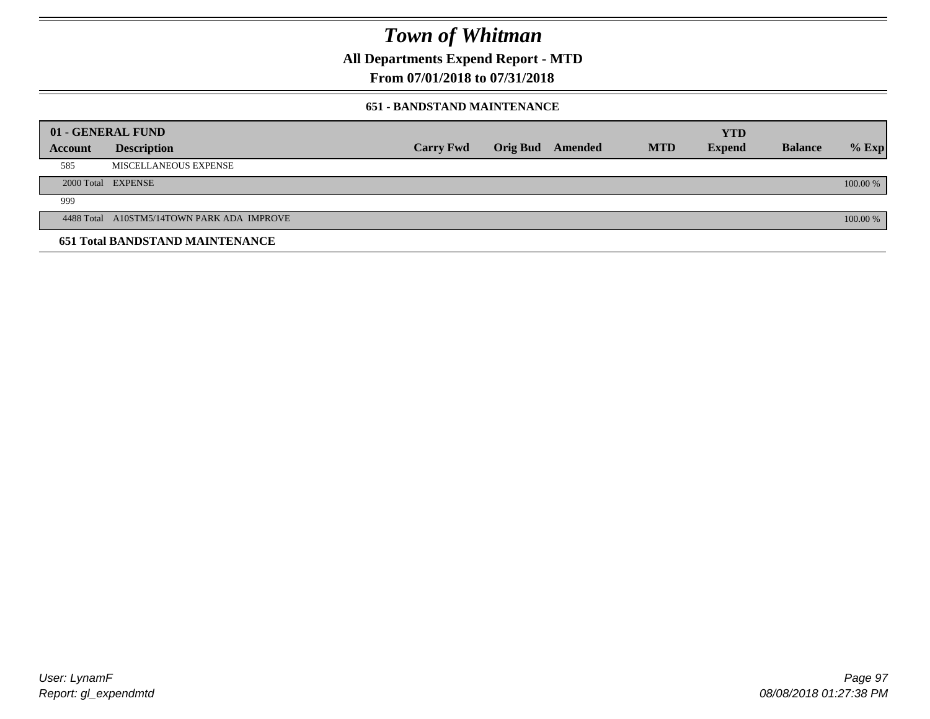**All Departments Expend Report - MTD**

### **From 07/01/2018 to 07/31/2018**

#### **651 - BANDSTAND MAINTENANCE**

|                | 01 - GENERAL FUND                          |                  |                  |            | <b>YTD</b>    |                |          |
|----------------|--------------------------------------------|------------------|------------------|------------|---------------|----------------|----------|
| <b>Account</b> | <b>Description</b>                         | <b>Carry Fwd</b> | Orig Bud Amended | <b>MTD</b> | <b>Expend</b> | <b>Balance</b> | $%$ Exp  |
| 585            | MISCELLANEOUS EXPENSE                      |                  |                  |            |               |                |          |
|                | 2000 Total EXPENSE                         |                  |                  |            |               |                | 100.00 % |
| 999            |                                            |                  |                  |            |               |                |          |
|                | 4488 Total A10STM5/14TOWN PARK ADA IMPROVE |                  |                  |            |               |                | 100.00 % |
|                | <b>651 Total BANDSTAND MAINTENANCE</b>     |                  |                  |            |               |                |          |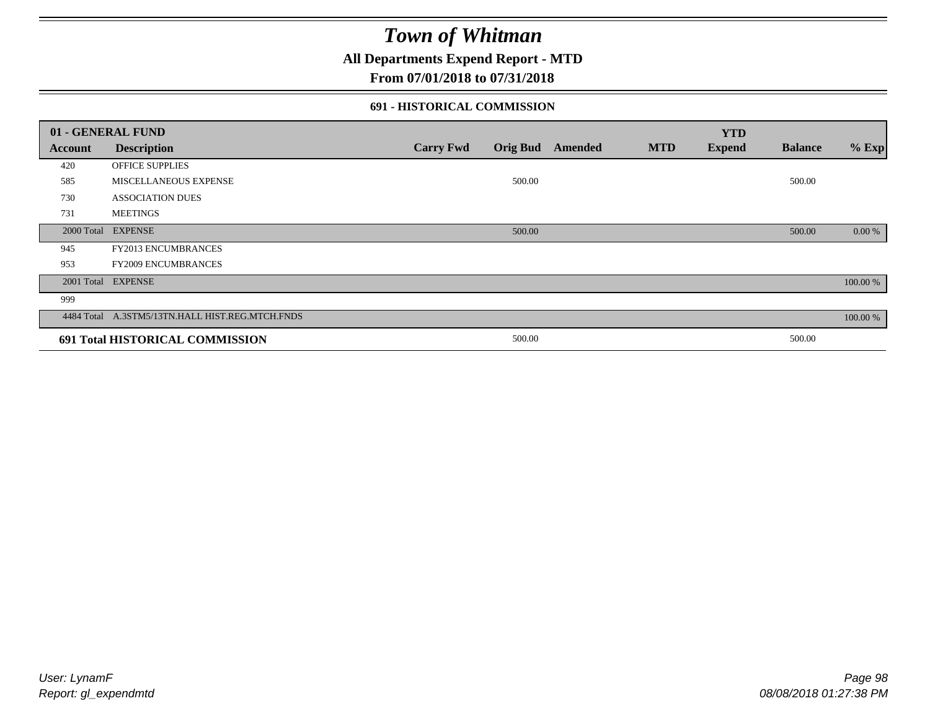### **All Departments Expend Report - MTD**

#### **From 07/01/2018 to 07/31/2018**

#### **691 - HISTORICAL COMMISSION**

|         | 01 - GENERAL FUND                               |                  |        |                         |            | <b>YTD</b>    |                |          |
|---------|-------------------------------------------------|------------------|--------|-------------------------|------------|---------------|----------------|----------|
| Account | <b>Description</b>                              | <b>Carry Fwd</b> |        | <b>Orig Bud</b> Amended | <b>MTD</b> | <b>Expend</b> | <b>Balance</b> | $%$ Exp  |
| 420     | <b>OFFICE SUPPLIES</b>                          |                  |        |                         |            |               |                |          |
| 585     | MISCELLANEOUS EXPENSE                           |                  | 500.00 |                         |            |               | 500.00         |          |
| 730     | <b>ASSOCIATION DUES</b>                         |                  |        |                         |            |               |                |          |
| 731     | <b>MEETINGS</b>                                 |                  |        |                         |            |               |                |          |
|         | 2000 Total EXPENSE                              |                  | 500.00 |                         |            |               | 500.00         | 0.00 %   |
| 945     | FY2013 ENCUMBRANCES                             |                  |        |                         |            |               |                |          |
| 953     | <b>FY2009 ENCUMBRANCES</b>                      |                  |        |                         |            |               |                |          |
|         | 2001 Total EXPENSE                              |                  |        |                         |            |               |                | 100.00 % |
| 999     |                                                 |                  |        |                         |            |               |                |          |
|         | 4484 Total A.3STM5/13TN.HALL HIST.REG.MTCH.FNDS |                  |        |                         |            |               |                | 100.00 % |
|         | 691 Total HISTORICAL COMMISSION                 |                  | 500.00 |                         |            |               | 500.00         |          |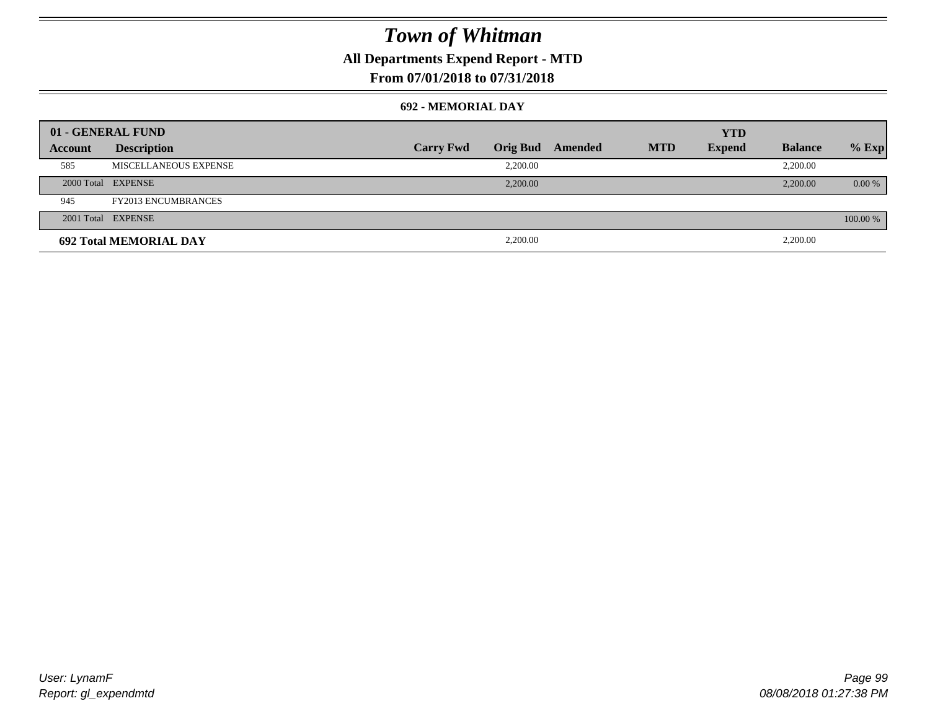## **All Departments Expend Report - MTD**

### **From 07/01/2018 to 07/31/2018**

#### **692 - MEMORIAL DAY**

|         | 01 - GENERAL FUND             |                  |          |                         |            | <b>YTD</b>    |                |          |
|---------|-------------------------------|------------------|----------|-------------------------|------------|---------------|----------------|----------|
| Account | <b>Description</b>            | <b>Carry Fwd</b> |          | <b>Orig Bud</b> Amended | <b>MTD</b> | <b>Expend</b> | <b>Balance</b> | $%$ Exp  |
| 585     | MISCELLANEOUS EXPENSE         |                  | 2.200.00 |                         |            |               | 2,200.00       |          |
|         | 2000 Total EXPENSE            |                  | 2,200.00 |                         |            |               | 2,200.00       | $0.00\%$ |
| 945     | <b>FY2013 ENCUMBRANCES</b>    |                  |          |                         |            |               |                |          |
|         | 2001 Total EXPENSE            |                  |          |                         |            |               |                | 100.00 % |
|         | <b>692 Total MEMORIAL DAY</b> |                  | 2,200.00 |                         |            |               | 2,200.00       |          |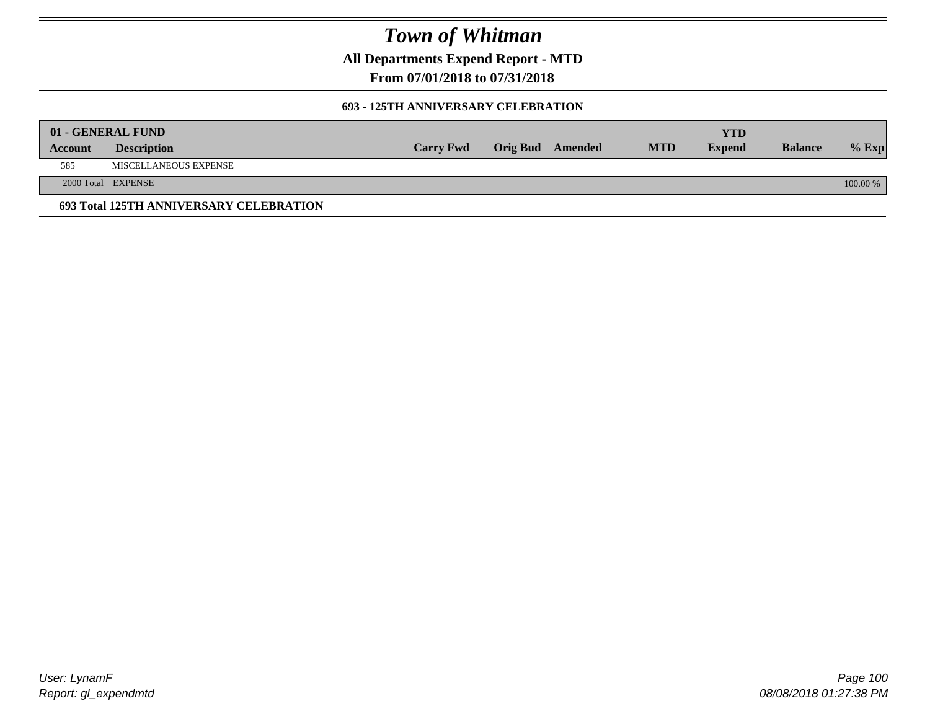**All Departments Expend Report - MTD**

**From 07/01/2018 to 07/31/2018**

#### **693 - 125TH ANNIVERSARY CELEBRATION**

|         | 01 - GENERAL FUND                       |                  |                         |            | YTD           |                |          |
|---------|-----------------------------------------|------------------|-------------------------|------------|---------------|----------------|----------|
| Account | <b>Description</b>                      | <b>Carry Fwd</b> | <b>Orig Bud</b> Amended | <b>MTD</b> | <b>Expend</b> | <b>Balance</b> | $%$ Exp  |
| 585     | MISCELLANEOUS EXPENSE                   |                  |                         |            |               |                |          |
|         | 2000 Total EXPENSE                      |                  |                         |            |               |                | 100.00 % |
|         | 693 Total 125TH ANNIVERSARY CELEBRATION |                  |                         |            |               |                |          |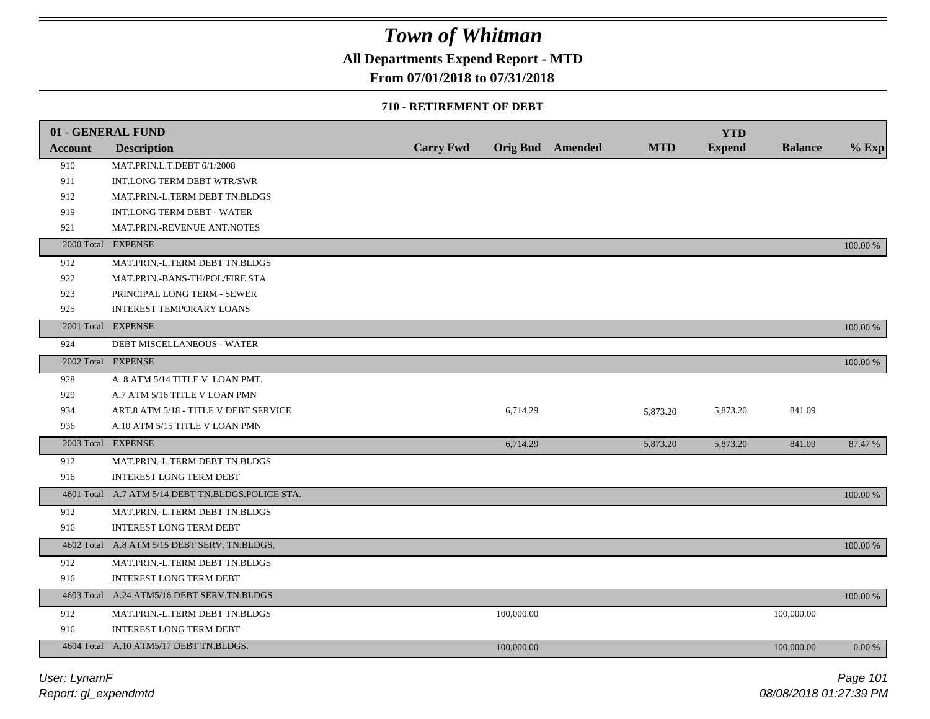### **All Departments Expend Report - MTD**

### **From 07/01/2018 to 07/31/2018**

#### **710 - RETIREMENT OF DEBT**

|                | 01 - GENERAL FUND                                 |                  |            |                         |            | <b>YTD</b>    |                |          |
|----------------|---------------------------------------------------|------------------|------------|-------------------------|------------|---------------|----------------|----------|
| <b>Account</b> | <b>Description</b>                                | <b>Carry Fwd</b> |            | <b>Orig Bud</b> Amended | <b>MTD</b> | <b>Expend</b> | <b>Balance</b> | $%$ Exp  |
| 910            | MAT.PRIN.L.T.DEBT 6/1/2008                        |                  |            |                         |            |               |                |          |
| 911            | INT.LONG TERM DEBT WTR/SWR                        |                  |            |                         |            |               |                |          |
| 912            | MAT.PRIN.-L.TERM DEBT TN.BLDGS                    |                  |            |                         |            |               |                |          |
| 919            | <b>INT.LONG TERM DEBT - WATER</b>                 |                  |            |                         |            |               |                |          |
| 921            | MAT.PRIN.-REVENUE ANT.NOTES                       |                  |            |                         |            |               |                |          |
|                | 2000 Total EXPENSE                                |                  |            |                         |            |               |                | 100.00 % |
| 912            | MAT.PRIN.-L.TERM DEBT TN.BLDGS                    |                  |            |                         |            |               |                |          |
| 922            | MAT.PRIN.-BANS-TH/POL/FIRE STA                    |                  |            |                         |            |               |                |          |
| 923            | PRINCIPAL LONG TERM - SEWER                       |                  |            |                         |            |               |                |          |
| 925            | INTEREST TEMPORARY LOANS                          |                  |            |                         |            |               |                |          |
|                | 2001 Total EXPENSE                                |                  |            |                         |            |               |                | 100.00 % |
| 924            | DEBT MISCELLANEOUS - WATER                        |                  |            |                         |            |               |                |          |
|                | 2002 Total EXPENSE                                |                  |            |                         |            |               |                | 100.00 % |
| 928            | A. 8 ATM 5/14 TITLE V LOAN PMT.                   |                  |            |                         |            |               |                |          |
| 929            | A.7 ATM 5/16 TITLE V LOAN PMN                     |                  |            |                         |            |               |                |          |
| 934            | ART.8 ATM 5/18 - TITLE V DEBT SERVICE             |                  | 6,714.29   |                         | 5,873.20   | 5,873.20      | 841.09         |          |
| 936            | A.10 ATM 5/15 TITLE V LOAN PMN                    |                  |            |                         |            |               |                |          |
|                | 2003 Total EXPENSE                                |                  | 6,714.29   |                         | 5,873.20   | 5,873.20      | 841.09         | 87.47 %  |
| 912            | MAT.PRIN.-L.TERM DEBT TN.BLDGS                    |                  |            |                         |            |               |                |          |
| 916            | <b>INTEREST LONG TERM DEBT</b>                    |                  |            |                         |            |               |                |          |
|                | 4601 Total A.7 ATM 5/14 DEBT TN.BLDGS.POLICE STA. |                  |            |                         |            |               |                | 100.00 % |
| 912            | MAT.PRIN.-L.TERM DEBT TN.BLDGS                    |                  |            |                         |            |               |                |          |
| 916            | <b>INTEREST LONG TERM DEBT</b>                    |                  |            |                         |            |               |                |          |
|                | 4602 Total A.8 ATM 5/15 DEBT SERV. TN.BLDGS.      |                  |            |                         |            |               |                | 100.00 % |
| 912            | MAT.PRIN.-L.TERM DEBT TN.BLDGS                    |                  |            |                         |            |               |                |          |
| 916            | INTEREST LONG TERM DEBT                           |                  |            |                         |            |               |                |          |
|                | 4603 Total A.24 ATM5/16 DEBT SERV.TN.BLDGS        |                  |            |                         |            |               |                | 100.00 % |
| 912            | MAT.PRIN.-L.TERM DEBT TN.BLDGS                    |                  | 100,000.00 |                         |            |               | 100,000.00     |          |
| 916            | <b>INTEREST LONG TERM DEBT</b>                    |                  |            |                         |            |               |                |          |
|                | 4604 Total A.10 ATM5/17 DEBT TN.BLDGS.            |                  | 100,000.00 |                         |            |               | 100,000.00     | 0.00 %   |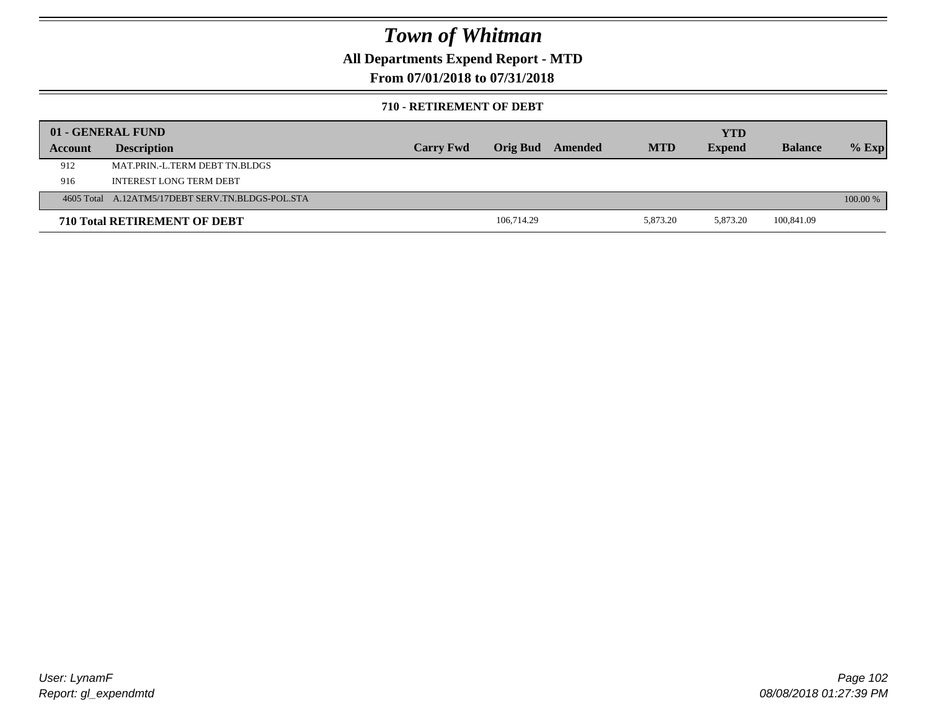### **All Departments Expend Report - MTD**

### **From 07/01/2018 to 07/31/2018**

#### **710 - RETIREMENT OF DEBT**

|         | 01 - GENERAL FUND                                |                  |            |                         |            | <b>YTD</b>    |                |            |
|---------|--------------------------------------------------|------------------|------------|-------------------------|------------|---------------|----------------|------------|
| Account | <b>Description</b>                               | <b>Carry Fwd</b> |            | <b>Orig Bud</b> Amended | <b>MTD</b> | <b>Expend</b> | <b>Balance</b> | $%$ Exp    |
| 912     | MAT PRIN -L TERM DEBT TN BLDGS                   |                  |            |                         |            |               |                |            |
| 916     | INTEREST LONG TERM DEBT                          |                  |            |                         |            |               |                |            |
|         | 4605 Total A.12ATM5/17DEBT SERV.TN.BLDGS-POL.STA |                  |            |                         |            |               |                | $100.00\%$ |
|         | <b>710 Total RETIREMENT OF DEBT</b>              |                  | 106,714.29 |                         | 5,873.20   | 5,873.20      | 100,841.09     |            |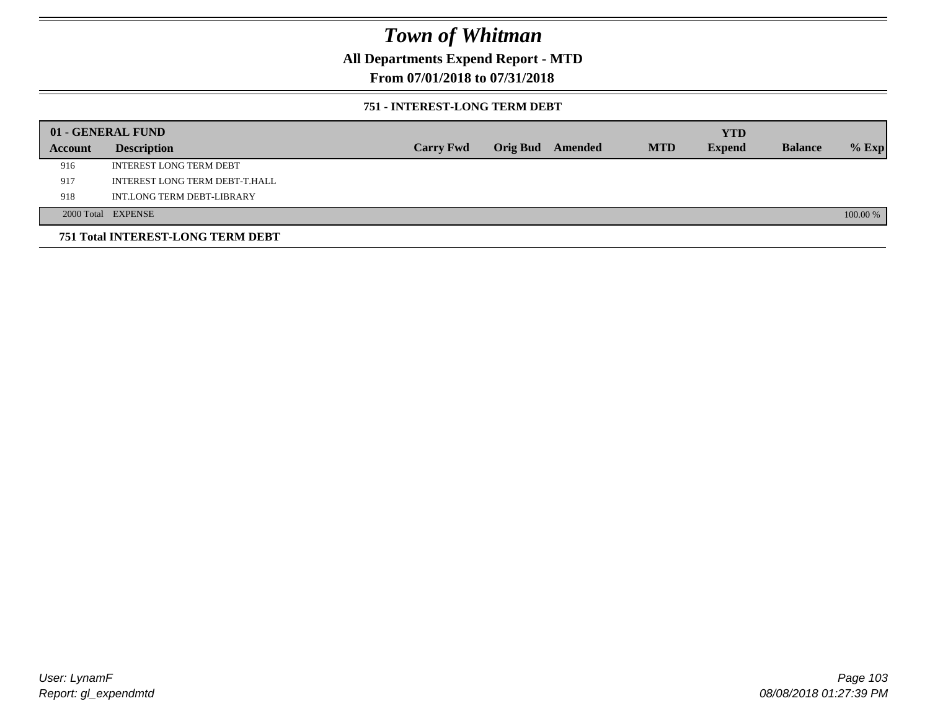### **All Departments Expend Report - MTD**

### **From 07/01/2018 to 07/31/2018**

#### **751 - INTEREST-LONG TERM DEBT**

|         | 01 - GENERAL FUND                 |                  |  |                  |            | <b>YTD</b>    |                |          |
|---------|-----------------------------------|------------------|--|------------------|------------|---------------|----------------|----------|
| Account | <b>Description</b>                | <b>Carry Fwd</b> |  | Orig Bud Amended | <b>MTD</b> | <b>Expend</b> | <b>Balance</b> | $%$ Exp  |
| 916     | <b>INTEREST LONG TERM DEBT</b>    |                  |  |                  |            |               |                |          |
| 917     | INTEREST LONG TERM DEBT-T.HALL    |                  |  |                  |            |               |                |          |
| 918     | INT.LONG TERM DEBT-LIBRARY        |                  |  |                  |            |               |                |          |
|         | 2000 Total EXPENSE                |                  |  |                  |            |               |                | 100.00 % |
|         | 751 Total INTEREST-LONG TERM DEBT |                  |  |                  |            |               |                |          |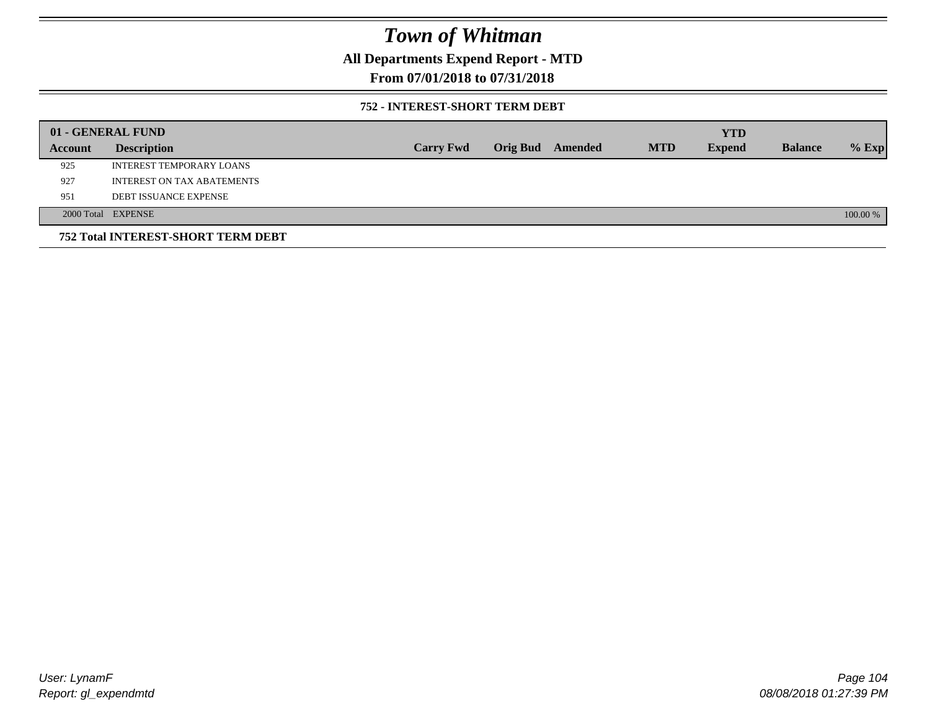### **All Departments Expend Report - MTD**

### **From 07/01/2018 to 07/31/2018**

#### **752 - INTEREST-SHORT TERM DEBT**

|         | 01 - GENERAL FUND                  |                  |          |         |            | <b>YTD</b>    |                |          |
|---------|------------------------------------|------------------|----------|---------|------------|---------------|----------------|----------|
| Account | <b>Description</b>                 | <b>Carry Fwd</b> | Orig Bud | Amended | <b>MTD</b> | <b>Expend</b> | <b>Balance</b> | $%$ Exp  |
| 925     | INTEREST TEMPORARY LOANS           |                  |          |         |            |               |                |          |
| 927     | <b>INTEREST ON TAX ABATEMENTS</b>  |                  |          |         |            |               |                |          |
| 951     | <b>DEBT ISSUANCE EXPENSE</b>       |                  |          |         |            |               |                |          |
|         | 2000 Total EXPENSE                 |                  |          |         |            |               |                | 100.00 % |
|         | 752 Total INTEREST-SHORT TERM DEBT |                  |          |         |            |               |                |          |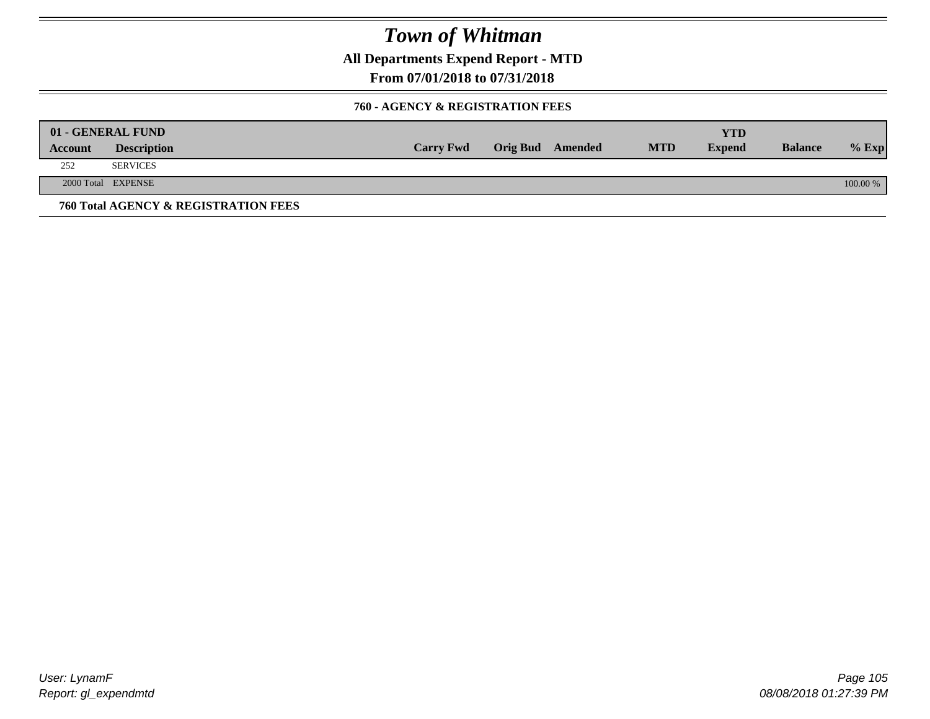**All Departments Expend Report - MTD**

**From 07/01/2018 to 07/31/2018**

#### **760 - AGENCY & REGISTRATION FEES**

|         | 01 - GENERAL FUND                    |                  |                         |            | YTD           |                |          |
|---------|--------------------------------------|------------------|-------------------------|------------|---------------|----------------|----------|
| Account | <b>Description</b>                   | <b>Carry Fwd</b> | <b>Orig Bud</b> Amended | <b>MTD</b> | <b>Expend</b> | <b>Balance</b> | $%$ Exp  |
| 252     | <b>SERVICES</b>                      |                  |                         |            |               |                |          |
|         | 2000 Total EXPENSE                   |                  |                         |            |               |                | 100.00 % |
|         | 760 Total AGENCY & REGISTRATION FEES |                  |                         |            |               |                |          |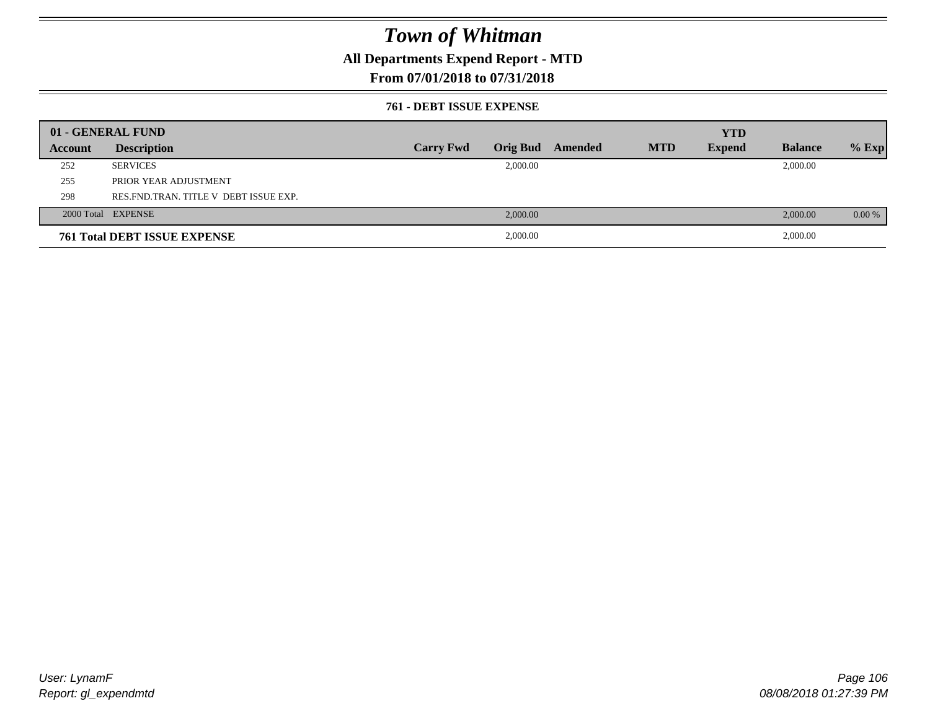### **All Departments Expend Report - MTD**

### **From 07/01/2018 to 07/31/2018**

#### **761 - DEBT ISSUE EXPENSE**

|         | 01 - GENERAL FUND                       |                  |                 |         |            | <b>YTD</b>    |                |         |
|---------|-----------------------------------------|------------------|-----------------|---------|------------|---------------|----------------|---------|
| Account | <b>Description</b>                      | <b>Carry Fwd</b> | <b>Orig Bud</b> | Amended | <b>MTD</b> | <b>Expend</b> | <b>Balance</b> | $%$ Exp |
| 252     | <b>SERVICES</b>                         |                  | 2,000.00        |         |            |               | 2,000.00       |         |
| 255     | PRIOR YEAR ADJUSTMENT                   |                  |                 |         |            |               |                |         |
| 298     | RES. FND. TRAN. TITLE V DEBT ISSUE EXP. |                  |                 |         |            |               |                |         |
|         | 2000 Total EXPENSE                      |                  | 2,000.00        |         |            |               | 2,000.00       | 0.00 %  |
|         | <b>761 Total DEBT ISSUE EXPENSE</b>     |                  | 2,000.00        |         |            |               | 2,000.00       |         |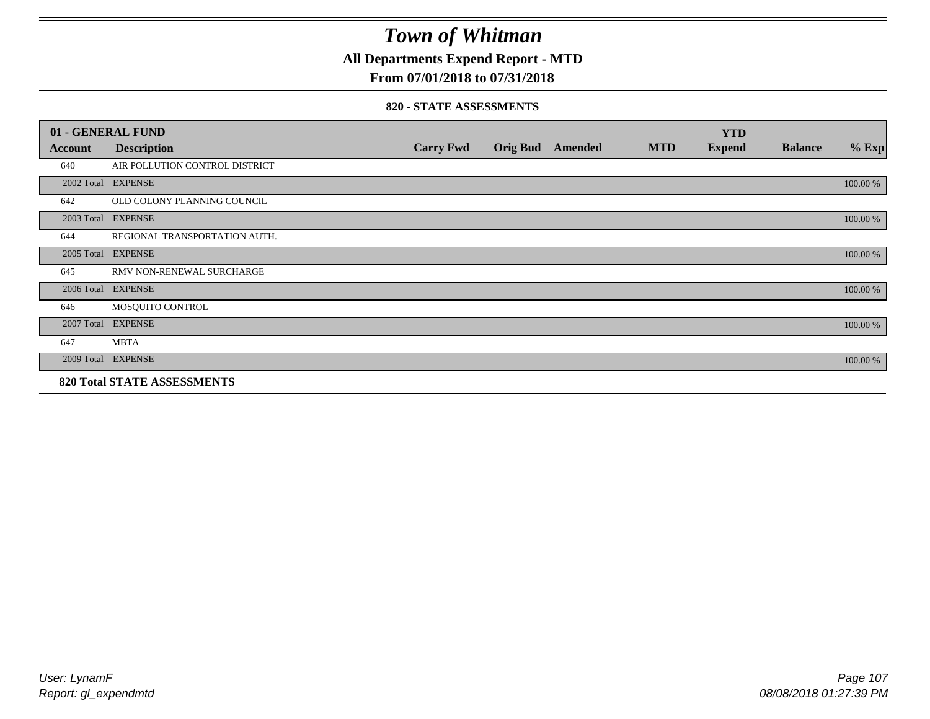**All Departments Expend Report - MTD**

### **From 07/01/2018 to 07/31/2018**

#### **820 - STATE ASSESSMENTS**

|         | 01 - GENERAL FUND                  |                  |                         |            | <b>YTD</b>    |                |          |
|---------|------------------------------------|------------------|-------------------------|------------|---------------|----------------|----------|
| Account | <b>Description</b>                 | <b>Carry Fwd</b> | <b>Orig Bud</b> Amended | <b>MTD</b> | <b>Expend</b> | <b>Balance</b> | $%$ Exp  |
| 640     | AIR POLLUTION CONTROL DISTRICT     |                  |                         |            |               |                |          |
|         | 2002 Total EXPENSE                 |                  |                         |            |               |                | 100.00 % |
| 642     | OLD COLONY PLANNING COUNCIL        |                  |                         |            |               |                |          |
|         | 2003 Total EXPENSE                 |                  |                         |            |               |                | 100.00 % |
| 644     | REGIONAL TRANSPORTATION AUTH.      |                  |                         |            |               |                |          |
|         | 2005 Total EXPENSE                 |                  |                         |            |               |                | 100.00 % |
| 645     | RMV NON-RENEWAL SURCHARGE          |                  |                         |            |               |                |          |
|         | 2006 Total EXPENSE                 |                  |                         |            |               |                | 100.00 % |
| 646     | MOSQUITO CONTROL                   |                  |                         |            |               |                |          |
|         | 2007 Total EXPENSE                 |                  |                         |            |               |                | 100.00 % |
| 647     | <b>MBTA</b>                        |                  |                         |            |               |                |          |
|         | 2009 Total EXPENSE                 |                  |                         |            |               |                | 100.00 % |
|         | <b>820 Total STATE ASSESSMENTS</b> |                  |                         |            |               |                |          |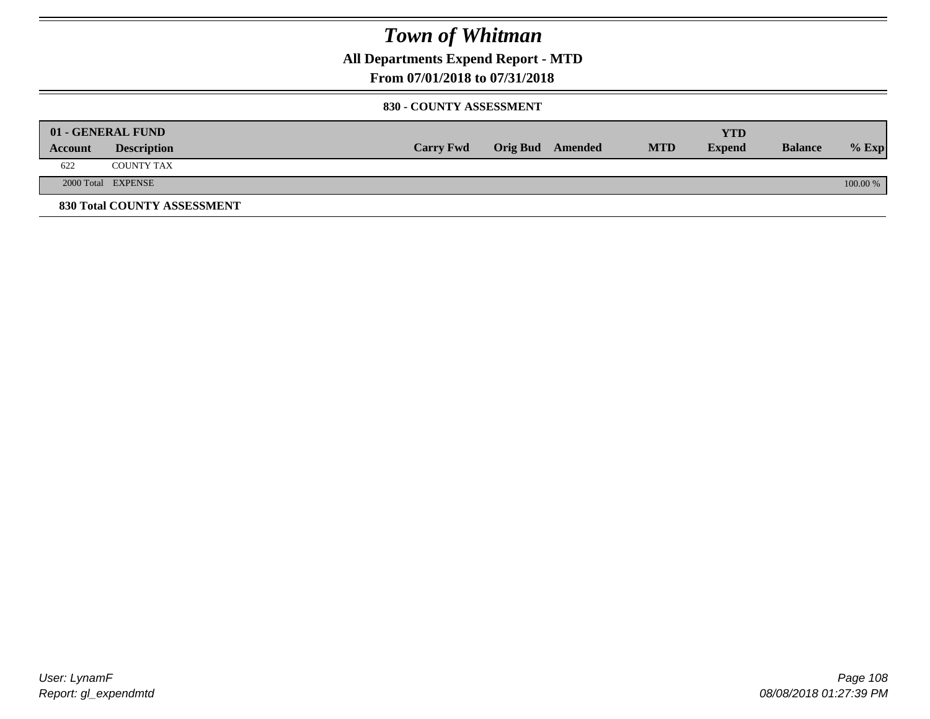**All Departments Expend Report - MTD**

### **From 07/01/2018 to 07/31/2018**

#### **830 - COUNTY ASSESSMENT**

|         | 01 - GENERAL FUND           |                  |                         |            | <b>YTD</b>    |                |          |
|---------|-----------------------------|------------------|-------------------------|------------|---------------|----------------|----------|
| Account | <b>Description</b>          | <b>Carry Fwd</b> | <b>Orig Bud</b> Amended | <b>MTD</b> | <b>Expend</b> | <b>Balance</b> | $%$ Exp  |
| 622     | <b>COUNTY TAX</b>           |                  |                         |            |               |                |          |
|         | 2000 Total EXPENSE          |                  |                         |            |               |                | 100.00 % |
|         | 830 Total COUNTY ASSESSMENT |                  |                         |            |               |                |          |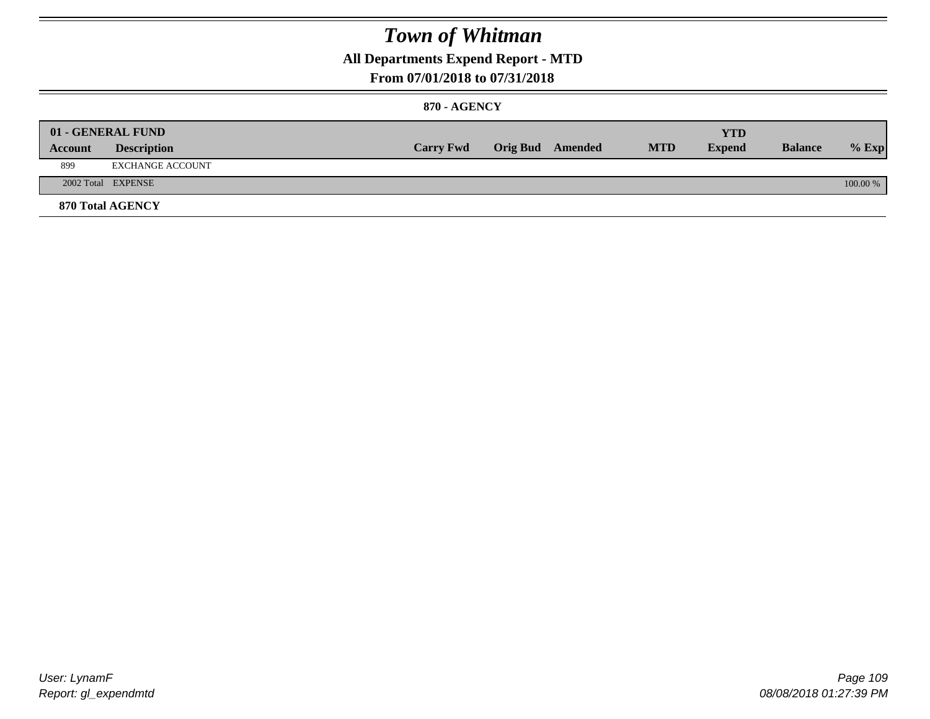### **All Departments Expend Report - MTD**

### **From 07/01/2018 to 07/31/2018**

#### **870 - AGENCY**

| Account | 01 - GENERAL FUND<br><b>Description</b> | <b>Carry Fwd</b> | <b>Orig Bud</b> Amended | <b>MTD</b> | <b>YTD</b><br><b>Expend</b> | <b>Balance</b> | $%$ Exp  |
|---------|-----------------------------------------|------------------|-------------------------|------------|-----------------------------|----------------|----------|
| 899     | EXCHANGE ACCOUNT                        |                  |                         |            |                             |                |          |
|         | 2002 Total EXPENSE                      |                  |                         |            |                             |                | 100.00 % |
|         | <b>870 Total AGENCY</b>                 |                  |                         |            |                             |                |          |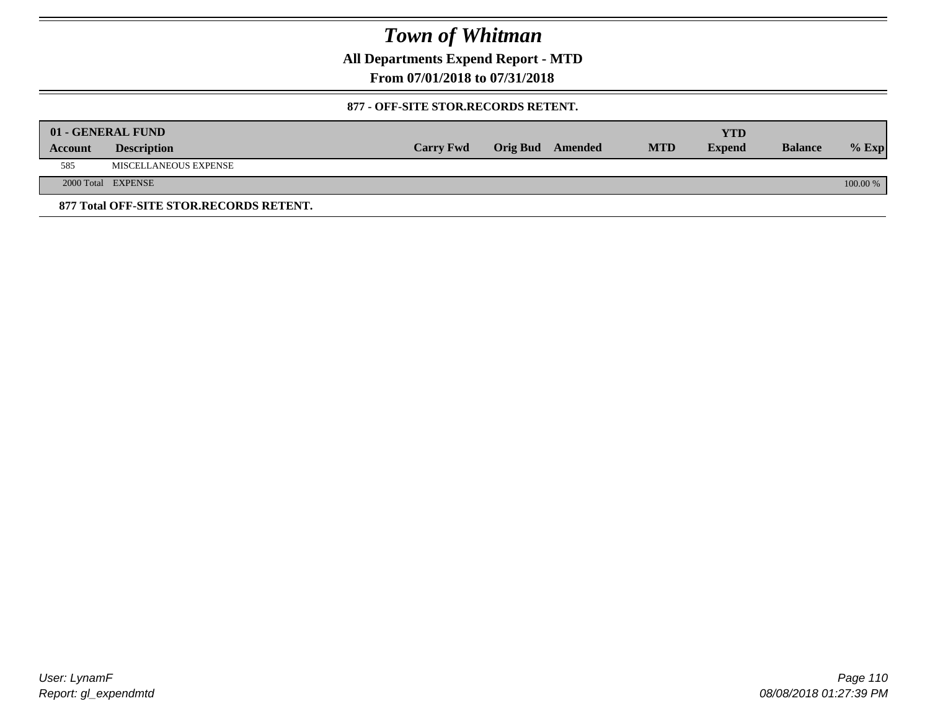**All Departments Expend Report - MTD**

**From 07/01/2018 to 07/31/2018**

#### **877 - OFF-SITE STOR.RECORDS RETENT.**

|         | 01 - GENERAL FUND                       |                  |                         |            | YTD           |                |          |
|---------|-----------------------------------------|------------------|-------------------------|------------|---------------|----------------|----------|
| Account | <b>Description</b>                      | <b>Carry Fwd</b> | <b>Orig Bud</b> Amended | <b>MTD</b> | <b>Expend</b> | <b>Balance</b> | $%$ Exp  |
| 585     | MISCELLANEOUS EXPENSE                   |                  |                         |            |               |                |          |
|         | 2000 Total EXPENSE                      |                  |                         |            |               |                | 100.00 % |
|         | 877 Total OFF-SITE STOR.RECORDS RETENT. |                  |                         |            |               |                |          |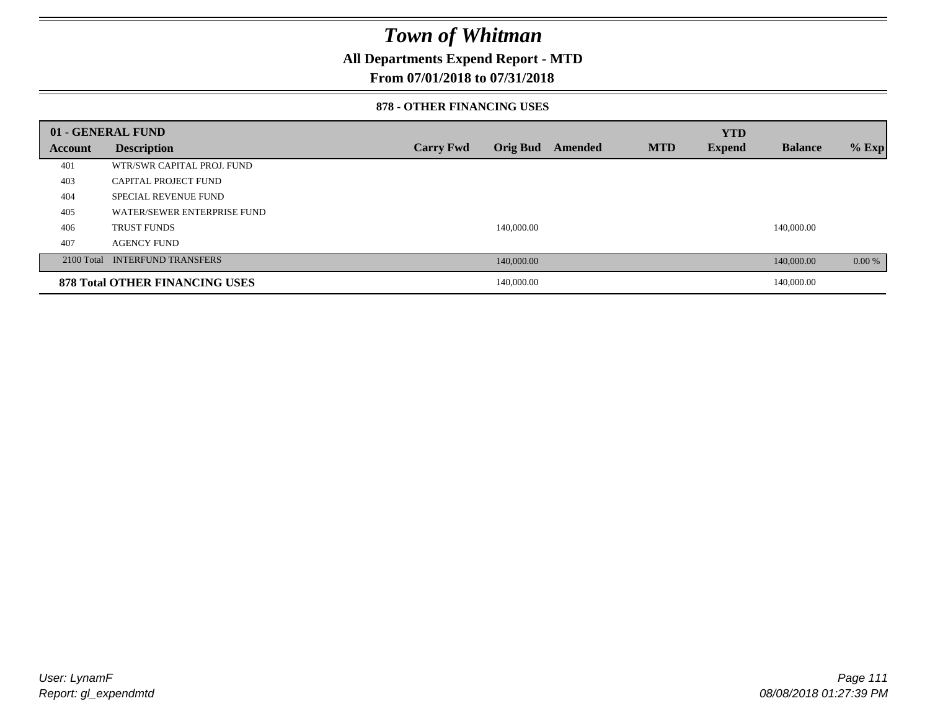### **All Departments Expend Report - MTD**

### **From 07/01/2018 to 07/31/2018**

#### **878 - OTHER FINANCING USES**

|         | 01 - GENERAL FUND                     |                  |                 |         |            | <b>YTD</b>    |                |         |
|---------|---------------------------------------|------------------|-----------------|---------|------------|---------------|----------------|---------|
| Account | <b>Description</b>                    | <b>Carry Fwd</b> | <b>Orig Bud</b> | Amended | <b>MTD</b> | <b>Expend</b> | <b>Balance</b> | $%$ Exp |
| 401     | WTR/SWR CAPITAL PROJ. FUND            |                  |                 |         |            |               |                |         |
| 403     | CAPITAL PROJECT FUND                  |                  |                 |         |            |               |                |         |
| 404     | <b>SPECIAL REVENUE FUND</b>           |                  |                 |         |            |               |                |         |
| 405     | WATER/SEWER ENTERPRISE FUND           |                  |                 |         |            |               |                |         |
| 406     | <b>TRUST FUNDS</b>                    |                  | 140,000.00      |         |            |               | 140,000.00     |         |
| 407     | <b>AGENCY FUND</b>                    |                  |                 |         |            |               |                |         |
|         | 2100 Total INTERFUND TRANSFERS        |                  | 140,000.00      |         |            |               | 140,000.00     | 0.00 %  |
|         | <b>878 Total OTHER FINANCING USES</b> |                  | 140,000.00      |         |            |               | 140,000.00     |         |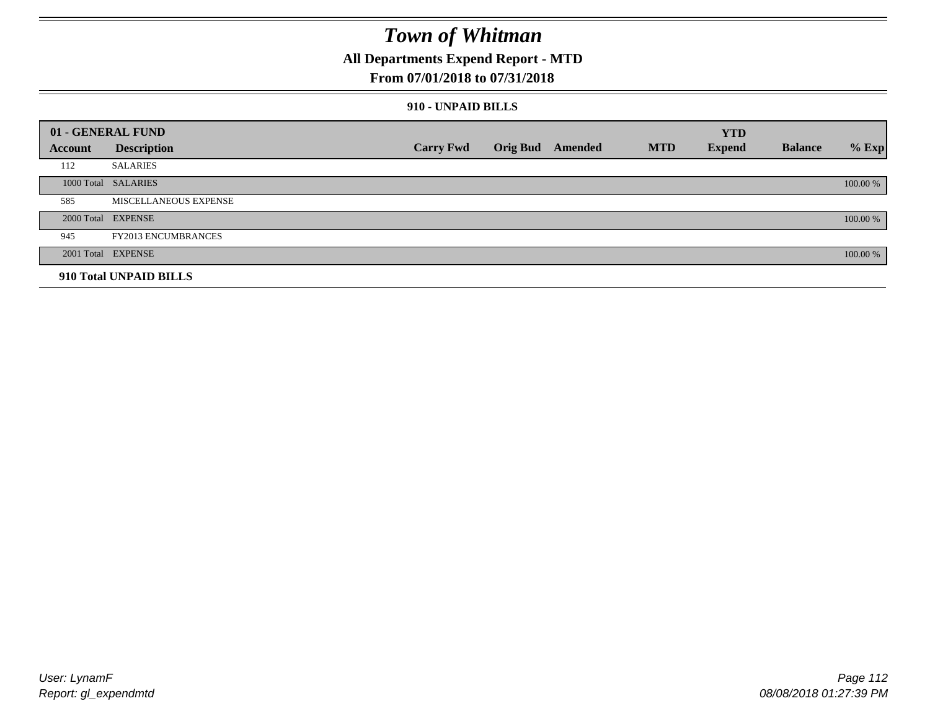### **All Departments Expend Report - MTD**

### **From 07/01/2018 to 07/31/2018**

#### **910 - UNPAID BILLS**

|         | 01 - GENERAL FUND          |                  |                  |            | <b>YTD</b>    |                |          |
|---------|----------------------------|------------------|------------------|------------|---------------|----------------|----------|
| Account | <b>Description</b>         | <b>Carry Fwd</b> | Orig Bud Amended | <b>MTD</b> | <b>Expend</b> | <b>Balance</b> | $%$ Exp  |
| 112     | <b>SALARIES</b>            |                  |                  |            |               |                |          |
|         | 1000 Total SALARIES        |                  |                  |            |               |                | 100.00 % |
| 585     | MISCELLANEOUS EXPENSE      |                  |                  |            |               |                |          |
|         | 2000 Total EXPENSE         |                  |                  |            |               |                | 100.00 % |
| 945     | <b>FY2013 ENCUMBRANCES</b> |                  |                  |            |               |                |          |
|         | 2001 Total EXPENSE         |                  |                  |            |               |                | 100.00 % |
|         | 910 Total UNPAID BILLS     |                  |                  |            |               |                |          |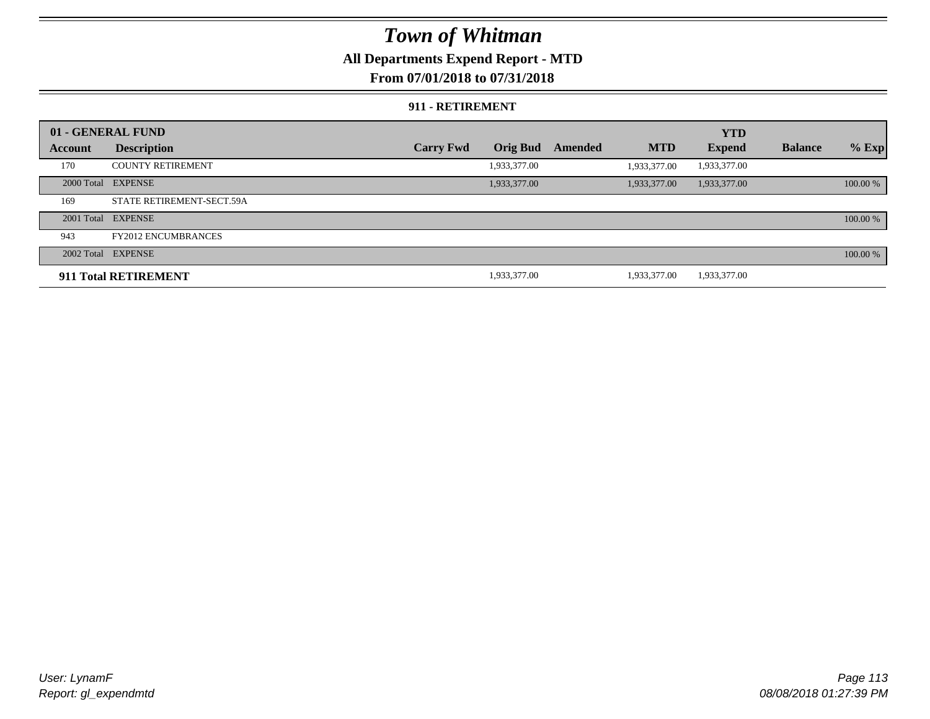### **All Departments Expend Report - MTD**

### **From 07/01/2018 to 07/31/2018**

#### **911 - RETIREMENT**

|         | 01 - GENERAL FUND          |                  |              |         |              | <b>YTD</b>    |                |          |
|---------|----------------------------|------------------|--------------|---------|--------------|---------------|----------------|----------|
| Account | <b>Description</b>         | <b>Carry Fwd</b> | Orig Bud     | Amended | <b>MTD</b>   | <b>Expend</b> | <b>Balance</b> | $%$ Exp  |
| 170     | <b>COUNTY RETIREMENT</b>   |                  | 1,933,377.00 |         | 1,933,377.00 | 1,933,377.00  |                |          |
|         | 2000 Total EXPENSE         |                  | 1,933,377.00 |         | 1,933,377.00 | 1,933,377.00  |                | 100.00 % |
| 169     | STATE RETIREMENT-SECT.59A  |                  |              |         |              |               |                |          |
|         | 2001 Total EXPENSE         |                  |              |         |              |               |                | 100.00 % |
| 943     | <b>FY2012 ENCUMBRANCES</b> |                  |              |         |              |               |                |          |
|         | 2002 Total EXPENSE         |                  |              |         |              |               |                | 100.00 % |
|         | 911 Total RETIREMENT       |                  | 1,933,377.00 |         | 1.933.377.00 | 1,933,377.00  |                |          |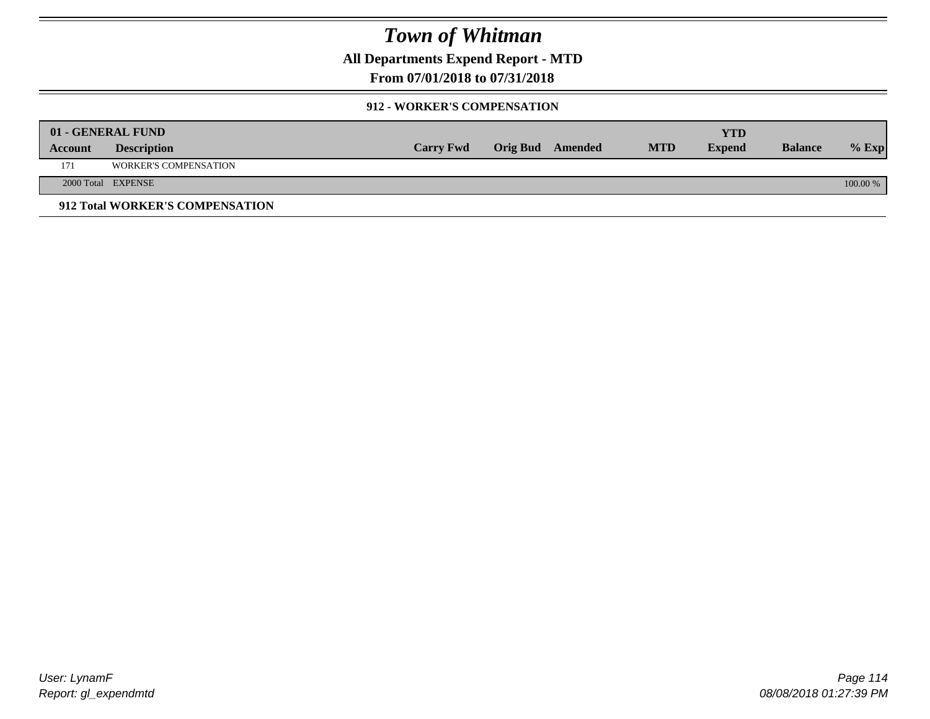**All Departments Expend Report - MTD**

### **From 07/01/2018 to 07/31/2018**

#### **912 - WORKER'S COMPENSATION**

|         | 01 - GENERAL FUND               |                  |                         |            | YTD           |                |            |
|---------|---------------------------------|------------------|-------------------------|------------|---------------|----------------|------------|
| Account | <b>Description</b>              | <b>Carry Fwd</b> | <b>Orig Bud</b> Amended | <b>MTD</b> | <b>Expend</b> | <b>Balance</b> | $%$ Exp    |
| 171     | <b>WORKER'S COMPENSATION</b>    |                  |                         |            |               |                |            |
|         | 2000 Total EXPENSE              |                  |                         |            |               |                | $100.00\%$ |
|         | 912 Total WORKER'S COMPENSATION |                  |                         |            |               |                |            |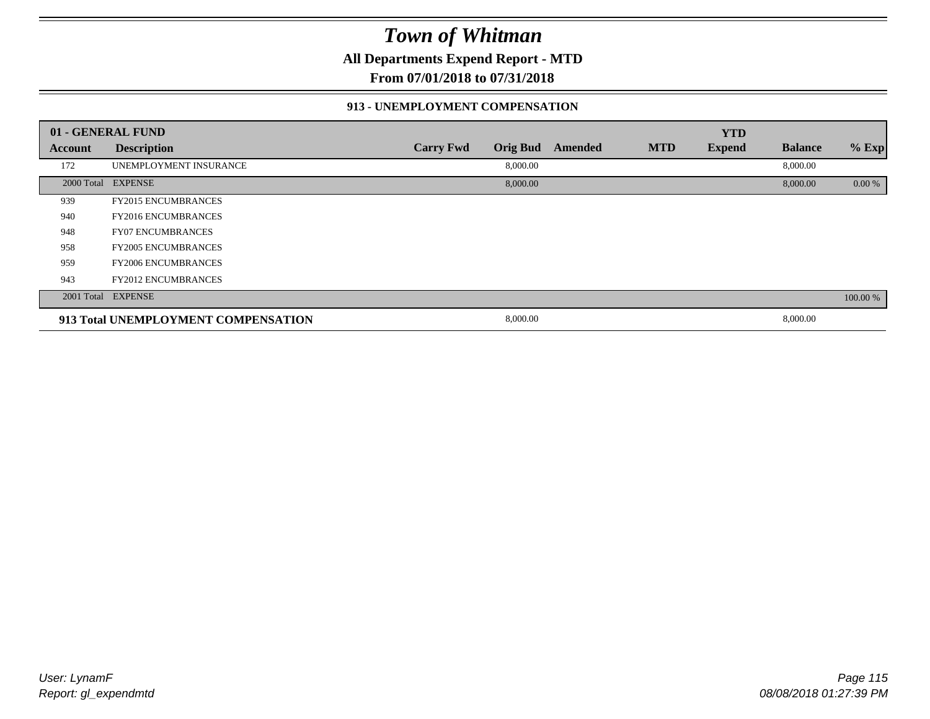**All Departments Expend Report - MTD**

**From 07/01/2018 to 07/31/2018**

#### **913 - UNEMPLOYMENT COMPENSATION**

|         | 01 - GENERAL FUND                   |                  |                 |         |            | <b>YTD</b>    |                |          |
|---------|-------------------------------------|------------------|-----------------|---------|------------|---------------|----------------|----------|
| Account | <b>Description</b>                  | <b>Carry Fwd</b> | <b>Orig Bud</b> | Amended | <b>MTD</b> | <b>Expend</b> | <b>Balance</b> | % Exp    |
| 172     | UNEMPLOYMENT INSURANCE              |                  | 8,000.00        |         |            |               | 8,000.00       |          |
|         | 2000 Total EXPENSE                  |                  | 8,000.00        |         |            |               | 8,000.00       | 0.00 %   |
| 939     | <b>FY2015 ENCUMBRANCES</b>          |                  |                 |         |            |               |                |          |
| 940     | <b>FY2016 ENCUMBRANCES</b>          |                  |                 |         |            |               |                |          |
| 948     | <b>FY07 ENCUMBRANCES</b>            |                  |                 |         |            |               |                |          |
| 958     | <b>FY2005 ENCUMBRANCES</b>          |                  |                 |         |            |               |                |          |
| 959     | <b>FY2006 ENCUMBRANCES</b>          |                  |                 |         |            |               |                |          |
| 943     | <b>FY2012 ENCUMBRANCES</b>          |                  |                 |         |            |               |                |          |
|         | 2001 Total EXPENSE                  |                  |                 |         |            |               |                | 100.00 % |
|         | 913 Total UNEMPLOYMENT COMPENSATION |                  | 8,000.00        |         |            |               | 8,000.00       |          |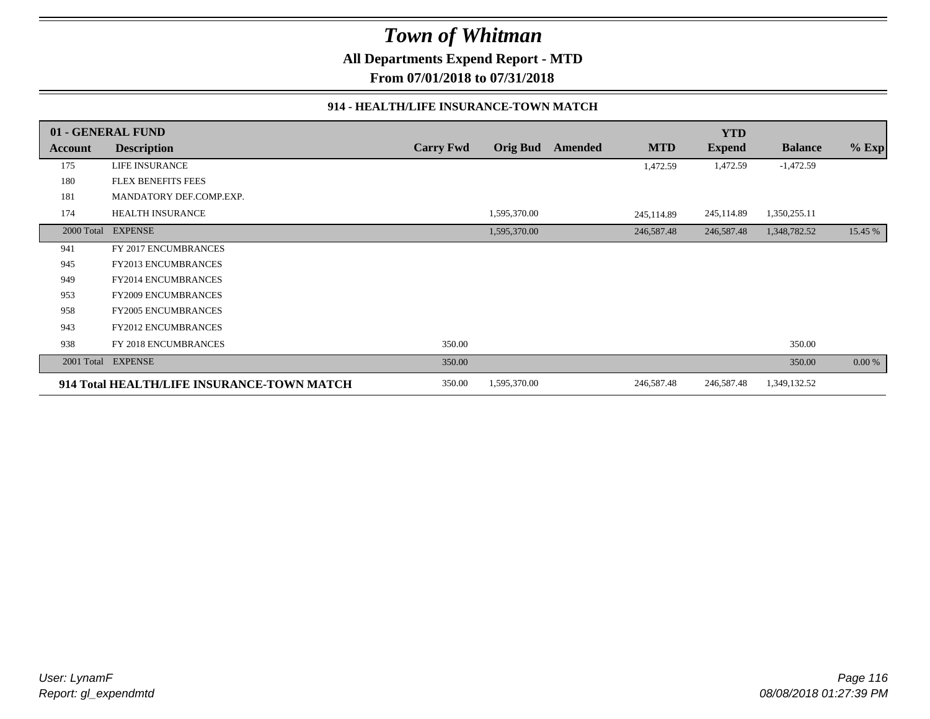**All Departments Expend Report - MTD**

**From 07/01/2018 to 07/31/2018**

#### **914 - HEALTH/LIFE INSURANCE-TOWN MATCH**

|            | 01 - GENERAL FUND                          |                  |                 |         |            | <b>YTD</b>    |                |         |
|------------|--------------------------------------------|------------------|-----------------|---------|------------|---------------|----------------|---------|
| Account    | <b>Description</b>                         | <b>Carry Fwd</b> | <b>Orig Bud</b> | Amended | <b>MTD</b> | <b>Expend</b> | <b>Balance</b> | $%$ Exp |
| 175        | <b>LIFE INSURANCE</b>                      |                  |                 |         | 1,472.59   | 1,472.59      | $-1,472.59$    |         |
| 180        | <b>FLEX BENEFITS FEES</b>                  |                  |                 |         |            |               |                |         |
| 181        | MANDATORY DEF.COMP.EXP.                    |                  |                 |         |            |               |                |         |
| 174        | <b>HEALTH INSURANCE</b>                    |                  | 1,595,370.00    |         | 245,114.89 | 245,114.89    | 1,350,255.11   |         |
| 2000 Total | <b>EXPENSE</b>                             |                  | 1,595,370.00    |         | 246,587.48 | 246,587.48    | 1,348,782.52   | 15.45 % |
| 941        | FY 2017 ENCUMBRANCES                       |                  |                 |         |            |               |                |         |
| 945        | <b>FY2013 ENCUMBRANCES</b>                 |                  |                 |         |            |               |                |         |
| 949        | <b>FY2014 ENCUMBRANCES</b>                 |                  |                 |         |            |               |                |         |
| 953        | <b>FY2009 ENCUMBRANCES</b>                 |                  |                 |         |            |               |                |         |
| 958        | <b>FY2005 ENCUMBRANCES</b>                 |                  |                 |         |            |               |                |         |
| 943        | <b>FY2012 ENCUMBRANCES</b>                 |                  |                 |         |            |               |                |         |
| 938        | FY 2018 ENCUMBRANCES                       | 350.00           |                 |         |            |               | 350.00         |         |
| 2001 Total | <b>EXPENSE</b>                             | 350.00           |                 |         |            |               | 350.00         | 0.00 %  |
|            | 914 Total HEALTH/LIFE INSURANCE-TOWN MATCH | 350.00           | 1,595,370.00    |         | 246,587.48 | 246,587.48    | 1,349,132.52   |         |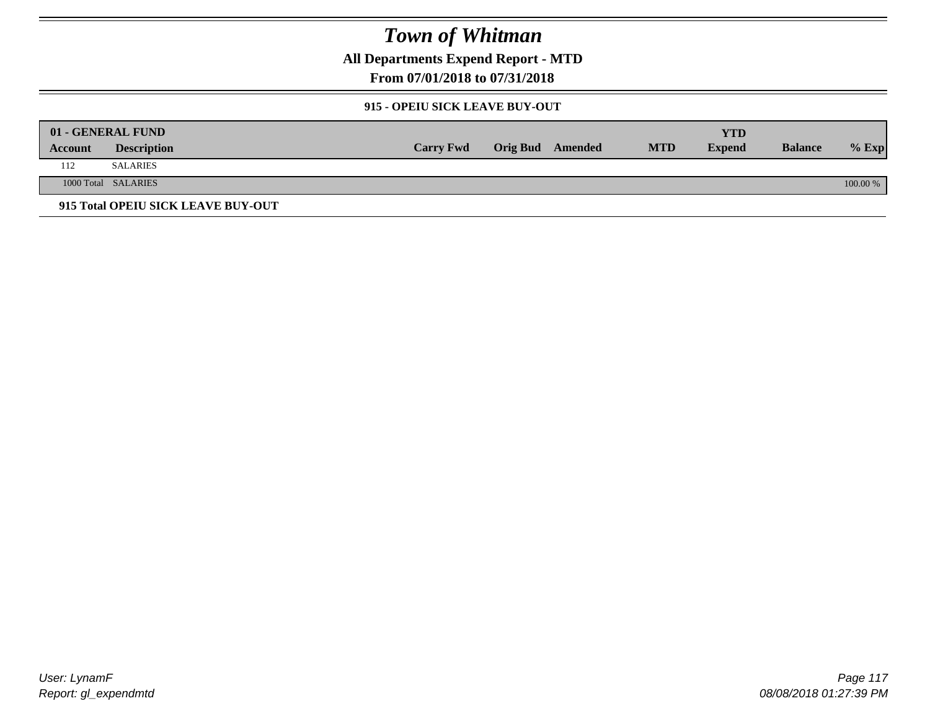**All Departments Expend Report - MTD**

**From 07/01/2018 to 07/31/2018**

#### **915 - OPEIU SICK LEAVE BUY-OUT**

|         | 01 - GENERAL FUND                  |                  |                         |            | YTD           |                |            |
|---------|------------------------------------|------------------|-------------------------|------------|---------------|----------------|------------|
| Account | <b>Description</b>                 | <b>Carry Fwd</b> | <b>Orig Bud</b> Amended | <b>MTD</b> | <b>Expend</b> | <b>Balance</b> | $%$ Exp    |
| 112     | <b>SALARIES</b>                    |                  |                         |            |               |                |            |
|         | 1000 Total SALARIES                |                  |                         |            |               |                | $100.00\%$ |
|         | 915 Total OPEIU SICK LEAVE BUY-OUT |                  |                         |            |               |                |            |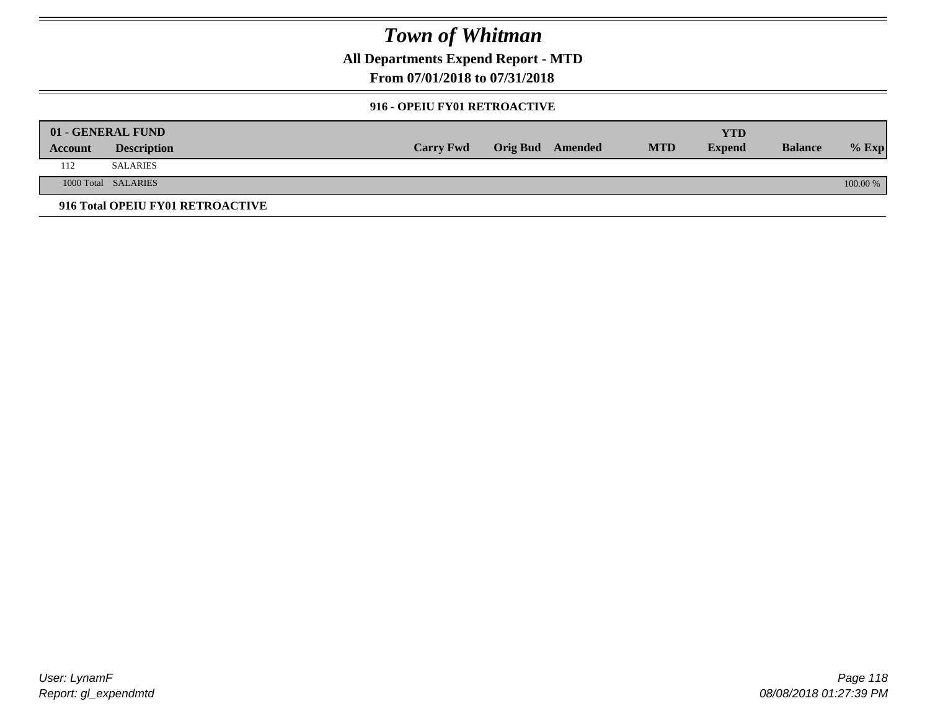**All Departments Expend Report - MTD**

### **From 07/01/2018 to 07/31/2018**

#### **916 - OPEIU FY01 RETROACTIVE**

|         | 01 - GENERAL FUND                |                  |                         |            | YTD           |                |          |
|---------|----------------------------------|------------------|-------------------------|------------|---------------|----------------|----------|
| Account | <b>Description</b>               | <b>Carry Fwd</b> | <b>Orig Bud</b> Amended | <b>MTD</b> | <b>Expend</b> | <b>Balance</b> | $%$ Exp  |
| 112     | <b>SALARIES</b>                  |                  |                         |            |               |                |          |
|         | 1000 Total SALARIES              |                  |                         |            |               |                | 100.00 % |
|         | 916 Total OPEIU FY01 RETROACTIVE |                  |                         |            |               |                |          |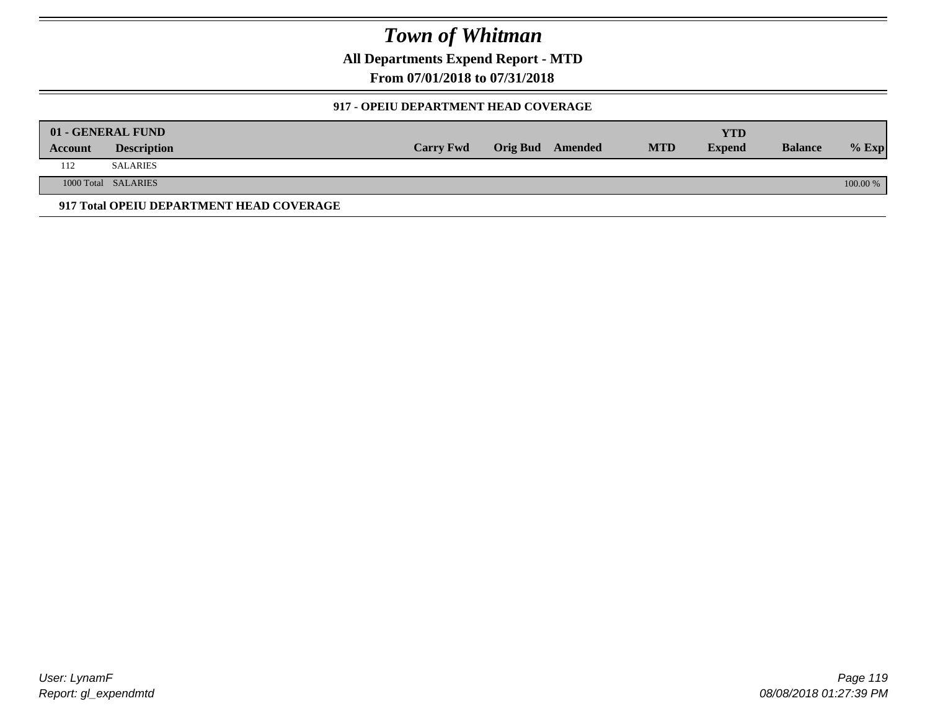**All Departments Expend Report - MTD**

**From 07/01/2018 to 07/31/2018**

#### **917 - OPEIU DEPARTMENT HEAD COVERAGE**

|         | 01 - GENERAL FUND                        |                  |                  |            | YTD           |                |            |
|---------|------------------------------------------|------------------|------------------|------------|---------------|----------------|------------|
| Account | <b>Description</b>                       | <b>Carry Fwd</b> | Orig Bud Amended | <b>MTD</b> | <b>Expend</b> | <b>Balance</b> | $%$ Exp    |
| 112     | SALARIES                                 |                  |                  |            |               |                |            |
|         | 1000 Total SALARIES                      |                  |                  |            |               |                | $100.00\%$ |
|         | 917 Total OPEIU DEPARTMENT HEAD COVERAGE |                  |                  |            |               |                |            |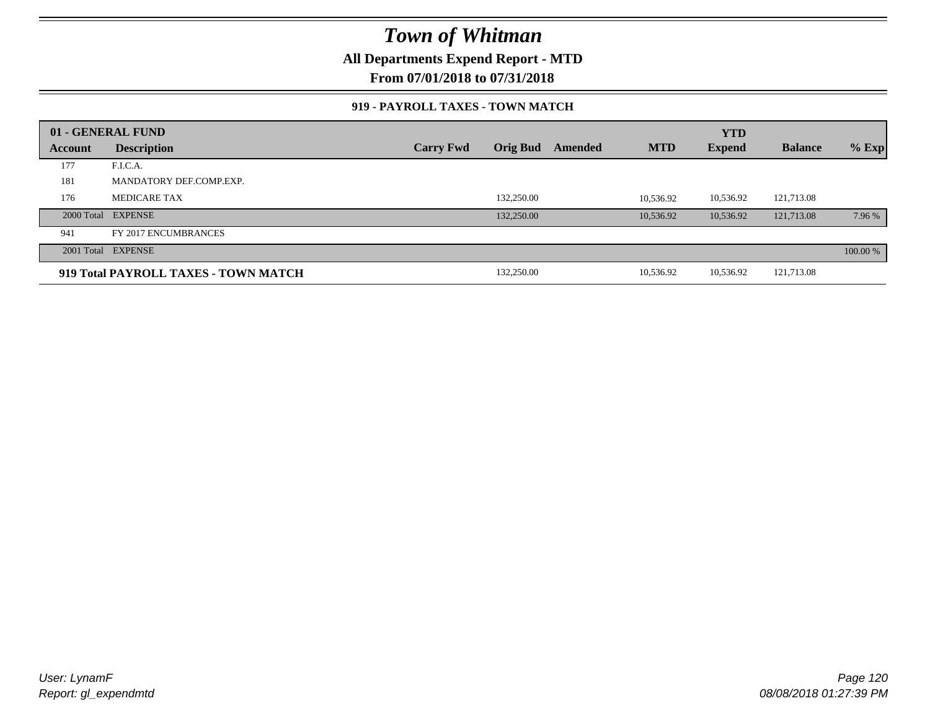**All Departments Expend Report - MTD**

**From 07/01/2018 to 07/31/2018**

#### **919 - PAYROLL TAXES - TOWN MATCH**

|         | 01 - GENERAL FUND                    |                  |                 |         |            | <b>YTD</b>    |                |          |
|---------|--------------------------------------|------------------|-----------------|---------|------------|---------------|----------------|----------|
| Account | <b>Description</b>                   | <b>Carry Fwd</b> | <b>Orig Bud</b> | Amended | <b>MTD</b> | <b>Expend</b> | <b>Balance</b> | $%$ Exp  |
| 177     | F.I.C.A.                             |                  |                 |         |            |               |                |          |
| 181     | MANDATORY DEF.COMP.EXP.              |                  |                 |         |            |               |                |          |
| 176     | <b>MEDICARE TAX</b>                  |                  | 132,250.00      |         | 10.536.92  | 10,536.92     | 121,713.08     |          |
|         | 2000 Total EXPENSE                   |                  | 132,250.00      |         | 10.536.92  | 10,536.92     | 121,713.08     | 7.96 %   |
| 941     | FY 2017 ENCUMBRANCES                 |                  |                 |         |            |               |                |          |
|         | 2001 Total EXPENSE                   |                  |                 |         |            |               |                | 100.00 % |
|         | 919 Total PAYROLL TAXES - TOWN MATCH |                  | 132,250.00      |         | 10,536.92  | 10,536.92     | 121,713.08     |          |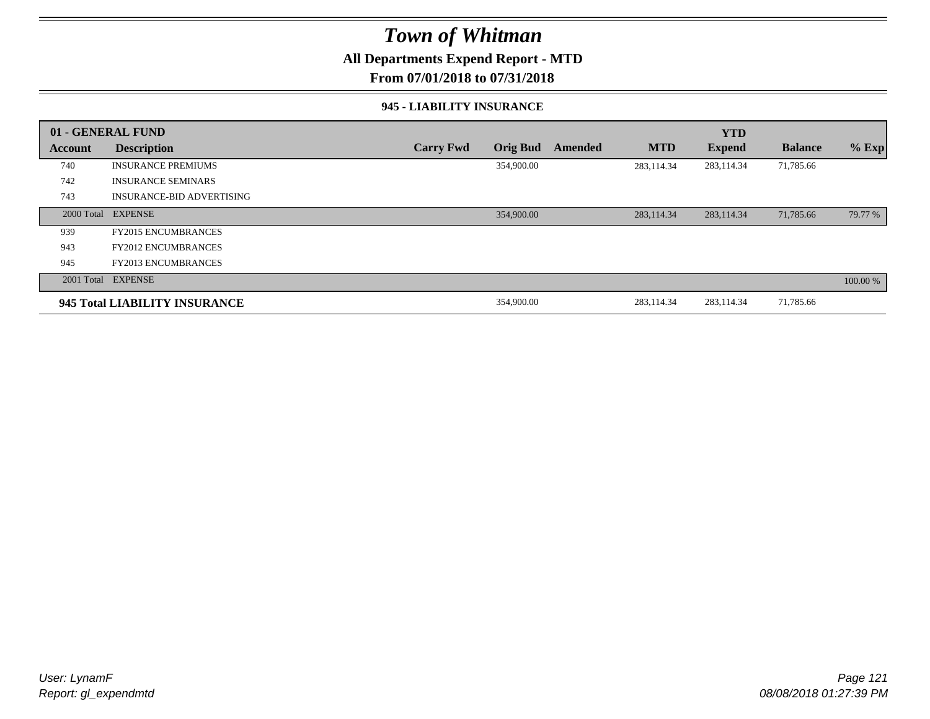### **All Departments Expend Report - MTD**

### **From 07/01/2018 to 07/31/2018**

#### **945 - LIABILITY INSURANCE**

|         | 01 - GENERAL FUND                |                  |                 |         |            | <b>YTD</b>    |                |          |
|---------|----------------------------------|------------------|-----------------|---------|------------|---------------|----------------|----------|
| Account | <b>Description</b>               | <b>Carry Fwd</b> | <b>Orig Bud</b> | Amended | <b>MTD</b> | <b>Expend</b> | <b>Balance</b> | $%$ Exp  |
| 740     | <b>INSURANCE PREMIUMS</b>        |                  | 354,900.00      |         | 283,114.34 | 283,114.34    | 71,785.66      |          |
| 742     | <b>INSURANCE SEMINARS</b>        |                  |                 |         |            |               |                |          |
| 743     | <b>INSURANCE-BID ADVERTISING</b> |                  |                 |         |            |               |                |          |
|         | 2000 Total EXPENSE               |                  | 354,900.00      |         | 283,114.34 | 283,114.34    | 71,785.66      | 79.77 %  |
| 939     | <b>FY2015 ENCUMBRANCES</b>       |                  |                 |         |            |               |                |          |
| 943     | <b>FY2012 ENCUMBRANCES</b>       |                  |                 |         |            |               |                |          |
| 945     | <b>FY2013 ENCUMBRANCES</b>       |                  |                 |         |            |               |                |          |
|         | 2001 Total EXPENSE               |                  |                 |         |            |               |                | 100.00 % |
|         | 945 Total LIABILITY INSURANCE    |                  | 354,900.00      |         | 283,114.34 | 283,114.34    | 71,785.66      |          |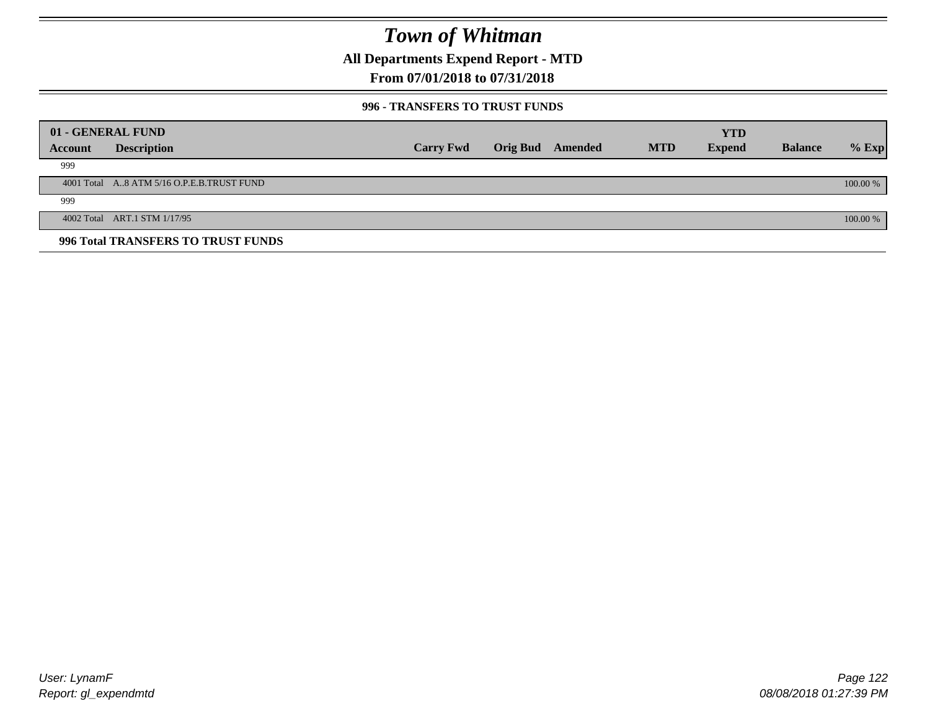**All Departments Expend Report - MTD**

### **From 07/01/2018 to 07/31/2018**

#### **996 - TRANSFERS TO TRUST FUNDS**

|         | 01 - GENERAL FUND                         |                  |                 |         |            | <b>YTD</b>    |                |            |
|---------|-------------------------------------------|------------------|-----------------|---------|------------|---------------|----------------|------------|
| Account | <b>Description</b>                        | <b>Carry Fwd</b> | <b>Orig Bud</b> | Amended | <b>MTD</b> | <b>Expend</b> | <b>Balance</b> | $%$ Exp    |
| 999     |                                           |                  |                 |         |            |               |                |            |
|         | 4001 Total A8 ATM 5/16 O.P.E.B.TRUST FUND |                  |                 |         |            |               |                | $100.00\%$ |
| 999     |                                           |                  |                 |         |            |               |                |            |
|         | 4002 Total ART.1 STM 1/17/95              |                  |                 |         |            |               |                | 100.00 %   |
|         | 996 Total TRANSFERS TO TRUST FUNDS        |                  |                 |         |            |               |                |            |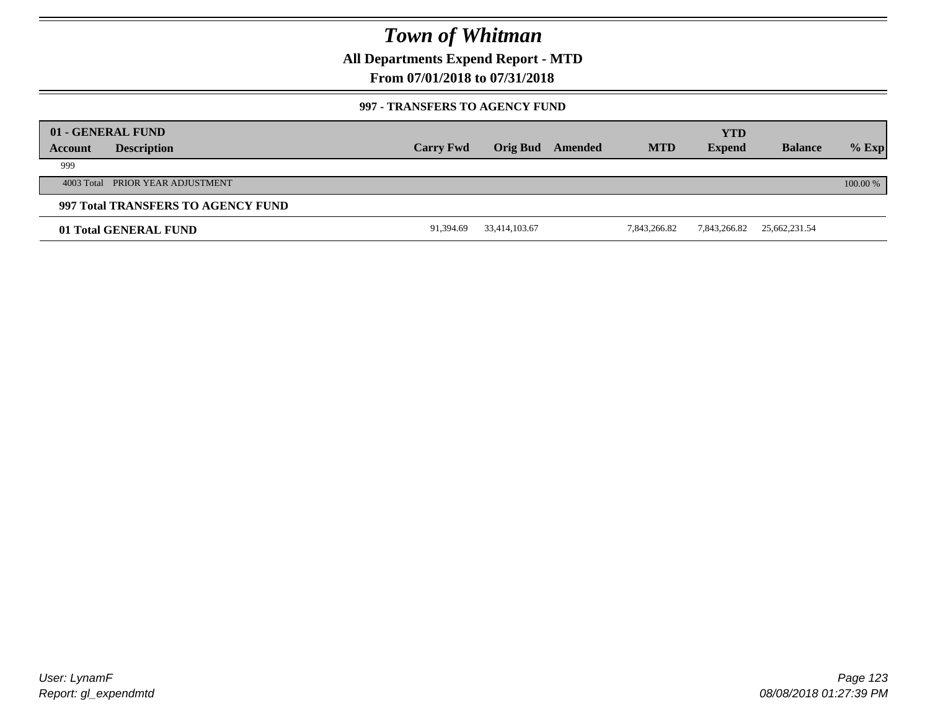**All Departments Expend Report - MTD**

### **From 07/01/2018 to 07/31/2018**

#### **997 - TRANSFERS TO AGENCY FUND**

|         | 01 - GENERAL FUND                  |                  |               |         |              | <b>YTD</b>    |                |          |
|---------|------------------------------------|------------------|---------------|---------|--------------|---------------|----------------|----------|
| Account | <b>Description</b>                 | <b>Carry Fwd</b> | Orig Bud      | Amended | <b>MTD</b>   | <b>Expend</b> | <b>Balance</b> | $%$ Exp  |
| 999     |                                    |                  |               |         |              |               |                |          |
|         | 4003 Total PRIOR YEAR ADJUSTMENT   |                  |               |         |              |               |                | 100.00 % |
|         | 997 Total TRANSFERS TO AGENCY FUND |                  |               |         |              |               |                |          |
|         | 01 Total GENERAL FUND              | 91,394.69        | 33,414,103.67 |         | 7,843,266.82 | 7,843,266.82  | 25,662,231.54  |          |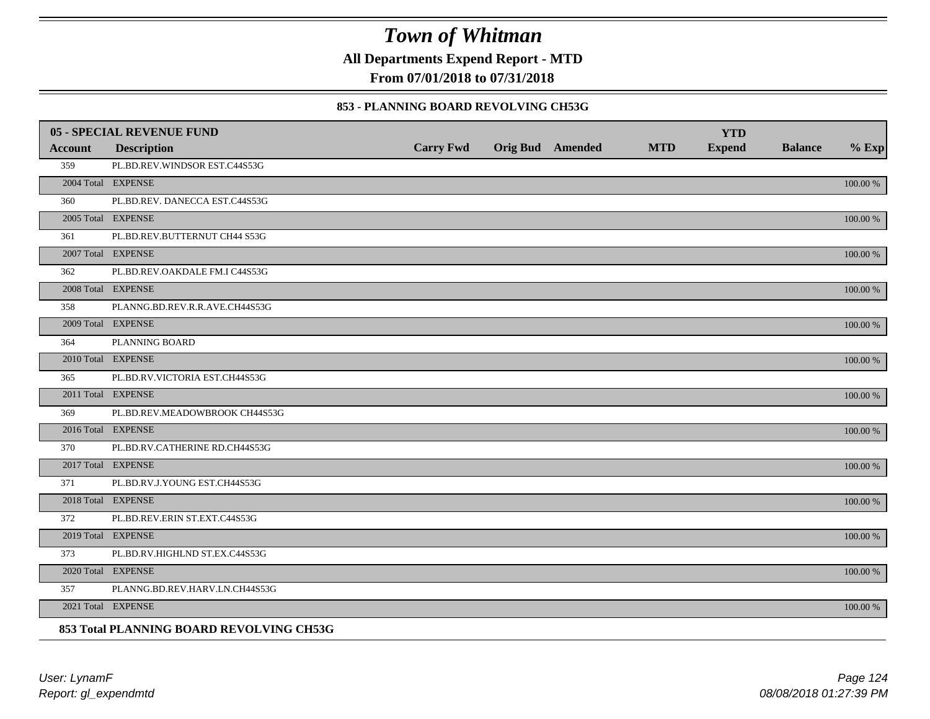**All Departments Expend Report - MTD**

**From 07/01/2018 to 07/31/2018**

#### **853 - PLANNING BOARD REVOLVING CH53G**

|         | <b>05 - SPECIAL REVENUE FUND</b>         |                  |                  |            | <b>YTD</b>    |                |             |
|---------|------------------------------------------|------------------|------------------|------------|---------------|----------------|-------------|
| Account | <b>Description</b>                       | <b>Carry Fwd</b> | Orig Bud Amended | <b>MTD</b> | <b>Expend</b> | <b>Balance</b> | $%$ Exp     |
| 359     | PL.BD.REV.WINDSOR EST.C44S53G            |                  |                  |            |               |                |             |
|         | 2004 Total EXPENSE                       |                  |                  |            |               |                | 100.00 %    |
| 360     | PL.BD.REV. DANECCA EST.C44S53G           |                  |                  |            |               |                |             |
|         | 2005 Total EXPENSE                       |                  |                  |            |               |                | 100.00 %    |
| 361     | PL.BD.REV.BUTTERNUT CH44 S53G            |                  |                  |            |               |                |             |
|         | 2007 Total EXPENSE                       |                  |                  |            |               |                | 100.00 %    |
| 362     | PL.BD.REV.OAKDALE FM.I C44S53G           |                  |                  |            |               |                |             |
|         | 2008 Total EXPENSE                       |                  |                  |            |               |                | $100.00~\%$ |
| 358     | PLANNG.BD.REV.R.R.AVE.CH44S53G           |                  |                  |            |               |                |             |
|         | 2009 Total EXPENSE                       |                  |                  |            |               |                | 100.00 %    |
| 364     | PLANNING BOARD                           |                  |                  |            |               |                |             |
|         | 2010 Total EXPENSE                       |                  |                  |            |               |                | $100.00~\%$ |
| 365     | PL.BD.RV.VICTORIA EST.CH44S53G           |                  |                  |            |               |                |             |
|         | 2011 Total EXPENSE                       |                  |                  |            |               |                | 100.00 %    |
| 369     | PL.BD.REV.MEADOWBROOK CH44S53G           |                  |                  |            |               |                |             |
|         | 2016 Total EXPENSE                       |                  |                  |            |               |                | 100.00 %    |
| 370     | PL.BD.RV.CATHERINE RD.CH44S53G           |                  |                  |            |               |                |             |
|         | 2017 Total EXPENSE                       |                  |                  |            |               |                | 100.00 %    |
| 371     | PL.BD.RV.J.YOUNG EST.CH44S53G            |                  |                  |            |               |                |             |
|         | 2018 Total EXPENSE                       |                  |                  |            |               |                | $100.00~\%$ |
| 372     | PL.BD.REV.ERIN ST.EXT.C44S53G            |                  |                  |            |               |                |             |
|         | 2019 Total EXPENSE                       |                  |                  |            |               |                | 100.00 %    |
| 373     | PL.BD.RV.HIGHLND ST.EX.C44S53G           |                  |                  |            |               |                |             |
|         | 2020 Total EXPENSE                       |                  |                  |            |               |                | 100.00 %    |
| 357     | PLANNG.BD.REV.HARV.LN.CH44S53G           |                  |                  |            |               |                |             |
|         | 2021 Total EXPENSE                       |                  |                  |            |               |                | 100.00 %    |
|         | 853 Total PLANNING BOARD REVOLVING CH53G |                  |                  |            |               |                |             |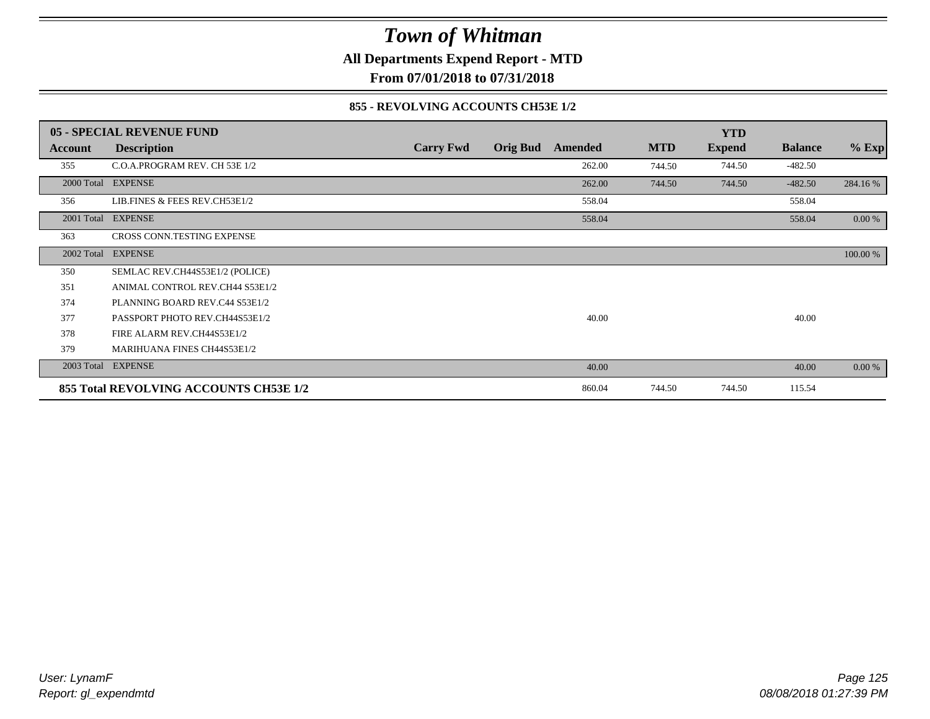**All Departments Expend Report - MTD**

**From 07/01/2018 to 07/31/2018**

#### **855 - REVOLVING ACCOUNTS CH53E 1/2**

|                | <b>05 - SPECIAL REVENUE FUND</b>       |                  |                 |         |            | <b>YTD</b>    |                |          |
|----------------|----------------------------------------|------------------|-----------------|---------|------------|---------------|----------------|----------|
| <b>Account</b> | <b>Description</b>                     | <b>Carry Fwd</b> | <b>Orig Bud</b> | Amended | <b>MTD</b> | <b>Expend</b> | <b>Balance</b> | $%$ Exp  |
| 355            | C.O.A.PROGRAM REV. CH 53E 1/2          |                  |                 | 262.00  | 744.50     | 744.50        | $-482.50$      |          |
| 2000 Total     | <b>EXPENSE</b>                         |                  |                 | 262.00  | 744.50     | 744.50        | $-482.50$      | 284.16 % |
| 356            | LIB.FINES & FEES REV.CH53E1/2          |                  |                 | 558.04  |            |               | 558.04         |          |
| 2001 Total     | <b>EXPENSE</b>                         |                  |                 | 558.04  |            |               | 558.04         | 0.00 %   |
| 363            | CROSS CONN.TESTING EXPENSE             |                  |                 |         |            |               |                |          |
| 2002 Total     | <b>EXPENSE</b>                         |                  |                 |         |            |               |                | 100.00 % |
| 350            | SEMLAC REV.CH44S53E1/2 (POLICE)        |                  |                 |         |            |               |                |          |
| 351            | ANIMAL CONTROL REV.CH44 S53E1/2        |                  |                 |         |            |               |                |          |
| 374            | PLANNING BOARD REV.C44 S53E1/2         |                  |                 |         |            |               |                |          |
| 377            | PASSPORT PHOTO REV.CH44S53E1/2         |                  |                 | 40.00   |            |               | 40.00          |          |
| 378            | FIRE ALARM REV.CH44S53E1/2             |                  |                 |         |            |               |                |          |
| 379            | MARIHUANA FINES CH44S53E1/2            |                  |                 |         |            |               |                |          |
|                | 2003 Total EXPENSE                     |                  |                 | 40.00   |            |               | 40.00          | 0.00 %   |
|                | 855 Total REVOLVING ACCOUNTS CH53E 1/2 |                  |                 | 860.04  | 744.50     | 744.50        | 115.54         |          |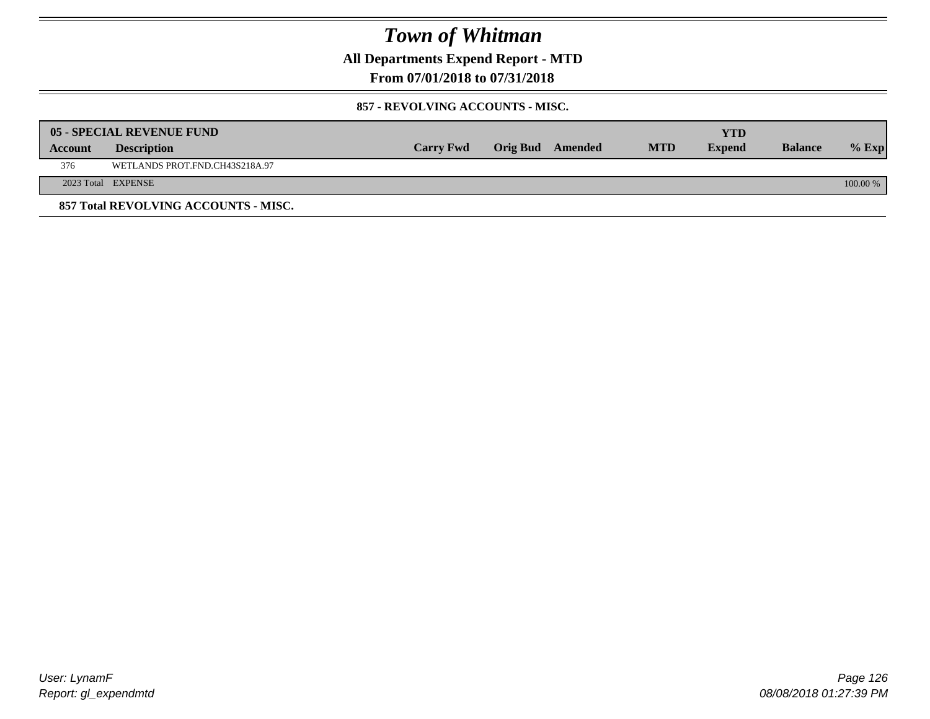**All Departments Expend Report - MTD**

**From 07/01/2018 to 07/31/2018**

#### **857 - REVOLVING ACCOUNTS - MISC.**

|                | 05 - SPECIAL REVENUE FUND            |                  |                  |            | YTD           |                |            |
|----------------|--------------------------------------|------------------|------------------|------------|---------------|----------------|------------|
| <b>Account</b> | <b>Description</b>                   | <b>Carry Fwd</b> | Orig Bud Amended | <b>MTD</b> | <b>Expend</b> | <b>Balance</b> | $%$ Exp    |
| 376            | WETLANDS PROT.FND.CH43S218A.97       |                  |                  |            |               |                |            |
|                | 2023 Total EXPENSE                   |                  |                  |            |               |                | $100.00\%$ |
|                | 857 Total REVOLVING ACCOUNTS - MISC. |                  |                  |            |               |                |            |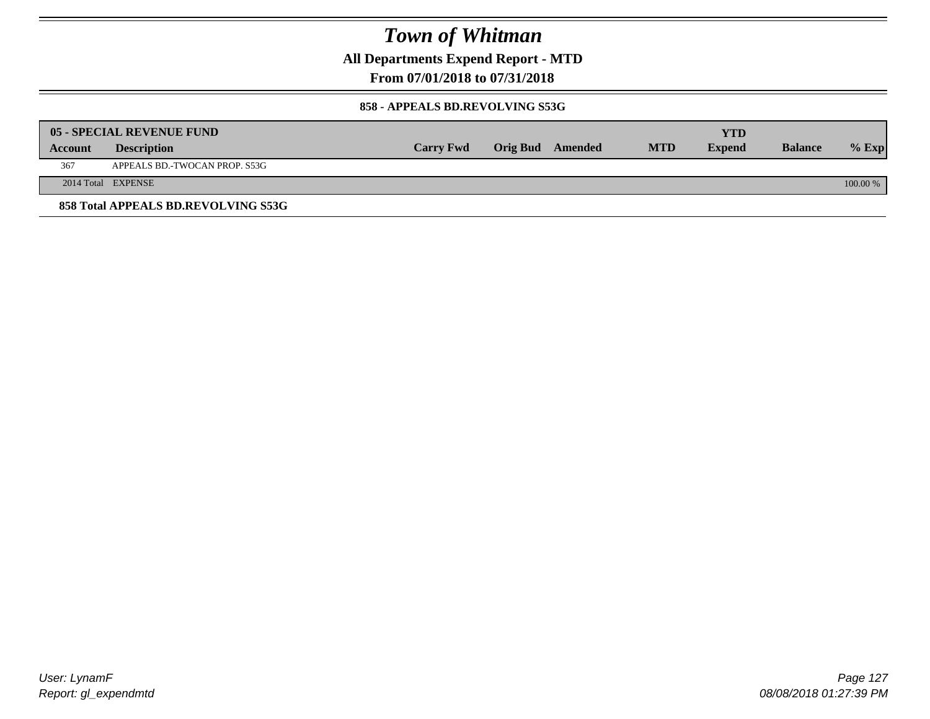**All Departments Expend Report - MTD**

**From 07/01/2018 to 07/31/2018**

#### **858 - APPEALS BD.REVOLVING S53G**

|         | 05 - SPECIAL REVENUE FUND           |                  |                  |            | YTD           |                |            |
|---------|-------------------------------------|------------------|------------------|------------|---------------|----------------|------------|
| Account | <b>Description</b>                  | <b>Carry Fwd</b> | Orig Bud Amended | <b>MTD</b> | <b>Expend</b> | <b>Balance</b> | $\%$ Exp   |
| 367     | APPEALS BD.-TWOCAN PROP. S53G       |                  |                  |            |               |                |            |
|         | 2014 Total EXPENSE                  |                  |                  |            |               |                | $100.00\%$ |
|         | 858 Total APPEALS BD.REVOLVING S53G |                  |                  |            |               |                |            |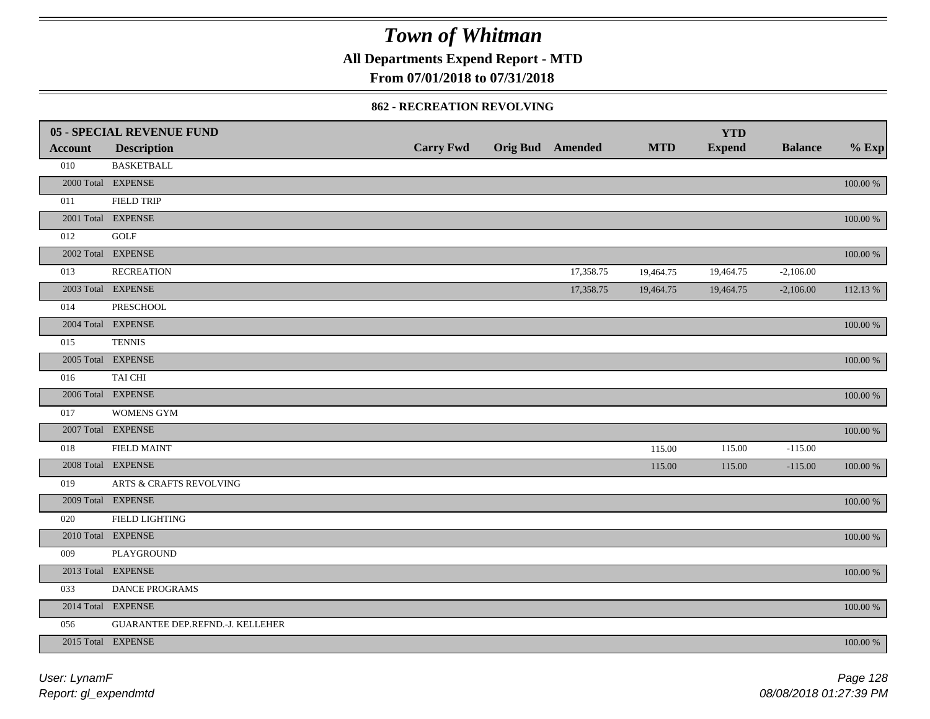**All Departments Expend Report - MTD**

### **From 07/01/2018 to 07/31/2018**

#### **862 - RECREATION REVOLVING**

|                | 05 - SPECIAL REVENUE FUND        |                  |                         |            | <b>YTD</b>    |                |             |
|----------------|----------------------------------|------------------|-------------------------|------------|---------------|----------------|-------------|
| <b>Account</b> | <b>Description</b>               | <b>Carry Fwd</b> | <b>Orig Bud Amended</b> | <b>MTD</b> | <b>Expend</b> | <b>Balance</b> | $%$ Exp     |
| 010            | <b>BASKETBALL</b>                |                  |                         |            |               |                |             |
|                | 2000 Total EXPENSE               |                  |                         |            |               |                | $100.00~\%$ |
| 011            | <b>FIELD TRIP</b>                |                  |                         |            |               |                |             |
|                | 2001 Total EXPENSE               |                  |                         |            |               |                | $100.00~\%$ |
| 012            | <b>GOLF</b>                      |                  |                         |            |               |                |             |
|                | 2002 Total EXPENSE               |                  |                         |            |               |                | $100.00~\%$ |
| 013            | <b>RECREATION</b>                |                  | 17,358.75               | 19,464.75  | 19,464.75     | $-2,106.00$    |             |
|                | 2003 Total EXPENSE               |                  | 17,358.75               | 19,464.75  | 19,464.75     | $-2,106.00$    | 112.13 %    |
| 014            | <b>PRESCHOOL</b>                 |                  |                         |            |               |                |             |
|                | 2004 Total EXPENSE               |                  |                         |            |               |                | 100.00 %    |
| 015            | <b>TENNIS</b>                    |                  |                         |            |               |                |             |
|                | 2005 Total EXPENSE               |                  |                         |            |               |                | 100.00 %    |
| 016            | TAI CHI                          |                  |                         |            |               |                |             |
|                | 2006 Total EXPENSE               |                  |                         |            |               |                | 100.00 %    |
| 017            | <b>WOMENS GYM</b>                |                  |                         |            |               |                |             |
|                | 2007 Total EXPENSE               |                  |                         |            |               |                | $100.00~\%$ |
| 018            | <b>FIELD MAINT</b>               |                  |                         | 115.00     | 115.00        | $-115.00$      |             |
|                | 2008 Total EXPENSE               |                  |                         | 115.00     | 115.00        | $-115.00$      | 100.00 %    |
| 019            | ARTS & CRAFTS REVOLVING          |                  |                         |            |               |                |             |
|                | 2009 Total EXPENSE               |                  |                         |            |               |                | $100.00~\%$ |
| 020            | FIELD LIGHTING                   |                  |                         |            |               |                |             |
|                | 2010 Total EXPENSE               |                  |                         |            |               |                | $100.00~\%$ |
| 009            | PLAYGROUND                       |                  |                         |            |               |                |             |
|                | 2013 Total EXPENSE               |                  |                         |            |               |                | $100.00~\%$ |
| 033            | DANCE PROGRAMS                   |                  |                         |            |               |                |             |
|                | 2014 Total EXPENSE               |                  |                         |            |               |                | $100.00~\%$ |
| 056            | GUARANTEE DEP.REFND.-J. KELLEHER |                  |                         |            |               |                |             |
|                | 2015 Total EXPENSE               |                  |                         |            |               |                | 100.00 %    |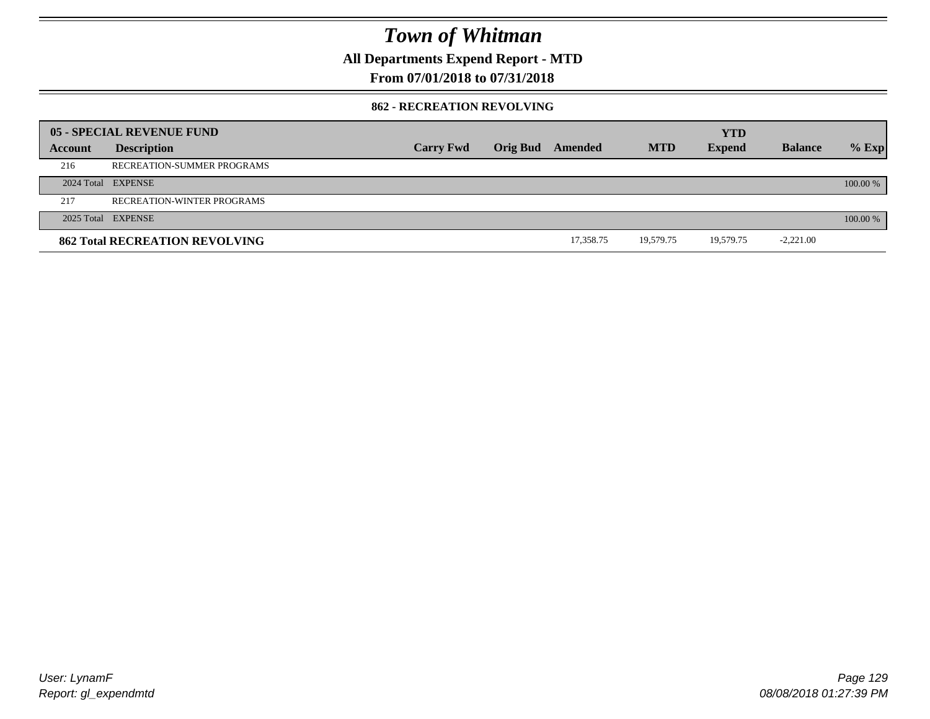**All Departments Expend Report - MTD**

### **From 07/01/2018 to 07/31/2018**

#### **862 - RECREATION REVOLVING**

|         | 05 - SPECIAL REVENUE FUND             |                  |                 |           |            | <b>YTD</b>    |                |            |
|---------|---------------------------------------|------------------|-----------------|-----------|------------|---------------|----------------|------------|
| Account | <b>Description</b>                    | <b>Carry Fwd</b> | <b>Orig Bud</b> | Amended   | <b>MTD</b> | <b>Expend</b> | <b>Balance</b> | $%$ Exp    |
| 216     | RECREATION-SUMMER PROGRAMS            |                  |                 |           |            |               |                |            |
|         | 2024 Total EXPENSE                    |                  |                 |           |            |               |                | $100.00\%$ |
| 217     | RECREATION-WINTER PROGRAMS            |                  |                 |           |            |               |                |            |
|         | 2025 Total EXPENSE                    |                  |                 |           |            |               |                | 100.00 %   |
|         | <b>862 Total RECREATION REVOLVING</b> |                  |                 | 17,358.75 | 19,579.75  | 19.579.75     | $-2,221.00$    |            |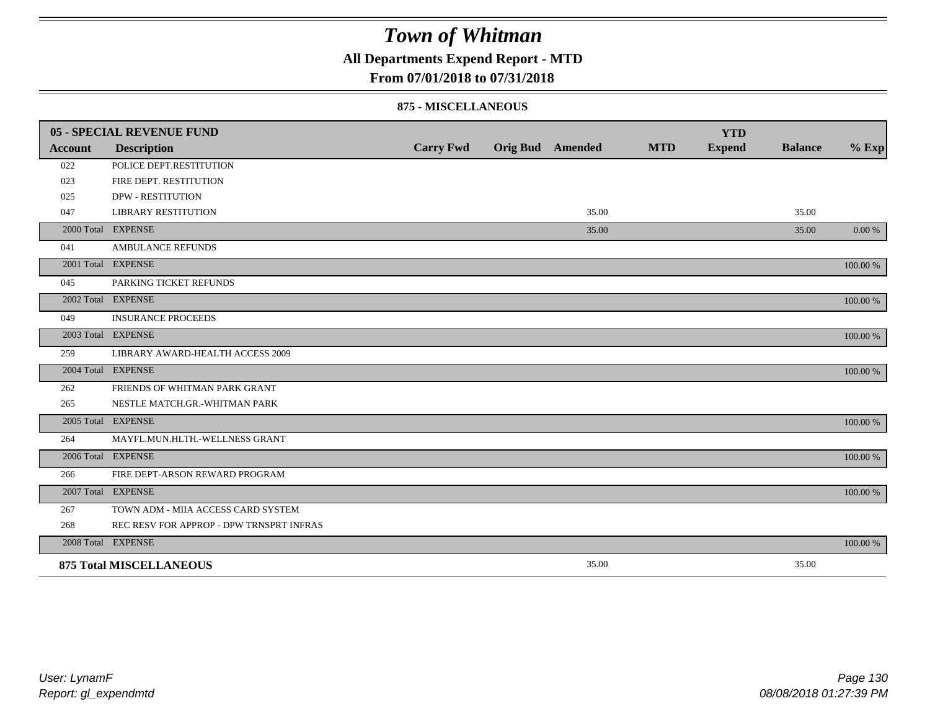### **All Departments Expend Report - MTD**

#### **From 07/01/2018 to 07/31/2018**

#### **875 - MISCELLANEOUS**

|                | 05 - SPECIAL REVENUE FUND                |                  |                         |            | <b>YTD</b>    |                |          |
|----------------|------------------------------------------|------------------|-------------------------|------------|---------------|----------------|----------|
| <b>Account</b> | <b>Description</b>                       | <b>Carry Fwd</b> | <b>Orig Bud</b> Amended | <b>MTD</b> | <b>Expend</b> | <b>Balance</b> | $%$ Exp  |
| 022            | POLICE DEPT.RESTITUTION                  |                  |                         |            |               |                |          |
| 023            | FIRE DEPT. RESTITUTION                   |                  |                         |            |               |                |          |
| 025            | <b>DPW - RESTITUTION</b>                 |                  |                         |            |               |                |          |
| 047            | <b>LIBRARY RESTITUTION</b>               |                  | 35.00                   |            |               | 35.00          |          |
|                | 2000 Total EXPENSE                       |                  | 35.00                   |            |               | 35.00          | 0.00 %   |
| 041            | <b>AMBULANCE REFUNDS</b>                 |                  |                         |            |               |                |          |
|                | 2001 Total EXPENSE                       |                  |                         |            |               |                | 100.00 % |
| 045            | PARKING TICKET REFUNDS                   |                  |                         |            |               |                |          |
|                | 2002 Total EXPENSE                       |                  |                         |            |               |                | 100.00 % |
| 049            | <b>INSURANCE PROCEEDS</b>                |                  |                         |            |               |                |          |
|                | 2003 Total EXPENSE                       |                  |                         |            |               |                | 100.00 % |
| 259            | LIBRARY AWARD-HEALTH ACCESS 2009         |                  |                         |            |               |                |          |
|                | 2004 Total EXPENSE                       |                  |                         |            |               |                | 100.00 % |
| 262            | FRIENDS OF WHITMAN PARK GRANT            |                  |                         |            |               |                |          |
| 265            | NESTLE MATCH.GR.-WHITMAN PARK            |                  |                         |            |               |                |          |
|                | 2005 Total EXPENSE                       |                  |                         |            |               |                | 100.00 % |
| 264            | MAYFL.MUN.HLTH.-WELLNESS GRANT           |                  |                         |            |               |                |          |
|                | 2006 Total EXPENSE                       |                  |                         |            |               |                | 100.00 % |
| 266            | FIRE DEPT-ARSON REWARD PROGRAM           |                  |                         |            |               |                |          |
|                | 2007 Total EXPENSE                       |                  |                         |            |               |                | 100.00 % |
| 267            | TOWN ADM - MIIA ACCESS CARD SYSTEM       |                  |                         |            |               |                |          |
| 268            | REC RESV FOR APPROP - DPW TRNSPRT INFRAS |                  |                         |            |               |                |          |
|                | 2008 Total EXPENSE                       |                  |                         |            |               |                | 100.00 % |
|                | <b>875 Total MISCELLANEOUS</b>           |                  | 35.00                   |            |               | 35.00          |          |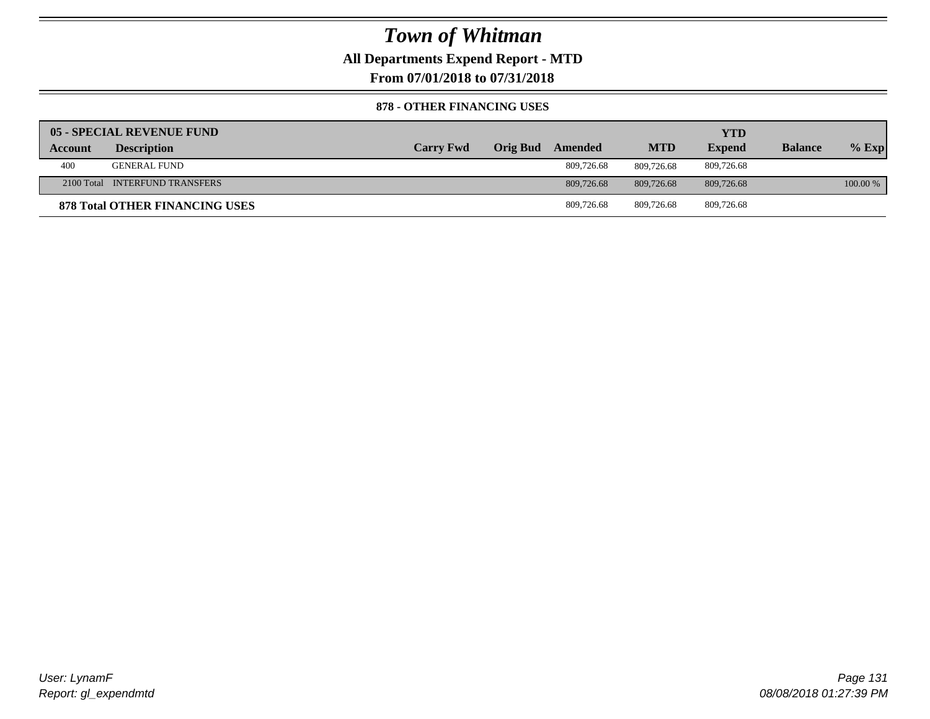**All Departments Expend Report - MTD**

**From 07/01/2018 to 07/31/2018**

#### **878 - OTHER FINANCING USES**

|         | 05 - SPECIAL REVENUE FUND      |                  |                  |            | YTD           |                |          |
|---------|--------------------------------|------------------|------------------|------------|---------------|----------------|----------|
| Account | <b>Description</b>             | <b>Carry Fwd</b> | Orig Bud Amended | <b>MTD</b> | <b>Expend</b> | <b>Balance</b> | $%$ Exp  |
| 400     | <b>GENERAL FUND</b>            |                  | 809,726.68       | 809,726.68 | 809.726.68    |                |          |
|         | 2100 Total INTERFUND TRANSFERS |                  | 809,726.68       | 809,726.68 | 809,726.68    |                | 100.00 % |
|         | 878 Total OTHER FINANCING USES |                  | 809,726.68       | 809.726.68 | 809,726.68    |                |          |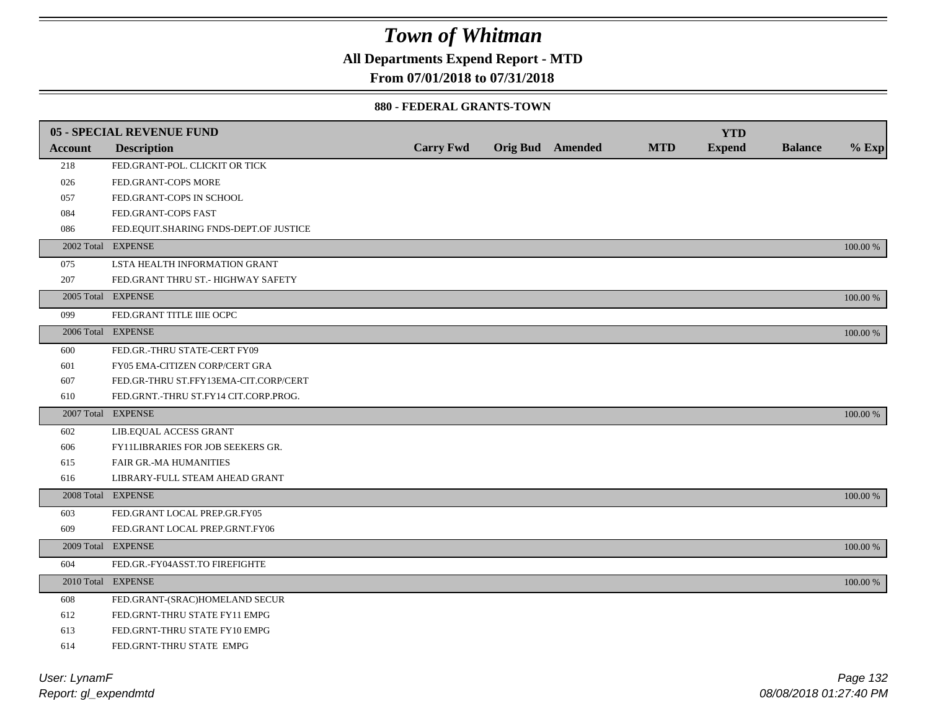### **All Departments Expend Report - MTD**

### **From 07/01/2018 to 07/31/2018**

#### **880 - FEDERAL GRANTS-TOWN**

|                | 05 - SPECIAL REVENUE FUND              |                  |                         |            | <b>YTD</b>    |                |          |
|----------------|----------------------------------------|------------------|-------------------------|------------|---------------|----------------|----------|
| <b>Account</b> | <b>Description</b>                     | <b>Carry Fwd</b> | <b>Orig Bud</b> Amended | <b>MTD</b> | <b>Expend</b> | <b>Balance</b> | $%$ Exp  |
| 218            | FED.GRANT-POL. CLICKIT OR TICK         |                  |                         |            |               |                |          |
| 026            | FED.GRANT-COPS MORE                    |                  |                         |            |               |                |          |
| 057            | FED.GRANT-COPS IN SCHOOL               |                  |                         |            |               |                |          |
| 084            | FED.GRANT-COPS FAST                    |                  |                         |            |               |                |          |
| 086            | FED.EQUIT.SHARING FNDS-DEPT.OF JUSTICE |                  |                         |            |               |                |          |
|                | 2002 Total EXPENSE                     |                  |                         |            |               |                | 100.00 % |
| 075            | LSTA HEALTH INFORMATION GRANT          |                  |                         |            |               |                |          |
| 207            | FED.GRANT THRU ST.- HIGHWAY SAFETY     |                  |                         |            |               |                |          |
|                | 2005 Total EXPENSE                     |                  |                         |            |               |                | 100.00 % |
| 099            | FED.GRANT TITLE IIIE OCPC              |                  |                         |            |               |                |          |
|                | 2006 Total EXPENSE                     |                  |                         |            |               |                | 100.00 % |
| 600            | FED.GR.-THRU STATE-CERT FY09           |                  |                         |            |               |                |          |
| 601            | FY05 EMA-CITIZEN CORP/CERT GRA         |                  |                         |            |               |                |          |
| 607            | FED.GR-THRU ST.FFY13EMA-CIT.CORP/CERT  |                  |                         |            |               |                |          |
| 610            | FED.GRNT.-THRU ST.FY14 CIT.CORP.PROG.  |                  |                         |            |               |                |          |
|                | 2007 Total EXPENSE                     |                  |                         |            |               |                | 100.00 % |
| 602            | LIB.EQUAL ACCESS GRANT                 |                  |                         |            |               |                |          |
| 606            | FY11LIBRARIES FOR JOB SEEKERS GR.      |                  |                         |            |               |                |          |
| 615            | <b>FAIR GR.-MA HUMANITIES</b>          |                  |                         |            |               |                |          |
| 616            | LIBRARY-FULL STEAM AHEAD GRANT         |                  |                         |            |               |                |          |
|                | 2008 Total EXPENSE                     |                  |                         |            |               |                | 100.00 % |
| 603            | FED.GRANT LOCAL PREP.GR.FY05           |                  |                         |            |               |                |          |
| 609            | FED.GRANT LOCAL PREP.GRNT.FY06         |                  |                         |            |               |                |          |
|                | 2009 Total EXPENSE                     |                  |                         |            |               |                | 100.00 % |
| 604            | FED.GR.-FY04ASST.TO FIREFIGHTE         |                  |                         |            |               |                |          |
|                | 2010 Total EXPENSE                     |                  |                         |            |               |                | 100.00 % |
| 608            | FED.GRANT-(SRAC)HOMELAND SECUR         |                  |                         |            |               |                |          |
| 612            | FED.GRNT-THRU STATE FY11 EMPG          |                  |                         |            |               |                |          |
| 613            | FED.GRNT-THRU STATE FY10 EMPG          |                  |                         |            |               |                |          |
| 614            | FED.GRNT-THRU STATE EMPG               |                  |                         |            |               |                |          |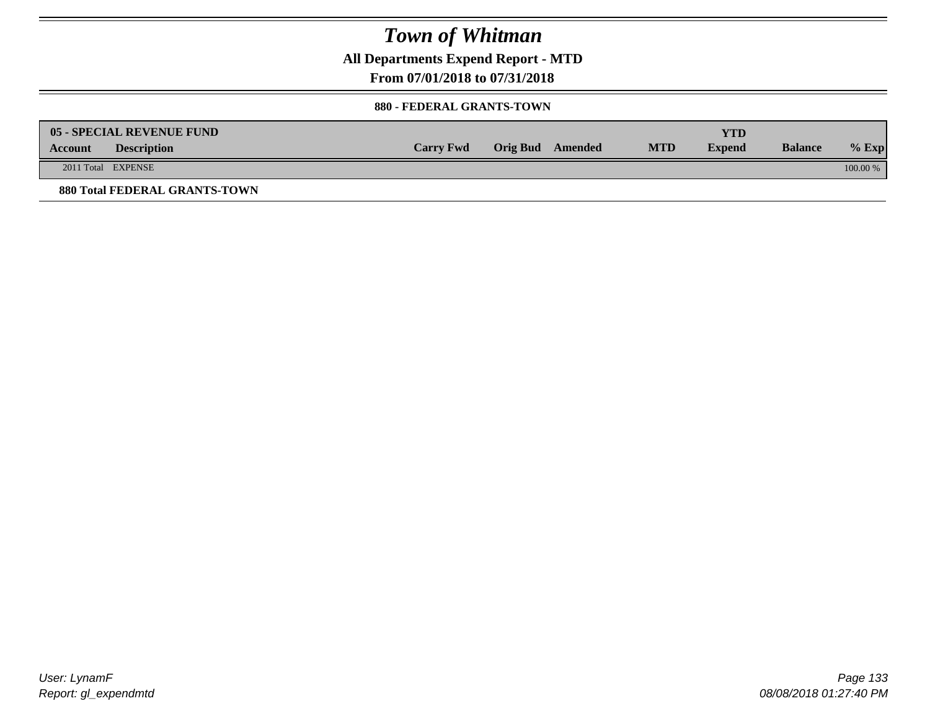**All Departments Expend Report - MTD**

**From 07/01/2018 to 07/31/2018**

#### **880 - FEDERAL GRANTS-TOWN**

| <b>Account</b> | 05 - SPECIAL REVENUE FUND<br><b>Description</b> | <b>Carry Fwd</b> | Orig Bud Amended | <b>MTD</b> | YTD<br><b>Expend</b> | <b>Balance</b> | $%$ Exp  |
|----------------|-------------------------------------------------|------------------|------------------|------------|----------------------|----------------|----------|
|                | 2011 Total EXPENSE                              |                  |                  |            |                      |                | 100.00 % |
|                | <b>880 Total FEDERAL GRANTS-TOWN</b>            |                  |                  |            |                      |                |          |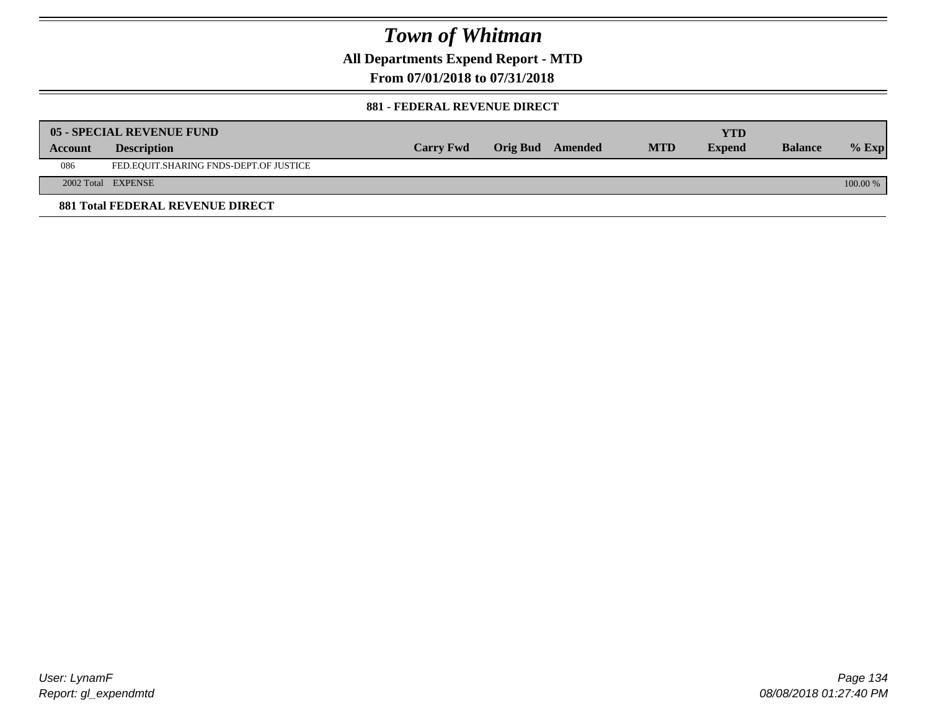**All Departments Expend Report - MTD**

**From 07/01/2018 to 07/31/2018**

#### **881 - FEDERAL REVENUE DIRECT**

|         | <b>05 - SPECIAL REVENUE FUND</b>        |                  |                  |            | YTD           |                |          |
|---------|-----------------------------------------|------------------|------------------|------------|---------------|----------------|----------|
| Account | <b>Description</b>                      | <b>Carry Fwd</b> | Orig Bud Amended | <b>MTD</b> | <b>Expend</b> | <b>Balance</b> | $%$ Exp  |
| 086     | FED.EQUIT.SHARING FNDS-DEPT.OF JUSTICE  |                  |                  |            |               |                |          |
|         | 2002 Total EXPENSE                      |                  |                  |            |               |                | 100.00 % |
|         | <b>881 Total FEDERAL REVENUE DIRECT</b> |                  |                  |            |               |                |          |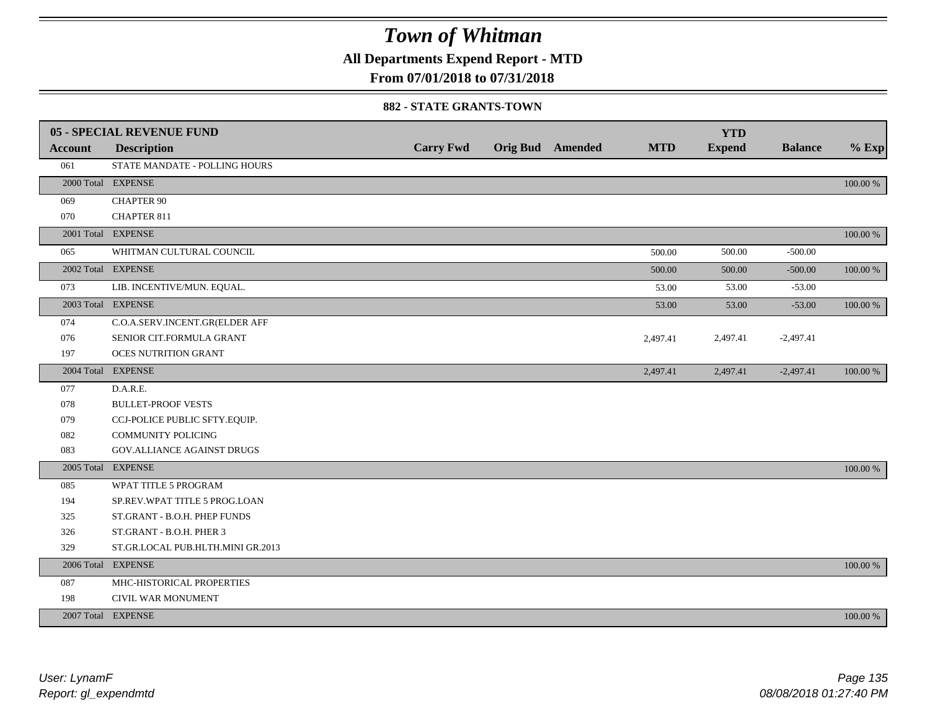**All Departments Expend Report - MTD**

### **From 07/01/2018 to 07/31/2018**

#### **882 - STATE GRANTS-TOWN**

|         | 05 - SPECIAL REVENUE FUND         |                  |                         |            | <b>YTD</b>    |                |          |
|---------|-----------------------------------|------------------|-------------------------|------------|---------------|----------------|----------|
| Account | <b>Description</b>                | <b>Carry Fwd</b> | <b>Orig Bud</b> Amended | <b>MTD</b> | <b>Expend</b> | <b>Balance</b> | $%$ Exp  |
| 061     | STATE MANDATE - POLLING HOURS     |                  |                         |            |               |                |          |
|         | 2000 Total EXPENSE                |                  |                         |            |               |                | 100.00 % |
| 069     | <b>CHAPTER 90</b>                 |                  |                         |            |               |                |          |
| 070     | <b>CHAPTER 811</b>                |                  |                         |            |               |                |          |
|         | 2001 Total EXPENSE                |                  |                         |            |               |                | 100.00 % |
| 065     | WHITMAN CULTURAL COUNCIL          |                  |                         | 500.00     | 500.00        | $-500.00$      |          |
|         | 2002 Total EXPENSE                |                  |                         | 500.00     | 500.00        | $-500.00$      | 100.00 % |
| 073     | LIB. INCENTIVE/MUN. EQUAL.        |                  |                         | 53.00      | 53.00         | $-53.00$       |          |
|         | 2003 Total EXPENSE                |                  |                         | 53.00      | 53.00         | $-53.00$       | 100.00 % |
| 074     | C.O.A.SERV.INCENT.GR(ELDER AFF    |                  |                         |            |               |                |          |
| 076     | SENIOR CIT.FORMULA GRANT          |                  |                         | 2,497.41   | 2,497.41      | $-2,497.41$    |          |
| 197     | <b>OCES NUTRITION GRANT</b>       |                  |                         |            |               |                |          |
|         | 2004 Total EXPENSE                |                  |                         | 2,497.41   | 2,497.41      | $-2,497.41$    | 100.00 % |
| 077     | D.A.R.E.                          |                  |                         |            |               |                |          |
| 078     | <b>BULLET-PROOF VESTS</b>         |                  |                         |            |               |                |          |
| 079     | CCJ-POLICE PUBLIC SFTY.EQUIP.     |                  |                         |            |               |                |          |
| 082     | <b>COMMUNITY POLICING</b>         |                  |                         |            |               |                |          |
| 083     | <b>GOV.ALLIANCE AGAINST DRUGS</b> |                  |                         |            |               |                |          |
|         | 2005 Total EXPENSE                |                  |                         |            |               |                | 100.00 % |
| 085     | WPAT TITLE 5 PROGRAM              |                  |                         |            |               |                |          |
| 194     | SP.REV.WPAT TITLE 5 PROG.LOAN     |                  |                         |            |               |                |          |
| 325     | ST.GRANT - B.O.H. PHEP FUNDS      |                  |                         |            |               |                |          |
| 326     | ST.GRANT - B.O.H. PHER 3          |                  |                         |            |               |                |          |
| 329     | ST.GR.LOCAL PUB.HLTH.MINI GR.2013 |                  |                         |            |               |                |          |
|         | 2006 Total EXPENSE                |                  |                         |            |               |                | 100.00 % |
| 087     | MHC-HISTORICAL PROPERTIES         |                  |                         |            |               |                |          |
| 198     | CIVIL WAR MONUMENT                |                  |                         |            |               |                |          |
|         | 2007 Total EXPENSE                |                  |                         |            |               |                | 100.00 % |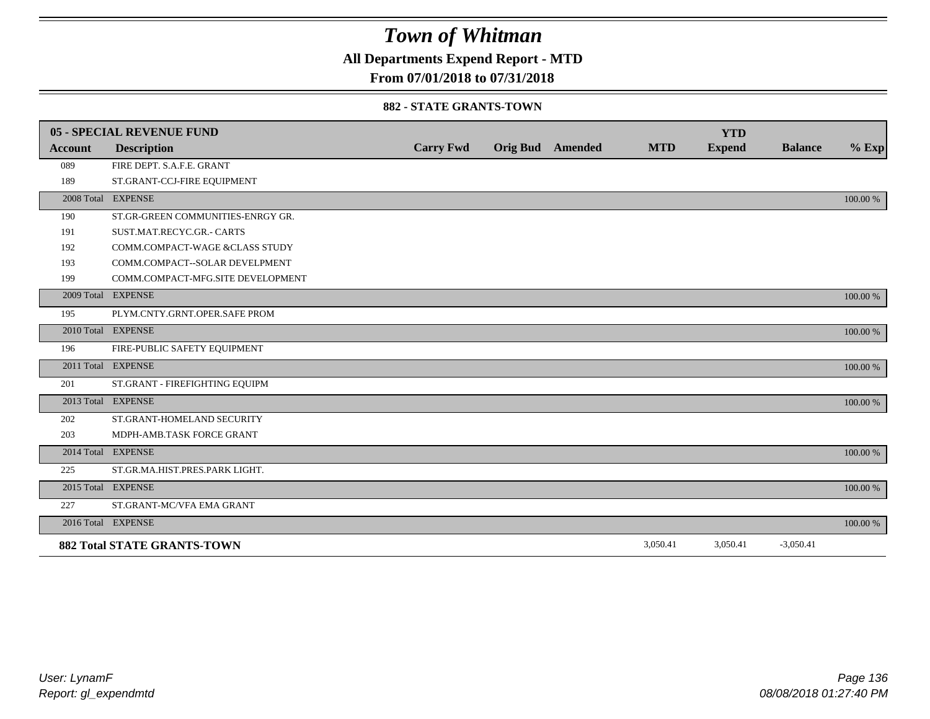**All Departments Expend Report - MTD**

### **From 07/01/2018 to 07/31/2018**

#### **882 - STATE GRANTS-TOWN**

|                | <b>05 - SPECIAL REVENUE FUND</b>   |                  |                         |            | <b>YTD</b>    |                |          |
|----------------|------------------------------------|------------------|-------------------------|------------|---------------|----------------|----------|
| <b>Account</b> | <b>Description</b>                 | <b>Carry Fwd</b> | <b>Orig Bud</b> Amended | <b>MTD</b> | <b>Expend</b> | <b>Balance</b> | $%$ Exp  |
| 089            | FIRE DEPT. S.A.F.E. GRANT          |                  |                         |            |               |                |          |
| 189            | ST.GRANT-CCJ-FIRE EQUIPMENT        |                  |                         |            |               |                |          |
|                | 2008 Total EXPENSE                 |                  |                         |            |               |                | 100.00 % |
| 190            | ST.GR-GREEN COMMUNITIES-ENRGY GR.  |                  |                         |            |               |                |          |
| 191            | SUST.MAT.RECYC.GR.- CARTS          |                  |                         |            |               |                |          |
| 192            | COMM.COMPACT-WAGE &CLASS STUDY     |                  |                         |            |               |                |          |
| 193            | COMM.COMPACT--SOLAR DEVELPMENT     |                  |                         |            |               |                |          |
| 199            | COMM.COMPACT-MFG.SITE DEVELOPMENT  |                  |                         |            |               |                |          |
|                | 2009 Total EXPENSE                 |                  |                         |            |               |                | 100.00 % |
| 195            | PLYM.CNTY.GRNT.OPER.SAFE PROM      |                  |                         |            |               |                |          |
|                | 2010 Total EXPENSE                 |                  |                         |            |               |                | 100.00 % |
| 196            | FIRE-PUBLIC SAFETY EQUIPMENT       |                  |                         |            |               |                |          |
|                | 2011 Total EXPENSE                 |                  |                         |            |               |                | 100.00 % |
| 201            | ST.GRANT - FIREFIGHTING EQUIPM     |                  |                         |            |               |                |          |
|                | 2013 Total EXPENSE                 |                  |                         |            |               |                | 100.00 % |
| 202            | ST.GRANT-HOMELAND SECURITY         |                  |                         |            |               |                |          |
| 203            | MDPH-AMB.TASK FORCE GRANT          |                  |                         |            |               |                |          |
|                | 2014 Total EXPENSE                 |                  |                         |            |               |                | 100.00 % |
| 225            | ST.GR.MA.HIST.PRES.PARK LIGHT.     |                  |                         |            |               |                |          |
|                | 2015 Total EXPENSE                 |                  |                         |            |               |                | 100.00 % |
| 227            | ST.GRANT-MC/VFA EMA GRANT          |                  |                         |            |               |                |          |
|                | 2016 Total EXPENSE                 |                  |                         |            |               |                | 100.00 % |
|                | <b>882 Total STATE GRANTS-TOWN</b> |                  |                         | 3,050.41   | 3,050.41      | $-3,050.41$    |          |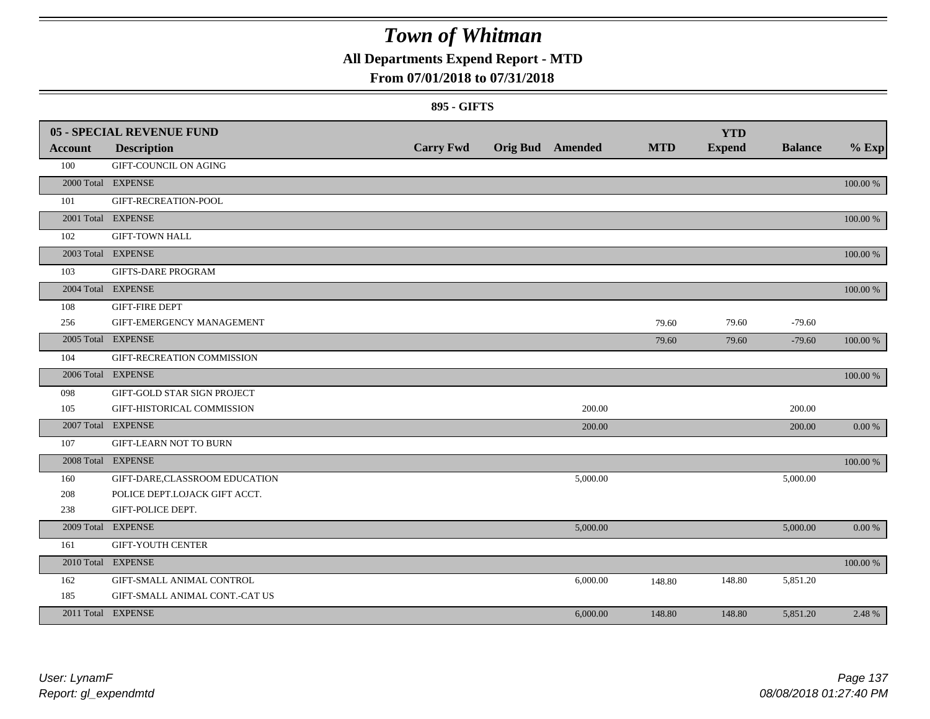### **All Departments Expend Report - MTD**

### **From 07/01/2018 to 07/31/2018**

#### **895 - GIFTS**

|         | <b>05 - SPECIAL REVENUE FUND</b> |                  |                         |            | <b>YTD</b>    |                |            |
|---------|----------------------------------|------------------|-------------------------|------------|---------------|----------------|------------|
| Account | <b>Description</b>               | <b>Carry Fwd</b> | <b>Orig Bud</b> Amended | <b>MTD</b> | <b>Expend</b> | <b>Balance</b> | $%$ Exp    |
| 100     | <b>GIFT-COUNCIL ON AGING</b>     |                  |                         |            |               |                |            |
|         | 2000 Total EXPENSE               |                  |                         |            |               |                | 100.00 %   |
| 101     | GIFT-RECREATION-POOL             |                  |                         |            |               |                |            |
|         | 2001 Total EXPENSE               |                  |                         |            |               |                | 100.00 %   |
| 102     | <b>GIFT-TOWN HALL</b>            |                  |                         |            |               |                |            |
|         | 2003 Total EXPENSE               |                  |                         |            |               |                | 100.00 %   |
| 103     | <b>GIFTS-DARE PROGRAM</b>        |                  |                         |            |               |                |            |
|         | 2004 Total EXPENSE               |                  |                         |            |               |                | 100.00 %   |
| 108     | <b>GIFT-FIRE DEPT</b>            |                  |                         |            |               |                |            |
| 256     | GIFT-EMERGENCY MANAGEMENT        |                  |                         | 79.60      | 79.60         | $-79.60$       |            |
|         | 2005 Total EXPENSE               |                  |                         | 79.60      | 79.60         | $-79.60$       | 100.00 %   |
| 104     | GIFT-RECREATION COMMISSION       |                  |                         |            |               |                |            |
|         | 2006 Total EXPENSE               |                  |                         |            |               |                | 100.00 %   |
| 098     | GIFT-GOLD STAR SIGN PROJECT      |                  |                         |            |               |                |            |
| 105     | GIFT-HISTORICAL COMMISSION       |                  | 200.00                  |            |               | 200.00         |            |
|         | 2007 Total EXPENSE               |                  | 200.00                  |            |               | 200.00         | $0.00\%$   |
| 107     | <b>GIFT-LEARN NOT TO BURN</b>    |                  |                         |            |               |                |            |
|         | 2008 Total EXPENSE               |                  |                         |            |               |                | 100.00 %   |
| 160     | GIFT-DARE,CLASSROOM EDUCATION    |                  | 5,000.00                |            |               | 5,000.00       |            |
| 208     | POLICE DEPT.LOJACK GIFT ACCT.    |                  |                         |            |               |                |            |
| 238     | GIFT-POLICE DEPT.                |                  |                         |            |               |                |            |
|         | 2009 Total EXPENSE               |                  | 5,000.00                |            |               | 5,000.00       | $0.00\ \%$ |
| 161     | <b>GIFT-YOUTH CENTER</b>         |                  |                         |            |               |                |            |
|         | 2010 Total EXPENSE               |                  |                         |            |               |                | 100.00 %   |
| 162     | GIFT-SMALL ANIMAL CONTROL        |                  | 6,000.00                | 148.80     | 148.80        | 5,851.20       |            |
| 185     | GIFT-SMALL ANIMAL CONT.-CAT US   |                  |                         |            |               |                |            |
|         | 2011 Total EXPENSE               |                  | 6,000.00                | 148.80     | 148.80        | 5,851.20       | 2.48 %     |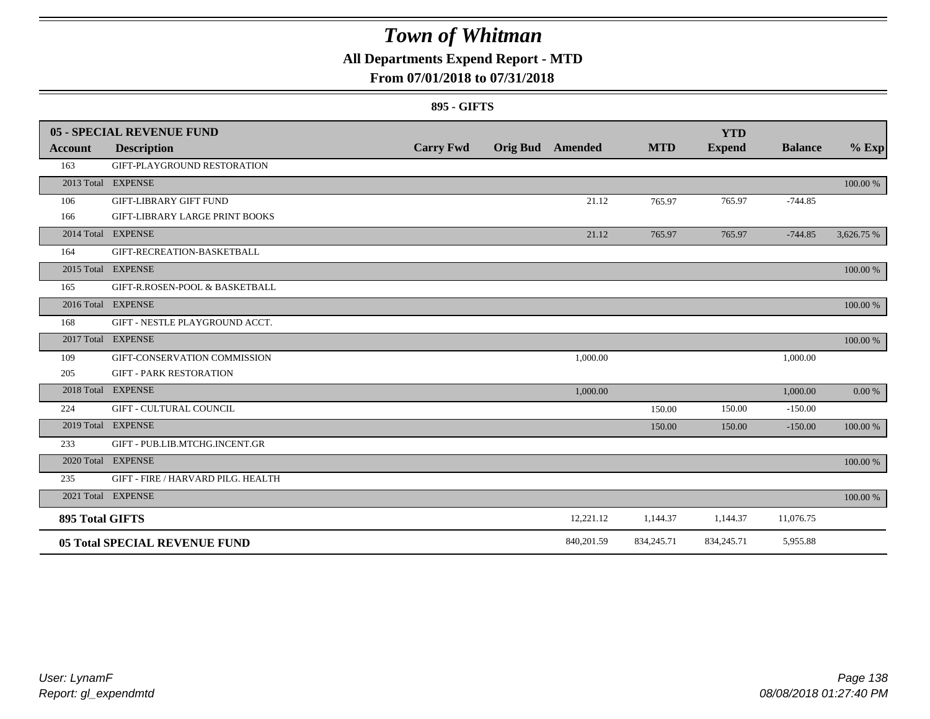### **All Departments Expend Report - MTD**

### **From 07/01/2018 to 07/31/2018**

#### **895 - GIFTS**

|                 | 05 - SPECIAL REVENUE FUND            |                  |                         |            |            | <b>YTD</b>    |                |            |
|-----------------|--------------------------------------|------------------|-------------------------|------------|------------|---------------|----------------|------------|
| <b>Account</b>  | <b>Description</b>                   | <b>Carry Fwd</b> | <b>Orig Bud</b> Amended |            | <b>MTD</b> | <b>Expend</b> | <b>Balance</b> | $%$ Exp    |
| 163             | GIFT-PLAYGROUND RESTORATION          |                  |                         |            |            |               |                |            |
|                 | 2013 Total EXPENSE                   |                  |                         |            |            |               |                | 100.00 %   |
| 106             | <b>GIFT-LIBRARY GIFT FUND</b>        |                  |                         | 21.12      | 765.97     | 765.97        | $-744.85$      |            |
| 166             | GIFT-LIBRARY LARGE PRINT BOOKS       |                  |                         |            |            |               |                |            |
|                 | 2014 Total EXPENSE                   |                  |                         | 21.12      | 765.97     | 765.97        | $-744.85$      | 3,626.75 % |
| 164             | GIFT-RECREATION-BASKETBALL           |                  |                         |            |            |               |                |            |
|                 | 2015 Total EXPENSE                   |                  |                         |            |            |               |                | 100.00 %   |
| 165             | GIFT-R.ROSEN-POOL & BASKETBALL       |                  |                         |            |            |               |                |            |
|                 | 2016 Total EXPENSE                   |                  |                         |            |            |               |                | 100.00 %   |
| 168             | GIFT - NESTLE PLAYGROUND ACCT.       |                  |                         |            |            |               |                |            |
|                 | 2017 Total EXPENSE                   |                  |                         |            |            |               |                | 100.00 %   |
| 109             | GIFT-CONSERVATION COMMISSION         |                  |                         | 1,000.00   |            |               | 1,000.00       |            |
| 205             | <b>GIFT - PARK RESTORATION</b>       |                  |                         |            |            |               |                |            |
|                 | 2018 Total EXPENSE                   |                  |                         | 1,000.00   |            |               | 1,000.00       | 0.00 %     |
| 224             | <b>GIFT - CULTURAL COUNCIL</b>       |                  |                         |            | 150.00     | 150.00        | $-150.00$      |            |
|                 | 2019 Total EXPENSE                   |                  |                         |            | 150.00     | 150.00        | $-150.00$      | 100.00 %   |
| 233             | GIFT - PUB.LIB.MTCHG.INCENT.GR       |                  |                         |            |            |               |                |            |
|                 | 2020 Total EXPENSE                   |                  |                         |            |            |               |                | 100.00 %   |
| 235             | GIFT - FIRE / HARVARD PILG. HEALTH   |                  |                         |            |            |               |                |            |
|                 | 2021 Total EXPENSE                   |                  |                         |            |            |               |                | 100.00 %   |
| 895 Total GIFTS |                                      |                  |                         | 12,221.12  | 1,144.37   | 1,144.37      | 11,076.75      |            |
|                 | <b>05 Total SPECIAL REVENUE FUND</b> |                  |                         | 840,201.59 | 834,245.71 | 834,245.71    | 5,955.88       |            |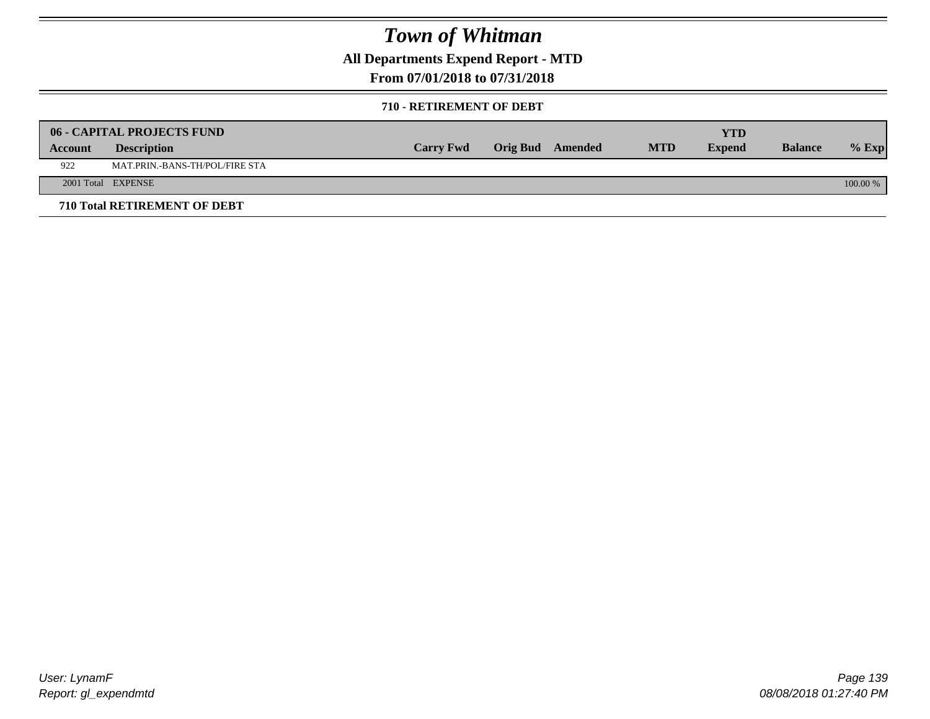**All Departments Expend Report - MTD**

### **From 07/01/2018 to 07/31/2018**

#### **710 - RETIREMENT OF DEBT**

|         | <b>06 - CAPITAL PROJECTS FUND</b> |                  |                  |            | YTD           |                |          |
|---------|-----------------------------------|------------------|------------------|------------|---------------|----------------|----------|
| Account | <b>Description</b>                | <b>Carry Fwd</b> | Orig Bud Amended | <b>MTD</b> | <b>Expend</b> | <b>Balance</b> | $%$ Exp  |
| 922     | MAT.PRIN.-BANS-TH/POL/FIRE STA    |                  |                  |            |               |                |          |
|         | 2001 Total EXPENSE                |                  |                  |            |               |                | 100.00 % |
|         | 710 Total RETIREMENT OF DEBT      |                  |                  |            |               |                |          |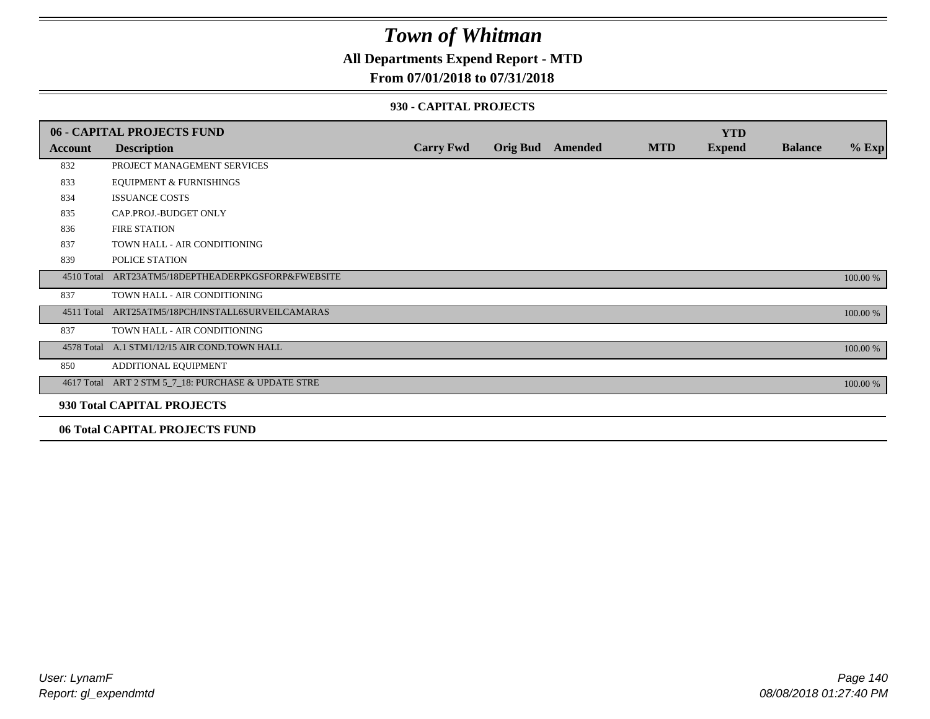### **All Departments Expend Report - MTD**

#### **From 07/01/2018 to 07/31/2018**

#### **930 - CAPITAL PROJECTS**

|            | <b>06 - CAPITAL PROJECTS FUND</b>                                     |                  |                         |            | <b>YTD</b>    |                |          |
|------------|-----------------------------------------------------------------------|------------------|-------------------------|------------|---------------|----------------|----------|
| Account    | <b>Description</b>                                                    | <b>Carry Fwd</b> | <b>Orig Bud</b> Amended | <b>MTD</b> | <b>Expend</b> | <b>Balance</b> | $%$ Exp  |
| 832        | PROJECT MANAGEMENT SERVICES                                           |                  |                         |            |               |                |          |
| 833        | <b>EQUIPMENT &amp; FURNISHINGS</b>                                    |                  |                         |            |               |                |          |
| 834        | <b>ISSUANCE COSTS</b>                                                 |                  |                         |            |               |                |          |
| 835        | CAP.PROJ.-BUDGET ONLY                                                 |                  |                         |            |               |                |          |
| 836        | <b>FIRE STATION</b>                                                   |                  |                         |            |               |                |          |
| 837        | TOWN HALL - AIR CONDITIONING                                          |                  |                         |            |               |                |          |
| 839        | POLICE STATION                                                        |                  |                         |            |               |                |          |
|            | 4510 Total ART23ATM5/18DEPTHEADERPKGSFORP&FWEBSITE                    |                  |                         |            |               |                | 100.00 % |
| 837        | TOWN HALL - AIR CONDITIONING                                          |                  |                         |            |               |                |          |
| 4511 Total | ART25ATM5/18PCH/INSTALL6SURVEILCAMARAS                                |                  |                         |            |               |                | 100.00 % |
| 837        | TOWN HALL - AIR CONDITIONING                                          |                  |                         |            |               |                |          |
|            | 4578 Total A.1 STM1/12/15 AIR COND.TOWN HALL                          |                  |                         |            |               |                | 100.00 % |
| 850        | ADDITIONAL EQUIPMENT                                                  |                  |                         |            |               |                |          |
|            | 4617 Total ART 2 STM 5_7_18: PURCHASE & UPDATE STRE                   |                  |                         |            |               |                | 100.00 % |
|            | 930 Total CAPITAL PROJECTS                                            |                  |                         |            |               |                |          |
|            | $\alpha \in \mathbb{R}$ is a interest production $\alpha$ in $\alpha$ |                  |                         |            |               |                |          |

#### **06 Total CAPITAL PROJECTS FUND**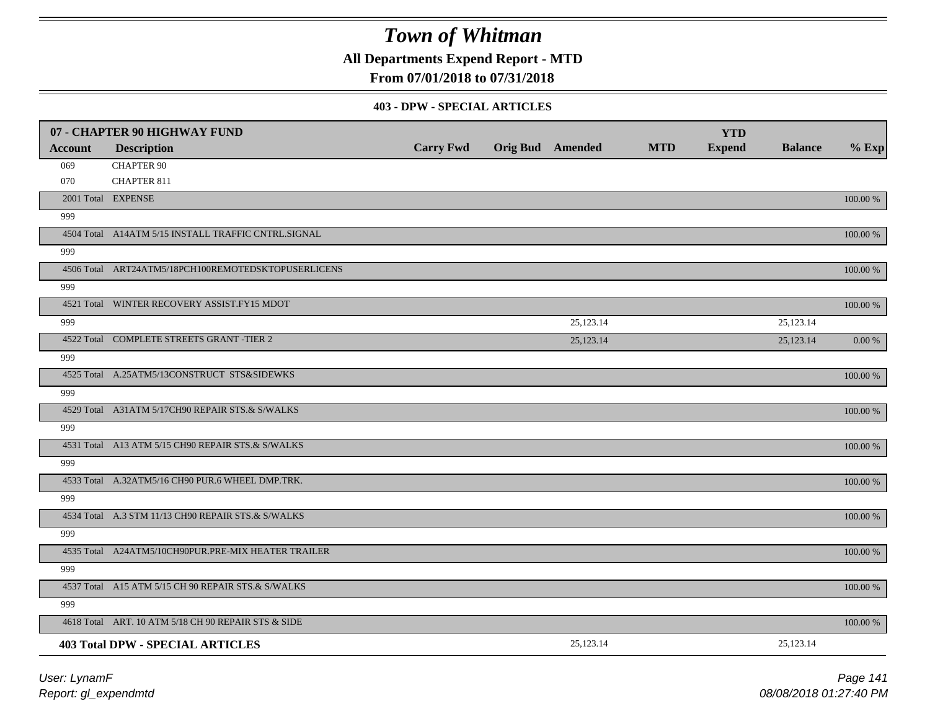**All Departments Expend Report - MTD**

### **From 07/01/2018 to 07/31/2018**

#### **403 - DPW - SPECIAL ARTICLES**

|                | 07 - CHAPTER 90 HIGHWAY FUND                        |                  |                         |            | <b>YTD</b>    |                |             |
|----------------|-----------------------------------------------------|------------------|-------------------------|------------|---------------|----------------|-------------|
| <b>Account</b> | <b>Description</b>                                  | <b>Carry Fwd</b> | <b>Orig Bud</b> Amended | <b>MTD</b> | <b>Expend</b> | <b>Balance</b> | $%$ Exp     |
| 069            | <b>CHAPTER 90</b>                                   |                  |                         |            |               |                |             |
| 070            | <b>CHAPTER 811</b>                                  |                  |                         |            |               |                |             |
|                | 2001 Total EXPENSE                                  |                  |                         |            |               |                | 100.00 %    |
| 999            |                                                     |                  |                         |            |               |                |             |
|                | 4504 Total A14ATM 5/15 INSTALL TRAFFIC CNTRL.SIGNAL |                  |                         |            |               |                | 100.00 %    |
| 999            |                                                     |                  |                         |            |               |                |             |
|                | 4506 Total ART24ATM5/18PCH100REMOTEDSKTOPUSERLICENS |                  |                         |            |               |                | 100.00 %    |
| 999            |                                                     |                  |                         |            |               |                |             |
|                | 4521 Total WINTER RECOVERY ASSIST.FY15 MDOT         |                  |                         |            |               |                | 100.00 %    |
| 999            |                                                     |                  | 25,123.14               |            |               | 25,123.14      |             |
|                | 4522 Total COMPLETE STREETS GRANT -TIER 2           |                  | 25,123.14               |            |               | 25,123.14      | 0.00 %      |
| 999            |                                                     |                  |                         |            |               |                |             |
|                | 4525 Total A.25ATM5/13CONSTRUCT STS&SIDEWKS         |                  |                         |            |               |                | 100.00 %    |
| 999            |                                                     |                  |                         |            |               |                |             |
|                | 4529 Total A31ATM 5/17CH90 REPAIR STS.& S/WALKS     |                  |                         |            |               |                | 100.00 %    |
| 999            |                                                     |                  |                         |            |               |                |             |
|                | 4531 Total A13 ATM 5/15 CH90 REPAIR STS.& S/WALKS   |                  |                         |            |               |                | $100.00~\%$ |
| 999            |                                                     |                  |                         |            |               |                |             |
|                | 4533 Total A.32ATM5/16 CH90 PUR.6 WHEEL DMP.TRK.    |                  |                         |            |               |                | 100.00 %    |
| 999            |                                                     |                  |                         |            |               |                |             |
|                | 4534 Total A.3 STM 11/13 CH90 REPAIR STS.& S/WALKS  |                  |                         |            |               |                | 100.00 %    |
| 999            |                                                     |                  |                         |            |               |                |             |
|                | 4535 Total A24ATM5/10CH90PUR.PRE-MIX HEATER TRAILER |                  |                         |            |               |                | 100.00 %    |
| 999            |                                                     |                  |                         |            |               |                |             |
|                | 4537 Total A15 ATM 5/15 CH 90 REPAIR STS.& S/WALKS  |                  |                         |            |               |                | 100.00 %    |
| 999            |                                                     |                  |                         |            |               |                |             |
|                | 4618 Total ART. 10 ATM 5/18 CH 90 REPAIR STS & SIDE |                  |                         |            |               |                | 100.00 %    |
|                | <b>403 Total DPW - SPECIAL ARTICLES</b>             |                  | 25,123.14               |            |               | 25,123.14      |             |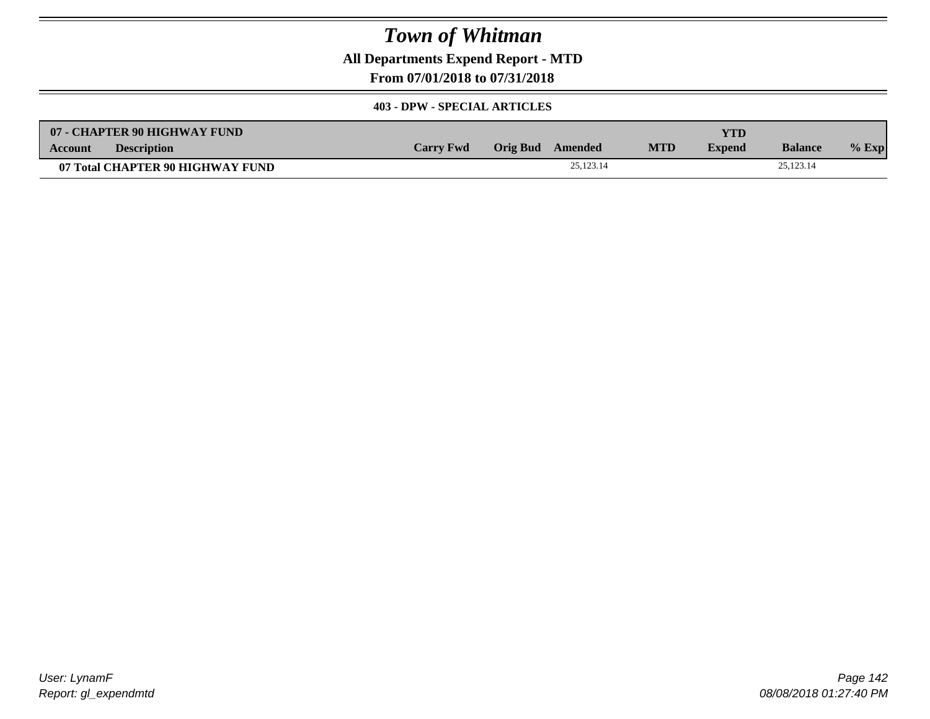**All Departments Expend Report - MTD**

**From 07/01/2018 to 07/31/2018**

#### **403 - DPW - SPECIAL ARTICLES**

| 07 - CHAPTER 90 HIGHWAY FUND     |                  |                  |           |            | <b>YTD</b>    |                |         |
|----------------------------------|------------------|------------------|-----------|------------|---------------|----------------|---------|
| <b>Description</b><br>Account    | <b>Carry Fwd</b> | Orig Bud Amended |           | <b>MTD</b> | <b>Expend</b> | <b>Balance</b> | $%$ Exp |
| 07 Total CHAPTER 90 HIGHWAY FUND |                  |                  | 25.123.14 |            |               | 25,123.14      |         |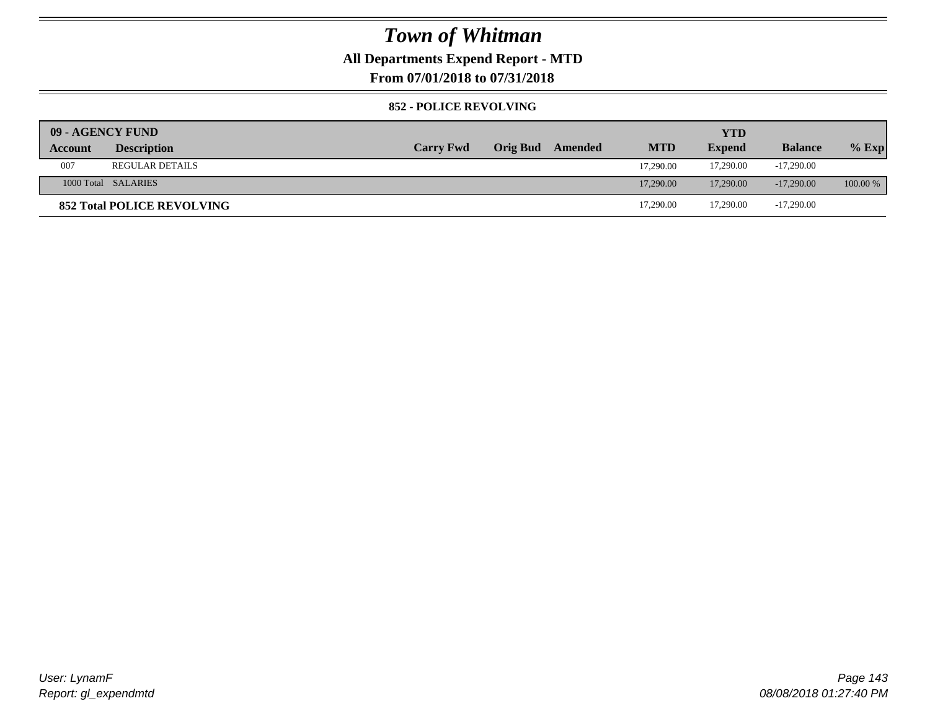### **All Departments Expend Report - MTD**

**From 07/01/2018 to 07/31/2018**

#### **852 - POLICE REVOLVING**

| 09 - AGENCY FUND |                                   |                  |                 |         |            | <b>YTD</b>    |                |          |
|------------------|-----------------------------------|------------------|-----------------|---------|------------|---------------|----------------|----------|
| Account          | <b>Description</b>                | <b>Carry Fwd</b> | <b>Orig Bud</b> | Amended | <b>MTD</b> | <b>Expend</b> | <b>Balance</b> | $%$ Exp  |
| 007              | <b>REGULAR DETAILS</b>            |                  |                 |         | 17.290.00  | 17,290.00     | $-17,290.00$   |          |
|                  | 1000 Total SALARIES               |                  |                 |         | 17,290.00  | 17,290.00     | $-17,290,00$   | 100.00 % |
|                  | <b>852 Total POLICE REVOLVING</b> |                  |                 |         | 17,290.00  | 17.290.00     | $-17,290.00$   |          |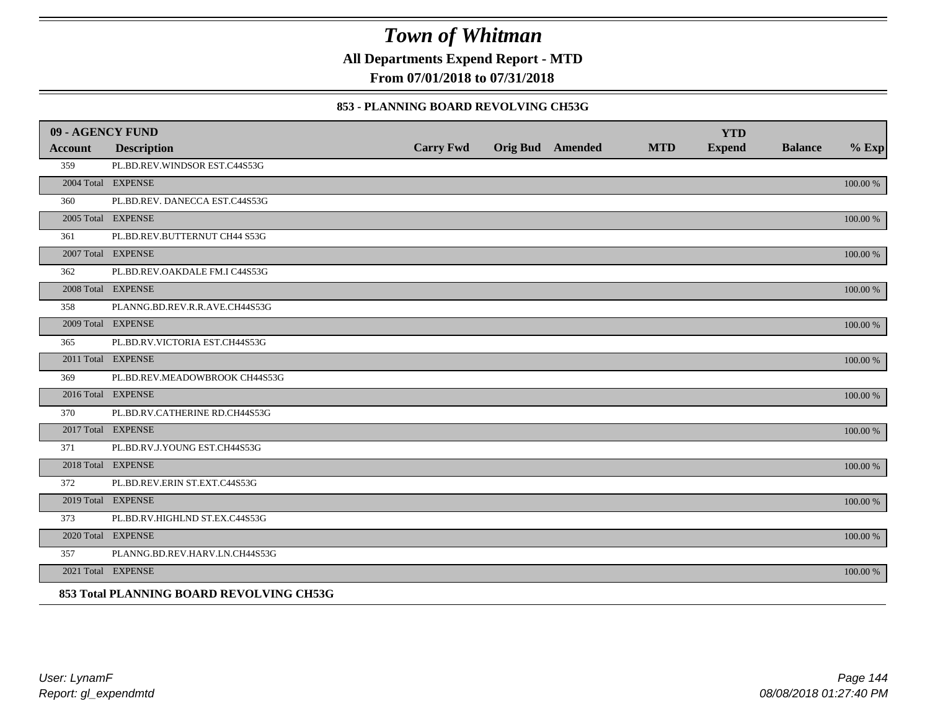**All Departments Expend Report - MTD**

**From 07/01/2018 to 07/31/2018**

#### **853 - PLANNING BOARD REVOLVING CH53G**

| 09 - AGENCY FUND |                                          |                  |                         |            | <b>YTD</b>    |                |          |
|------------------|------------------------------------------|------------------|-------------------------|------------|---------------|----------------|----------|
| <b>Account</b>   | <b>Description</b>                       | <b>Carry Fwd</b> | <b>Orig Bud</b> Amended | <b>MTD</b> | <b>Expend</b> | <b>Balance</b> | $%$ Exp  |
| 359              | PL.BD.REV.WINDSOR EST.C44S53G            |                  |                         |            |               |                |          |
|                  | 2004 Total EXPENSE                       |                  |                         |            |               |                | 100.00 % |
| 360              | PL.BD.REV. DANECCA EST.C44S53G           |                  |                         |            |               |                |          |
|                  | 2005 Total EXPENSE                       |                  |                         |            |               |                | 100.00 % |
| 361              | PL.BD.REV.BUTTERNUT CH44 S53G            |                  |                         |            |               |                |          |
|                  | 2007 Total EXPENSE                       |                  |                         |            |               |                | 100.00 % |
| 362              | PL.BD.REV.OAKDALE FM.I C44S53G           |                  |                         |            |               |                |          |
|                  | 2008 Total EXPENSE                       |                  |                         |            |               |                | 100.00 % |
| 358              | PLANNG.BD.REV.R.R.AVE.CH44S53G           |                  |                         |            |               |                |          |
|                  | 2009 Total EXPENSE                       |                  |                         |            |               |                | 100.00 % |
| 365              | PL.BD.RV.VICTORIA EST.CH44S53G           |                  |                         |            |               |                |          |
|                  | 2011 Total EXPENSE                       |                  |                         |            |               |                | 100.00 % |
| 369              | PL.BD.REV.MEADOWBROOK CH44S53G           |                  |                         |            |               |                |          |
|                  | 2016 Total EXPENSE                       |                  |                         |            |               |                | 100.00 % |
| 370              | PL.BD.RV.CATHERINE RD.CH44S53G           |                  |                         |            |               |                |          |
|                  | 2017 Total EXPENSE                       |                  |                         |            |               |                | 100.00 % |
| 371              | PL.BD.RV.J.YOUNG EST.CH44S53G            |                  |                         |            |               |                |          |
|                  | 2018 Total EXPENSE                       |                  |                         |            |               |                | 100.00 % |
| 372              | PL.BD.REV.ERIN ST.EXT.C44S53G            |                  |                         |            |               |                |          |
|                  | 2019 Total EXPENSE                       |                  |                         |            |               |                | 100.00 % |
| 373              | PL.BD.RV.HIGHLND ST.EX.C44S53G           |                  |                         |            |               |                |          |
|                  | 2020 Total EXPENSE                       |                  |                         |            |               |                | 100.00 % |
| 357              | PLANNG.BD.REV.HARV.LN.CH44S53G           |                  |                         |            |               |                |          |
|                  | 2021 Total EXPENSE                       |                  |                         |            |               |                | 100.00 % |
|                  | 853 Total PLANNING BOARD REVOLVING CH53G |                  |                         |            |               |                |          |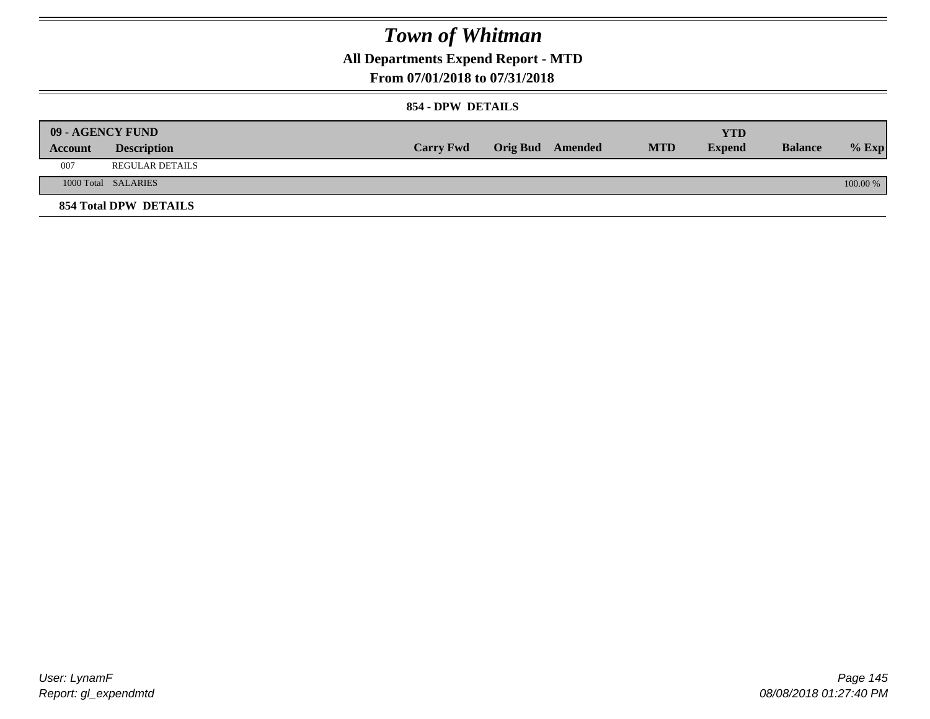**All Departments Expend Report - MTD**

### **From 07/01/2018 to 07/31/2018**

#### **854 - DPW DETAILS**

|         | <b>09 - AGENCY FUND</b>      |                  |                  |            | <b>YTD</b>    |                |          |
|---------|------------------------------|------------------|------------------|------------|---------------|----------------|----------|
| Account | <b>Description</b>           | <b>Carry Fwd</b> | Orig Bud Amended | <b>MTD</b> | <b>Expend</b> | <b>Balance</b> | $%$ Exp  |
| 007     | <b>REGULAR DETAILS</b>       |                  |                  |            |               |                |          |
|         | 1000 Total SALARIES          |                  |                  |            |               |                | 100.00 % |
|         | <b>854 Total DPW DETAILS</b> |                  |                  |            |               |                |          |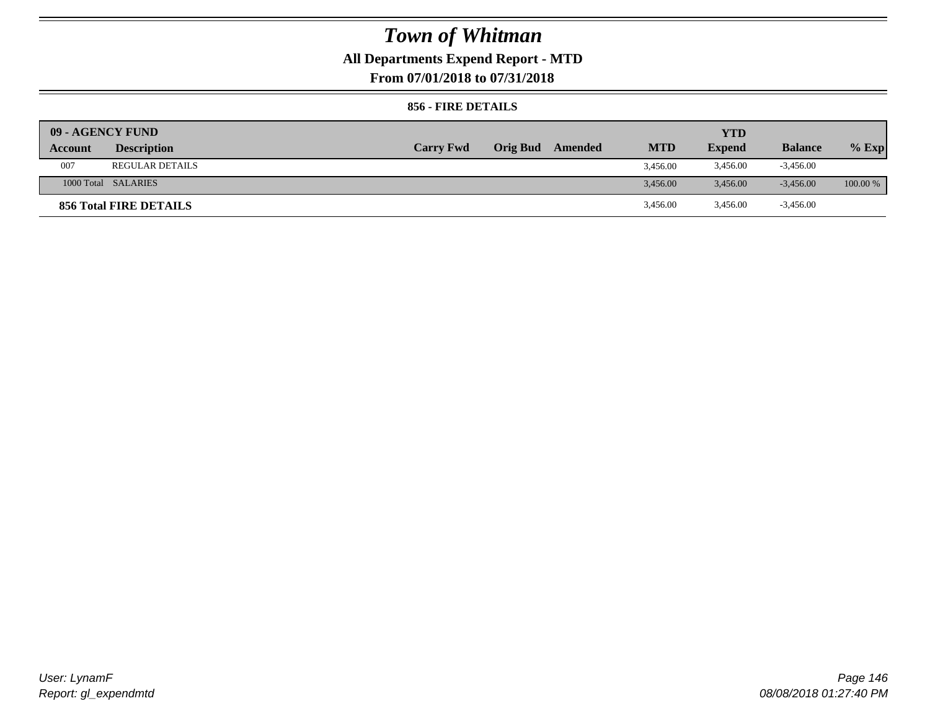## **All Departments Expend Report - MTD**

**From 07/01/2018 to 07/31/2018**

#### **856 - FIRE DETAILS**

| <b>09 - AGENCY FUND</b> |                        |                  |                 |         |            | YTD           |                |            |
|-------------------------|------------------------|------------------|-----------------|---------|------------|---------------|----------------|------------|
| Account                 | <b>Description</b>     | <b>Carry Fwd</b> | <b>Orig Bud</b> | Amended | <b>MTD</b> | <b>Expend</b> | <b>Balance</b> | $%$ Exp    |
| 007                     | <b>REGULAR DETAILS</b> |                  |                 |         | 3.456.00   | 3,456.00      | $-3,456.00$    |            |
|                         | 1000 Total SALARIES    |                  |                 |         | 3.456.00   | 3.456.00      | $-3.456.00$    | $100.00\%$ |
|                         | 856 Total FIRE DETAILS |                  |                 |         | 3,456.00   | 3,456.00      | $-3,456.00$    |            |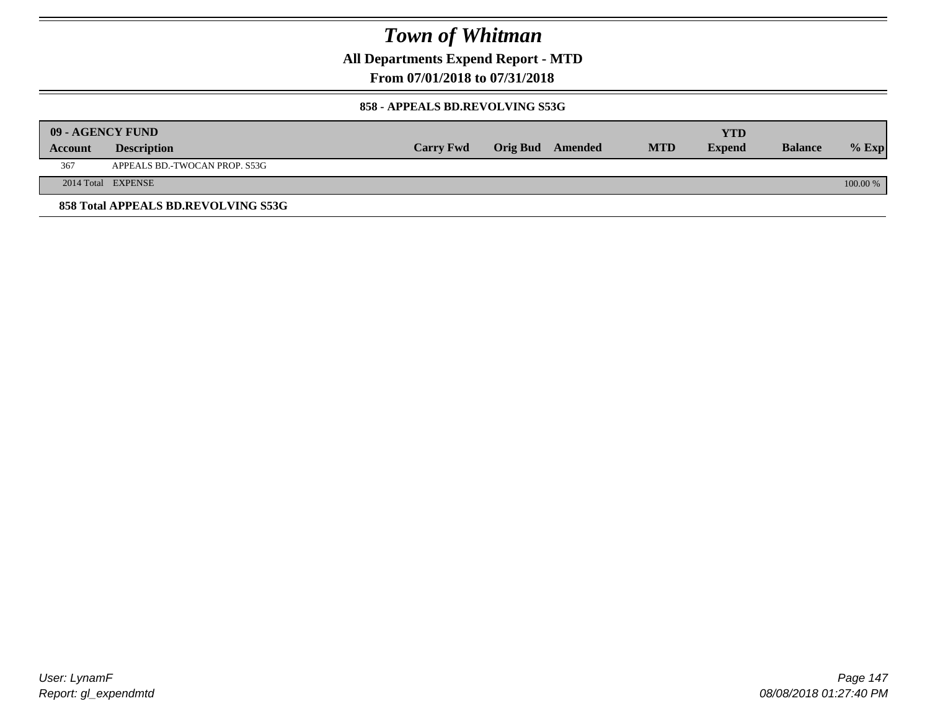**All Departments Expend Report - MTD**

### **From 07/01/2018 to 07/31/2018**

#### **858 - APPEALS BD.REVOLVING S53G**

|         | 09 - AGENCY FUND                    |                  |                         |            | <b>YTD</b>    |                |            |
|---------|-------------------------------------|------------------|-------------------------|------------|---------------|----------------|------------|
| Account | <b>Description</b>                  | <b>Carry Fwd</b> | <b>Orig Bud</b> Amended | <b>MTD</b> | <b>Expend</b> | <b>Balance</b> | $%$ Exp    |
| 367     | APPEALS BD.-TWOCAN PROP. S53G       |                  |                         |            |               |                |            |
|         | 2014 Total EXPENSE                  |                  |                         |            |               |                | $100.00\%$ |
|         | 858 Total APPEALS BD.REVOLVING S53G |                  |                         |            |               |                |            |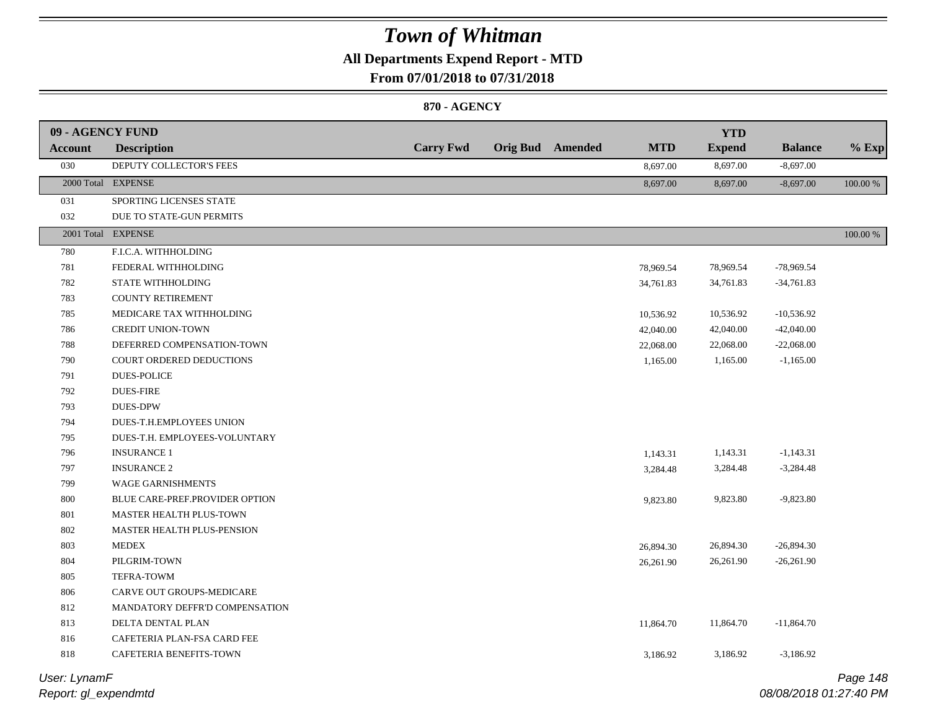### **All Departments Expend Report - MTD**

**From 07/01/2018 to 07/31/2018**

#### **870 - AGENCY**

| 09 - AGENCY FUND |                                 |                  |                         |            | <b>YTD</b>    |                |             |
|------------------|---------------------------------|------------------|-------------------------|------------|---------------|----------------|-------------|
| Account          | <b>Description</b>              | <b>Carry Fwd</b> | <b>Orig Bud</b> Amended | <b>MTD</b> | <b>Expend</b> | <b>Balance</b> | $%$ Exp     |
| 030              | DEPUTY COLLECTOR'S FEES         |                  |                         | 8,697.00   | 8,697.00      | $-8,697.00$    |             |
|                  | 2000 Total EXPENSE              |                  |                         | 8,697.00   | 8,697.00      | $-8,697.00$    | 100.00 %    |
| 031              | SPORTING LICENSES STATE         |                  |                         |            |               |                |             |
| 032              | DUE TO STATE-GUN PERMITS        |                  |                         |            |               |                |             |
|                  | 2001 Total EXPENSE              |                  |                         |            |               |                | $100.00~\%$ |
| 780              | F.I.C.A. WITHHOLDING            |                  |                         |            |               |                |             |
| 781              | FEDERAL WITHHOLDING             |                  |                         | 78,969.54  | 78,969.54     | $-78,969.54$   |             |
| 782              | STATE WITHHOLDING               |                  |                         | 34,761.83  | 34,761.83     | $-34,761.83$   |             |
| 783              | <b>COUNTY RETIREMENT</b>        |                  |                         |            |               |                |             |
| 785              | MEDICARE TAX WITHHOLDING        |                  |                         | 10,536.92  | 10,536.92     | $-10,536.92$   |             |
| 786              | <b>CREDIT UNION-TOWN</b>        |                  |                         | 42,040.00  | 42,040.00     | $-42,040.00$   |             |
| 788              | DEFERRED COMPENSATION-TOWN      |                  |                         | 22,068.00  | 22,068.00     | $-22,068.00$   |             |
| 790              | <b>COURT ORDERED DEDUCTIONS</b> |                  |                         | 1,165.00   | 1,165.00      | $-1,165.00$    |             |
| 791              | <b>DUES-POLICE</b>              |                  |                         |            |               |                |             |
| 792              | <b>DUES-FIRE</b>                |                  |                         |            |               |                |             |
| 793              | <b>DUES-DPW</b>                 |                  |                         |            |               |                |             |
| 794              | DUES-T.H.EMPLOYEES UNION        |                  |                         |            |               |                |             |
| 795              | DUES-T.H. EMPLOYEES-VOLUNTARY   |                  |                         |            |               |                |             |
| 796              | <b>INSURANCE 1</b>              |                  |                         | 1,143.31   | 1,143.31      | $-1,143.31$    |             |
| 797              | <b>INSURANCE 2</b>              |                  |                         | 3,284.48   | 3,284.48      | $-3,284.48$    |             |
| 799              | WAGE GARNISHMENTS               |                  |                         |            |               |                |             |
| 800              | BLUE CARE-PREF.PROVIDER OPTION  |                  |                         | 9,823.80   | 9,823.80      | $-9,823.80$    |             |
| 801              | MASTER HEALTH PLUS-TOWN         |                  |                         |            |               |                |             |
| 802              | MASTER HEALTH PLUS-PENSION      |                  |                         |            |               |                |             |
| 803              | <b>MEDEX</b>                    |                  |                         | 26,894.30  | 26,894.30     | $-26,894.30$   |             |
| 804              | PILGRIM-TOWN                    |                  |                         | 26,261.90  | 26,261.90     | $-26,261.90$   |             |
| 805              | TEFRA-TOWM                      |                  |                         |            |               |                |             |
| 806              | CARVE OUT GROUPS-MEDICARE       |                  |                         |            |               |                |             |
| 812              | MANDATORY DEFFR'D COMPENSATION  |                  |                         |            |               |                |             |
| 813              | DELTA DENTAL PLAN               |                  |                         | 11,864.70  | 11,864.70     | $-11,864.70$   |             |
| 816              | CAFETERIA PLAN-FSA CARD FEE     |                  |                         |            |               |                |             |
| 818              | CAFETERIA BENEFITS-TOWN         |                  |                         | 3,186.92   | 3,186.92      | $-3,186.92$    |             |
|                  |                                 |                  |                         |            |               |                |             |

*Report: gl\_expendmtd User: LynamF*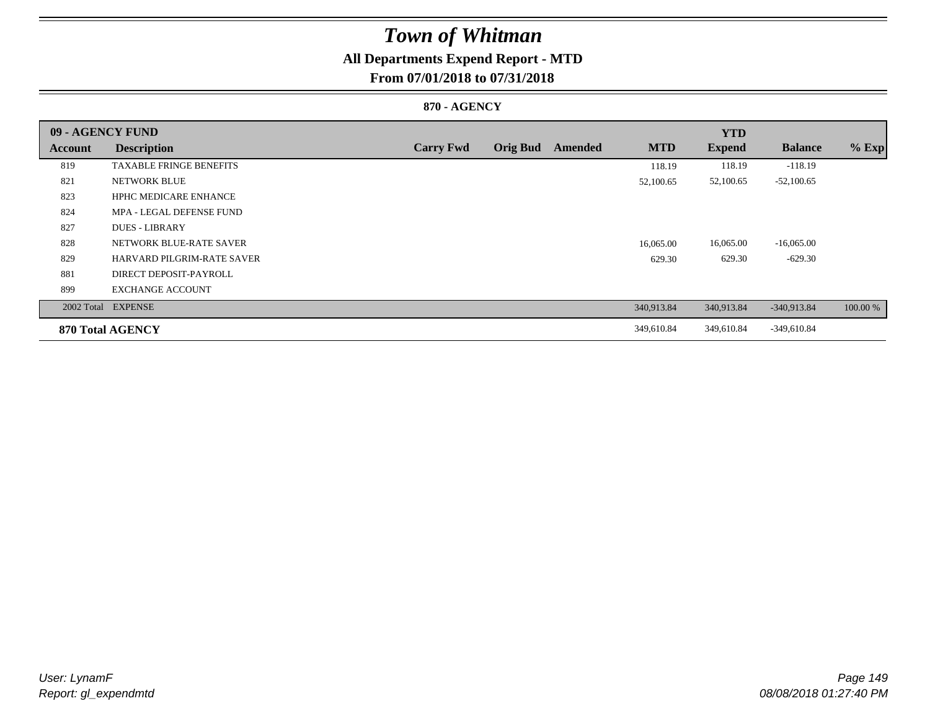## **All Departments Expend Report - MTD**

### **From 07/01/2018 to 07/31/2018**

#### **870 - AGENCY**

| 09 - AGENCY FUND |                                   |                  |                 |         |            | <b>YTD</b>    |                |          |
|------------------|-----------------------------------|------------------|-----------------|---------|------------|---------------|----------------|----------|
| <b>Account</b>   | <b>Description</b>                | <b>Carry Fwd</b> | <b>Orig Bud</b> | Amended | <b>MTD</b> | <b>Expend</b> | <b>Balance</b> | $%$ Exp  |
| 819              | <b>TAXABLE FRINGE BENEFITS</b>    |                  |                 |         | 118.19     | 118.19        | $-118.19$      |          |
| 821              | <b>NETWORK BLUE</b>               |                  |                 |         | 52,100.65  | 52,100.65     | $-52,100.65$   |          |
| 823              | <b>HPHC MEDICARE ENHANCE</b>      |                  |                 |         |            |               |                |          |
| 824              | MPA - LEGAL DEFENSE FUND          |                  |                 |         |            |               |                |          |
| 827              | <b>DUES - LIBRARY</b>             |                  |                 |         |            |               |                |          |
| 828              | NETWORK BLUE-RATE SAVER           |                  |                 |         | 16,065.00  | 16,065.00     | $-16,065.00$   |          |
| 829              | <b>HARVARD PILGRIM-RATE SAVER</b> |                  |                 |         | 629.30     | 629.30        | $-629.30$      |          |
| 881              | DIRECT DEPOSIT-PAYROLL            |                  |                 |         |            |               |                |          |
| 899              | <b>EXCHANGE ACCOUNT</b>           |                  |                 |         |            |               |                |          |
|                  | 2002 Total EXPENSE                |                  |                 |         | 340,913.84 | 340,913.84    | $-340,913.84$  | 100.00 % |
|                  | 870 Total AGENCY                  |                  |                 |         | 349,610.84 | 349,610.84    | $-349,610.84$  |          |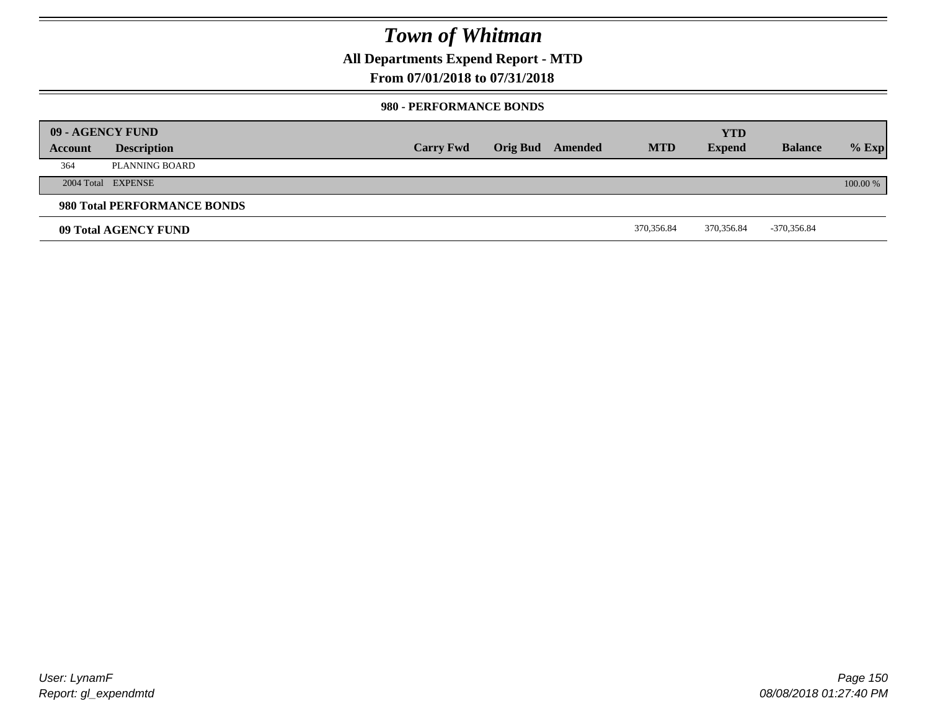**All Departments Expend Report - MTD**

**From 07/01/2018 to 07/31/2018**

#### **980 - PERFORMANCE BONDS**

|         | 09 - AGENCY FUND            |                  |                         |            | <b>YTD</b>    |                |          |
|---------|-----------------------------|------------------|-------------------------|------------|---------------|----------------|----------|
| Account | <b>Description</b>          | <b>Carry Fwd</b> | <b>Orig Bud</b> Amended | <b>MTD</b> | <b>Expend</b> | <b>Balance</b> | $%$ Exp  |
| 364     | PLANNING BOARD              |                  |                         |            |               |                |          |
|         | 2004 Total EXPENSE          |                  |                         |            |               |                | 100.00 % |
|         | 980 Total PERFORMANCE BONDS |                  |                         |            |               |                |          |
|         | 09 Total AGENCY FUND        |                  |                         | 370,356.84 | 370,356.84    | -370,356.84    |          |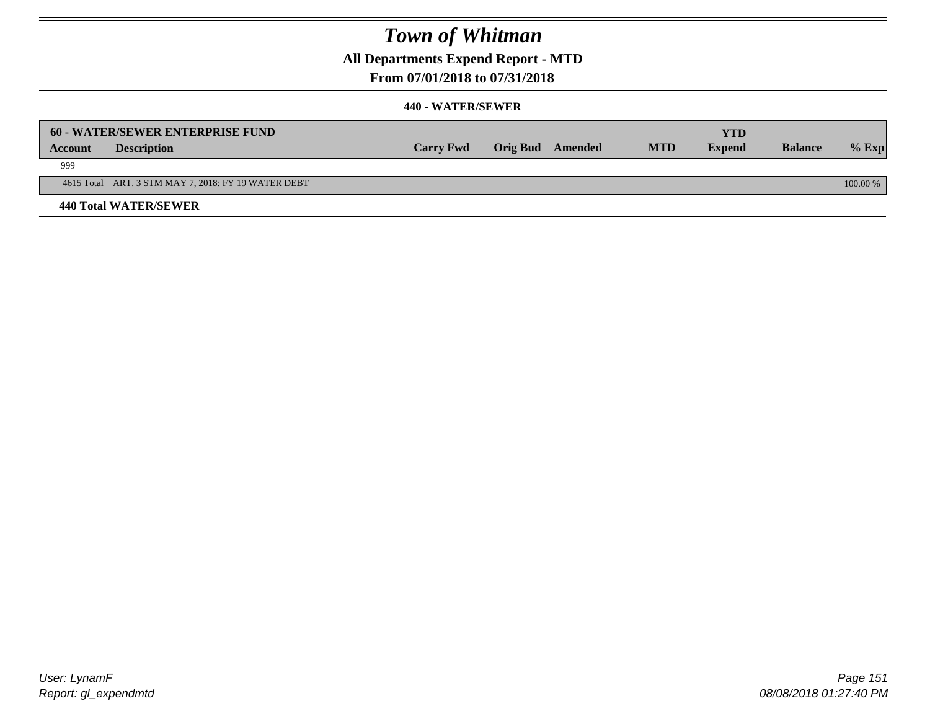**All Departments Expend Report - MTD**

### **From 07/01/2018 to 07/31/2018**

|                | 60 - WATER/SEWER ENTERPRISE FUND                    |                  |                  |            | YTD           |                |            |
|----------------|-----------------------------------------------------|------------------|------------------|------------|---------------|----------------|------------|
| <b>Account</b> | <b>Description</b>                                  | <b>Carry Fwd</b> | Orig Bud Amended | <b>MTD</b> | <b>Expend</b> | <b>Balance</b> | $\%$ Exp   |
| 999            |                                                     |                  |                  |            |               |                |            |
|                | 4615 Total ART. 3 STM MAY 7, 2018: FY 19 WATER DEBT |                  |                  |            |               |                | $100.00\%$ |
|                | <b>440 Total WATER/SEWER</b>                        |                  |                  |            |               |                |            |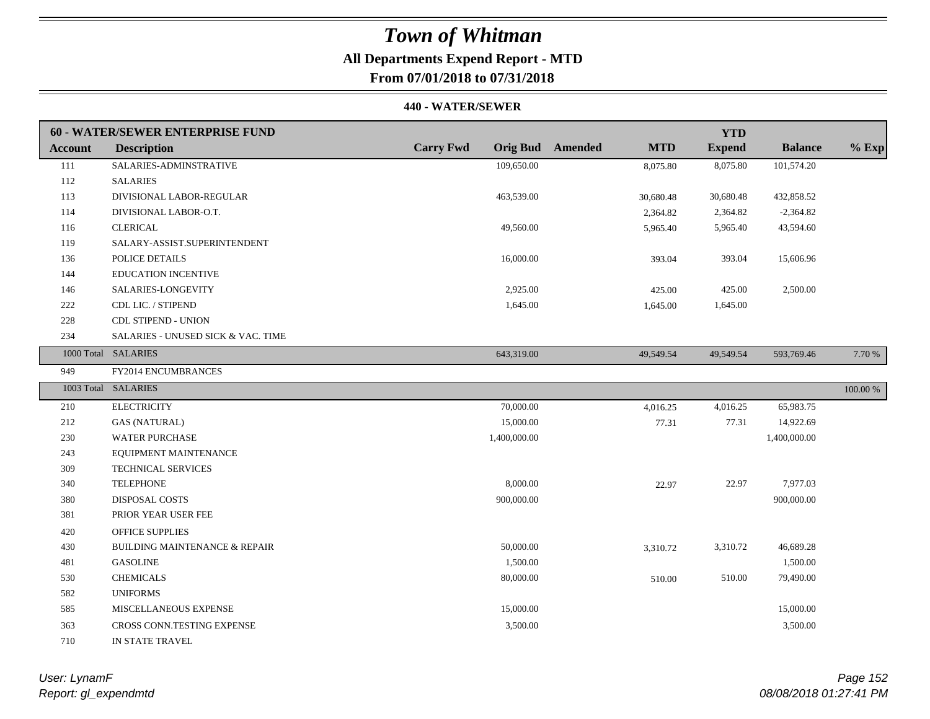# **All Departments Expend Report - MTD**

## **From 07/01/2018 to 07/31/2018**

|                | <b>60 - WATER/SEWER ENTERPRISE FUND</b> |                  |                                       | <b>YTD</b>    |                |          |
|----------------|-----------------------------------------|------------------|---------------------------------------|---------------|----------------|----------|
| <b>Account</b> | <b>Description</b>                      | <b>Carry Fwd</b> | <b>Orig Bud</b> Amended<br><b>MTD</b> | <b>Expend</b> | <b>Balance</b> | $%$ Exp  |
| 111            | SALARIES-ADMINSTRATIVE                  | 109,650.00       | 8,075.80                              | 8,075.80      | 101,574.20     |          |
| 112            | <b>SALARIES</b>                         |                  |                                       |               |                |          |
| 113            | DIVISIONAL LABOR-REGULAR                | 463,539.00       | 30,680.48                             | 30,680.48     | 432,858.52     |          |
| 114            | DIVISIONAL LABOR-O.T.                   |                  | 2,364.82                              | 2,364.82      | $-2,364.82$    |          |
| 116            | <b>CLERICAL</b>                         | 49,560.00        | 5,965.40                              | 5,965.40      | 43,594.60      |          |
| 119            | SALARY-ASSIST.SUPERINTENDENT            |                  |                                       |               |                |          |
| 136            | POLICE DETAILS                          | 16,000.00        | 393.04                                | 393.04        | 15,606.96      |          |
| 144            | EDUCATION INCENTIVE                     |                  |                                       |               |                |          |
| 146            | SALARIES-LONGEVITY                      | 2,925.00         | 425.00                                | 425.00        | 2,500.00       |          |
| 222            | CDL LIC. / STIPEND                      | 1,645.00         | 1,645.00                              | 1,645.00      |                |          |
| 228            | CDL STIPEND - UNION                     |                  |                                       |               |                |          |
| 234            | SALARIES - UNUSED SICK & VAC. TIME      |                  |                                       |               |                |          |
|                | 1000 Total SALARIES                     | 643,319.00       | 49,549.54                             | 49,549.54     | 593,769.46     | 7.70 %   |
| 949            | FY2014 ENCUMBRANCES                     |                  |                                       |               |                |          |
|                | 1003 Total SALARIES                     |                  |                                       |               |                | 100.00 % |
| 210            | <b>ELECTRICITY</b>                      | 70,000.00        | 4,016.25                              | 4,016.25      | 65,983.75      |          |
| 212            | <b>GAS (NATURAL)</b>                    | 15,000.00        | 77.31                                 | 77.31         | 14,922.69      |          |
| 230            | <b>WATER PURCHASE</b>                   | 1,400,000.00     |                                       |               | 1,400,000.00   |          |
| 243            | EQUIPMENT MAINTENANCE                   |                  |                                       |               |                |          |
| 309            | <b>TECHNICAL SERVICES</b>               |                  |                                       |               |                |          |
| 340            | <b>TELEPHONE</b>                        | 8,000.00         | 22.97                                 | 22.97         | 7,977.03       |          |
| 380            | <b>DISPOSAL COSTS</b>                   | 900,000.00       |                                       |               | 900,000.00     |          |
| 381            | PRIOR YEAR USER FEE                     |                  |                                       |               |                |          |
| 420            | <b>OFFICE SUPPLIES</b>                  |                  |                                       |               |                |          |
| 430            | BUILDING MAINTENANCE & REPAIR           | 50,000.00        | 3,310.72                              | 3,310.72      | 46,689.28      |          |
| 481            | <b>GASOLINE</b>                         | 1,500.00         |                                       |               | 1,500.00       |          |
| 530            | <b>CHEMICALS</b>                        | 80,000.00        | 510.00                                | 510.00        | 79,490.00      |          |
| 582            | <b>UNIFORMS</b>                         |                  |                                       |               |                |          |
| 585            | MISCELLANEOUS EXPENSE                   | 15,000.00        |                                       |               | 15,000.00      |          |
| 363            | CROSS CONN.TESTING EXPENSE              | 3,500.00         |                                       |               | 3,500.00       |          |
| 710            | IN STATE TRAVEL                         |                  |                                       |               |                |          |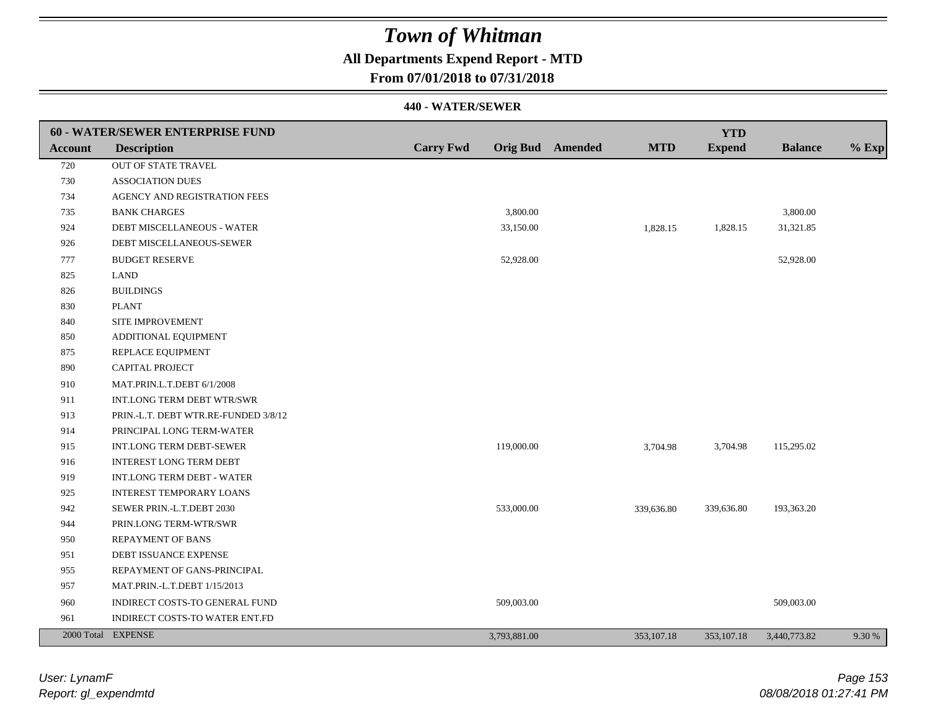### **All Departments Expend Report - MTD**

### **From 07/01/2018 to 07/31/2018**

|         | <b>60 - WATER/SEWER ENTERPRISE FUND</b> |                  |              |                         |            | <b>YTD</b>    |                |         |
|---------|-----------------------------------------|------------------|--------------|-------------------------|------------|---------------|----------------|---------|
| Account | <b>Description</b>                      | <b>Carry Fwd</b> |              | <b>Orig Bud</b> Amended | <b>MTD</b> | <b>Expend</b> | <b>Balance</b> | $%$ Exp |
| 720     | OUT OF STATE TRAVEL                     |                  |              |                         |            |               |                |         |
| 730     | <b>ASSOCIATION DUES</b>                 |                  |              |                         |            |               |                |         |
| 734     | AGENCY AND REGISTRATION FEES            |                  |              |                         |            |               |                |         |
| 735     | <b>BANK CHARGES</b>                     |                  | 3,800.00     |                         |            |               | 3,800.00       |         |
| 924     | DEBT MISCELLANEOUS - WATER              |                  | 33,150.00    |                         | 1,828.15   | 1,828.15      | 31,321.85      |         |
| 926     | DEBT MISCELLANEOUS-SEWER                |                  |              |                         |            |               |                |         |
| 777     | <b>BUDGET RESERVE</b>                   |                  | 52,928.00    |                         |            |               | 52,928.00      |         |
| 825     | <b>LAND</b>                             |                  |              |                         |            |               |                |         |
| 826     | <b>BUILDINGS</b>                        |                  |              |                         |            |               |                |         |
| 830     | <b>PLANT</b>                            |                  |              |                         |            |               |                |         |
| 840     | SITE IMPROVEMENT                        |                  |              |                         |            |               |                |         |
| 850     | ADDITIONAL EQUIPMENT                    |                  |              |                         |            |               |                |         |
| 875     | REPLACE EQUIPMENT                       |                  |              |                         |            |               |                |         |
| 890     | CAPITAL PROJECT                         |                  |              |                         |            |               |                |         |
| 910     | MAT.PRIN.L.T.DEBT 6/1/2008              |                  |              |                         |            |               |                |         |
| 911     | INT.LONG TERM DEBT WTR/SWR              |                  |              |                         |            |               |                |         |
| 913     | PRIN.-L.T. DEBT WTR.RE-FUNDED 3/8/12    |                  |              |                         |            |               |                |         |
| 914     | PRINCIPAL LONG TERM-WATER               |                  |              |                         |            |               |                |         |
| 915     | <b>INT.LONG TERM DEBT-SEWER</b>         |                  | 119,000.00   |                         | 3,704.98   | 3,704.98      | 115,295.02     |         |
| 916     | INTEREST LONG TERM DEBT                 |                  |              |                         |            |               |                |         |
| 919     | INT.LONG TERM DEBT - WATER              |                  |              |                         |            |               |                |         |
| 925     | <b>INTEREST TEMPORARY LOANS</b>         |                  |              |                         |            |               |                |         |
| 942     | SEWER PRIN.-L.T.DEBT 2030               |                  | 533,000.00   |                         | 339,636.80 | 339,636.80    | 193,363.20     |         |
| 944     | PRIN.LONG TERM-WTR/SWR                  |                  |              |                         |            |               |                |         |
| 950     | <b>REPAYMENT OF BANS</b>                |                  |              |                         |            |               |                |         |
| 951     | DEBT ISSUANCE EXPENSE                   |                  |              |                         |            |               |                |         |
| 955     | REPAYMENT OF GANS-PRINCIPAL             |                  |              |                         |            |               |                |         |
| 957     | MAT.PRIN.-L.T.DEBT 1/15/2013            |                  |              |                         |            |               |                |         |
| 960     | INDIRECT COSTS-TO GENERAL FUND          |                  | 509,003.00   |                         |            |               | 509,003.00     |         |
| 961     | INDIRECT COSTS-TO WATER ENT.FD          |                  |              |                         |            |               |                |         |
|         | 2000 Total EXPENSE                      |                  | 3,793,881.00 |                         | 353,107.18 | 353, 107. 18  | 3,440,773.82   | 9.30 %  |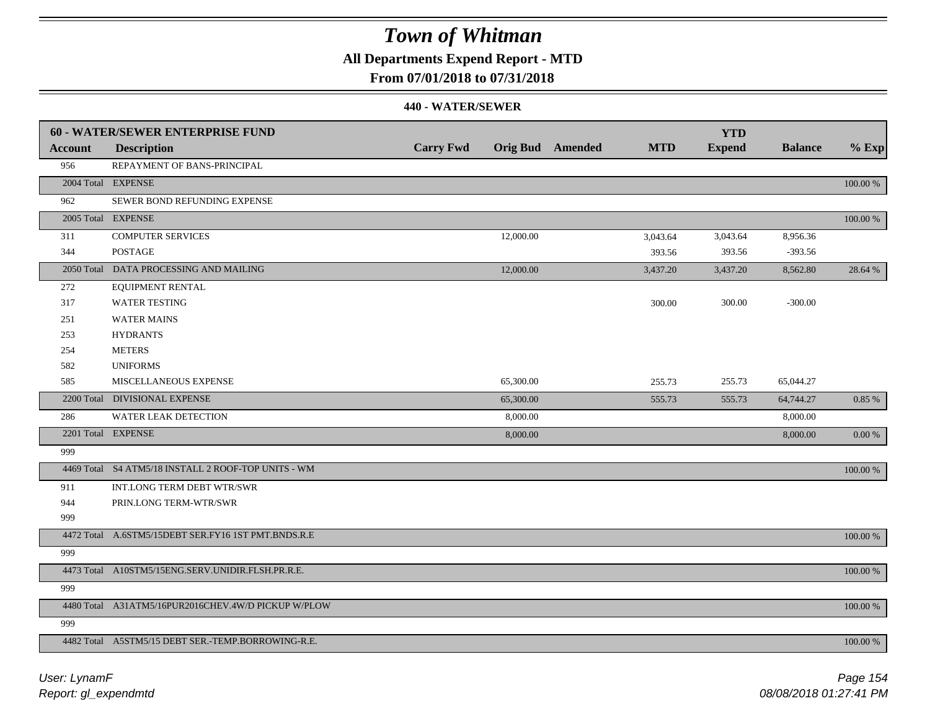**All Departments Expend Report - MTD**

### **From 07/01/2018 to 07/31/2018**

|                | <b>60 - WATER/SEWER ENTERPRISE FUND</b>             |                  |                         |            | <b>YTD</b>    |                |          |
|----------------|-----------------------------------------------------|------------------|-------------------------|------------|---------------|----------------|----------|
| <b>Account</b> | <b>Description</b>                                  | <b>Carry Fwd</b> | <b>Orig Bud</b> Amended | <b>MTD</b> | <b>Expend</b> | <b>Balance</b> | $%$ Exp  |
| 956            | REPAYMENT OF BANS-PRINCIPAL                         |                  |                         |            |               |                |          |
|                | 2004 Total EXPENSE                                  |                  |                         |            |               |                | 100.00 % |
| 962            | SEWER BOND REFUNDING EXPENSE                        |                  |                         |            |               |                |          |
|                | 2005 Total EXPENSE                                  |                  |                         |            |               |                | 100.00 % |
| 311            | <b>COMPUTER SERVICES</b>                            | 12,000.00        |                         | 3,043.64   | 3,043.64      | 8,956.36       |          |
| 344            | <b>POSTAGE</b>                                      |                  |                         | 393.56     | 393.56        | $-393.56$      |          |
|                | 2050 Total DATA PROCESSING AND MAILING              | 12,000.00        |                         | 3,437.20   | 3,437.20      | 8,562.80       | 28.64 %  |
| 272            | EQUIPMENT RENTAL                                    |                  |                         |            |               |                |          |
| 317            | <b>WATER TESTING</b>                                |                  |                         | 300.00     | 300.00        | $-300.00$      |          |
| 251            | <b>WATER MAINS</b>                                  |                  |                         |            |               |                |          |
| 253            | <b>HYDRANTS</b>                                     |                  |                         |            |               |                |          |
| 254            | <b>METERS</b>                                       |                  |                         |            |               |                |          |
| 582            | <b>UNIFORMS</b>                                     |                  |                         |            |               |                |          |
| 585            | MISCELLANEOUS EXPENSE                               | 65,300.00        |                         | 255.73     | 255.73        | 65,044.27      |          |
|                | 2200 Total DIVISIONAL EXPENSE                       | 65,300.00        |                         | 555.73     | 555.73        | 64,744.27      | 0.85 %   |
| 286            | WATER LEAK DETECTION                                | 8,000.00         |                         |            |               | 8,000.00       |          |
|                | 2201 Total EXPENSE                                  | 8,000.00         |                         |            |               | 8,000.00       | 0.00 %   |
| 999            |                                                     |                  |                         |            |               |                |          |
|                | 4469 Total S4 ATM5/18 INSTALL 2 ROOF-TOP UNITS - WM |                  |                         |            |               |                | 100.00 % |
| 911            | INT.LONG TERM DEBT WTR/SWR                          |                  |                         |            |               |                |          |
| 944            | PRIN.LONG TERM-WTR/SWR                              |                  |                         |            |               |                |          |
| 999            |                                                     |                  |                         |            |               |                |          |
|                | 4472 Total A.6STM5/15DEBT SER.FY16 1ST PMT.BNDS.R.E |                  |                         |            |               |                | 100.00 % |
| 999            |                                                     |                  |                         |            |               |                |          |
|                | 4473 Total A10STM5/15ENG.SERV.UNIDIR.FLSH.PR.R.E.   |                  |                         |            |               |                | 100.00 % |
| 999            |                                                     |                  |                         |            |               |                |          |
|                | 4480 Total A31ATM5/16PUR2016CHEV.4W/D PICKUP W/PLOW |                  |                         |            |               |                | 100.00 % |
| 999            |                                                     |                  |                         |            |               |                |          |
|                | 4482 Total A5STM5/15 DEBT SER.-TEMP.BORROWING-R.E.  |                  |                         |            |               |                | 100.00 % |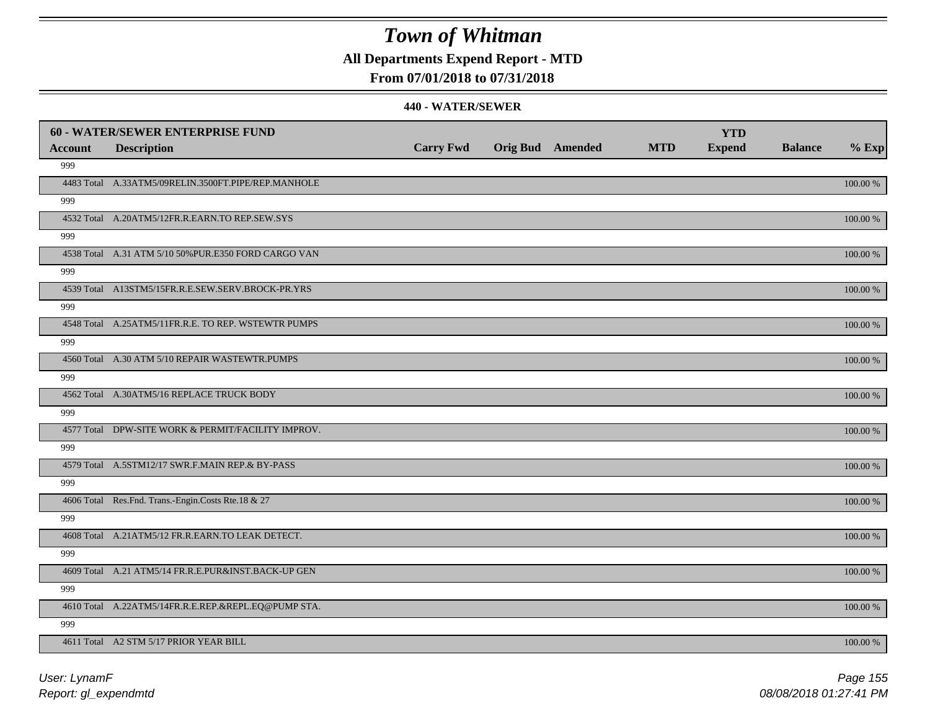**All Departments Expend Report - MTD**

### **From 07/01/2018 to 07/31/2018**

|                | 60 - WATER/SEWER ENTERPRISE FUND                     |                  |                         |            | <b>YTD</b>    |                |          |
|----------------|------------------------------------------------------|------------------|-------------------------|------------|---------------|----------------|----------|
| <b>Account</b> | <b>Description</b>                                   | <b>Carry Fwd</b> | <b>Orig Bud</b> Amended | <b>MTD</b> | <b>Expend</b> | <b>Balance</b> | $%$ Exp  |
| 999            |                                                      |                  |                         |            |               |                |          |
|                | 4483 Total A.33ATM5/09RELIN.3500FT.PIPE/REP.MANHOLE  |                  |                         |            |               |                | 100.00 % |
| 999            |                                                      |                  |                         |            |               |                |          |
|                | 4532 Total A.20ATM5/12FR.R.EARN.TO REP.SEW.SYS       |                  |                         |            |               |                | 100.00 % |
| 999            |                                                      |                  |                         |            |               |                |          |
|                | 4538 Total A.31 ATM 5/10 50% PUR.E350 FORD CARGO VAN |                  |                         |            |               |                | 100.00 % |
| 999            |                                                      |                  |                         |            |               |                |          |
|                | 4539 Total A13STM5/15FR.R.E.SEW.SERV.BROCK-PR.YRS    |                  |                         |            |               |                | 100.00 % |
| 999            |                                                      |                  |                         |            |               |                |          |
|                | 4548 Total A.25ATM5/11FR.R.E. TO REP. WSTEWTR PUMPS  |                  |                         |            |               |                | 100.00 % |
| 999            |                                                      |                  |                         |            |               |                |          |
|                | 4560 Total A.30 ATM 5/10 REPAIR WASTEWTR.PUMPS       |                  |                         |            |               |                | 100.00 % |
| 999            |                                                      |                  |                         |            |               |                |          |
|                | 4562 Total A.30ATM5/16 REPLACE TRUCK BODY            |                  |                         |            |               |                | 100.00 % |
| 999            |                                                      |                  |                         |            |               |                |          |
|                | 4577 Total DPW-SITE WORK & PERMIT/FACILITY IMPROV.   |                  |                         |            |               |                | 100.00 % |
| 999            |                                                      |                  |                         |            |               |                |          |
|                | 4579 Total A.5STM12/17 SWR.F.MAIN REP.& BY-PASS      |                  |                         |            |               |                | 100.00 % |
| 999            |                                                      |                  |                         |            |               |                |          |
|                | 4606 Total Res.Fnd. Trans.-Engin.Costs Rte.18 & 27   |                  |                         |            |               |                | 100.00 % |
| 999            |                                                      |                  |                         |            |               |                |          |
|                | 4608 Total A.21ATM5/12 FR.R.EARN.TO LEAK DETECT.     |                  |                         |            |               |                | 100.00 % |
| 999            |                                                      |                  |                         |            |               |                |          |
|                | 4609 Total A.21 ATM5/14 FR.R.E.PUR&INST.BACK-UP GEN  |                  |                         |            |               |                | 100.00 % |
| 999            |                                                      |                  |                         |            |               |                |          |
|                | 4610 Total A.22ATM5/14FR.R.E.REP.&REPL.EQ@PUMP STA.  |                  |                         |            |               |                | 100.00 % |
| 999            |                                                      |                  |                         |            |               |                |          |
|                | 4611 Total A2 STM 5/17 PRIOR YEAR BILL               |                  |                         |            |               |                | 100.00 % |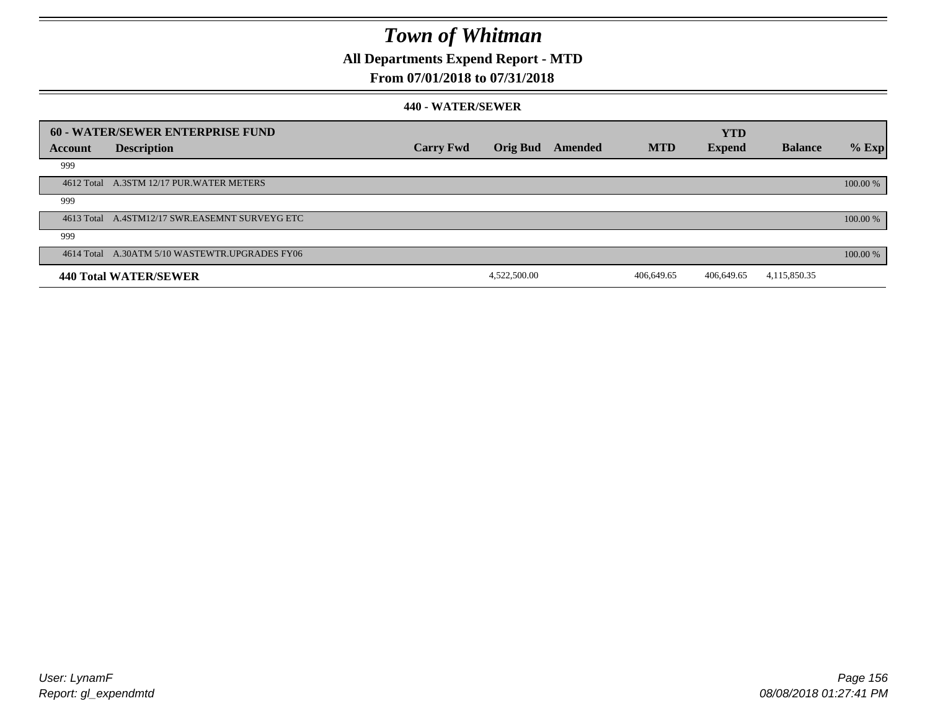**All Departments Expend Report - MTD**

### **From 07/01/2018 to 07/31/2018**

|         | 60 - WATER/SEWER ENTERPRISE FUND               |                  |              |         |            | <b>YTD</b>    |                |          |
|---------|------------------------------------------------|------------------|--------------|---------|------------|---------------|----------------|----------|
| Account | <b>Description</b>                             | <b>Carry Fwd</b> | Orig Bud     | Amended | <b>MTD</b> | <b>Expend</b> | <b>Balance</b> | $%$ Exp  |
| 999     |                                                |                  |              |         |            |               |                |          |
|         | 4612 Total A.3STM 12/17 PUR. WATER METERS      |                  |              |         |            |               |                | 100.00 % |
| 999     |                                                |                  |              |         |            |               |                |          |
|         | 4613 Total A.4STM12/17 SWR.EASEMNT SURVEYG ETC |                  |              |         |            |               |                | 100.00 % |
| 999     |                                                |                  |              |         |            |               |                |          |
|         | 4614 Total A.30ATM 5/10 WASTEWTR.UPGRADES FY06 |                  |              |         |            |               |                | 100.00 % |
|         | 440 Total WATER/SEWER                          |                  | 4,522,500.00 |         | 406,649.65 | 406,649.65    | 4,115,850.35   |          |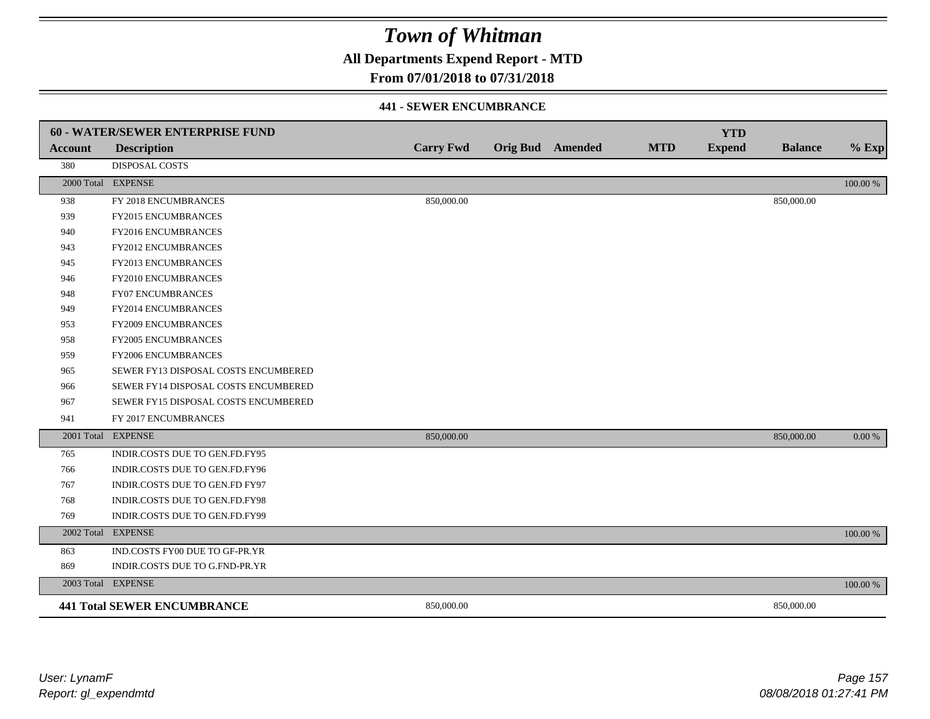**All Departments Expend Report - MTD**

### **From 07/01/2018 to 07/31/2018**

#### **441 - SEWER ENCUMBRANCE**

|                | <b>60 - WATER/SEWER ENTERPRISE FUND</b> |                  |                         |            | <b>YTD</b>    |                |          |
|----------------|-----------------------------------------|------------------|-------------------------|------------|---------------|----------------|----------|
| <b>Account</b> | <b>Description</b>                      | <b>Carry Fwd</b> | <b>Orig Bud</b> Amended | <b>MTD</b> | <b>Expend</b> | <b>Balance</b> | $%$ Exp  |
| 380            | <b>DISPOSAL COSTS</b>                   |                  |                         |            |               |                |          |
|                | 2000 Total EXPENSE                      |                  |                         |            |               |                | 100.00 % |
| 938            | FY 2018 ENCUMBRANCES                    | 850,000.00       |                         |            |               | 850,000.00     |          |
| 939            | FY2015 ENCUMBRANCES                     |                  |                         |            |               |                |          |
| 940            | FY2016 ENCUMBRANCES                     |                  |                         |            |               |                |          |
| 943            | <b>FY2012 ENCUMBRANCES</b>              |                  |                         |            |               |                |          |
| 945            | FY2013 ENCUMBRANCES                     |                  |                         |            |               |                |          |
| 946            | FY2010 ENCUMBRANCES                     |                  |                         |            |               |                |          |
| 948            | <b>FY07 ENCUMBRANCES</b>                |                  |                         |            |               |                |          |
| 949            | FY2014 ENCUMBRANCES                     |                  |                         |            |               |                |          |
| 953            | FY2009 ENCUMBRANCES                     |                  |                         |            |               |                |          |
| 958            | FY2005 ENCUMBRANCES                     |                  |                         |            |               |                |          |
| 959            | <b>FY2006 ENCUMBRANCES</b>              |                  |                         |            |               |                |          |
| 965            | SEWER FY13 DISPOSAL COSTS ENCUMBERED    |                  |                         |            |               |                |          |
| 966            | SEWER FY14 DISPOSAL COSTS ENCUMBERED    |                  |                         |            |               |                |          |
| 967            | SEWER FY15 DISPOSAL COSTS ENCUMBERED    |                  |                         |            |               |                |          |
| 941            | FY 2017 ENCUMBRANCES                    |                  |                         |            |               |                |          |
|                | 2001 Total EXPENSE                      | 850,000.00       |                         |            |               | 850,000.00     | 0.00 %   |
| 765            | INDIR.COSTS DUE TO GEN.FD.FY95          |                  |                         |            |               |                |          |
| 766            | INDIR.COSTS DUE TO GEN.FD.FY96          |                  |                         |            |               |                |          |
| 767            | INDIR.COSTS DUE TO GEN.FD FY97          |                  |                         |            |               |                |          |
| 768            | INDIR.COSTS DUE TO GEN.FD.FY98          |                  |                         |            |               |                |          |
| 769            | INDIR.COSTS DUE TO GEN.FD.FY99          |                  |                         |            |               |                |          |
| 2002 Total     | <b>EXPENSE</b>                          |                  |                         |            |               |                | 100.00 % |
| 863            | IND.COSTS FY00 DUE TO GF-PR.YR          |                  |                         |            |               |                |          |
| 869            | INDIR.COSTS DUE TO G.FND-PR.YR          |                  |                         |            |               |                |          |
|                | 2003 Total EXPENSE                      |                  |                         |            |               |                | 100.00 % |
|                | <b>441 Total SEWER ENCUMBRANCE</b>      | 850,000.00       |                         |            |               | 850,000.00     |          |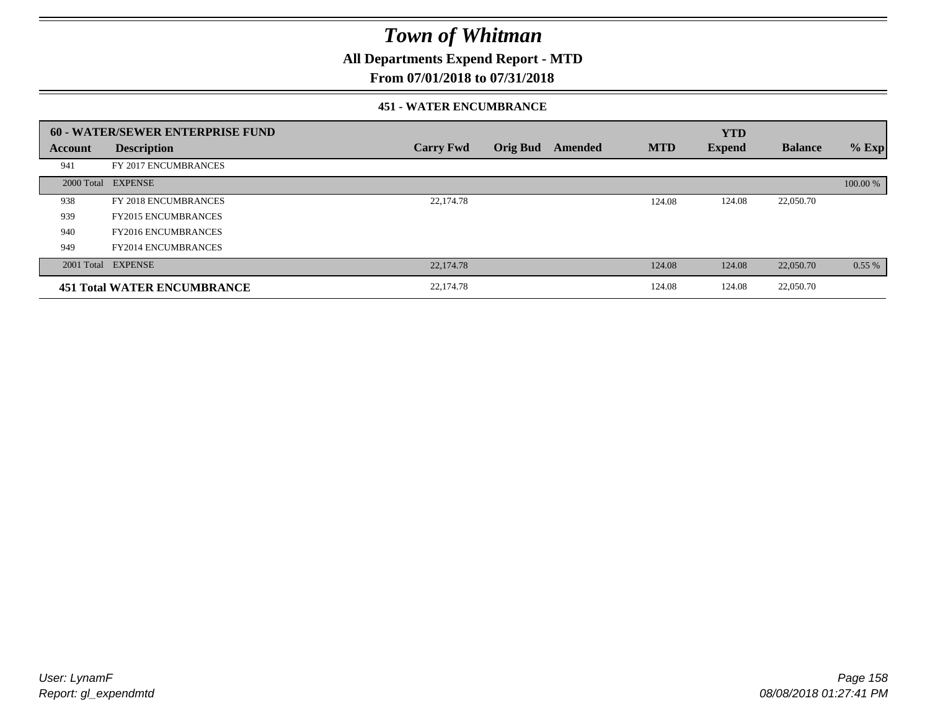**All Departments Expend Report - MTD**

### **From 07/01/2018 to 07/31/2018**

#### **451 - WATER ENCUMBRANCE**

|         | <b>60 - WATER/SEWER ENTERPRISE FUND</b> |                  |                 |         |            | <b>YTD</b>    |                |          |
|---------|-----------------------------------------|------------------|-----------------|---------|------------|---------------|----------------|----------|
| Account | <b>Description</b>                      | <b>Carry Fwd</b> | <b>Orig Bud</b> | Amended | <b>MTD</b> | <b>Expend</b> | <b>Balance</b> | $%$ Exp  |
| 941     | FY 2017 ENCUMBRANCES                    |                  |                 |         |            |               |                |          |
|         | 2000 Total EXPENSE                      |                  |                 |         |            |               |                | 100.00 % |
| 938     | FY 2018 ENCUMBRANCES                    | 22,174.78        |                 |         | 124.08     | 124.08        | 22,050.70      |          |
| 939     | <b>FY2015 ENCUMBRANCES</b>              |                  |                 |         |            |               |                |          |
| 940     | <b>FY2016 ENCUMBRANCES</b>              |                  |                 |         |            |               |                |          |
| 949     | <b>FY2014 ENCUMBRANCES</b>              |                  |                 |         |            |               |                |          |
|         | 2001 Total EXPENSE                      | 22,174.78        |                 |         | 124.08     | 124.08        | 22,050.70      | 0.55%    |
|         | <b>451 Total WATER ENCUMBRANCE</b>      | 22,174.78        |                 |         | 124.08     | 124.08        | 22,050.70      |          |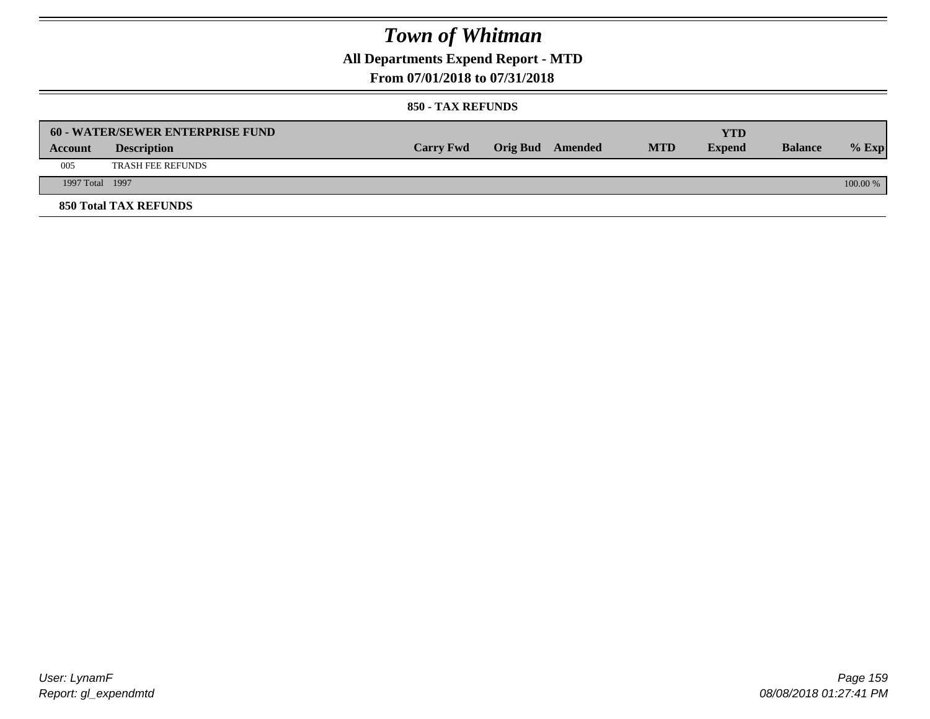**All Departments Expend Report - MTD**

### **From 07/01/2018 to 07/31/2018**

|                 | <b>60 - WATER/SEWER ENTERPRISE FUND</b> |                  |                         |            | YTD           |                |            |
|-----------------|-----------------------------------------|------------------|-------------------------|------------|---------------|----------------|------------|
| Account         | <b>Description</b>                      | <b>Carry Fwd</b> | <b>Orig Bud</b> Amended | <b>MTD</b> | <b>Expend</b> | <b>Balance</b> | $%$ Exp    |
| 005             | <b>TRASH FEE REFUNDS</b>                |                  |                         |            |               |                |            |
| 1997 Total 1997 |                                         |                  |                         |            |               |                | $100.00\%$ |
|                 | <b>850 Total TAX REFUNDS</b>            |                  |                         |            |               |                |            |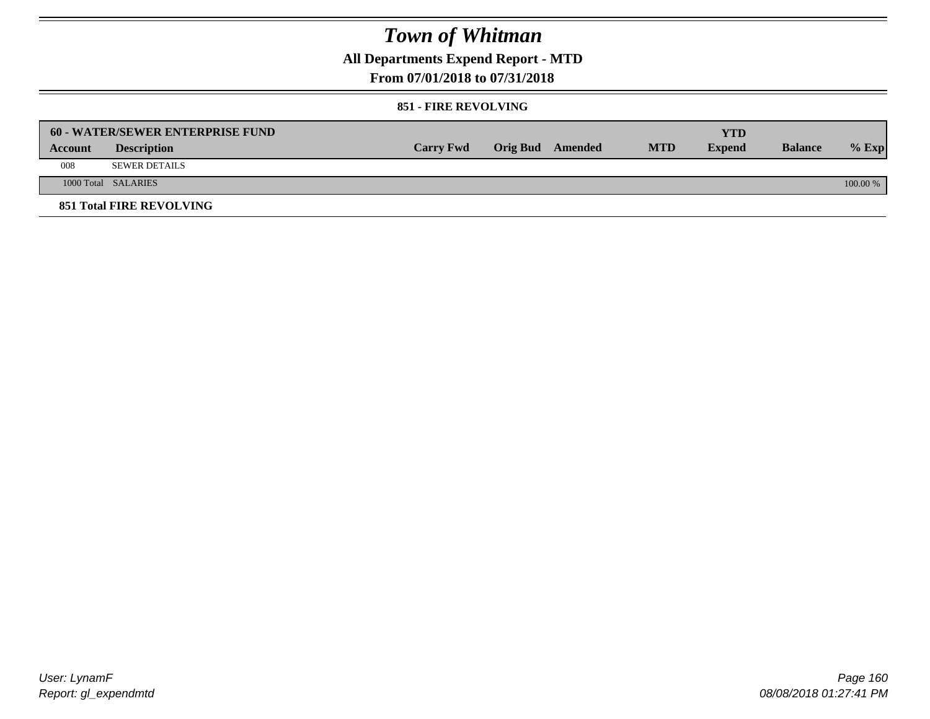**All Departments Expend Report - MTD**

### **From 07/01/2018 to 07/31/2018**

#### **851 - FIRE REVOLVING**

|         | <b>60 - WATER/SEWER ENTERPRISE FUND</b> |                  |                  |            | YTD           |                |            |
|---------|-----------------------------------------|------------------|------------------|------------|---------------|----------------|------------|
| Account | <b>Description</b>                      | <b>Carry Fwd</b> | Orig Bud Amended | <b>MTD</b> | <b>Expend</b> | <b>Balance</b> | $%$ Exp    |
| 008     | SEWER DETAILS                           |                  |                  |            |               |                |            |
|         | 1000 Total SALARIES                     |                  |                  |            |               |                | $100.00\%$ |
|         | <b>851 Total FIRE REVOLVING</b>         |                  |                  |            |               |                |            |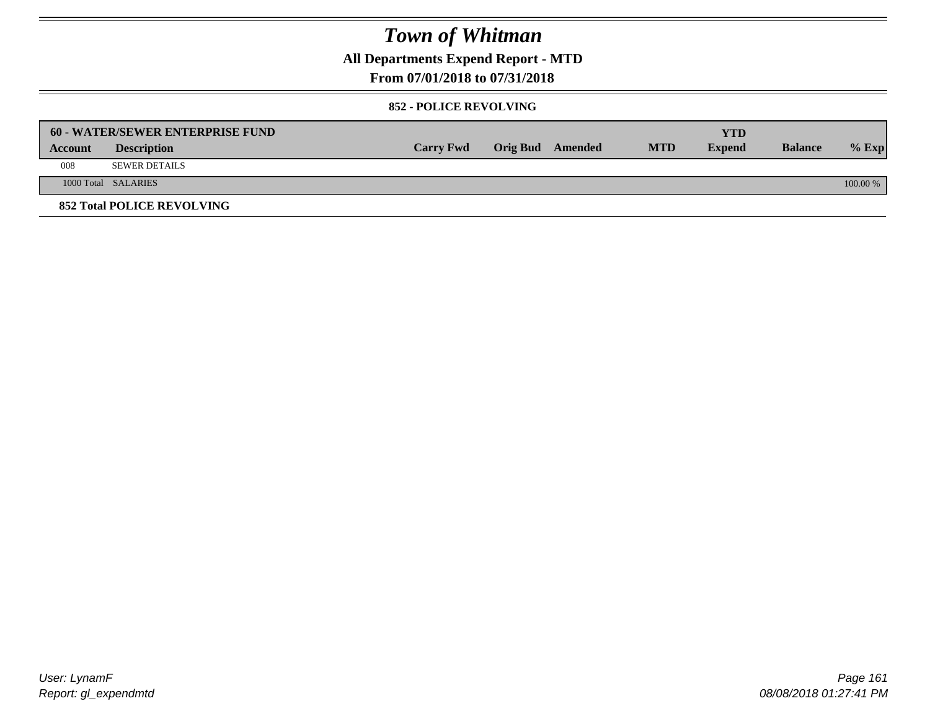**All Departments Expend Report - MTD**

### **From 07/01/2018 to 07/31/2018**

#### **852 - POLICE REVOLVING**

|         | 60 - WATER/SEWER ENTERPRISE FUND  |                  |                  |            | YTD           |                |            |
|---------|-----------------------------------|------------------|------------------|------------|---------------|----------------|------------|
| Account | <b>Description</b>                | <b>Carry Fwd</b> | Orig Bud Amended | <b>MTD</b> | <b>Expend</b> | <b>Balance</b> | $%$ Exp    |
| 008     | <b>SEWER DETAILS</b>              |                  |                  |            |               |                |            |
|         | 1000 Total SALARIES               |                  |                  |            |               |                | $100.00\%$ |
|         | <b>852 Total POLICE REVOLVING</b> |                  |                  |            |               |                |            |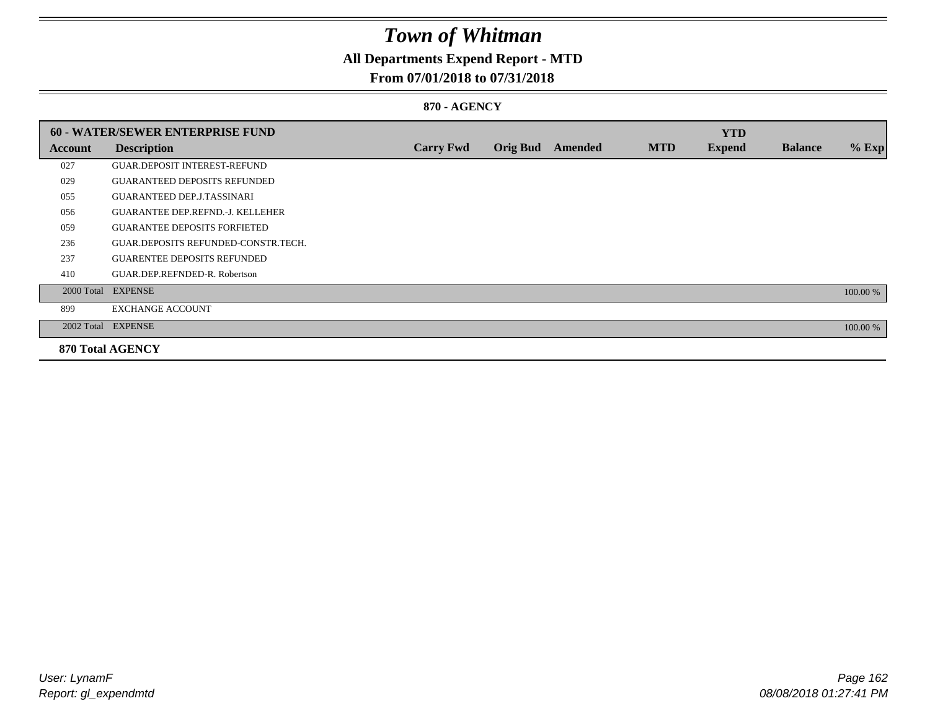## **All Departments Expend Report - MTD**

### **From 07/01/2018 to 07/31/2018**

#### **870 - AGENCY**

|         | 60 - WATER/SEWER ENTERPRISE FUND        |                  |                 |         |            | <b>YTD</b>    |                |          |
|---------|-----------------------------------------|------------------|-----------------|---------|------------|---------------|----------------|----------|
| Account | <b>Description</b>                      | <b>Carry Fwd</b> | <b>Orig Bud</b> | Amended | <b>MTD</b> | <b>Expend</b> | <b>Balance</b> | $%$ Exp  |
| 027     | <b>GUAR DEPOSIT INTEREST-REFUND</b>     |                  |                 |         |            |               |                |          |
| 029     | <b>GUARANTEED DEPOSITS REFUNDED</b>     |                  |                 |         |            |               |                |          |
| 055     | <b>GUARANTEED DEP.J.TASSINARI</b>       |                  |                 |         |            |               |                |          |
| 056     | <b>GUARANTEE DEP.REFND.-J. KELLEHER</b> |                  |                 |         |            |               |                |          |
| 059     | <b>GUARANTEE DEPOSITS FORFIETED</b>     |                  |                 |         |            |               |                |          |
| 236     | GUAR.DEPOSITS REFUNDED-CONSTR.TECH.     |                  |                 |         |            |               |                |          |
| 237     | <b>GUARENTEE DEPOSITS REFUNDED</b>      |                  |                 |         |            |               |                |          |
| 410     | GUAR.DEP.REFNDED-R. Robertson           |                  |                 |         |            |               |                |          |
|         | 2000 Total EXPENSE                      |                  |                 |         |            |               |                | 100.00 % |
| 899     | <b>EXCHANGE ACCOUNT</b>                 |                  |                 |         |            |               |                |          |
|         | 2002 Total EXPENSE                      |                  |                 |         |            |               |                | 100.00 % |
|         | <b>870 Total AGENCY</b>                 |                  |                 |         |            |               |                |          |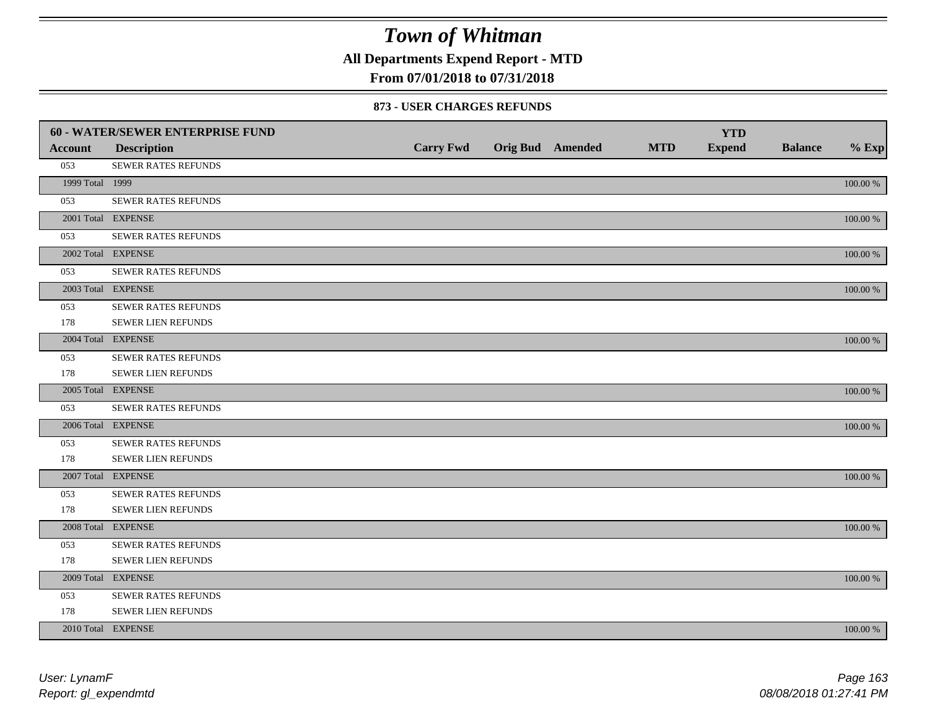**All Departments Expend Report - MTD**

### **From 07/01/2018 to 07/31/2018**

#### **873 - USER CHARGES REFUNDS**

|                 | 60 - WATER/SEWER ENTERPRISE FUND |                  |                         |            | <b>YTD</b>    |                |             |
|-----------------|----------------------------------|------------------|-------------------------|------------|---------------|----------------|-------------|
| <b>Account</b>  | <b>Description</b>               | <b>Carry Fwd</b> | <b>Orig Bud</b> Amended | <b>MTD</b> | <b>Expend</b> | <b>Balance</b> | $%$ Exp     |
| 053             | SEWER RATES REFUNDS              |                  |                         |            |               |                |             |
| 1999 Total 1999 |                                  |                  |                         |            |               |                | 100.00 %    |
| 053             | SEWER RATES REFUNDS              |                  |                         |            |               |                |             |
|                 | 2001 Total EXPENSE               |                  |                         |            |               |                | 100.00 %    |
| 053             | SEWER RATES REFUNDS              |                  |                         |            |               |                |             |
|                 | 2002 Total EXPENSE               |                  |                         |            |               |                | 100.00 %    |
| 053             | <b>SEWER RATES REFUNDS</b>       |                  |                         |            |               |                |             |
|                 | 2003 Total EXPENSE               |                  |                         |            |               |                | 100.00 %    |
| 053             | SEWER RATES REFUNDS              |                  |                         |            |               |                |             |
| 178             | SEWER LIEN REFUNDS               |                  |                         |            |               |                |             |
|                 | 2004 Total EXPENSE               |                  |                         |            |               |                | 100.00 %    |
| 053             | <b>SEWER RATES REFUNDS</b>       |                  |                         |            |               |                |             |
| 178             | SEWER LIEN REFUNDS               |                  |                         |            |               |                |             |
|                 | 2005 Total EXPENSE               |                  |                         |            |               |                | 100.00 %    |
| 053             | SEWER RATES REFUNDS              |                  |                         |            |               |                |             |
|                 | 2006 Total EXPENSE               |                  |                         |            |               |                | 100.00 %    |
| 053             | <b>SEWER RATES REFUNDS</b>       |                  |                         |            |               |                |             |
| 178             | SEWER LIEN REFUNDS               |                  |                         |            |               |                |             |
|                 | 2007 Total EXPENSE               |                  |                         |            |               |                | 100.00 %    |
| 053             | SEWER RATES REFUNDS              |                  |                         |            |               |                |             |
| 178             | SEWER LIEN REFUNDS               |                  |                         |            |               |                |             |
|                 | 2008 Total EXPENSE               |                  |                         |            |               |                | 100.00 %    |
| 053             | SEWER RATES REFUNDS              |                  |                         |            |               |                |             |
| 178             | SEWER LIEN REFUNDS               |                  |                         |            |               |                |             |
|                 | 2009 Total EXPENSE               |                  |                         |            |               |                | 100.00 %    |
| 053             | SEWER RATES REFUNDS              |                  |                         |            |               |                |             |
| 178             | SEWER LIEN REFUNDS               |                  |                         |            |               |                |             |
|                 | 2010 Total EXPENSE               |                  |                         |            |               |                | $100.00~\%$ |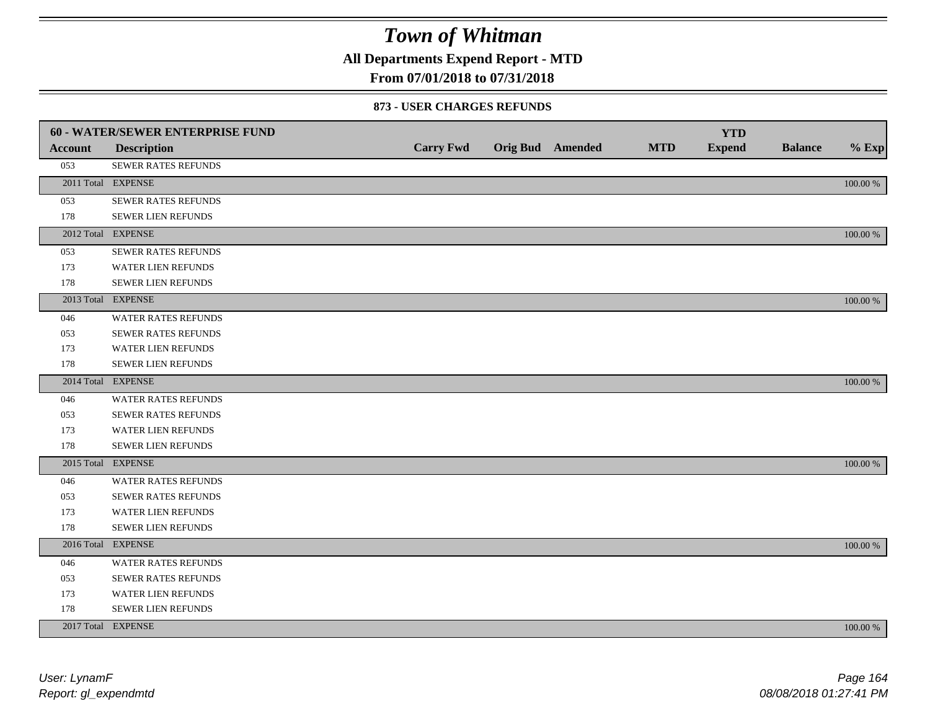**All Departments Expend Report - MTD**

### **From 07/01/2018 to 07/31/2018**

#### **873 - USER CHARGES REFUNDS**

|         | <b>60 - WATER/SEWER ENTERPRISE FUND</b> |                  |                         |            | <b>YTD</b>    |                |          |
|---------|-----------------------------------------|------------------|-------------------------|------------|---------------|----------------|----------|
| Account | <b>Description</b>                      | <b>Carry Fwd</b> | <b>Orig Bud</b> Amended | <b>MTD</b> | <b>Expend</b> | <b>Balance</b> | $%$ Exp  |
| 053     | SEWER RATES REFUNDS                     |                  |                         |            |               |                |          |
|         | 2011 Total EXPENSE                      |                  |                         |            |               |                | 100.00 % |
| 053     | SEWER RATES REFUNDS                     |                  |                         |            |               |                |          |
| 178     | SEWER LIEN REFUNDS                      |                  |                         |            |               |                |          |
|         | 2012 Total EXPENSE                      |                  |                         |            |               |                | 100.00 % |
| 053     | SEWER RATES REFUNDS                     |                  |                         |            |               |                |          |
| 173     | <b>WATER LIEN REFUNDS</b>               |                  |                         |            |               |                |          |
| 178     | SEWER LIEN REFUNDS                      |                  |                         |            |               |                |          |
|         | 2013 Total EXPENSE                      |                  |                         |            |               |                | 100.00 % |
| 046     | WATER RATES REFUNDS                     |                  |                         |            |               |                |          |
| 053     | <b>SEWER RATES REFUNDS</b>              |                  |                         |            |               |                |          |
| 173     | WATER LIEN REFUNDS                      |                  |                         |            |               |                |          |
| 178     | <b>SEWER LIEN REFUNDS</b>               |                  |                         |            |               |                |          |
|         | 2014 Total EXPENSE                      |                  |                         |            |               |                | 100.00 % |
| 046     | <b>WATER RATES REFUNDS</b>              |                  |                         |            |               |                |          |
| 053     | SEWER RATES REFUNDS                     |                  |                         |            |               |                |          |
| 173     | WATER LIEN REFUNDS                      |                  |                         |            |               |                |          |
| 178     | SEWER LIEN REFUNDS                      |                  |                         |            |               |                |          |
|         | 2015 Total EXPENSE                      |                  |                         |            |               |                | 100.00 % |
| 046     | WATER RATES REFUNDS                     |                  |                         |            |               |                |          |
| 053     | SEWER RATES REFUNDS                     |                  |                         |            |               |                |          |
| 173     | <b>WATER LIEN REFUNDS</b>               |                  |                         |            |               |                |          |
| 178     | SEWER LIEN REFUNDS                      |                  |                         |            |               |                |          |
|         | 2016 Total EXPENSE                      |                  |                         |            |               |                | 100.00 % |
| 046     | <b>WATER RATES REFUNDS</b>              |                  |                         |            |               |                |          |
| 053     | <b>SEWER RATES REFUNDS</b>              |                  |                         |            |               |                |          |
| 173     | WATER LIEN REFUNDS                      |                  |                         |            |               |                |          |
| 178     | SEWER LIEN REFUNDS                      |                  |                         |            |               |                |          |
|         | 2017 Total EXPENSE                      |                  |                         |            |               |                | 100.00 % |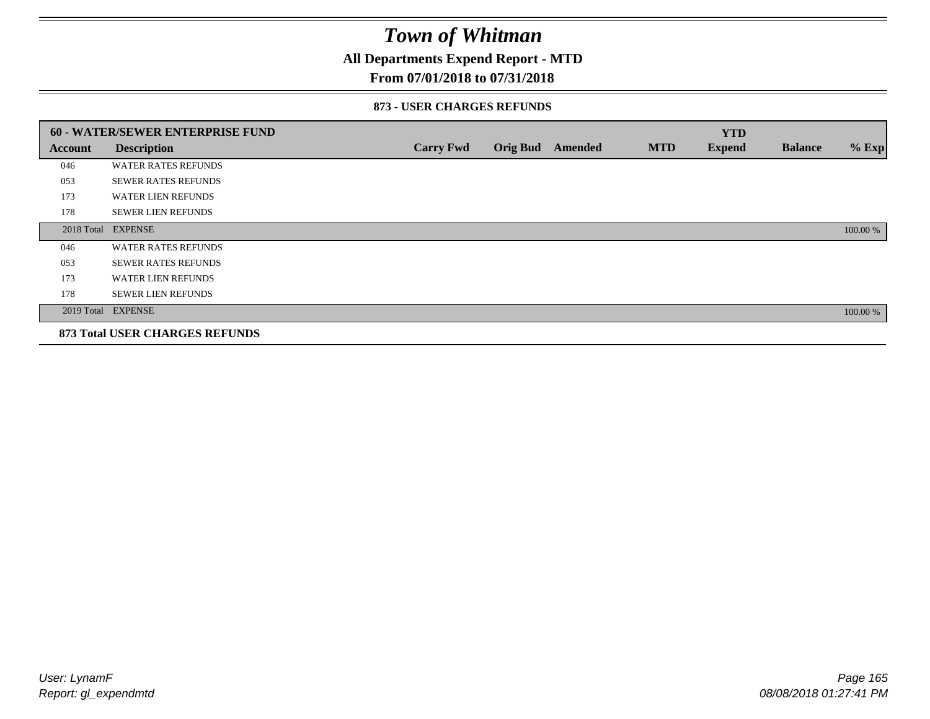### **All Departments Expend Report - MTD**

### **From 07/01/2018 to 07/31/2018**

#### **873 - USER CHARGES REFUNDS**

|         | 60 - WATER/SEWER ENTERPRISE FUND      |                  |                 |         |            | <b>YTD</b>    |                |          |
|---------|---------------------------------------|------------------|-----------------|---------|------------|---------------|----------------|----------|
| Account | <b>Description</b>                    | <b>Carry Fwd</b> | <b>Orig Bud</b> | Amended | <b>MTD</b> | <b>Expend</b> | <b>Balance</b> | $%$ Exp  |
| 046     | <b>WATER RATES REFUNDS</b>            |                  |                 |         |            |               |                |          |
| 053     | <b>SEWER RATES REFUNDS</b>            |                  |                 |         |            |               |                |          |
| 173     | <b>WATER LIEN REFUNDS</b>             |                  |                 |         |            |               |                |          |
| 178     | <b>SEWER LIEN REFUNDS</b>             |                  |                 |         |            |               |                |          |
|         | 2018 Total EXPENSE                    |                  |                 |         |            |               |                | 100.00 % |
| 046     | <b>WATER RATES REFUNDS</b>            |                  |                 |         |            |               |                |          |
| 053     | <b>SEWER RATES REFUNDS</b>            |                  |                 |         |            |               |                |          |
| 173     | <b>WATER LIEN REFUNDS</b>             |                  |                 |         |            |               |                |          |
| 178     | <b>SEWER LIEN REFUNDS</b>             |                  |                 |         |            |               |                |          |
|         | 2019 Total EXPENSE                    |                  |                 |         |            |               |                | 100.00 % |
|         | <b>873 Total USER CHARGES REFUNDS</b> |                  |                 |         |            |               |                |          |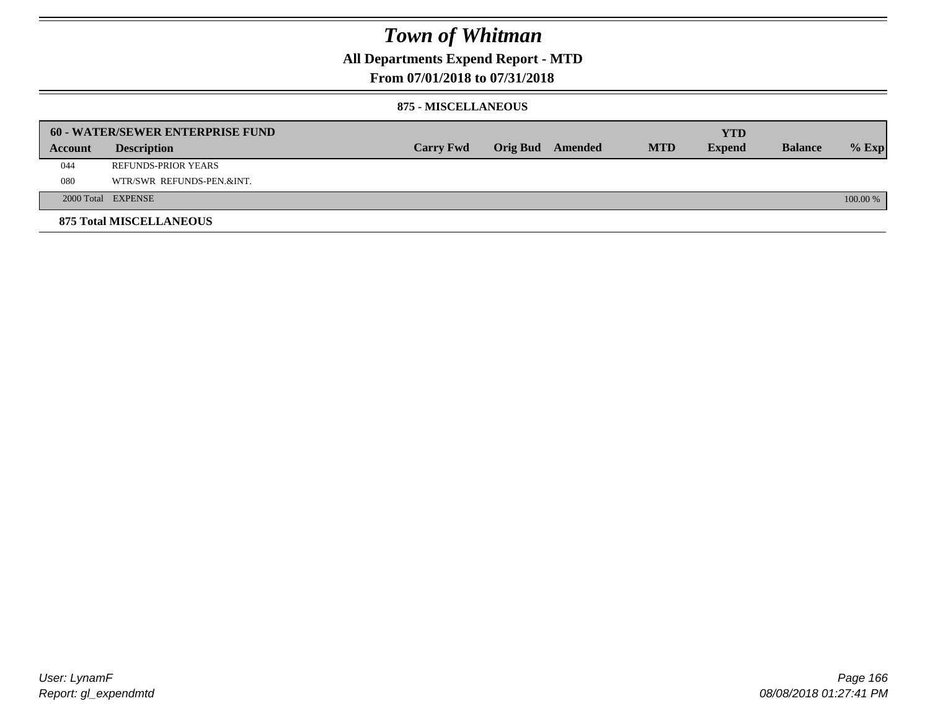### **All Departments Expend Report - MTD**

### **From 07/01/2018 to 07/31/2018**

#### **875 - MISCELLANEOUS**

|         | <b>60 - WATER/SEWER ENTERPRISE FUND</b> |                  |  |                  |            | <b>YTD</b>    |                |            |
|---------|-----------------------------------------|------------------|--|------------------|------------|---------------|----------------|------------|
| Account | <b>Description</b>                      | <b>Carry Fwd</b> |  | Orig Bud Amended | <b>MTD</b> | <b>Expend</b> | <b>Balance</b> | $%$ Exp    |
| 044     | REFUNDS-PRIOR YEARS                     |                  |  |                  |            |               |                |            |
| 080     | WTR/SWR REFUNDS-PEN.&INT.               |                  |  |                  |            |               |                |            |
|         | 2000 Total EXPENSE                      |                  |  |                  |            |               |                | $100.00\%$ |
|         | <b>875 Total MISCELLANEOUS</b>          |                  |  |                  |            |               |                |            |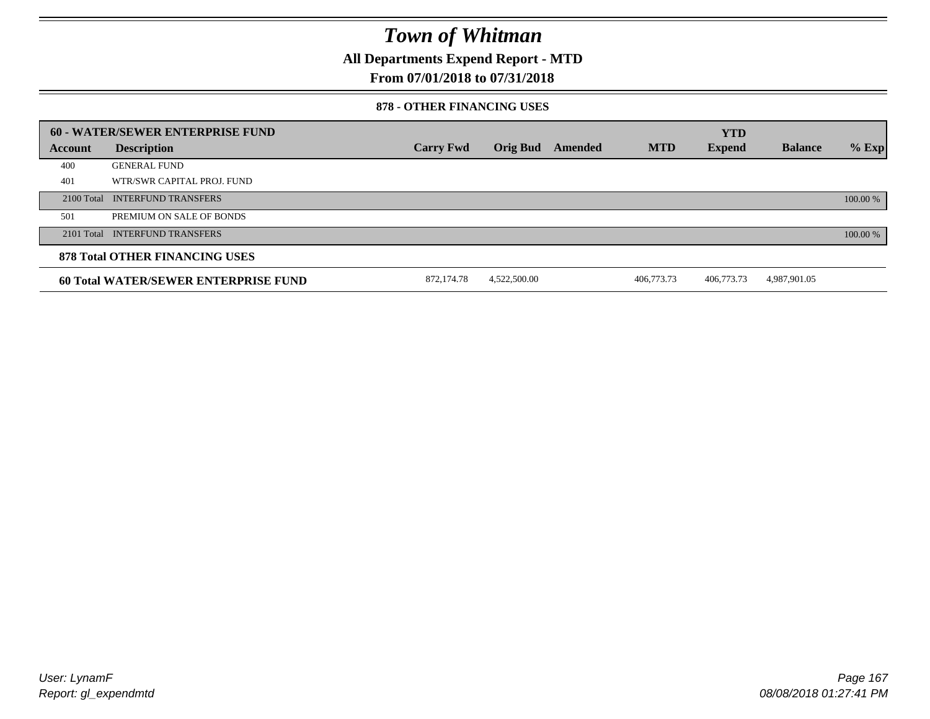**All Departments Expend Report - MTD**

### **From 07/01/2018 to 07/31/2018**

#### **878 - OTHER FINANCING USES**

|         | 60 - WATER/SEWER ENTERPRISE FUND            |                  |                 |         |            | <b>YTD</b>    |                |          |
|---------|---------------------------------------------|------------------|-----------------|---------|------------|---------------|----------------|----------|
| Account | <b>Description</b>                          | <b>Carry Fwd</b> | <b>Orig Bud</b> | Amended | <b>MTD</b> | <b>Expend</b> | <b>Balance</b> | $%$ Exp  |
| 400     | <b>GENERAL FUND</b>                         |                  |                 |         |            |               |                |          |
| 401     | WTR/SWR CAPITAL PROJ. FUND                  |                  |                 |         |            |               |                |          |
|         | 2100 Total INTERFUND TRANSFERS              |                  |                 |         |            |               |                | 100.00 % |
| 501     | PREMIUM ON SALE OF BONDS                    |                  |                 |         |            |               |                |          |
|         | 2101 Total INTERFUND TRANSFERS              |                  |                 |         |            |               |                | 100.00 % |
|         | <b>878 Total OTHER FINANCING USES</b>       |                  |                 |         |            |               |                |          |
|         | <b>60 Total WATER/SEWER ENTERPRISE FUND</b> | 872.174.78       | 4,522,500.00    |         | 406,773.73 | 406,773.73    | 4,987,901.05   |          |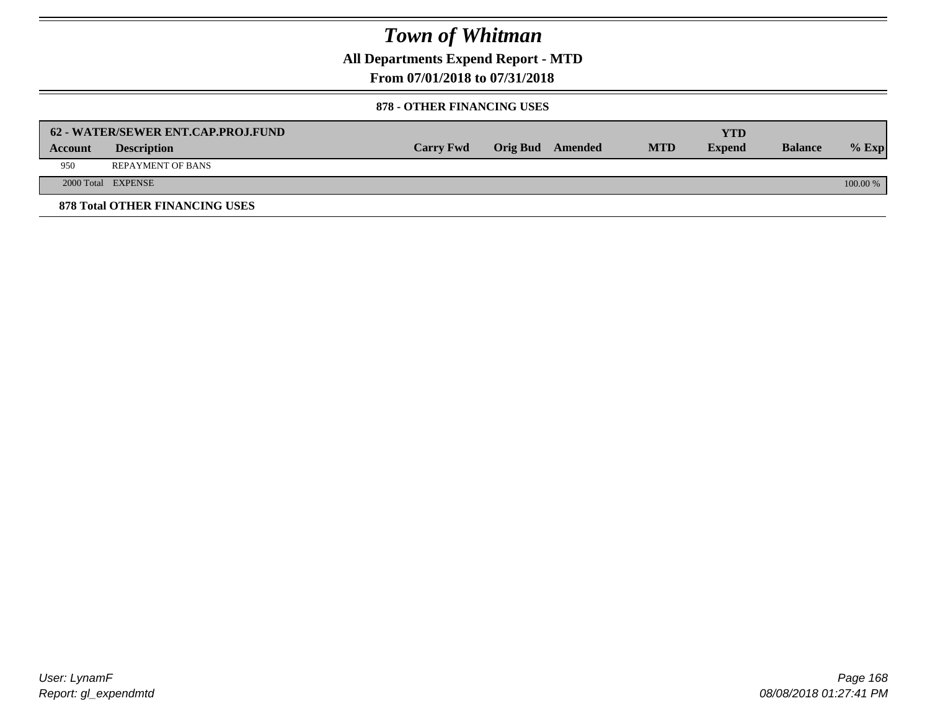**All Departments Expend Report - MTD**

### **From 07/01/2018 to 07/31/2018**

#### **878 - OTHER FINANCING USES**

|         | 62 - WATER/SEWER ENT.CAP.PROJ.FUND    |                  |                  |            | <b>YTD</b>    |                |            |
|---------|---------------------------------------|------------------|------------------|------------|---------------|----------------|------------|
| Account | <b>Description</b>                    | <b>Carry Fwd</b> | Orig Bud Amended | <b>MTD</b> | <b>Expend</b> | <b>Balance</b> | $%$ Exp    |
| 950     | <b>REPAYMENT OF BANS</b>              |                  |                  |            |               |                |            |
|         | 2000 Total EXPENSE                    |                  |                  |            |               |                | $100.00\%$ |
|         | <b>878 Total OTHER FINANCING USES</b> |                  |                  |            |               |                |            |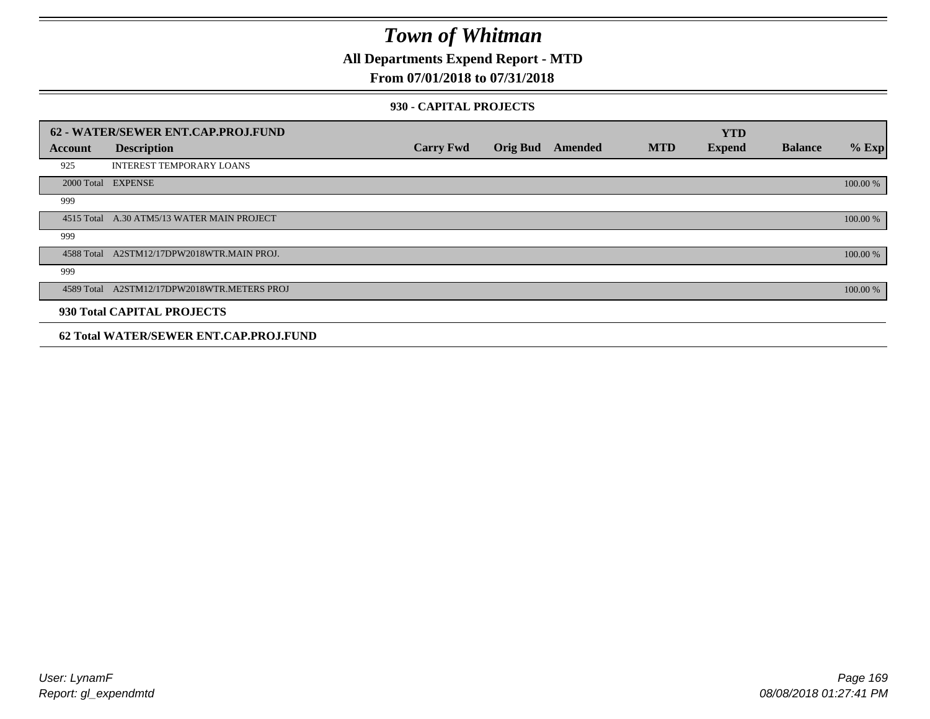**All Departments Expend Report - MTD**

### **From 07/01/2018 to 07/31/2018**

#### **930 - CAPITAL PROJECTS**

|         | 62 - WATER/SEWER ENT.CAP.PROJ.FUND          |                  |                 |         |            | <b>YTD</b>    |                |          |
|---------|---------------------------------------------|------------------|-----------------|---------|------------|---------------|----------------|----------|
| Account | <b>Description</b>                          | <b>Carry Fwd</b> | <b>Orig Bud</b> | Amended | <b>MTD</b> | <b>Expend</b> | <b>Balance</b> | $%$ Exp  |
| 925     | <b>INTEREST TEMPORARY LOANS</b>             |                  |                 |         |            |               |                |          |
|         | 2000 Total EXPENSE                          |                  |                 |         |            |               |                | 100.00 % |
| 999     |                                             |                  |                 |         |            |               |                |          |
|         | 4515 Total A.30 ATM5/13 WATER MAIN PROJECT  |                  |                 |         |            |               |                | 100.00 % |
| 999     |                                             |                  |                 |         |            |               |                |          |
|         | 4588 Total A2STM12/17DPW2018WTR.MAIN PROJ.  |                  |                 |         |            |               |                | 100.00 % |
| 999     |                                             |                  |                 |         |            |               |                |          |
|         | 4589 Total A2STM12/17DPW2018WTR.METERS PROJ |                  |                 |         |            |               |                | 100.00 % |
|         | 930 Total CAPITAL PROJECTS                  |                  |                 |         |            |               |                |          |
|         | 62 Total WATER/SEWER ENT.CAP.PROJ.FUND      |                  |                 |         |            |               |                |          |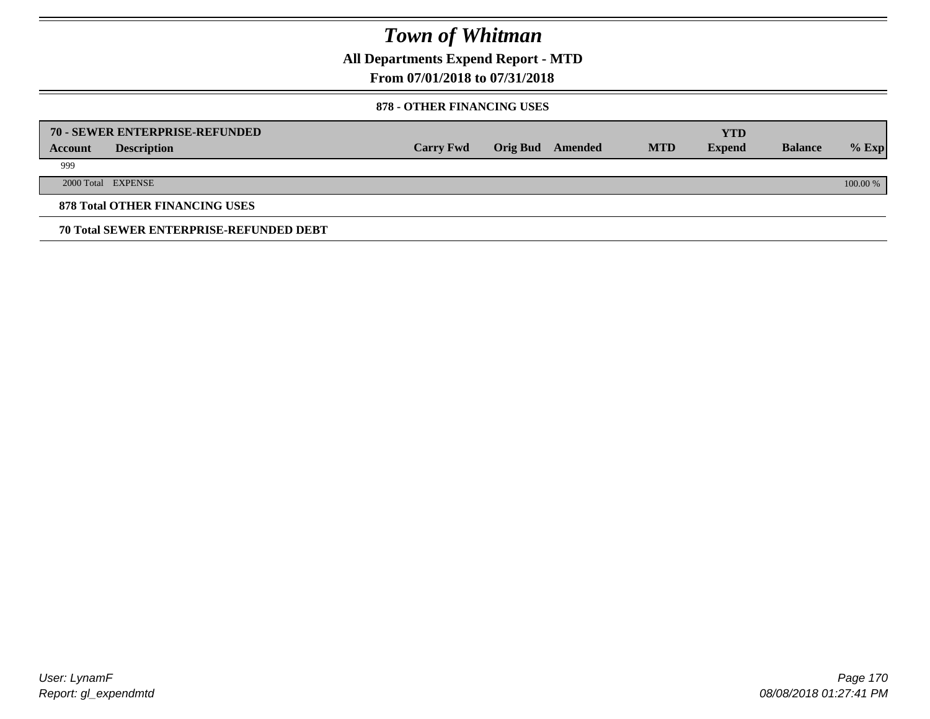**All Departments Expend Report - MTD**

### **From 07/01/2018 to 07/31/2018**

#### **878 - OTHER FINANCING USES**

|         | 70 - SEWER ENTERPRISE-REFUNDED                 |                  |                 |         |            | <b>YTD</b>    |                |          |
|---------|------------------------------------------------|------------------|-----------------|---------|------------|---------------|----------------|----------|
| Account | <b>Description</b>                             | <b>Carry Fwd</b> | <b>Orig Bud</b> | Amended | <b>MTD</b> | <b>Expend</b> | <b>Balance</b> | $%$ Exp  |
| 999     |                                                |                  |                 |         |            |               |                |          |
|         | 2000 Total EXPENSE                             |                  |                 |         |            |               |                | 100.00 % |
|         | <b>878 Total OTHER FINANCING USES</b>          |                  |                 |         |            |               |                |          |
|         | <b>70 Total SEWER ENTERPRISE-REFUNDED DEBT</b> |                  |                 |         |            |               |                |          |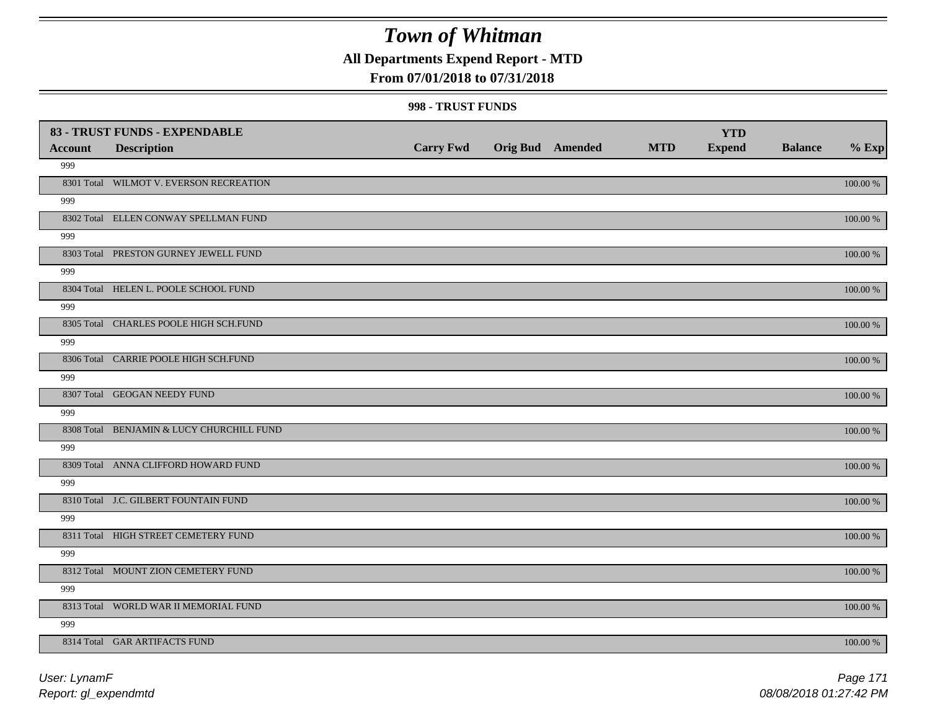**All Departments Expend Report - MTD**

### **From 07/01/2018 to 07/31/2018**

#### **998 - TRUST FUNDS**

| <b>Account</b> | 83 - TRUST FUNDS - EXPENDABLE<br><b>Description</b> | <b>Carry Fwd</b> | <b>Orig Bud</b> Amended | <b>MTD</b> | <b>YTD</b><br><b>Expend</b> | <b>Balance</b> | $%$ Exp     |
|----------------|-----------------------------------------------------|------------------|-------------------------|------------|-----------------------------|----------------|-------------|
| 999            |                                                     |                  |                         |            |                             |                |             |
|                | 8301 Total WILMOT V. EVERSON RECREATION             |                  |                         |            |                             |                | 100.00 %    |
| 999            |                                                     |                  |                         |            |                             |                |             |
|                | 8302 Total ELLEN CONWAY SPELLMAN FUND               |                  |                         |            |                             |                | 100.00 %    |
| 999            |                                                     |                  |                         |            |                             |                |             |
|                | 8303 Total PRESTON GURNEY JEWELL FUND               |                  |                         |            |                             |                | 100.00 %    |
| 999            |                                                     |                  |                         |            |                             |                |             |
|                | 8304 Total HELEN L. POOLE SCHOOL FUND               |                  |                         |            |                             |                | 100.00 %    |
| 999            |                                                     |                  |                         |            |                             |                |             |
|                | 8305 Total CHARLES POOLE HIGH SCH.FUND              |                  |                         |            |                             |                | 100.00 %    |
| 999            |                                                     |                  |                         |            |                             |                |             |
|                | 8306 Total CARRIE POOLE HIGH SCH.FUND               |                  |                         |            |                             |                | 100.00 %    |
| 999            |                                                     |                  |                         |            |                             |                |             |
|                | 8307 Total GEOGAN NEEDY FUND                        |                  |                         |            |                             |                | 100.00 %    |
| 999            |                                                     |                  |                         |            |                             |                |             |
|                | 8308 Total BENJAMIN & LUCY CHURCHILL FUND           |                  |                         |            |                             |                | 100.00 %    |
| 999            | 8309 Total ANNA CLIFFORD HOWARD FUND                |                  |                         |            |                             |                |             |
| 999            |                                                     |                  |                         |            |                             |                | 100.00 %    |
|                | 8310 Total J.C. GILBERT FOUNTAIN FUND               |                  |                         |            |                             |                | $100.00~\%$ |
| 999            |                                                     |                  |                         |            |                             |                |             |
|                | 8311 Total HIGH STREET CEMETERY FUND                |                  |                         |            |                             |                | $100.00~\%$ |
| 999            |                                                     |                  |                         |            |                             |                |             |
|                | 8312 Total MOUNT ZION CEMETERY FUND                 |                  |                         |            |                             |                | 100.00 %    |
| 999            |                                                     |                  |                         |            |                             |                |             |
|                | 8313 Total WORLD WAR II MEMORIAL FUND               |                  |                         |            |                             |                | 100.00 %    |
| 999            |                                                     |                  |                         |            |                             |                |             |
|                | 8314 Total GAR ARTIFACTS FUND                       |                  |                         |            |                             |                | 100.00 %    |
|                |                                                     |                  |                         |            |                             |                |             |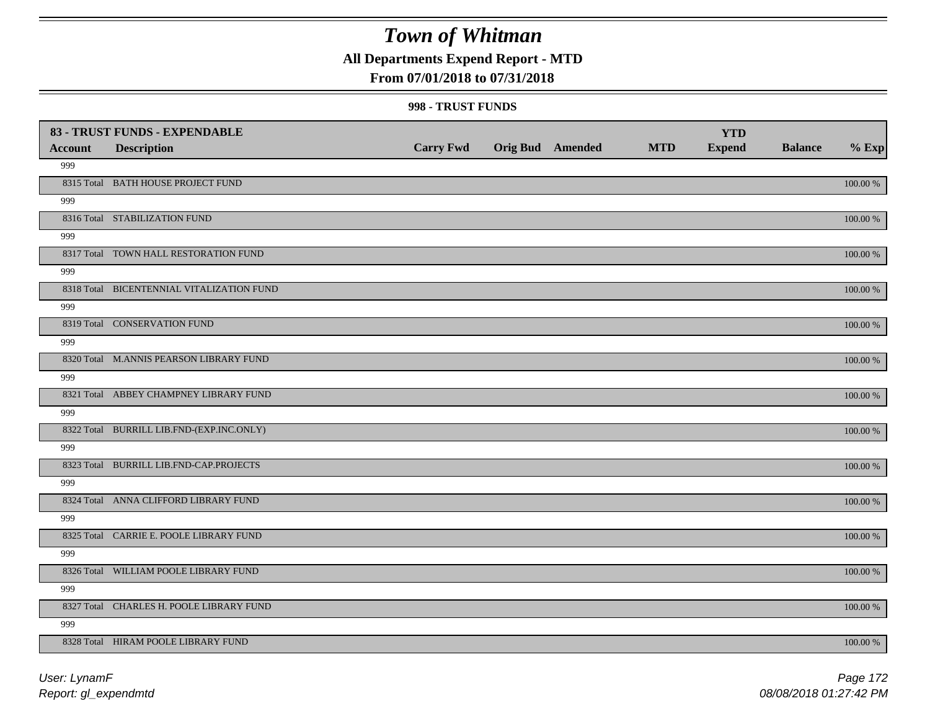**All Departments Expend Report - MTD**

### **From 07/01/2018 to 07/31/2018**

#### **998 - TRUST FUNDS**

|                | 83 - TRUST FUNDS - EXPENDABLE             |                  |                  |            | <b>YTD</b>    |                |             |
|----------------|-------------------------------------------|------------------|------------------|------------|---------------|----------------|-------------|
| <b>Account</b> | <b>Description</b>                        | <b>Carry Fwd</b> | Orig Bud Amended | <b>MTD</b> | <b>Expend</b> | <b>Balance</b> | $%$ Exp     |
| 999            |                                           |                  |                  |            |               |                |             |
|                | 8315 Total BATH HOUSE PROJECT FUND        |                  |                  |            |               |                | $100.00~\%$ |
| 999            |                                           |                  |                  |            |               |                |             |
|                | 8316 Total STABILIZATION FUND             |                  |                  |            |               |                | 100.00 %    |
| 999            |                                           |                  |                  |            |               |                |             |
|                | 8317 Total TOWN HALL RESTORATION FUND     |                  |                  |            |               |                | 100.00 %    |
| 999            |                                           |                  |                  |            |               |                |             |
|                | 8318 Total BICENTENNIAL VITALIZATION FUND |                  |                  |            |               |                | 100.00 %    |
| 999            |                                           |                  |                  |            |               |                |             |
|                | 8319 Total CONSERVATION FUND              |                  |                  |            |               |                | 100.00 %    |
| 999            |                                           |                  |                  |            |               |                |             |
|                | 8320 Total M.ANNIS PEARSON LIBRARY FUND   |                  |                  |            |               |                | 100.00 %    |
| 999            |                                           |                  |                  |            |               |                |             |
|                | 8321 Total ABBEY CHAMPNEY LIBRARY FUND    |                  |                  |            |               |                | 100.00 %    |
| 999            |                                           |                  |                  |            |               |                |             |
|                | 8322 Total BURRILL LIB.FND-(EXP.INC.ONLY) |                  |                  |            |               |                | $100.00~\%$ |
| 999            |                                           |                  |                  |            |               |                |             |
|                | 8323 Total BURRILL LIB.FND-CAP.PROJECTS   |                  |                  |            |               |                | $100.00~\%$ |
| 999            |                                           |                  |                  |            |               |                |             |
|                | 8324 Total ANNA CLIFFORD LIBRARY FUND     |                  |                  |            |               |                | 100.00 %    |
| 999            |                                           |                  |                  |            |               |                |             |
|                | 8325 Total CARRIE E. POOLE LIBRARY FUND   |                  |                  |            |               |                | 100.00 %    |
| 999            |                                           |                  |                  |            |               |                |             |
|                | 8326 Total WILLIAM POOLE LIBRARY FUND     |                  |                  |            |               |                | 100.00 %    |
| 999            |                                           |                  |                  |            |               |                |             |
|                | 8327 Total CHARLES H. POOLE LIBRARY FUND  |                  |                  |            |               |                | 100.00 %    |
| 999            |                                           |                  |                  |            |               |                |             |
|                | 8328 Total HIRAM POOLE LIBRARY FUND       |                  |                  |            |               |                | 100.00 %    |

*Report: gl\_expendmtd User: LynamF*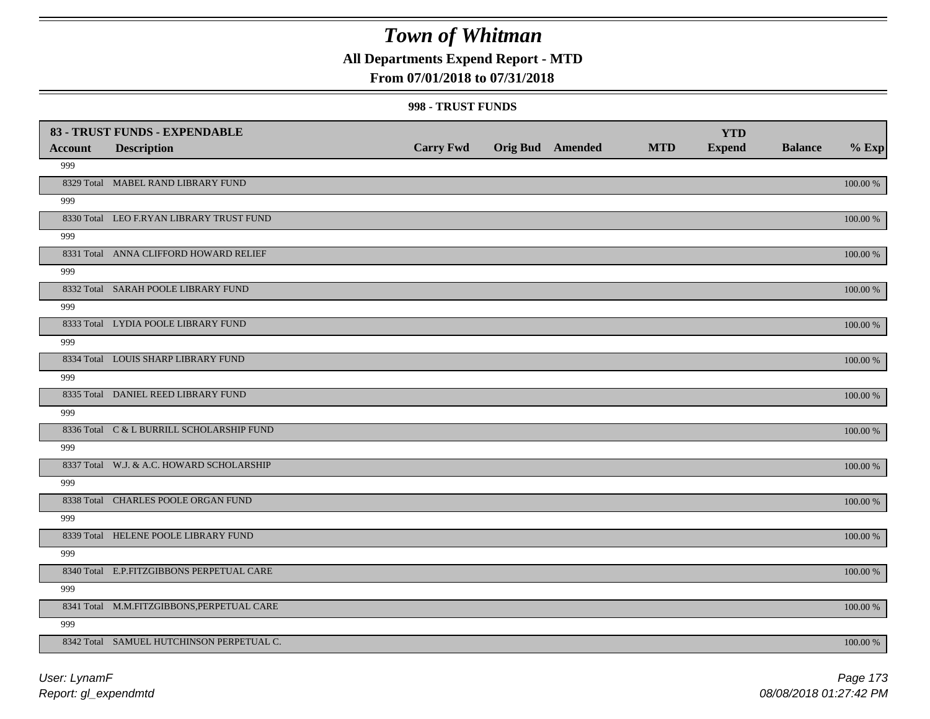**All Departments Expend Report - MTD**

### **From 07/01/2018 to 07/31/2018**

#### **998 - TRUST FUNDS**

| <b>Account</b> | 83 - TRUST FUNDS - EXPENDABLE<br><b>Description</b> | <b>Carry Fwd</b> | <b>Orig Bud</b> Amended | <b>MTD</b> | <b>YTD</b><br><b>Expend</b> | <b>Balance</b> | $%$ Exp     |
|----------------|-----------------------------------------------------|------------------|-------------------------|------------|-----------------------------|----------------|-------------|
| 999            |                                                     |                  |                         |            |                             |                |             |
|                | 8329 Total MABEL RAND LIBRARY FUND                  |                  |                         |            |                             |                | 100.00 %    |
| 999            |                                                     |                  |                         |            |                             |                |             |
|                | 8330 Total LEO F.RYAN LIBRARY TRUST FUND            |                  |                         |            |                             |                | 100.00 %    |
| 999            |                                                     |                  |                         |            |                             |                |             |
|                | 8331 Total ANNA CLIFFORD HOWARD RELIEF              |                  |                         |            |                             |                | 100.00 %    |
| 999            |                                                     |                  |                         |            |                             |                |             |
|                | 8332 Total SARAH POOLE LIBRARY FUND                 |                  |                         |            |                             |                | 100.00 %    |
| 999            |                                                     |                  |                         |            |                             |                |             |
|                | 8333 Total LYDIA POOLE LIBRARY FUND                 |                  |                         |            |                             |                | 100.00 %    |
| 999            |                                                     |                  |                         |            |                             |                |             |
|                | 8334 Total LOUIS SHARP LIBRARY FUND                 |                  |                         |            |                             |                | 100.00 %    |
| 999            |                                                     |                  |                         |            |                             |                |             |
|                | 8335 Total DANIEL REED LIBRARY FUND                 |                  |                         |            |                             |                | 100.00 %    |
| 999            |                                                     |                  |                         |            |                             |                |             |
|                | 8336 Total C & L BURRILL SCHOLARSHIP FUND           |                  |                         |            |                             |                | 100.00 %    |
| 999            |                                                     |                  |                         |            |                             |                |             |
|                | 8337 Total W.J. & A.C. HOWARD SCHOLARSHIP           |                  |                         |            |                             |                | 100.00 %    |
| 999            |                                                     |                  |                         |            |                             |                |             |
|                | 8338 Total CHARLES POOLE ORGAN FUND                 |                  |                         |            |                             |                | $100.00~\%$ |
| 999            |                                                     |                  |                         |            |                             |                |             |
|                | 8339 Total HELENE POOLE LIBRARY FUND                |                  |                         |            |                             |                | $100.00~\%$ |
| 999            |                                                     |                  |                         |            |                             |                |             |
|                | 8340 Total E.P.FITZGIBBONS PERPETUAL CARE           |                  |                         |            |                             |                | 100.00 %    |
| 999            |                                                     |                  |                         |            |                             |                |             |
|                | 8341 Total M.M.FITZGIBBONS, PERPETUAL CARE          |                  |                         |            |                             |                | 100.00 %    |
| 999            |                                                     |                  |                         |            |                             |                |             |
|                | 8342 Total SAMUEL HUTCHINSON PERPETUAL C.           |                  |                         |            |                             |                | 100.00 %    |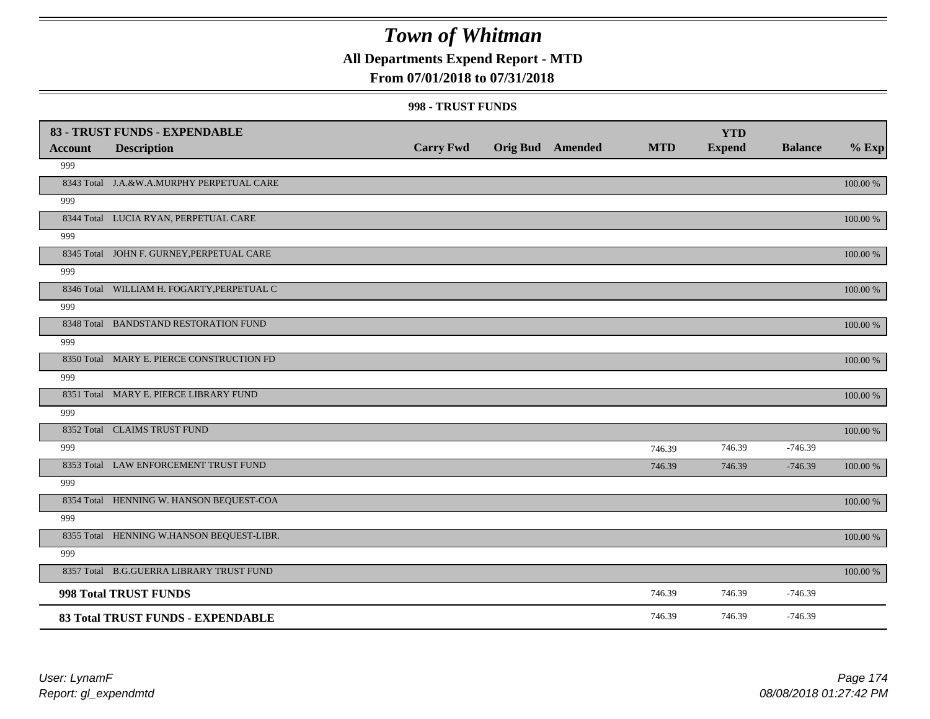### **All Departments Expend Report - MTD**

### **From 07/01/2018 to 07/31/2018**

#### **998 - TRUST FUNDS**

|                | 83 - TRUST FUNDS - EXPENDABLE              |                  |                         |            | <b>YTD</b>    |                |             |
|----------------|--------------------------------------------|------------------|-------------------------|------------|---------------|----------------|-------------|
| <b>Account</b> | <b>Description</b>                         | <b>Carry Fwd</b> | <b>Orig Bud</b> Amended | <b>MTD</b> | <b>Expend</b> | <b>Balance</b> | $%$ Exp     |
| 999            |                                            |                  |                         |            |               |                |             |
|                | 8343 Total J.A.&W.A.MURPHY PERPETUAL CARE  |                  |                         |            |               |                | 100.00 %    |
| 999            |                                            |                  |                         |            |               |                |             |
|                | 8344 Total LUCIA RYAN, PERPETUAL CARE      |                  |                         |            |               |                | 100.00 %    |
| 999            |                                            |                  |                         |            |               |                |             |
|                | 8345 Total JOHN F. GURNEY, PERPETUAL CARE  |                  |                         |            |               |                | 100.00 %    |
| 999            |                                            |                  |                         |            |               |                |             |
|                | 8346 Total WILLIAM H. FOGARTY, PERPETUAL C |                  |                         |            |               |                | 100.00 %    |
| 999            |                                            |                  |                         |            |               |                |             |
|                | 8348 Total BANDSTAND RESTORATION FUND      |                  |                         |            |               |                | 100.00 %    |
| 999            |                                            |                  |                         |            |               |                |             |
|                | 8350 Total MARY E. PIERCE CONSTRUCTION FD  |                  |                         |            |               |                | 100.00 %    |
| 999            |                                            |                  |                         |            |               |                |             |
|                | 8351 Total MARY E. PIERCE LIBRARY FUND     |                  |                         |            |               |                | 100.00 %    |
| 999            |                                            |                  |                         |            |               |                |             |
|                | 8352 Total CLAIMS TRUST FUND               |                  |                         |            |               |                | 100.00 %    |
| 999            |                                            |                  |                         | 746.39     | 746.39        | $-746.39$      |             |
|                | 8353 Total LAW ENFORCEMENT TRUST FUND      |                  |                         | 746.39     | 746.39        | $-746.39$      | 100.00 %    |
| 999            |                                            |                  |                         |            |               |                |             |
|                | 8354 Total HENNING W. HANSON BEQUEST-COA   |                  |                         |            |               |                | 100.00 %    |
| 999            |                                            |                  |                         |            |               |                |             |
|                | 8355 Total HENNING W.HANSON BEQUEST-LIBR.  |                  |                         |            |               |                | 100.00 %    |
| 999            |                                            |                  |                         |            |               |                |             |
|                | 8357 Total B.G.GUERRA LIBRARY TRUST FUND   |                  |                         |            |               |                | $100.00~\%$ |
|                | 998 Total TRUST FUNDS                      |                  |                         | 746.39     | 746.39        | $-746.39$      |             |
|                | 83 Total TRUST FUNDS - EXPENDABLE          |                  |                         | 746.39     | 746.39        | $-746.39$      |             |

*Report: gl\_expendmtd User: LynamF*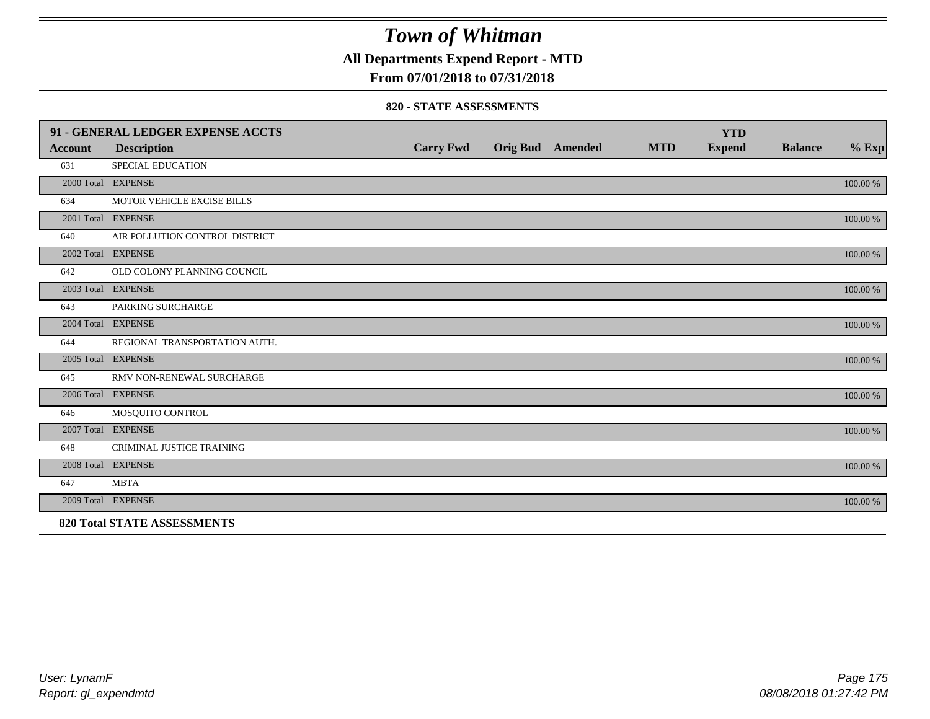**All Departments Expend Report - MTD**

### **From 07/01/2018 to 07/31/2018**

#### **820 - STATE ASSESSMENTS**

|                | 91 - GENERAL LEDGER EXPENSE ACCTS  |                  |                         |            | <b>YTD</b>    |                |          |
|----------------|------------------------------------|------------------|-------------------------|------------|---------------|----------------|----------|
| <b>Account</b> | <b>Description</b>                 | <b>Carry Fwd</b> | <b>Orig Bud</b> Amended | <b>MTD</b> | <b>Expend</b> | <b>Balance</b> | $%$ Exp  |
| 631            | <b>SPECIAL EDUCATION</b>           |                  |                         |            |               |                |          |
|                | 2000 Total EXPENSE                 |                  |                         |            |               |                | 100.00 % |
| 634            | MOTOR VEHICLE EXCISE BILLS         |                  |                         |            |               |                |          |
|                | 2001 Total EXPENSE                 |                  |                         |            |               |                | 100.00 % |
| 640            | AIR POLLUTION CONTROL DISTRICT     |                  |                         |            |               |                |          |
|                | 2002 Total EXPENSE                 |                  |                         |            |               |                | 100.00 % |
| 642            | OLD COLONY PLANNING COUNCIL        |                  |                         |            |               |                |          |
|                | 2003 Total EXPENSE                 |                  |                         |            |               |                | 100.00 % |
| 643            | PARKING SURCHARGE                  |                  |                         |            |               |                |          |
|                | 2004 Total EXPENSE                 |                  |                         |            |               |                | 100.00 % |
| 644            | REGIONAL TRANSPORTATION AUTH.      |                  |                         |            |               |                |          |
|                | 2005 Total EXPENSE                 |                  |                         |            |               |                | 100.00 % |
| 645            | RMV NON-RENEWAL SURCHARGE          |                  |                         |            |               |                |          |
|                | 2006 Total EXPENSE                 |                  |                         |            |               |                | 100.00 % |
| 646            | MOSQUITO CONTROL                   |                  |                         |            |               |                |          |
|                | 2007 Total EXPENSE                 |                  |                         |            |               |                | 100.00 % |
| 648            | CRIMINAL JUSTICE TRAINING          |                  |                         |            |               |                |          |
|                | 2008 Total EXPENSE                 |                  |                         |            |               |                | 100.00 % |
| 647            | <b>MBTA</b>                        |                  |                         |            |               |                |          |
|                | 2009 Total EXPENSE                 |                  |                         |            |               |                | 100.00 % |
|                | <b>820 Total STATE ASSESSMENTS</b> |                  |                         |            |               |                |          |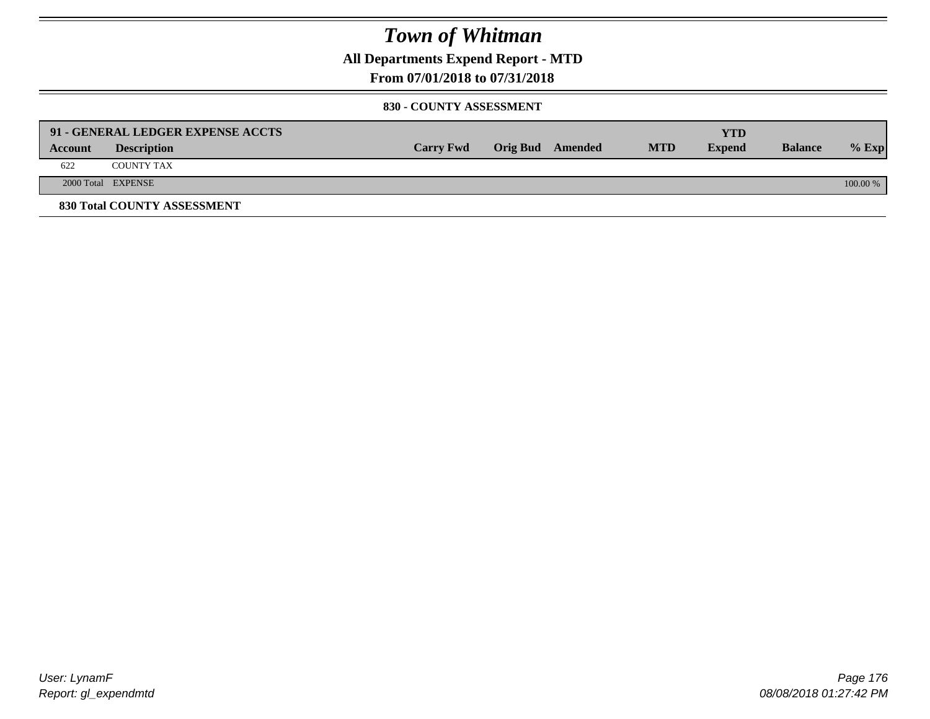**All Departments Expend Report - MTD**

### **From 07/01/2018 to 07/31/2018**

#### **830 - COUNTY ASSESSMENT**

|         | 91 - GENERAL LEDGER EXPENSE ACCTS |                  |                         |            | YTD           |                |            |
|---------|-----------------------------------|------------------|-------------------------|------------|---------------|----------------|------------|
| Account | <b>Description</b>                | <b>Carry Fwd</b> | <b>Orig Bud</b> Amended | <b>MTD</b> | <b>Expend</b> | <b>Balance</b> | $%$ Exp    |
| 622     | <b>COUNTY TAX</b>                 |                  |                         |            |               |                |            |
|         | 2000 Total EXPENSE                |                  |                         |            |               |                | $100.00\%$ |
|         | 830 Total COUNTY ASSESSMENT       |                  |                         |            |               |                |            |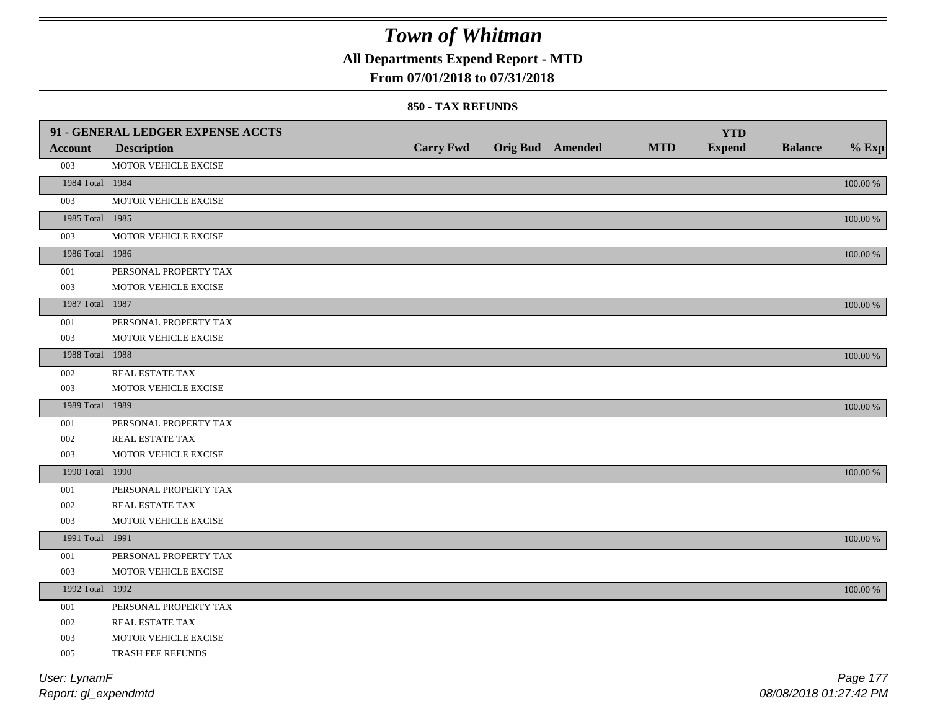**All Departments Expend Report - MTD**

### **From 07/01/2018 to 07/31/2018**

#### **850 - TAX REFUNDS**

|                 | 91 - GENERAL LEDGER EXPENSE ACCTS |                  |                         |            | <b>YTD</b>    |                |             |
|-----------------|-----------------------------------|------------------|-------------------------|------------|---------------|----------------|-------------|
| <b>Account</b>  | <b>Description</b>                | <b>Carry Fwd</b> | <b>Orig Bud</b> Amended | <b>MTD</b> | <b>Expend</b> | <b>Balance</b> | $%$ Exp     |
| 003             | MOTOR VEHICLE EXCISE              |                  |                         |            |               |                |             |
| 1984 Total 1984 |                                   |                  |                         |            |               |                | $100.00~\%$ |
| 003             | MOTOR VEHICLE EXCISE              |                  |                         |            |               |                |             |
| 1985 Total 1985 |                                   |                  |                         |            |               |                | 100.00 %    |
| 003             | MOTOR VEHICLE EXCISE              |                  |                         |            |               |                |             |
| 1986 Total 1986 |                                   |                  |                         |            |               |                | 100.00 %    |
| 001             | PERSONAL PROPERTY TAX             |                  |                         |            |               |                |             |
| 003             | MOTOR VEHICLE EXCISE              |                  |                         |            |               |                |             |
| 1987 Total 1987 |                                   |                  |                         |            |               |                | 100.00 %    |
| 001             | PERSONAL PROPERTY TAX             |                  |                         |            |               |                |             |
| 003             | MOTOR VEHICLE EXCISE              |                  |                         |            |               |                |             |
| 1988 Total 1988 |                                   |                  |                         |            |               |                | 100.00 %    |
| 002             | <b>REAL ESTATE TAX</b>            |                  |                         |            |               |                |             |
| 003             | MOTOR VEHICLE EXCISE              |                  |                         |            |               |                |             |
| 1989 Total 1989 |                                   |                  |                         |            |               |                | 100.00 %    |
| 001             | PERSONAL PROPERTY TAX             |                  |                         |            |               |                |             |
| 002             | <b>REAL ESTATE TAX</b>            |                  |                         |            |               |                |             |
| 003             | MOTOR VEHICLE EXCISE              |                  |                         |            |               |                |             |
| 1990 Total 1990 |                                   |                  |                         |            |               |                | 100.00 %    |
| $001\,$         | PERSONAL PROPERTY TAX             |                  |                         |            |               |                |             |
| 002             | REAL ESTATE TAX                   |                  |                         |            |               |                |             |
| 003             | MOTOR VEHICLE EXCISE              |                  |                         |            |               |                |             |
| 1991 Total 1991 |                                   |                  |                         |            |               |                | 100.00 %    |
| 001             | PERSONAL PROPERTY TAX             |                  |                         |            |               |                |             |
| 003             | MOTOR VEHICLE EXCISE              |                  |                         |            |               |                |             |
| 1992 Total 1992 |                                   |                  |                         |            |               |                | 100.00 %    |
| 001             | PERSONAL PROPERTY TAX             |                  |                         |            |               |                |             |
| 002             | <b>REAL ESTATE TAX</b>            |                  |                         |            |               |                |             |
| 003             | MOTOR VEHICLE EXCISE              |                  |                         |            |               |                |             |
| 005             | TRASH FEE REFUNDS                 |                  |                         |            |               |                |             |
| User: LynamF    |                                   |                  |                         |            |               |                | Page 177    |
|                 |                                   |                  |                         |            |               |                |             |

*Report: gl\_expendmtd*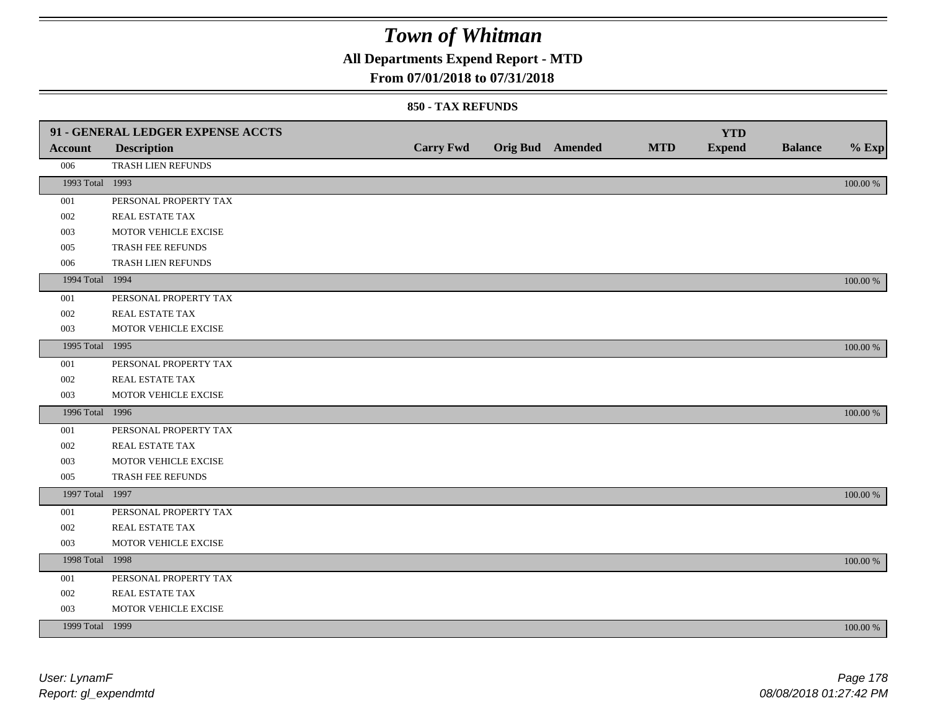**All Departments Expend Report - MTD**

### **From 07/01/2018 to 07/31/2018**

|                 | 91 - GENERAL LEDGER EXPENSE ACCTS |                  |                         |            | <b>YTD</b>    |                |          |
|-----------------|-----------------------------------|------------------|-------------------------|------------|---------------|----------------|----------|
| Account         | <b>Description</b>                | <b>Carry Fwd</b> | <b>Orig Bud</b> Amended | <b>MTD</b> | <b>Expend</b> | <b>Balance</b> | $%$ Exp  |
| 006             | TRASH LIEN REFUNDS                |                  |                         |            |               |                |          |
| 1993 Total 1993 |                                   |                  |                         |            |               |                | 100.00 % |
| 001             | PERSONAL PROPERTY TAX             |                  |                         |            |               |                |          |
| 002             | REAL ESTATE TAX                   |                  |                         |            |               |                |          |
| 003             | MOTOR VEHICLE EXCISE              |                  |                         |            |               |                |          |
| 005             | TRASH FEE REFUNDS                 |                  |                         |            |               |                |          |
| 006             | TRASH LIEN REFUNDS                |                  |                         |            |               |                |          |
| 1994 Total 1994 |                                   |                  |                         |            |               |                | 100.00 % |
| 001             | PERSONAL PROPERTY TAX             |                  |                         |            |               |                |          |
| 002             | REAL ESTATE TAX                   |                  |                         |            |               |                |          |
| 003             | MOTOR VEHICLE EXCISE              |                  |                         |            |               |                |          |
| 1995 Total 1995 |                                   |                  |                         |            |               |                | 100.00 % |
| 001             | PERSONAL PROPERTY TAX             |                  |                         |            |               |                |          |
| 002             | REAL ESTATE TAX                   |                  |                         |            |               |                |          |
| 003             | MOTOR VEHICLE EXCISE              |                  |                         |            |               |                |          |
| 1996 Total 1996 |                                   |                  |                         |            |               |                | 100.00 % |
| 001             | PERSONAL PROPERTY TAX             |                  |                         |            |               |                |          |
| 002             | REAL ESTATE TAX                   |                  |                         |            |               |                |          |
| 003             | MOTOR VEHICLE EXCISE              |                  |                         |            |               |                |          |
| 005             | TRASH FEE REFUNDS                 |                  |                         |            |               |                |          |
| 1997 Total 1997 |                                   |                  |                         |            |               |                | 100.00 % |
| 001             | PERSONAL PROPERTY TAX             |                  |                         |            |               |                |          |
| 002             | REAL ESTATE TAX                   |                  |                         |            |               |                |          |
| 003             | MOTOR VEHICLE EXCISE              |                  |                         |            |               |                |          |
| 1998 Total 1998 |                                   |                  |                         |            |               |                | 100.00 % |
| 001             | PERSONAL PROPERTY TAX             |                  |                         |            |               |                |          |
| 002             | REAL ESTATE TAX                   |                  |                         |            |               |                |          |
| 003             | MOTOR VEHICLE EXCISE              |                  |                         |            |               |                |          |
| 1999 Total 1999 |                                   |                  |                         |            |               |                | 100.00 % |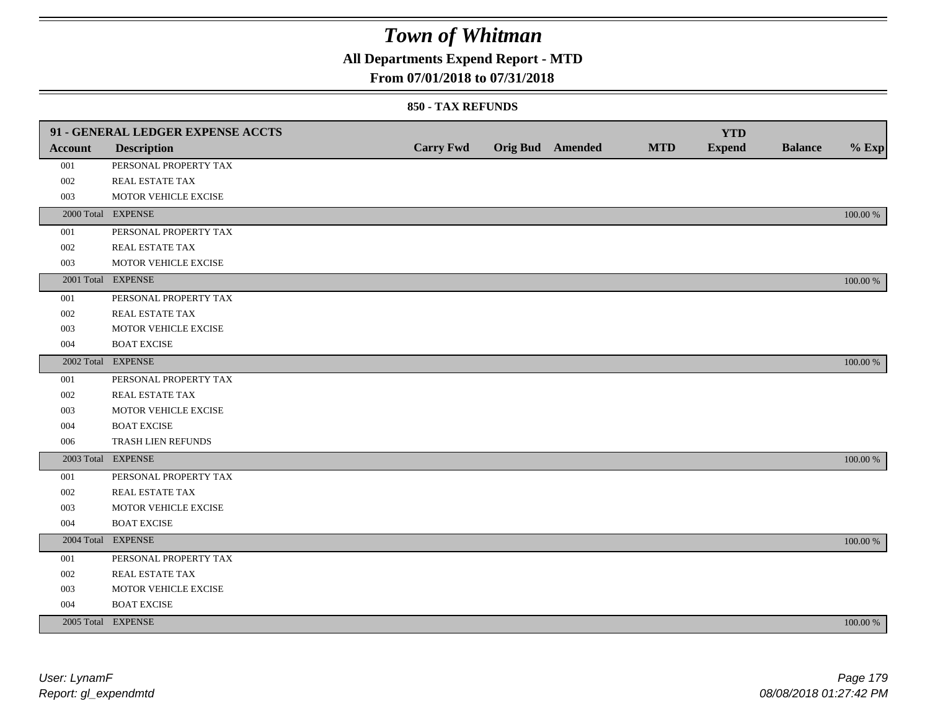### **All Departments Expend Report - MTD**

#### **From 07/01/2018 to 07/31/2018**

|                | 91 - GENERAL LEDGER EXPENSE ACCTS |                  |                         |            | <b>YTD</b>    |                |             |
|----------------|-----------------------------------|------------------|-------------------------|------------|---------------|----------------|-------------|
| <b>Account</b> | <b>Description</b>                | <b>Carry Fwd</b> | <b>Orig Bud</b> Amended | <b>MTD</b> | <b>Expend</b> | <b>Balance</b> | $%$ Exp     |
| 001            | PERSONAL PROPERTY TAX             |                  |                         |            |               |                |             |
| 002            | <b>REAL ESTATE TAX</b>            |                  |                         |            |               |                |             |
| 003            | MOTOR VEHICLE EXCISE              |                  |                         |            |               |                |             |
|                | 2000 Total EXPENSE                |                  |                         |            |               |                | 100.00 %    |
| 001            | PERSONAL PROPERTY TAX             |                  |                         |            |               |                |             |
| 002            | REAL ESTATE TAX                   |                  |                         |            |               |                |             |
| 003            | MOTOR VEHICLE EXCISE              |                  |                         |            |               |                |             |
|                | 2001 Total EXPENSE                |                  |                         |            |               |                | 100.00 %    |
| 001            | PERSONAL PROPERTY TAX             |                  |                         |            |               |                |             |
| 002            | REAL ESTATE TAX                   |                  |                         |            |               |                |             |
| 003            | MOTOR VEHICLE EXCISE              |                  |                         |            |               |                |             |
| 004            | <b>BOAT EXCISE</b>                |                  |                         |            |               |                |             |
|                | 2002 Total EXPENSE                |                  |                         |            |               |                | 100.00 %    |
| 001            | PERSONAL PROPERTY TAX             |                  |                         |            |               |                |             |
| 002            | REAL ESTATE TAX                   |                  |                         |            |               |                |             |
| 003            | MOTOR VEHICLE EXCISE              |                  |                         |            |               |                |             |
| 004            | <b>BOAT EXCISE</b>                |                  |                         |            |               |                |             |
| 006            | TRASH LIEN REFUNDS                |                  |                         |            |               |                |             |
|                | 2003 Total EXPENSE                |                  |                         |            |               |                | 100.00 %    |
| 001            | PERSONAL PROPERTY TAX             |                  |                         |            |               |                |             |
| 002            | REAL ESTATE TAX                   |                  |                         |            |               |                |             |
| 003            | MOTOR VEHICLE EXCISE              |                  |                         |            |               |                |             |
| 004            | <b>BOAT EXCISE</b>                |                  |                         |            |               |                |             |
|                | 2004 Total EXPENSE                |                  |                         |            |               |                | 100.00 %    |
| 001            | PERSONAL PROPERTY TAX             |                  |                         |            |               |                |             |
| 002            | REAL ESTATE TAX                   |                  |                         |            |               |                |             |
| 003            | MOTOR VEHICLE EXCISE              |                  |                         |            |               |                |             |
| 004            | <b>BOAT EXCISE</b>                |                  |                         |            |               |                |             |
|                | 2005 Total EXPENSE                |                  |                         |            |               |                | $100.00~\%$ |
|                |                                   |                  |                         |            |               |                |             |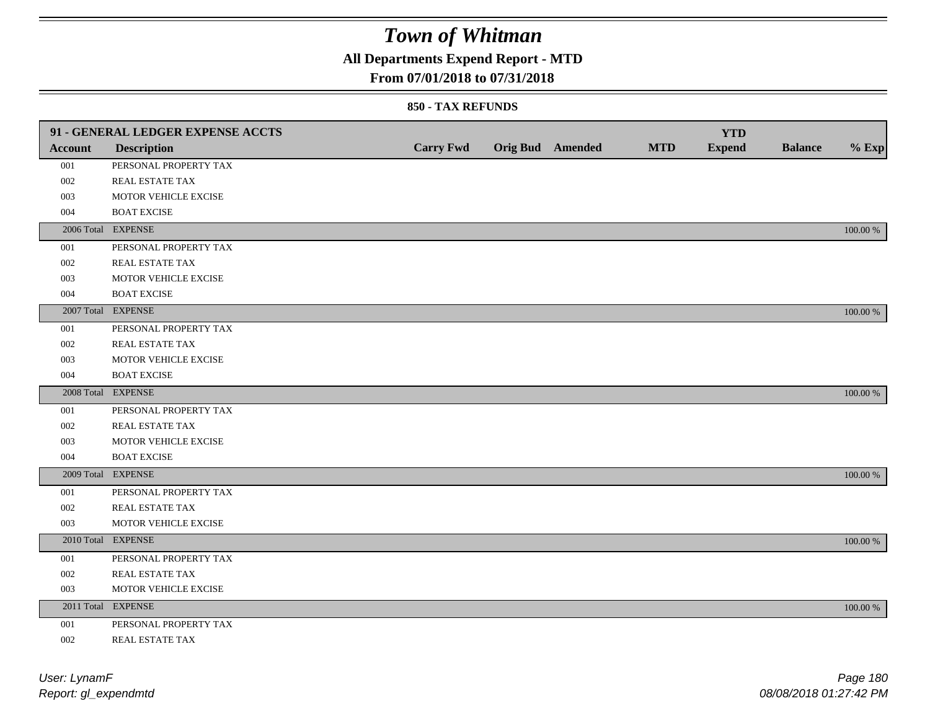## **All Departments Expend Report - MTD**

#### **From 07/01/2018 to 07/31/2018**

|         | 91 - GENERAL LEDGER EXPENSE ACCTS |                  |                         |            | <b>YTD</b>    |                |             |
|---------|-----------------------------------|------------------|-------------------------|------------|---------------|----------------|-------------|
| Account | <b>Description</b>                | <b>Carry Fwd</b> | <b>Orig Bud</b> Amended | <b>MTD</b> | <b>Expend</b> | <b>Balance</b> | $%$ Exp     |
| 001     | PERSONAL PROPERTY TAX             |                  |                         |            |               |                |             |
| 002     | REAL ESTATE TAX                   |                  |                         |            |               |                |             |
| 003     | MOTOR VEHICLE EXCISE              |                  |                         |            |               |                |             |
| 004     | <b>BOAT EXCISE</b>                |                  |                         |            |               |                |             |
|         | 2006 Total EXPENSE                |                  |                         |            |               |                | 100.00 %    |
| 001     | PERSONAL PROPERTY TAX             |                  |                         |            |               |                |             |
| 002     | REAL ESTATE TAX                   |                  |                         |            |               |                |             |
| 003     | MOTOR VEHICLE EXCISE              |                  |                         |            |               |                |             |
| 004     | <b>BOAT EXCISE</b>                |                  |                         |            |               |                |             |
|         | 2007 Total EXPENSE                |                  |                         |            |               |                | 100.00 %    |
| 001     | PERSONAL PROPERTY TAX             |                  |                         |            |               |                |             |
| 002     | REAL ESTATE TAX                   |                  |                         |            |               |                |             |
| 003     | MOTOR VEHICLE EXCISE              |                  |                         |            |               |                |             |
| 004     | <b>BOAT EXCISE</b>                |                  |                         |            |               |                |             |
|         | 2008 Total EXPENSE                |                  |                         |            |               |                | 100.00 %    |
| 001     | PERSONAL PROPERTY TAX             |                  |                         |            |               |                |             |
| 002     | <b>REAL ESTATE TAX</b>            |                  |                         |            |               |                |             |
| 003     | MOTOR VEHICLE EXCISE              |                  |                         |            |               |                |             |
| 004     | <b>BOAT EXCISE</b>                |                  |                         |            |               |                |             |
|         | 2009 Total EXPENSE                |                  |                         |            |               |                | 100.00 %    |
| 001     | PERSONAL PROPERTY TAX             |                  |                         |            |               |                |             |
| 002     | REAL ESTATE TAX                   |                  |                         |            |               |                |             |
| 003     | MOTOR VEHICLE EXCISE              |                  |                         |            |               |                |             |
|         | 2010 Total EXPENSE                |                  |                         |            |               |                | 100.00 %    |
| 001     | PERSONAL PROPERTY TAX             |                  |                         |            |               |                |             |
| 002     | REAL ESTATE TAX                   |                  |                         |            |               |                |             |
| 003     | MOTOR VEHICLE EXCISE              |                  |                         |            |               |                |             |
|         | 2011 Total EXPENSE                |                  |                         |            |               |                | $100.00~\%$ |
| 001     | PERSONAL PROPERTY TAX             |                  |                         |            |               |                |             |
| 002     | REAL ESTATE TAX                   |                  |                         |            |               |                |             |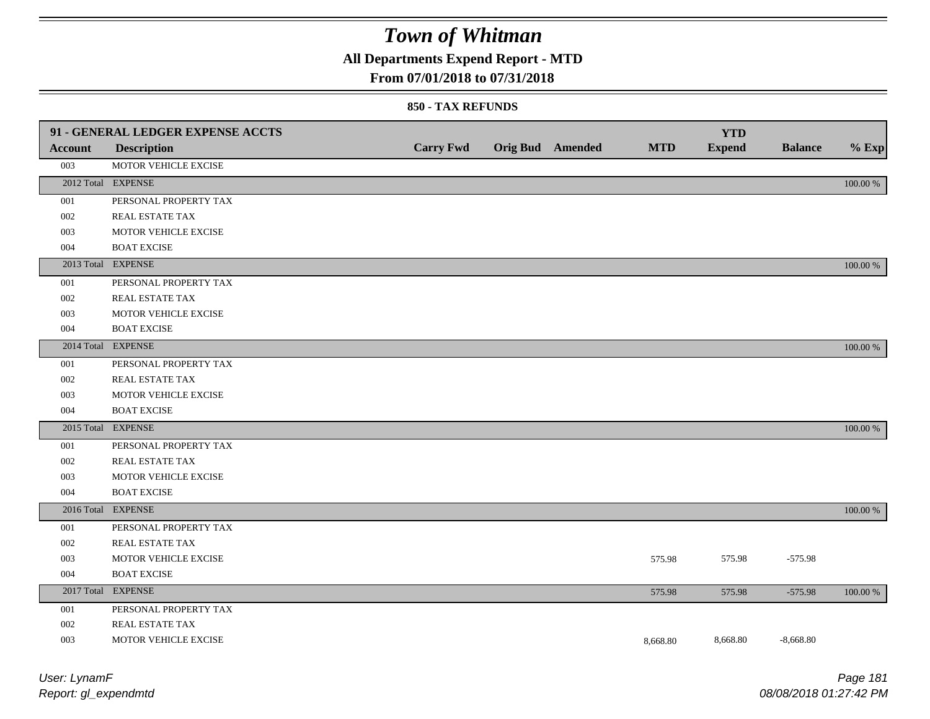## **All Departments Expend Report - MTD**

### **From 07/01/2018 to 07/31/2018**

#### **850 - TAX REFUNDS**

|                | 91 - GENERAL LEDGER EXPENSE ACCTS |                  |                         |            | <b>YTD</b>    |                |          |
|----------------|-----------------------------------|------------------|-------------------------|------------|---------------|----------------|----------|
| <b>Account</b> | <b>Description</b>                | <b>Carry Fwd</b> | <b>Orig Bud</b> Amended | <b>MTD</b> | <b>Expend</b> | <b>Balance</b> | $%$ Exp  |
| 003            | MOTOR VEHICLE EXCISE              |                  |                         |            |               |                |          |
|                | 2012 Total EXPENSE                |                  |                         |            |               |                | 100.00 % |
| 001            | PERSONAL PROPERTY TAX             |                  |                         |            |               |                |          |
| 002            | REAL ESTATE TAX                   |                  |                         |            |               |                |          |
| 003            | MOTOR VEHICLE EXCISE              |                  |                         |            |               |                |          |
| 004            | <b>BOAT EXCISE</b>                |                  |                         |            |               |                |          |
|                | 2013 Total EXPENSE                |                  |                         |            |               |                | 100.00 % |
| 001            | PERSONAL PROPERTY TAX             |                  |                         |            |               |                |          |
| 002            | REAL ESTATE TAX                   |                  |                         |            |               |                |          |
| 003            | MOTOR VEHICLE EXCISE              |                  |                         |            |               |                |          |
| 004            | <b>BOAT EXCISE</b>                |                  |                         |            |               |                |          |
|                | 2014 Total EXPENSE                |                  |                         |            |               |                | 100.00 % |
| 001            | PERSONAL PROPERTY TAX             |                  |                         |            |               |                |          |
| 002            | REAL ESTATE TAX                   |                  |                         |            |               |                |          |
| 003            | MOTOR VEHICLE EXCISE              |                  |                         |            |               |                |          |
| 004            | <b>BOAT EXCISE</b>                |                  |                         |            |               |                |          |
|                | 2015 Total EXPENSE                |                  |                         |            |               |                | 100.00 % |
| 001            | PERSONAL PROPERTY TAX             |                  |                         |            |               |                |          |
| 002            | REAL ESTATE TAX                   |                  |                         |            |               |                |          |
| 003            | MOTOR VEHICLE EXCISE              |                  |                         |            |               |                |          |
| 004            | <b>BOAT EXCISE</b>                |                  |                         |            |               |                |          |
|                | 2016 Total EXPENSE                |                  |                         |            |               |                | 100.00 % |
| 001            | PERSONAL PROPERTY TAX             |                  |                         |            |               |                |          |
| 002            | REAL ESTATE TAX                   |                  |                         |            |               |                |          |
| 003            | MOTOR VEHICLE EXCISE              |                  |                         | 575.98     | 575.98        | $-575.98$      |          |
| 004            | <b>BOAT EXCISE</b>                |                  |                         |            |               |                |          |
|                | 2017 Total EXPENSE                |                  |                         | 575.98     | 575.98        | $-575.98$      | 100.00 % |
| 001            | PERSONAL PROPERTY TAX             |                  |                         |            |               |                |          |
| 002            | REAL ESTATE TAX                   |                  |                         |            |               |                |          |
| 003            | MOTOR VEHICLE EXCISE              |                  |                         | 8,668.80   | 8,668.80      | $-8,668.80$    |          |
|                |                                   |                  |                         |            |               |                |          |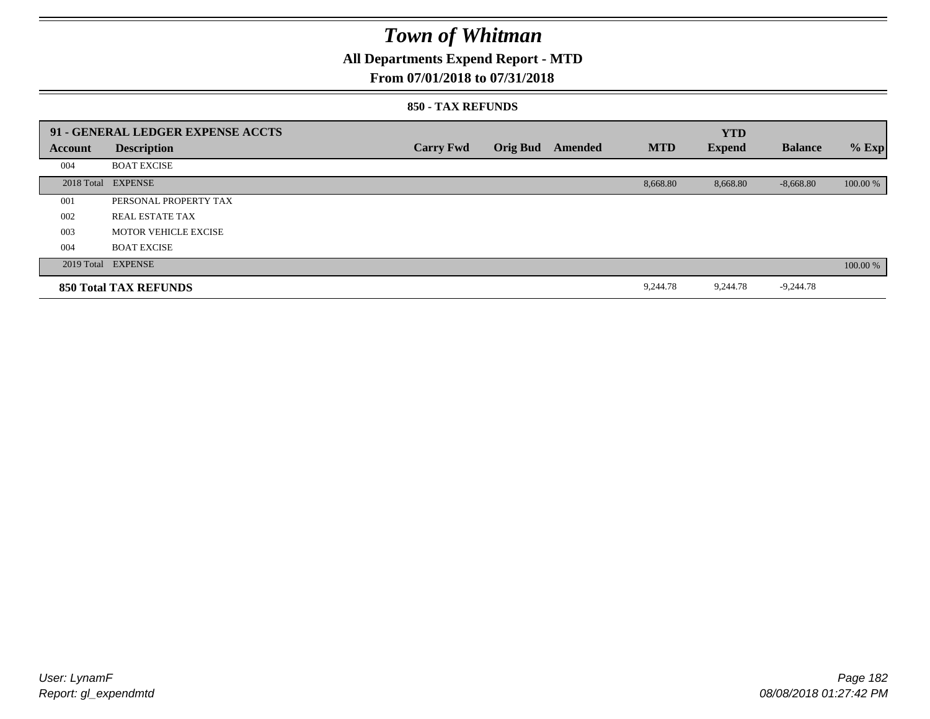## **All Departments Expend Report - MTD**

### **From 07/01/2018 to 07/31/2018**

#### **850 - TAX REFUNDS**

|         | 91 - GENERAL LEDGER EXPENSE ACCTS |                  |                 |         |            | <b>YTD</b>    |                |          |
|---------|-----------------------------------|------------------|-----------------|---------|------------|---------------|----------------|----------|
| Account | <b>Description</b>                | <b>Carry Fwd</b> | <b>Orig Bud</b> | Amended | <b>MTD</b> | <b>Expend</b> | <b>Balance</b> | $%$ Exp  |
| 004     | <b>BOAT EXCISE</b>                |                  |                 |         |            |               |                |          |
|         | 2018 Total EXPENSE                |                  |                 |         | 8,668.80   | 8,668.80      | $-8,668.80$    | 100.00 % |
| 001     | PERSONAL PROPERTY TAX             |                  |                 |         |            |               |                |          |
| 002     | <b>REAL ESTATE TAX</b>            |                  |                 |         |            |               |                |          |
| 003     | <b>MOTOR VEHICLE EXCISE</b>       |                  |                 |         |            |               |                |          |
| 004     | <b>BOAT EXCISE</b>                |                  |                 |         |            |               |                |          |
|         | 2019 Total EXPENSE                |                  |                 |         |            |               |                | 100.00 % |
|         | <b>850 Total TAX REFUNDS</b>      |                  |                 |         | 9,244.78   | 9,244.78      | $-9,244.78$    |          |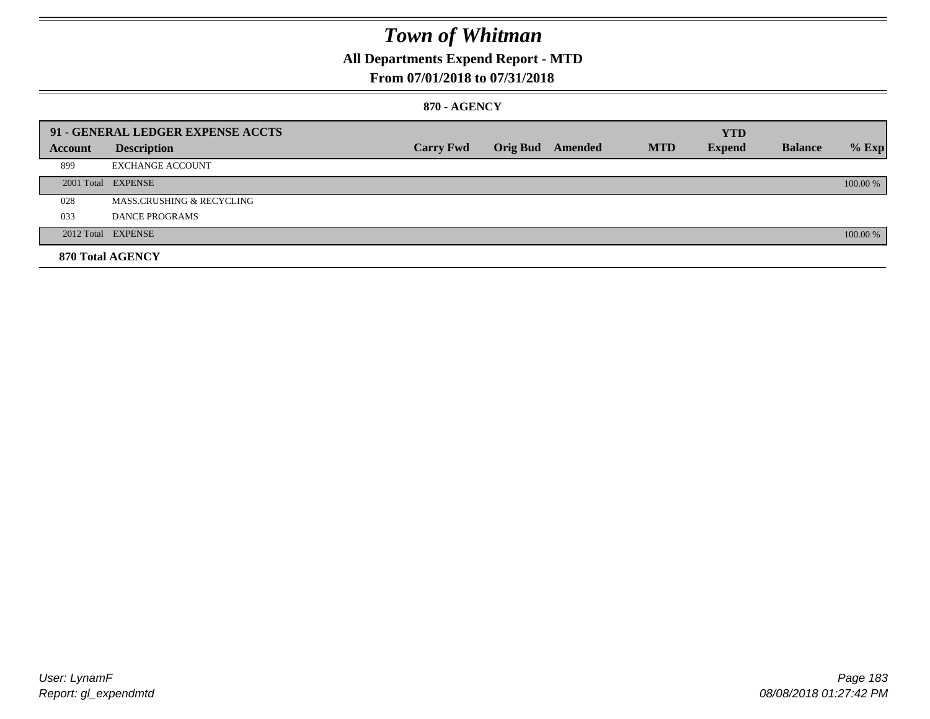## **All Departments Expend Report - MTD**

## **From 07/01/2018 to 07/31/2018**

### **870 - AGENCY**

|         | 91 - GENERAL LEDGER EXPENSE ACCTS    |                  |                         |            | <b>YTD</b>    |                |          |
|---------|--------------------------------------|------------------|-------------------------|------------|---------------|----------------|----------|
| Account | <b>Description</b>                   | <b>Carry Fwd</b> | <b>Orig Bud</b> Amended | <b>MTD</b> | <b>Expend</b> | <b>Balance</b> | $%$ Exp  |
| 899     | <b>EXCHANGE ACCOUNT</b>              |                  |                         |            |               |                |          |
|         | 2001 Total EXPENSE                   |                  |                         |            |               |                | 100.00 % |
| 028     | <b>MASS.CRUSHING &amp; RECYCLING</b> |                  |                         |            |               |                |          |
| 033     | DANCE PROGRAMS                       |                  |                         |            |               |                |          |
|         | 2012 Total EXPENSE                   |                  |                         |            |               |                | 100.00 % |
|         | 870 Total AGENCY                     |                  |                         |            |               |                |          |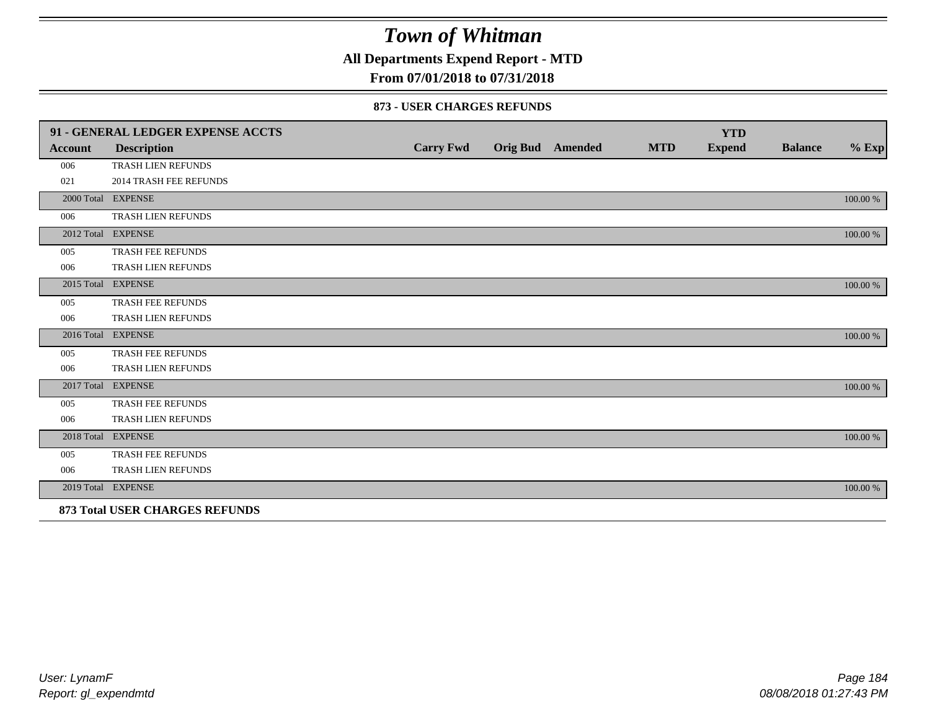**All Departments Expend Report - MTD**

## **From 07/01/2018 to 07/31/2018**

#### **873 - USER CHARGES REFUNDS**

|                | 91 - GENERAL LEDGER EXPENSE ACCTS     |                  |                         |            | <b>YTD</b>    |                |          |
|----------------|---------------------------------------|------------------|-------------------------|------------|---------------|----------------|----------|
| <b>Account</b> | <b>Description</b>                    | <b>Carry Fwd</b> | <b>Orig Bud</b> Amended | <b>MTD</b> | <b>Expend</b> | <b>Balance</b> | $\%$ Exp |
| 006            | TRASH LIEN REFUNDS                    |                  |                         |            |               |                |          |
| 021            | <b>2014 TRASH FEE REFUNDS</b>         |                  |                         |            |               |                |          |
|                | 2000 Total EXPENSE                    |                  |                         |            |               |                | 100.00 % |
| 006            | TRASH LIEN REFUNDS                    |                  |                         |            |               |                |          |
|                | 2012 Total EXPENSE                    |                  |                         |            |               |                | 100.00 % |
| 005            | TRASH FEE REFUNDS                     |                  |                         |            |               |                |          |
| 006            | TRASH LIEN REFUNDS                    |                  |                         |            |               |                |          |
|                | 2015 Total EXPENSE                    |                  |                         |            |               |                | 100.00 % |
| 005            | TRASH FEE REFUNDS                     |                  |                         |            |               |                |          |
| 006            | TRASH LIEN REFUNDS                    |                  |                         |            |               |                |          |
|                | 2016 Total EXPENSE                    |                  |                         |            |               |                | 100.00 % |
| 005            | <b>TRASH FEE REFUNDS</b>              |                  |                         |            |               |                |          |
| 006            | TRASH LIEN REFUNDS                    |                  |                         |            |               |                |          |
|                | 2017 Total EXPENSE                    |                  |                         |            |               |                | 100.00 % |
| 005            | TRASH FEE REFUNDS                     |                  |                         |            |               |                |          |
| 006            | TRASH LIEN REFUNDS                    |                  |                         |            |               |                |          |
|                | 2018 Total EXPENSE                    |                  |                         |            |               |                | 100.00 % |
| 005            | TRASH FEE REFUNDS                     |                  |                         |            |               |                |          |
| 006            | TRASH LIEN REFUNDS                    |                  |                         |            |               |                |          |
|                | 2019 Total EXPENSE                    |                  |                         |            |               |                | 100.00 % |
|                | <b>873 Total USER CHARGES REFUNDS</b> |                  |                         |            |               |                |          |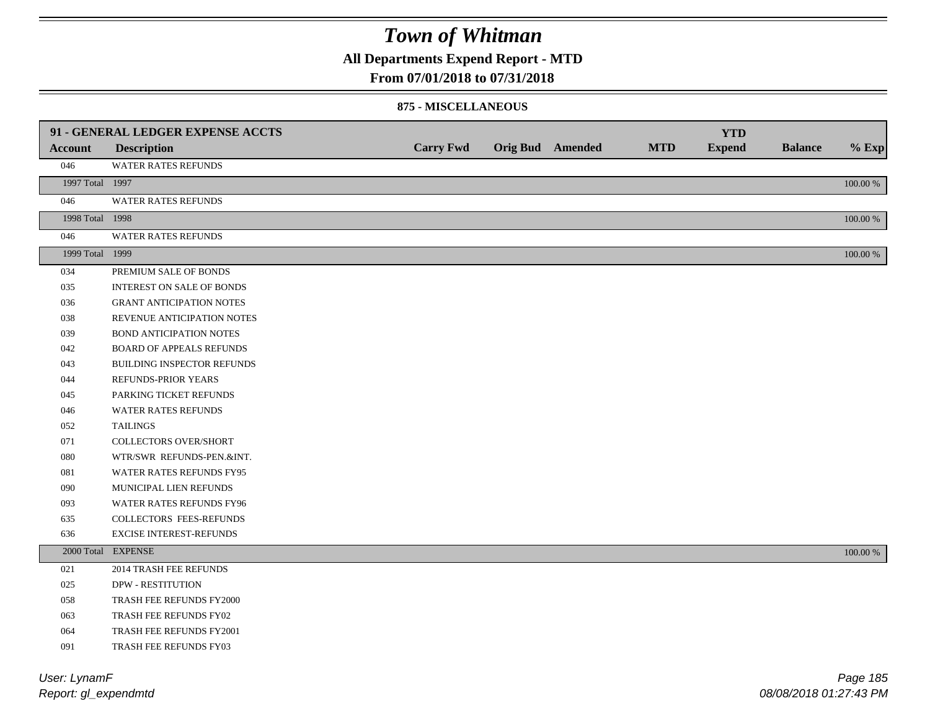**All Departments Expend Report - MTD**

### **From 07/01/2018 to 07/31/2018**

#### **875 - MISCELLANEOUS**

|                 | 91 - GENERAL LEDGER EXPENSE ACCTS |                  |                         |            | <b>YTD</b>    |                |             |
|-----------------|-----------------------------------|------------------|-------------------------|------------|---------------|----------------|-------------|
| <b>Account</b>  | <b>Description</b>                | <b>Carry Fwd</b> | <b>Orig Bud</b> Amended | <b>MTD</b> | <b>Expend</b> | <b>Balance</b> | $%$ Exp     |
| 046             | WATER RATES REFUNDS               |                  |                         |            |               |                |             |
| 1997 Total 1997 |                                   |                  |                         |            |               |                | 100.00 %    |
| 046             | WATER RATES REFUNDS               |                  |                         |            |               |                |             |
| 1998 Total 1998 |                                   |                  |                         |            |               |                | 100.00 %    |
| 046             | WATER RATES REFUNDS               |                  |                         |            |               |                |             |
| 1999 Total 1999 |                                   |                  |                         |            |               |                | 100.00 %    |
| 034             | PREMIUM SALE OF BONDS             |                  |                         |            |               |                |             |
| 035             | <b>INTEREST ON SALE OF BONDS</b>  |                  |                         |            |               |                |             |
| 036             | <b>GRANT ANTICIPATION NOTES</b>   |                  |                         |            |               |                |             |
| 038             | REVENUE ANTICIPATION NOTES        |                  |                         |            |               |                |             |
| 039             | <b>BOND ANTICIPATION NOTES</b>    |                  |                         |            |               |                |             |
| 042             | <b>BOARD OF APPEALS REFUNDS</b>   |                  |                         |            |               |                |             |
| 043             | BUILDING INSPECTOR REFUNDS        |                  |                         |            |               |                |             |
| 044             | REFUNDS-PRIOR YEARS               |                  |                         |            |               |                |             |
| 045             | PARKING TICKET REFUNDS            |                  |                         |            |               |                |             |
| 046             | WATER RATES REFUNDS               |                  |                         |            |               |                |             |
| 052             | <b>TAILINGS</b>                   |                  |                         |            |               |                |             |
| 071             | <b>COLLECTORS OVER/SHORT</b>      |                  |                         |            |               |                |             |
| ${\bf 080}$     | WTR/SWR REFUNDS-PEN.&INT.         |                  |                         |            |               |                |             |
| 081             | WATER RATES REFUNDS FY95          |                  |                         |            |               |                |             |
| 090             | MUNICIPAL LIEN REFUNDS            |                  |                         |            |               |                |             |
| 093             | WATER RATES REFUNDS FY96          |                  |                         |            |               |                |             |
| 635             | COLLECTORS FEES-REFUNDS           |                  |                         |            |               |                |             |
| 636             | <b>EXCISE INTEREST-REFUNDS</b>    |                  |                         |            |               |                |             |
|                 | 2000 Total EXPENSE                |                  |                         |            |               |                | $100.00~\%$ |
| 021             | <b>2014 TRASH FEE REFUNDS</b>     |                  |                         |            |               |                |             |
| 025             | <b>DPW - RESTITUTION</b>          |                  |                         |            |               |                |             |
| 058             | TRASH FEE REFUNDS FY2000          |                  |                         |            |               |                |             |
| 063             | TRASH FEE REFUNDS FY02            |                  |                         |            |               |                |             |
| 064             | TRASH FEE REFUNDS FY2001          |                  |                         |            |               |                |             |
| 091             | TRASH FEE REFUNDS FY03            |                  |                         |            |               |                |             |

*Report: gl\_expendmtd User: LynamF*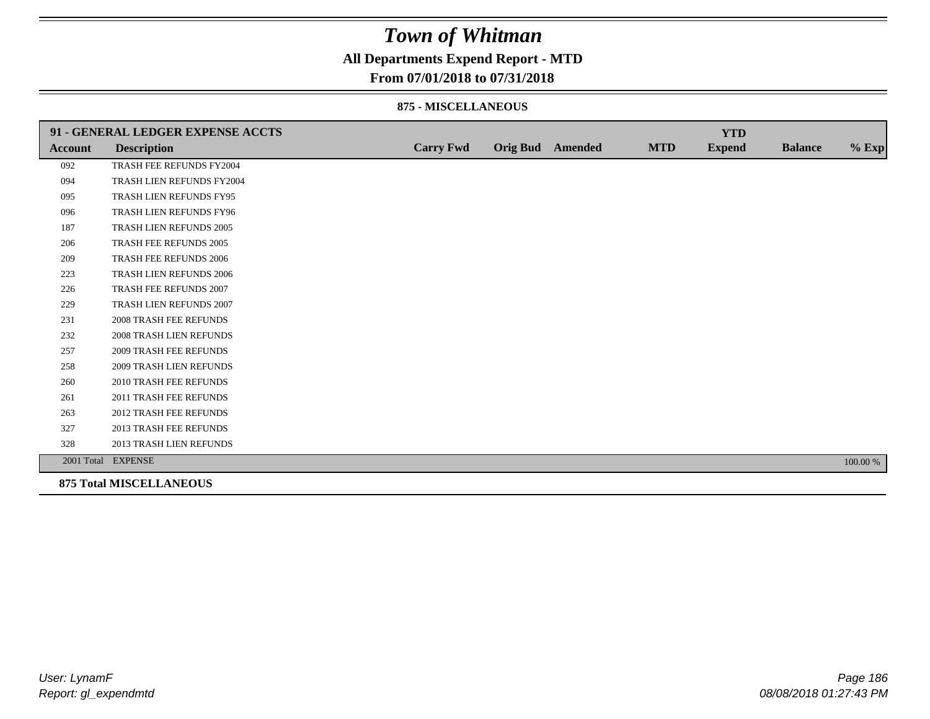## **All Departments Expend Report - MTD**

### **From 07/01/2018 to 07/31/2018**

#### **875 - MISCELLANEOUS**

|                | 91 - GENERAL LEDGER EXPENSE ACCTS |                  |                  |            | <b>YTD</b>    |                |          |
|----------------|-----------------------------------|------------------|------------------|------------|---------------|----------------|----------|
| <b>Account</b> | <b>Description</b>                | <b>Carry Fwd</b> | Orig Bud Amended | <b>MTD</b> | <b>Expend</b> | <b>Balance</b> | $%$ Exp  |
| 092            | TRASH FEE REFUNDS FY2004          |                  |                  |            |               |                |          |
| 094            | TRASH LIEN REFUNDS FY2004         |                  |                  |            |               |                |          |
| 095            | TRASH LIEN REFUNDS FY95           |                  |                  |            |               |                |          |
| 096            | TRASH LIEN REFUNDS FY96           |                  |                  |            |               |                |          |
| 187            | TRASH LIEN REFUNDS 2005           |                  |                  |            |               |                |          |
| 206            | TRASH FEE REFUNDS 2005            |                  |                  |            |               |                |          |
| 209            | <b>TRASH FEE REFUNDS 2006</b>     |                  |                  |            |               |                |          |
| 223            | <b>TRASH LIEN REFUNDS 2006</b>    |                  |                  |            |               |                |          |
| 226            | TRASH FEE REFUNDS 2007            |                  |                  |            |               |                |          |
| 229            | TRASH LIEN REFUNDS 2007           |                  |                  |            |               |                |          |
| 231            | <b>2008 TRASH FEE REFUNDS</b>     |                  |                  |            |               |                |          |
| 232            | <b>2008 TRASH LIEN REFUNDS</b>    |                  |                  |            |               |                |          |
| 257            | <b>2009 TRASH FEE REFUNDS</b>     |                  |                  |            |               |                |          |
| 258            | 2009 TRASH LIEN REFUNDS           |                  |                  |            |               |                |          |
| 260            | 2010 TRASH FEE REFUNDS            |                  |                  |            |               |                |          |
| 261            | 2011 TRASH FEE REFUNDS            |                  |                  |            |               |                |          |
| 263            | <b>2012 TRASH FEE REFUNDS</b>     |                  |                  |            |               |                |          |
| 327            | <b>2013 TRASH FEE REFUNDS</b>     |                  |                  |            |               |                |          |
| 328            | 2013 TRASH LIEN REFUNDS           |                  |                  |            |               |                |          |
|                | 2001 Total EXPENSE                |                  |                  |            |               |                | 100.00 % |
|                | <b>875 Total MISCELLANEOUS</b>    |                  |                  |            |               |                |          |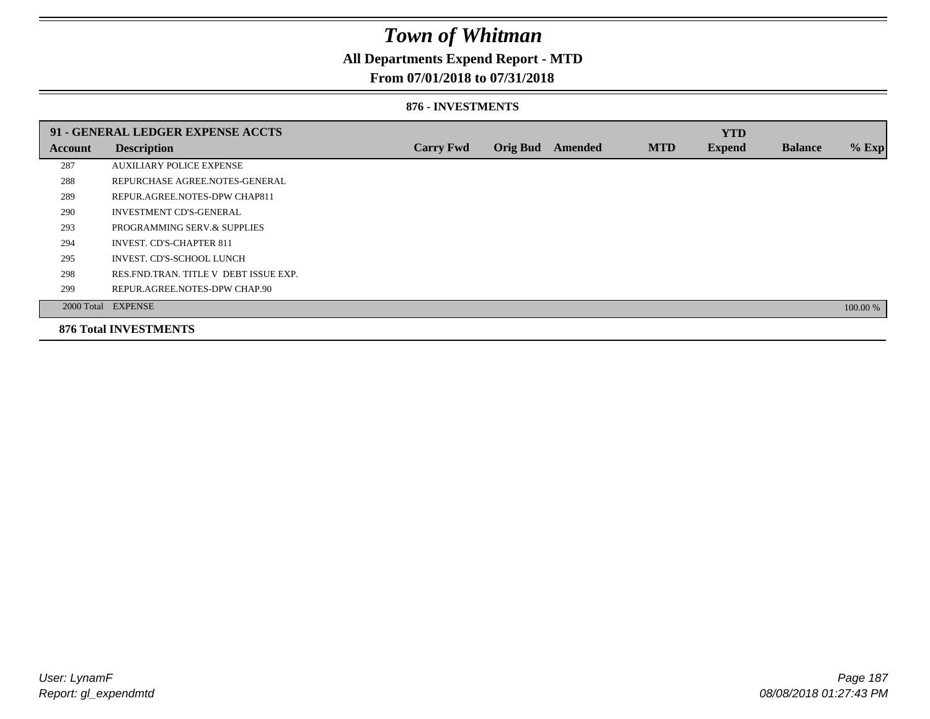## **All Departments Expend Report - MTD**

### **From 07/01/2018 to 07/31/2018**

#### **876 - INVESTMENTS**

|                | 91 - GENERAL LEDGER EXPENSE ACCTS       |                  |                 |         |            | <b>YTD</b>    |                |          |
|----------------|-----------------------------------------|------------------|-----------------|---------|------------|---------------|----------------|----------|
| <b>Account</b> | <b>Description</b>                      | <b>Carry Fwd</b> | <b>Orig Bud</b> | Amended | <b>MTD</b> | <b>Expend</b> | <b>Balance</b> | $%$ Exp  |
| 287            | <b>AUXILIARY POLICE EXPENSE</b>         |                  |                 |         |            |               |                |          |
| 288            | REPURCHASE AGREE NOTES-GENERAL          |                  |                 |         |            |               |                |          |
| 289            | REPUR.AGREE.NOTES-DPW CHAP811           |                  |                 |         |            |               |                |          |
| 290            | <b>INVESTMENT CD'S-GENERAL</b>          |                  |                 |         |            |               |                |          |
| 293            | PROGRAMMING SERV.& SUPPLIES             |                  |                 |         |            |               |                |          |
| 294            | <b>INVEST. CD'S-CHAPTER 811</b>         |                  |                 |         |            |               |                |          |
| 295            | INVEST. CD'S-SCHOOL LUNCH               |                  |                 |         |            |               |                |          |
| 298            | RES. FND. TRAN. TITLE V DEBT ISSUE EXP. |                  |                 |         |            |               |                |          |
| 299            | REPUR.AGREE.NOTES-DPW CHAP.90           |                  |                 |         |            |               |                |          |
|                | 2000 Total EXPENSE                      |                  |                 |         |            |               |                | 100.00 % |
|                | <b>876 Total INVESTMENTS</b>            |                  |                 |         |            |               |                |          |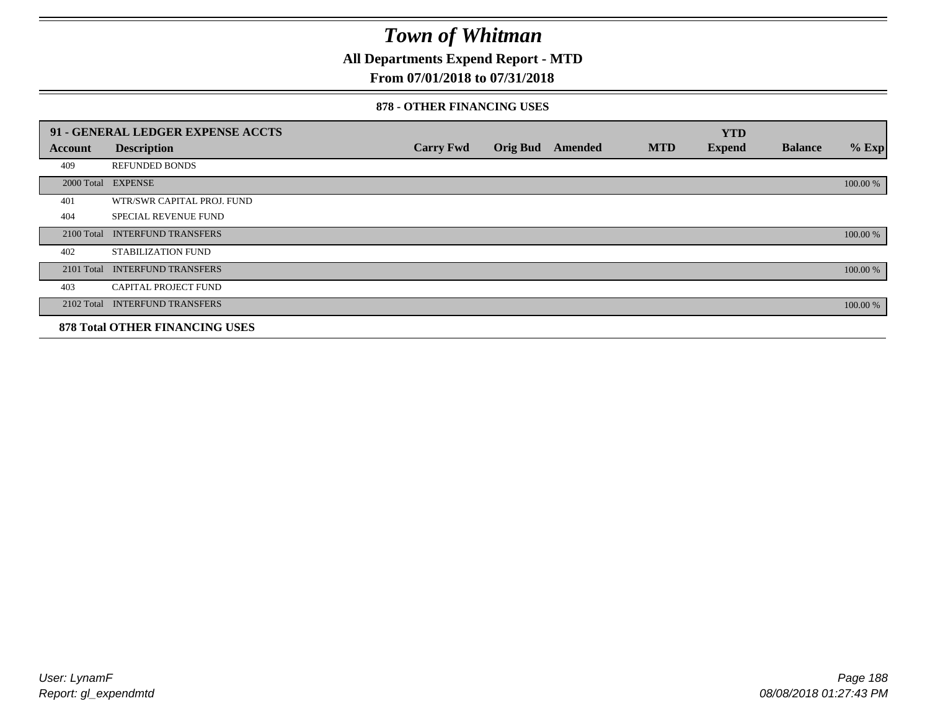**All Departments Expend Report - MTD**

## **From 07/01/2018 to 07/31/2018**

#### **878 - OTHER FINANCING USES**

|            | 91 - GENERAL LEDGER EXPENSE ACCTS     |                  |                         |            | <b>YTD</b>    |                |          |
|------------|---------------------------------------|------------------|-------------------------|------------|---------------|----------------|----------|
| Account    | <b>Description</b>                    | <b>Carry Fwd</b> | <b>Orig Bud</b> Amended | <b>MTD</b> | <b>Expend</b> | <b>Balance</b> | $%$ Exp  |
| 409        | <b>REFUNDED BONDS</b>                 |                  |                         |            |               |                |          |
| 2000 Total | <b>EXPENSE</b>                        |                  |                         |            |               |                | 100.00 % |
| 401        | WTR/SWR CAPITAL PROJ. FUND            |                  |                         |            |               |                |          |
| 404        | <b>SPECIAL REVENUE FUND</b>           |                  |                         |            |               |                |          |
| 2100 Total | <b>INTERFUND TRANSFERS</b>            |                  |                         |            |               |                | 100.00 % |
| 402        | <b>STABILIZATION FUND</b>             |                  |                         |            |               |                |          |
| 2101 Total | <b>INTERFUND TRANSFERS</b>            |                  |                         |            |               |                | 100.00 % |
| 403        | <b>CAPITAL PROJECT FUND</b>           |                  |                         |            |               |                |          |
| 2102 Total | <b>INTERFUND TRANSFERS</b>            |                  |                         |            |               |                | 100.00 % |
|            | <b>878 Total OTHER FINANCING USES</b> |                  |                         |            |               |                |          |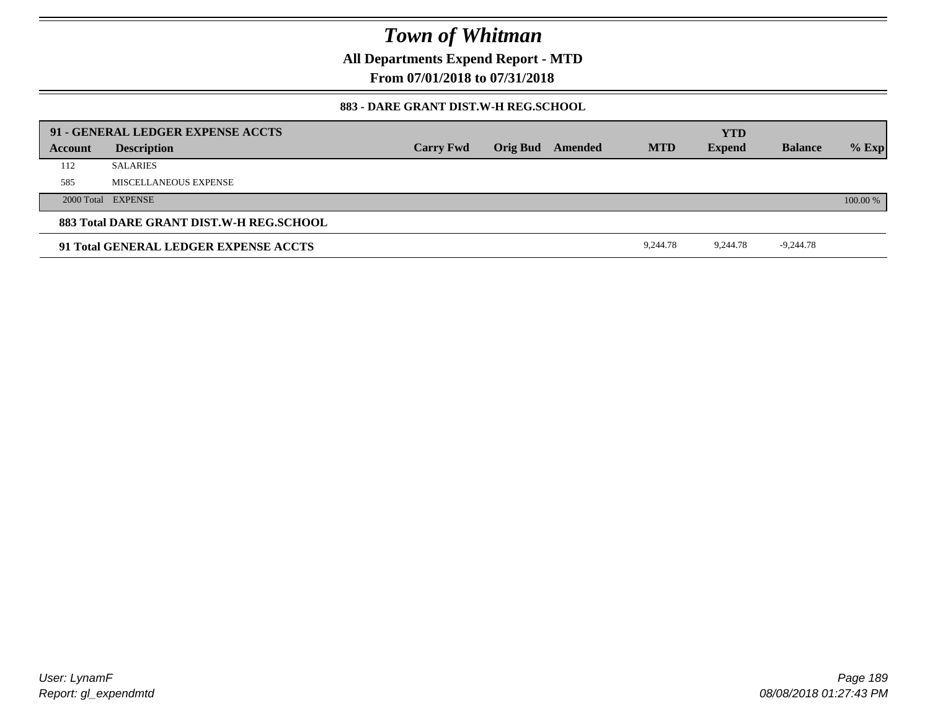**All Departments Expend Report - MTD**

**From 07/01/2018 to 07/31/2018**

### **883 - DARE GRANT DIST.W-H REG.SCHOOL**

|         | 91 - GENERAL LEDGER EXPENSE ACCTS        |                  |                         |            | <b>YTD</b>    |                |          |
|---------|------------------------------------------|------------------|-------------------------|------------|---------------|----------------|----------|
| Account | <b>Description</b>                       | <b>Carry Fwd</b> | <b>Orig Bud</b> Amended | <b>MTD</b> | <b>Expend</b> | <b>Balance</b> | $%$ Exp  |
| 112     | <b>SALARIES</b>                          |                  |                         |            |               |                |          |
| 585     | MISCELLANEOUS EXPENSE                    |                  |                         |            |               |                |          |
|         | 2000 Total EXPENSE                       |                  |                         |            |               |                | 100.00 % |
|         | 883 Total DARE GRANT DIST.W-H REG.SCHOOL |                  |                         |            |               |                |          |
|         | 91 Total GENERAL LEDGER EXPENSE ACCTS    |                  |                         | 9,244.78   | 9,244.78      | $-9,244.78$    |          |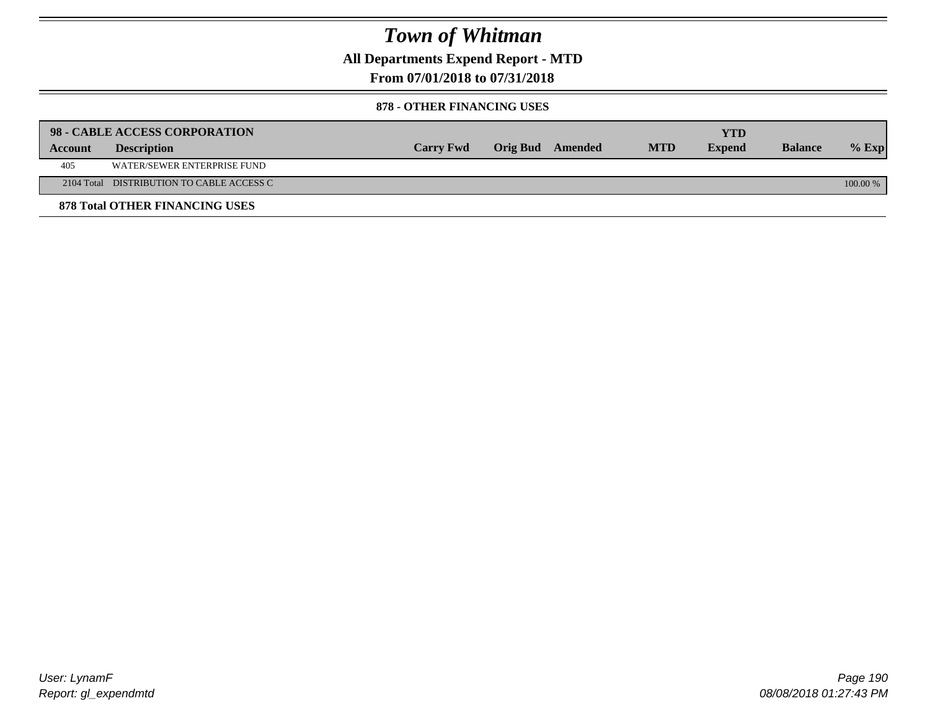**All Departments Expend Report - MTD**

## **From 07/01/2018 to 07/31/2018**

#### **878 - OTHER FINANCING USES**

|         | 98 - CABLE ACCESS CORPORATION             |                  |                  |            | <b>YTD</b>    |                |            |
|---------|-------------------------------------------|------------------|------------------|------------|---------------|----------------|------------|
| Account | <b>Description</b>                        | <b>Carry Fwd</b> | Orig Bud Amended | <b>MTD</b> | <b>Expend</b> | <b>Balance</b> | $%$ Exp    |
| 405     | WATER/SEWER ENTERPRISE FUND               |                  |                  |            |               |                |            |
|         | 2104 Total DISTRIBUTION TO CABLE ACCESS C |                  |                  |            |               |                | $100.00\%$ |
|         | <b>878 Total OTHER FINANCING USES</b>     |                  |                  |            |               |                |            |